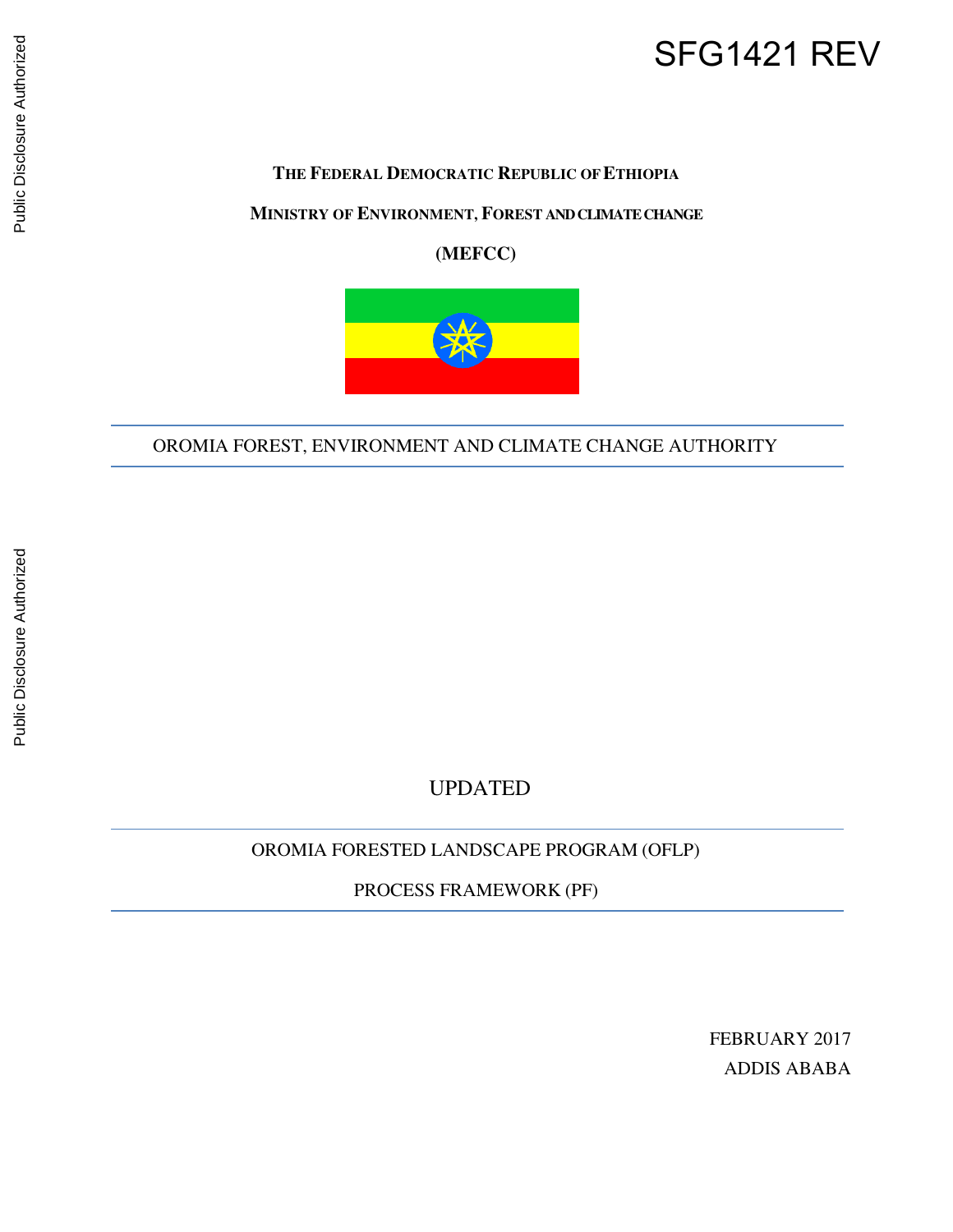# SFG1421 REV

#### **THE FEDERAL DEMOCRATIC REPUBLIC OF ETHIOPIA**

#### **MINISTRY OF ENVIRONMENT, FOREST AND CLIMATE CHANGE**

**(MEFCC)**



OROMIA FOREST, ENVIRONMENT AND CLIMATE CHANGE AUTHORITY

UPDATED

OROMIA FORESTED LANDSCAPE PROGRAM (OFLP)

PROCESS FRAMEWORK (PF)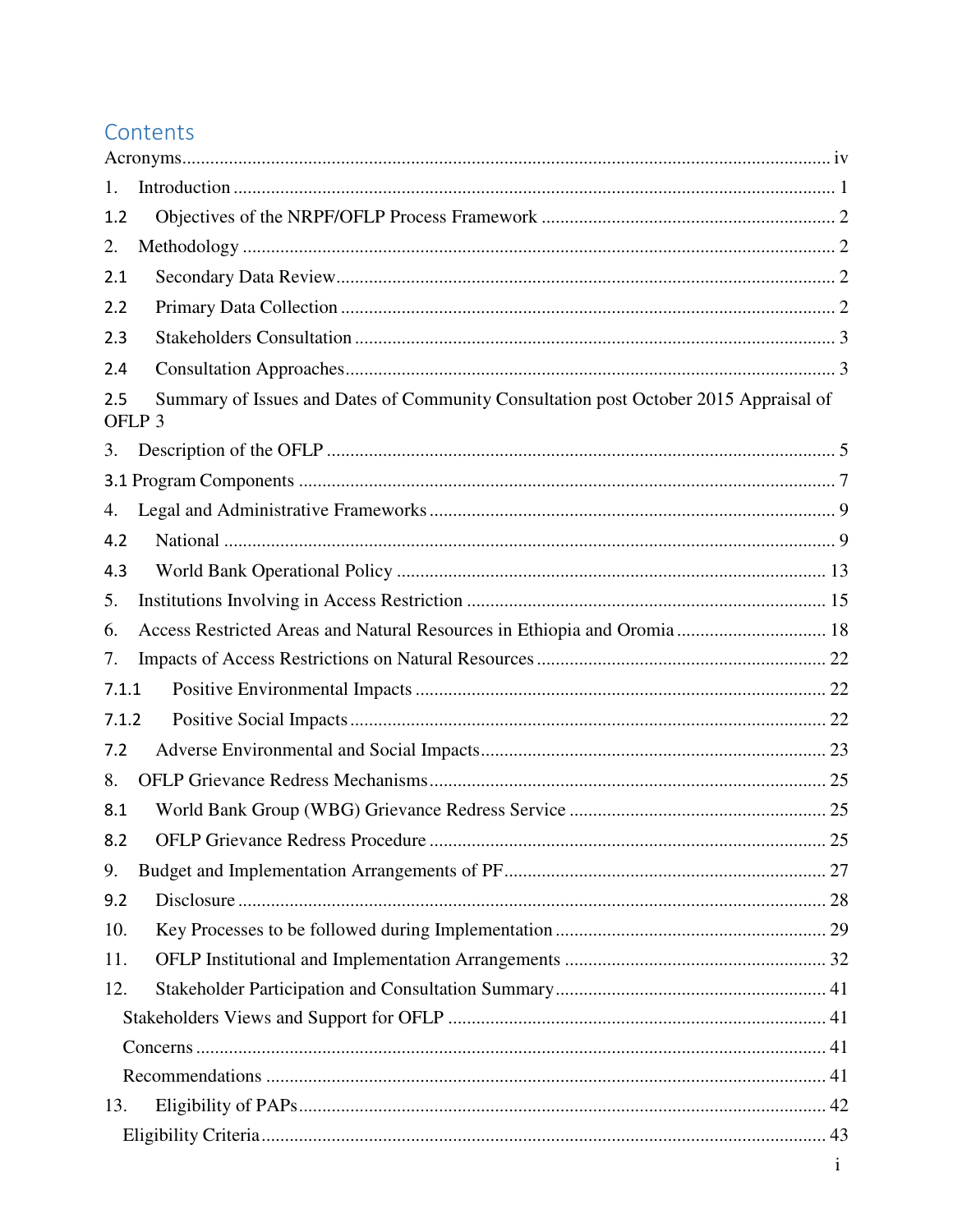# Contents

| 1.    |                                                                                                           |  |
|-------|-----------------------------------------------------------------------------------------------------------|--|
| 1.2   |                                                                                                           |  |
| 2.    |                                                                                                           |  |
| 2.1   |                                                                                                           |  |
| 2.2   |                                                                                                           |  |
| 2.3   |                                                                                                           |  |
| 2.4   |                                                                                                           |  |
| 2.5   | Summary of Issues and Dates of Community Consultation post October 2015 Appraisal of<br>OFLP <sub>3</sub> |  |
| 3.    |                                                                                                           |  |
|       |                                                                                                           |  |
| 4.    |                                                                                                           |  |
| 4.2   |                                                                                                           |  |
| 4.3   |                                                                                                           |  |
| 5.    |                                                                                                           |  |
| 6.    | Access Restricted Areas and Natural Resources in Ethiopia and Oromia  18                                  |  |
| 7.    |                                                                                                           |  |
| 7.1.1 |                                                                                                           |  |
| 7.1.2 |                                                                                                           |  |
| 7.2   |                                                                                                           |  |
| 8.    |                                                                                                           |  |
| 8.1   |                                                                                                           |  |
| 8.2   |                                                                                                           |  |
| 9.    |                                                                                                           |  |
| 9.2   |                                                                                                           |  |
| 10.   |                                                                                                           |  |
| 11.   |                                                                                                           |  |
| 12.   |                                                                                                           |  |
|       |                                                                                                           |  |
|       |                                                                                                           |  |
|       |                                                                                                           |  |
| 13.   |                                                                                                           |  |
|       |                                                                                                           |  |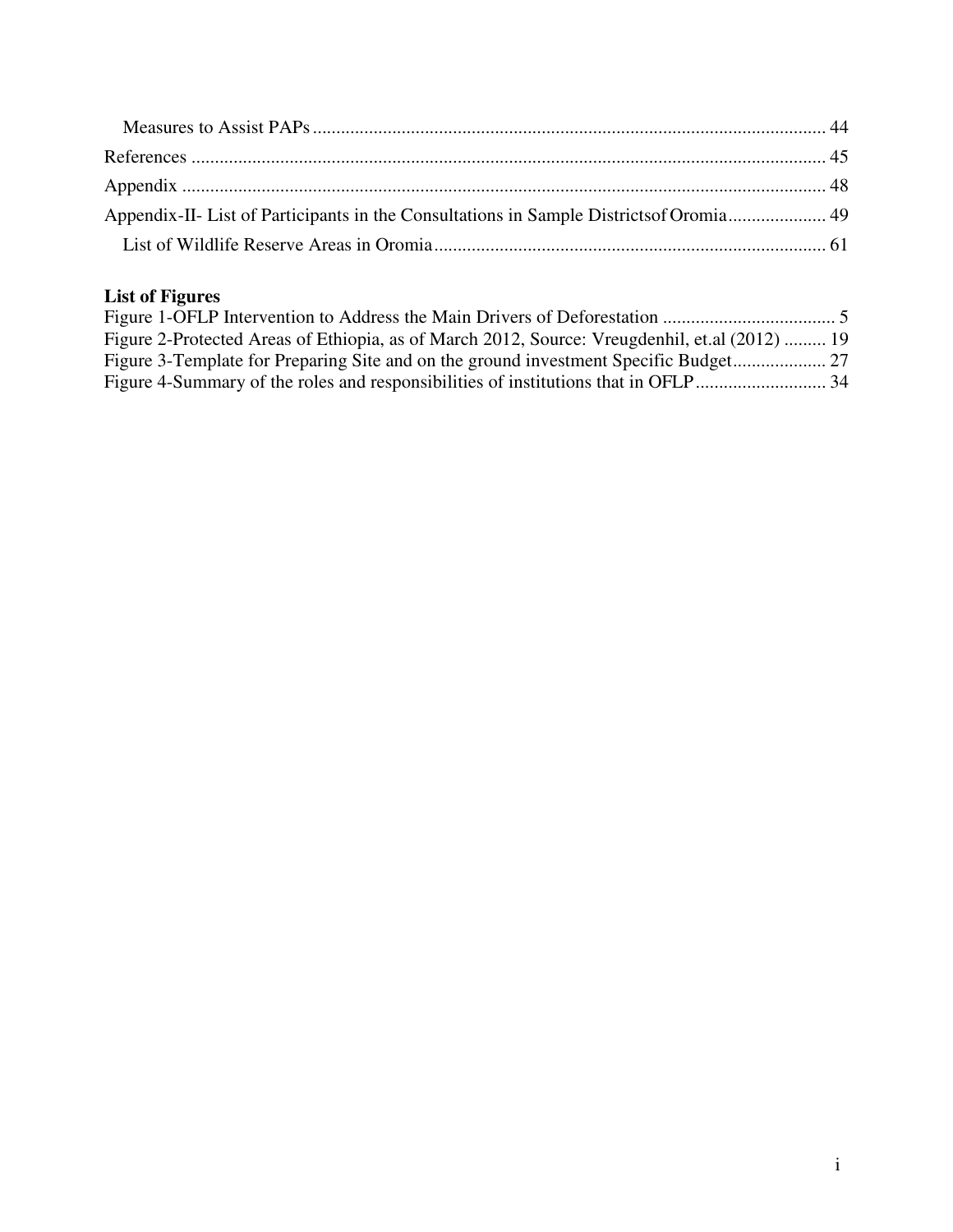| Appendix-II- List of Participants in the Consultations in Sample Districts of Oromia 49 |  |
|-----------------------------------------------------------------------------------------|--|
|                                                                                         |  |

# **List of Figures**

| Figure 2-Protected Areas of Ethiopia, as of March 2012, Source: Vreugdenhil, et.al (2012)  19 |  |
|-----------------------------------------------------------------------------------------------|--|
|                                                                                               |  |
|                                                                                               |  |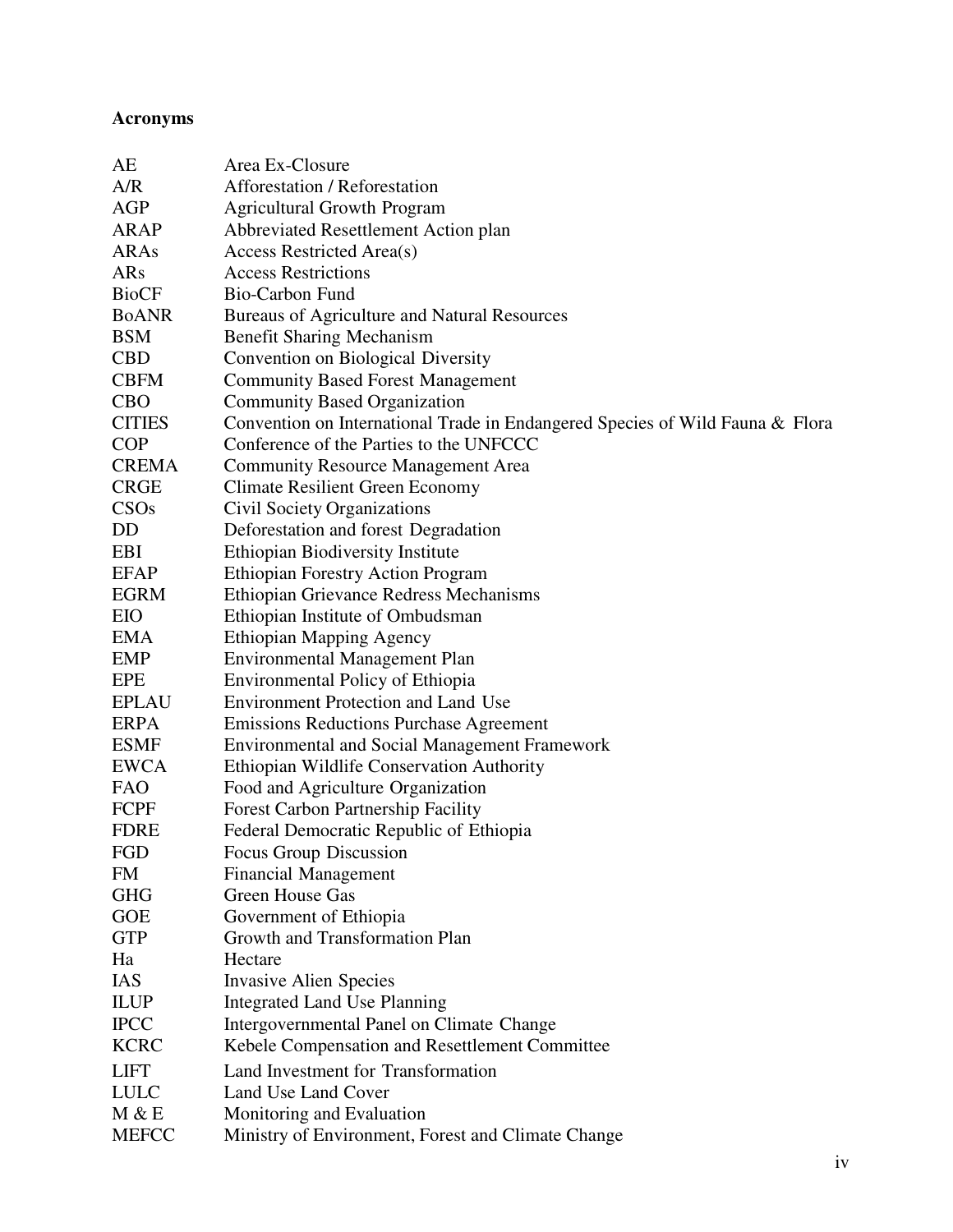## **Acronyms**

| AE            | Area Ex-Closure                                                               |
|---------------|-------------------------------------------------------------------------------|
| A/R           | Afforestation / Reforestation                                                 |
| AGP           | <b>Agricultural Growth Program</b>                                            |
| <b>ARAP</b>   | Abbreviated Resettlement Action plan                                          |
| ARAs          | Access Restricted Area(s)                                                     |
| ARs           | <b>Access Restrictions</b>                                                    |
| <b>BioCF</b>  | Bio-Carbon Fund                                                               |
| <b>BoANR</b>  | Bureaus of Agriculture and Natural Resources                                  |
| <b>BSM</b>    | <b>Benefit Sharing Mechanism</b>                                              |
| <b>CBD</b>    | Convention on Biological Diversity                                            |
| <b>CBFM</b>   | <b>Community Based Forest Management</b>                                      |
| <b>CBO</b>    | <b>Community Based Organization</b>                                           |
| <b>CITIES</b> | Convention on International Trade in Endangered Species of Wild Fauna & Flora |
| <b>COP</b>    | Conference of the Parties to the UNFCCC                                       |
| <b>CREMA</b>  | <b>Community Resource Management Area</b>                                     |
| <b>CRGE</b>   | <b>Climate Resilient Green Economy</b>                                        |
| CSOs          | <b>Civil Society Organizations</b>                                            |
| DD            | Deforestation and forest Degradation                                          |
| EBI           | <b>Ethiopian Biodiversity Institute</b>                                       |
| <b>EFAP</b>   | <b>Ethiopian Forestry Action Program</b>                                      |
| <b>EGRM</b>   | Ethiopian Grievance Redress Mechanisms                                        |
| EIO           | Ethiopian Institute of Ombudsman                                              |
| EMA           | <b>Ethiopian Mapping Agency</b>                                               |
| EMP           | <b>Environmental Management Plan</b>                                          |
| EPE           | Environmental Policy of Ethiopia                                              |
| <b>EPLAU</b>  | <b>Environment Protection and Land Use</b>                                    |
| <b>ERPA</b>   | <b>Emissions Reductions Purchase Agreement</b>                                |
| <b>ESMF</b>   | <b>Environmental and Social Management Framework</b>                          |
| <b>EWCA</b>   | Ethiopian Wildlife Conservation Authority                                     |
| <b>FAO</b>    | Food and Agriculture Organization                                             |
| FCPF          | <b>Forest Carbon Partnership Facility</b>                                     |
| <b>FDRE</b>   | Federal Democratic Republic of Ethiopia                                       |
| FGD           | Focus Group Discussion                                                        |
| FM            | <b>Financial Management</b>                                                   |
| <b>GHG</b>    | Green House Gas                                                               |
| <b>GOE</b>    | Government of Ethiopia                                                        |
| <b>GTP</b>    | Growth and Transformation Plan                                                |
| Ha            | Hectare                                                                       |
| <b>IAS</b>    | <b>Invasive Alien Species</b>                                                 |
| <b>ILUP</b>   | <b>Integrated Land Use Planning</b>                                           |
| <b>IPCC</b>   | Intergovernmental Panel on Climate Change                                     |
| <b>KCRC</b>   | Kebele Compensation and Resettlement Committee                                |
| <b>LIFT</b>   | Land Investment for Transformation                                            |
| <b>LULC</b>   | Land Use Land Cover                                                           |
| M & E         | Monitoring and Evaluation                                                     |
| <b>MEFCC</b>  | Ministry of Environment, Forest and Climate Change                            |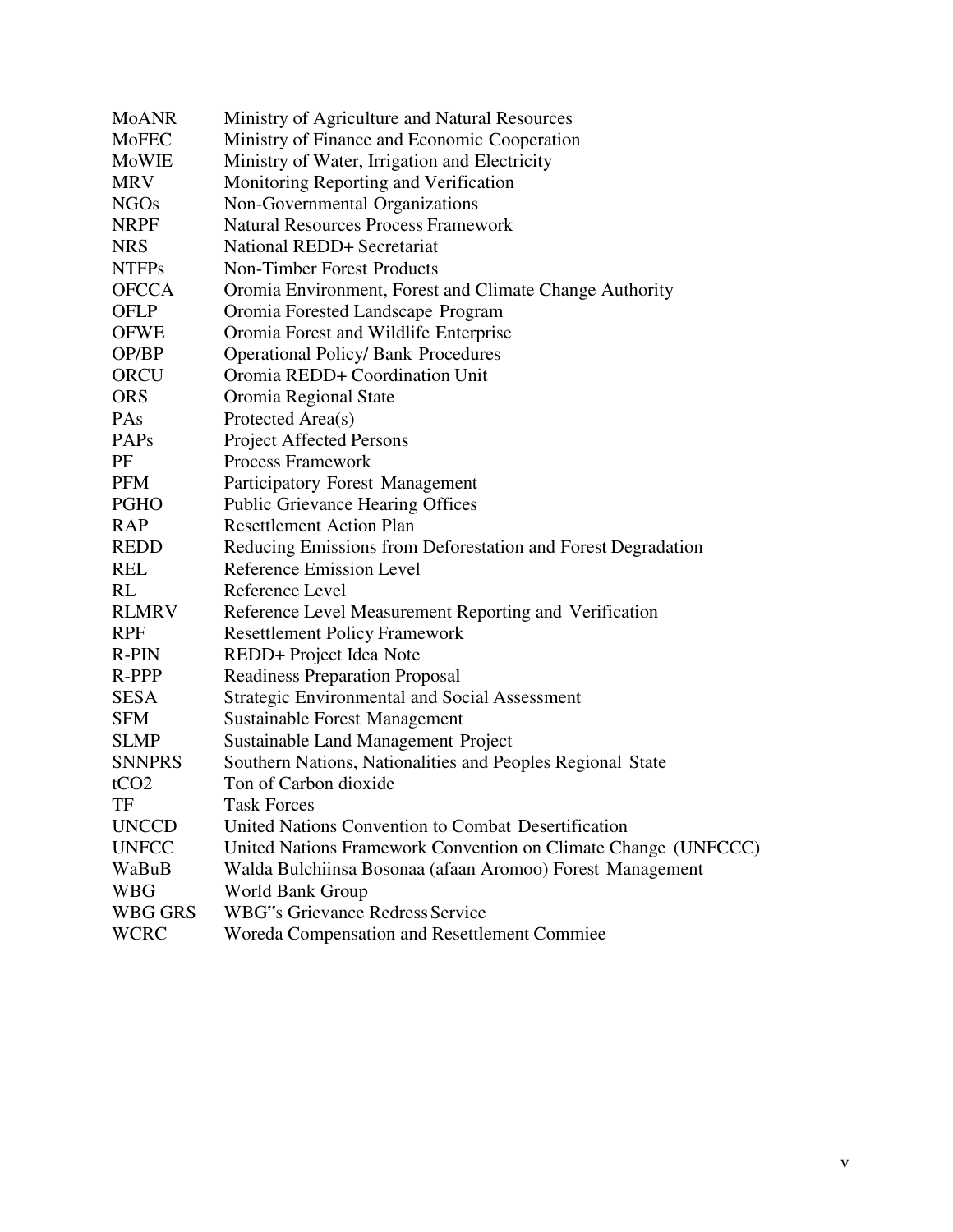| <b>MoANR</b>     | Ministry of Agriculture and Natural Resources                  |
|------------------|----------------------------------------------------------------|
| MoFEC            | Ministry of Finance and Economic Cooperation                   |
| MoWIE            | Ministry of Water, Irrigation and Electricity                  |
| <b>MRV</b>       | Monitoring Reporting and Verification                          |
| <b>NGOs</b>      | Non-Governmental Organizations                                 |
| <b>NRPF</b>      | <b>Natural Resources Process Framework</b>                     |
| <b>NRS</b>       | National REDD+ Secretariat                                     |
| <b>NTFPs</b>     | <b>Non-Timber Forest Products</b>                              |
| <b>OFCCA</b>     | Oromia Environment, Forest and Climate Change Authority        |
| <b>OFLP</b>      | Oromia Forested Landscape Program                              |
| <b>OFWE</b>      | Oromia Forest and Wildlife Enterprise                          |
| OP/BP            | <b>Operational Policy/ Bank Procedures</b>                     |
| <b>ORCU</b>      | Oromia REDD+ Coordination Unit                                 |
| <b>ORS</b>       | Oromia Regional State                                          |
| PAs              | Protected Area(s)                                              |
| PAP <sub>s</sub> | <b>Project Affected Persons</b>                                |
| PF               | <b>Process Framework</b>                                       |
| <b>PFM</b>       | Participatory Forest Management                                |
| <b>PGHO</b>      | <b>Public Grievance Hearing Offices</b>                        |
| <b>RAP</b>       | <b>Resettlement Action Plan</b>                                |
| <b>REDD</b>      | Reducing Emissions from Deforestation and Forest Degradation   |
| <b>REL</b>       | <b>Reference Emission Level</b>                                |
| RL               | Reference Level                                                |
| <b>RLMRV</b>     | Reference Level Measurement Reporting and Verification         |
| <b>RPF</b>       | <b>Resettlement Policy Framework</b>                           |
| R-PIN            | REDD+ Project Idea Note                                        |
| R-PPP            | <b>Readiness Preparation Proposal</b>                          |
| <b>SESA</b>      | <b>Strategic Environmental and Social Assessment</b>           |
| <b>SFM</b>       | <b>Sustainable Forest Management</b>                           |
| <b>SLMP</b>      | Sustainable Land Management Project                            |
| <b>SNNPRS</b>    | Southern Nations, Nationalities and Peoples Regional State     |
| tCO <sub>2</sub> | Ton of Carbon dioxide                                          |
| TF               | Task Forces                                                    |
| <b>UNCCD</b>     | United Nations Convention to Combat Desertification            |
| <b>UNFCC</b>     | United Nations Framework Convention on Climate Change (UNFCCC) |
| WaBuB            | Walda Bulchiinsa Bosonaa (afaan Aromoo) Forest Management      |
| <b>WBG</b>       | World Bank Group                                               |
| <b>WBG GRS</b>   | <b>WBG"s Grievance Redress Service</b>                         |
| <b>WCRC</b>      | Woreda Compensation and Resettlement Commiee                   |
|                  |                                                                |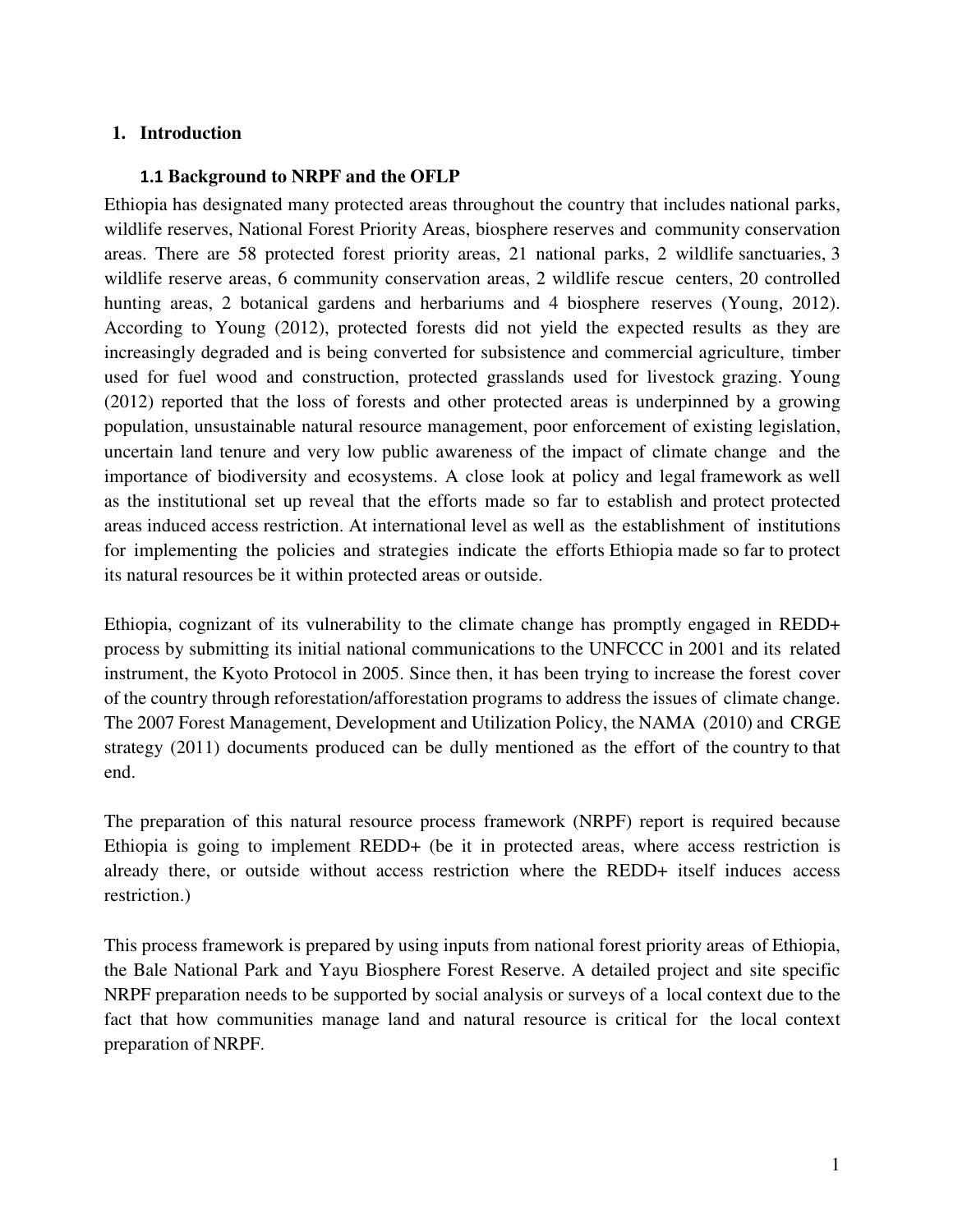#### **1. Introduction**

#### **1.1 Background to NRPF and the OFLP**

Ethiopia has designated many protected areas throughout the country that includes national parks, wildlife reserves, National Forest Priority Areas, biosphere reserves and community conservation areas. There are 58 protected forest priority areas, 21 national parks, 2 wildlife sanctuaries, 3 wildlife reserve areas, 6 community conservation areas, 2 wildlife rescue centers, 20 controlled hunting areas, 2 botanical gardens and herbariums and 4 biosphere reserves (Young, 2012). According to Young (2012), protected forests did not yield the expected results as they are increasingly degraded and is being converted for subsistence and commercial agriculture, timber used for fuel wood and construction, protected grasslands used for livestock grazing. Young (2012) reported that the loss of forests and other protected areas is underpinned by a growing population, unsustainable natural resource management, poor enforcement of existing legislation, uncertain land tenure and very low public awareness of the impact of climate change and the importance of biodiversity and ecosystems. A close look at policy and legal framework as well as the institutional set up reveal that the efforts made so far to establish and protect protected areas induced access restriction. At international level as well as the establishment of institutions for implementing the policies and strategies indicate the efforts Ethiopia made so far to protect its natural resources be it within protected areas or outside.

Ethiopia, cognizant of its vulnerability to the climate change has promptly engaged in REDD+ process by submitting its initial national communications to the UNFCCC in 2001 and its related instrument, the Kyoto Protocol in 2005. Since then, it has been trying to increase the forest cover of the country through reforestation/afforestation programs to address the issues of climate change. The 2007 Forest Management, Development and Utilization Policy, the NAMA (2010) and CRGE strategy (2011) documents produced can be dully mentioned as the effort of the country to that end.

The preparation of this natural resource process framework (NRPF) report is required because Ethiopia is going to implement REDD+ (be it in protected areas, where access restriction is already there, or outside without access restriction where the REDD+ itself induces access restriction.)

This process framework is prepared by using inputs from national forest priority areas of Ethiopia, the Bale National Park and Yayu Biosphere Forest Reserve. A detailed project and site specific NRPF preparation needs to be supported by social analysis or surveys of a local context due to the fact that how communities manage land and natural resource is critical for the local context preparation of NRPF.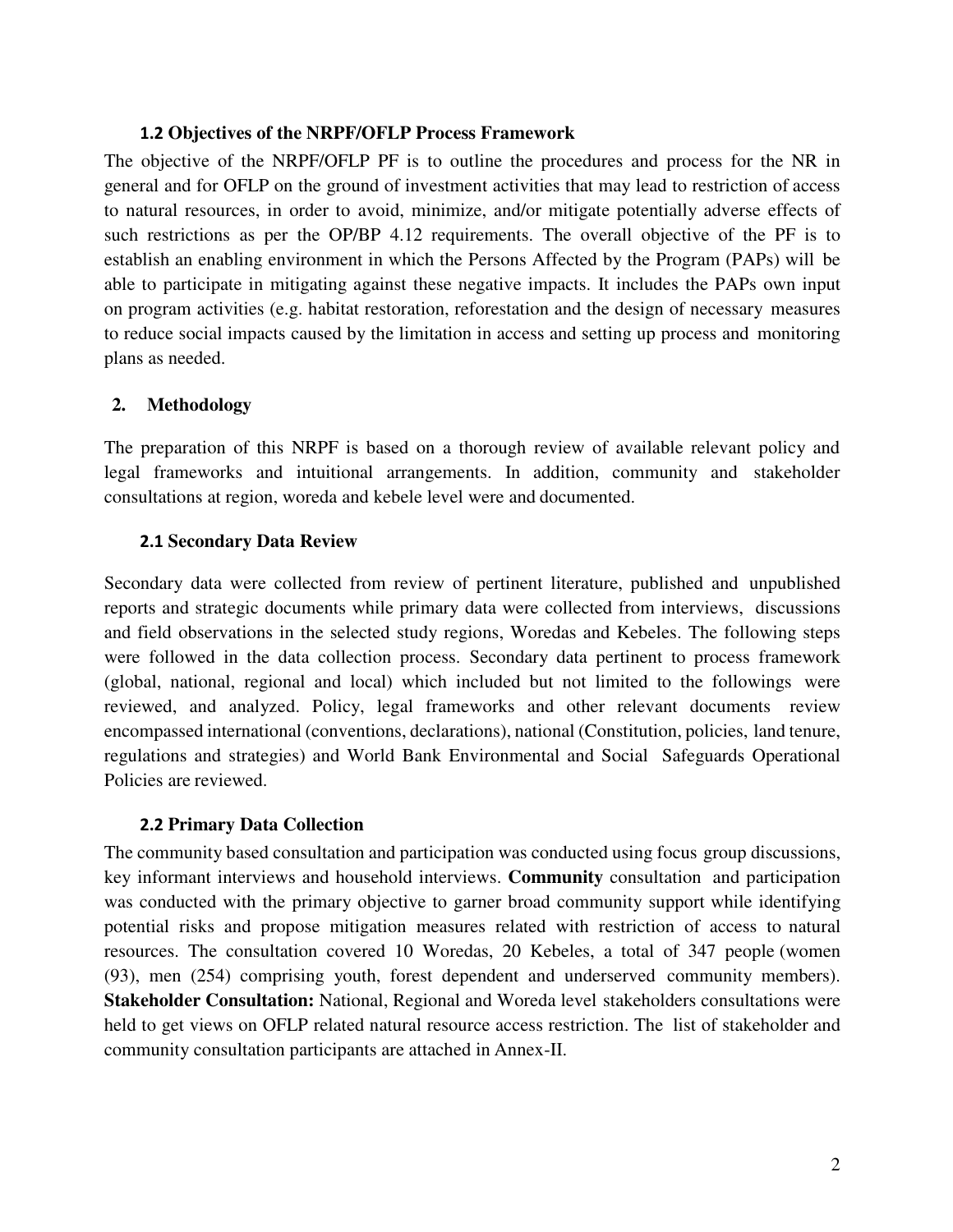#### **1.2 Objectives of the NRPF/OFLP Process Framework**

The objective of the NRPF/OFLP PF is to outline the procedures and process for the NR in general and for OFLP on the ground of investment activities that may lead to restriction of access to natural resources, in order to avoid, minimize, and/or mitigate potentially adverse effects of such restrictions as per the OP/BP 4.12 requirements. The overall objective of the PF is to establish an enabling environment in which the Persons Affected by the Program (PAPs) will be able to participate in mitigating against these negative impacts. It includes the PAPs own input on program activities (e.g. habitat restoration, reforestation and the design of necessary measures to reduce social impacts caused by the limitation in access and setting up process and monitoring plans as needed.

#### **2. Methodology**

The preparation of this NRPF is based on a thorough review of available relevant policy and legal frameworks and intuitional arrangements. In addition, community and stakeholder consultations at region, woreda and kebele level were and documented.

#### **2.1 Secondary Data Review**

Secondary data were collected from review of pertinent literature, published and unpublished reports and strategic documents while primary data were collected from interviews, discussions and field observations in the selected study regions, Woredas and Kebeles. The following steps were followed in the data collection process. Secondary data pertinent to process framework (global, national, regional and local) which included but not limited to the followings were reviewed, and analyzed. Policy, legal frameworks and other relevant documents review encompassed international (conventions, declarations), national (Constitution, policies, land tenure, regulations and strategies) and World Bank Environmental and Social Safeguards Operational Policies are reviewed.

#### **2.2 Primary Data Collection**

The community based consultation and participation was conducted using focus group discussions, key informant interviews and household interviews. **Community** consultation and participation was conducted with the primary objective to garner broad community support while identifying potential risks and propose mitigation measures related with restriction of access to natural resources. The consultation covered 10 Woredas, 20 Kebeles, a total of 347 people (women (93), men (254) comprising youth, forest dependent and underserved community members). **Stakeholder Consultation:** National, Regional and Woreda level stakeholders consultations were held to get views on OFLP related natural resource access restriction. The list of stakeholder and community consultation participants are attached in Annex-II.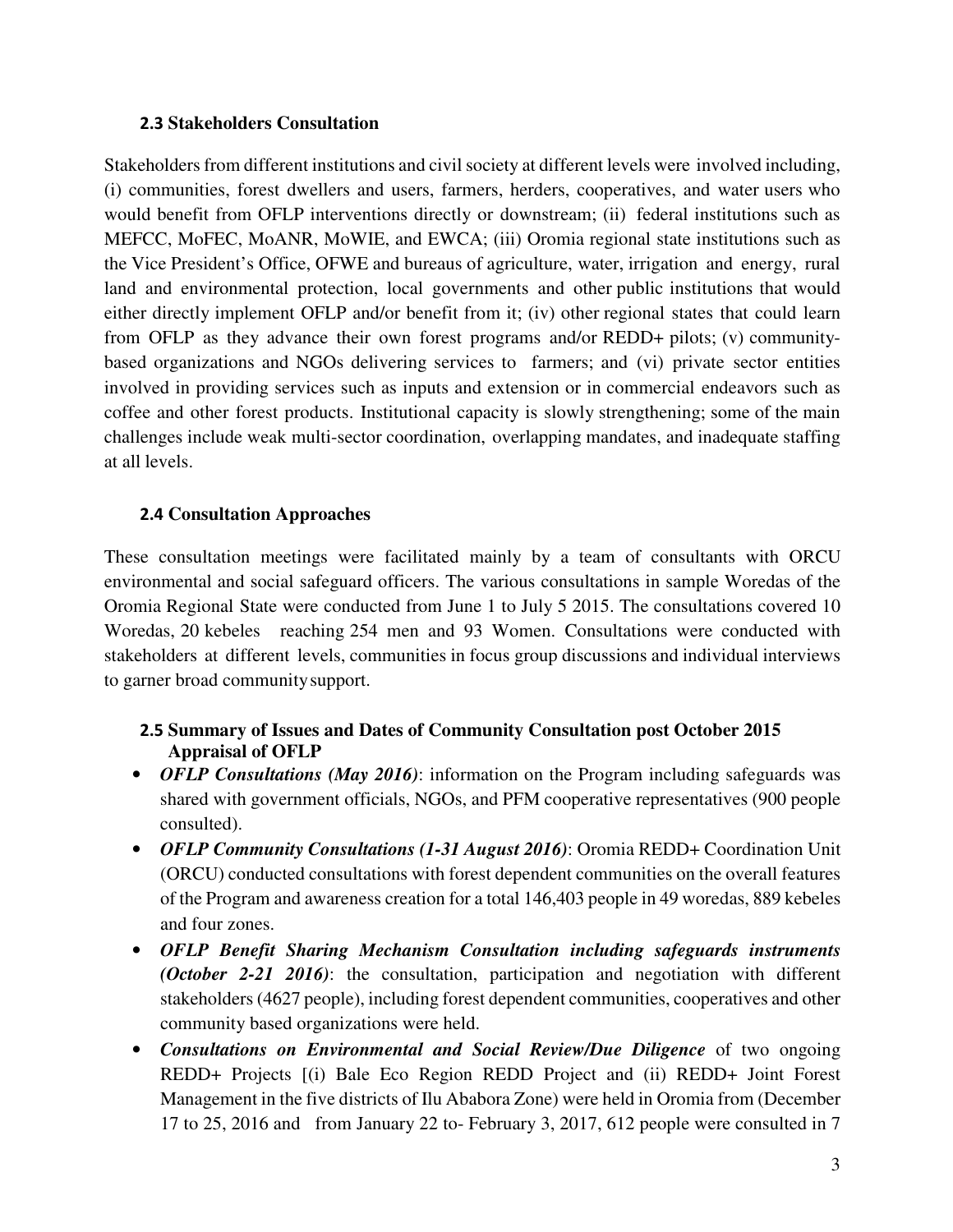#### **2.3 Stakeholders Consultation**

Stakeholders from different institutions and civil society at different levels were involved including, (i) communities, forest dwellers and users, farmers, herders, cooperatives, and water users who would benefit from OFLP interventions directly or downstream; (ii) federal institutions such as MEFCC, MoFEC, MoANR, MoWIE, and EWCA; (iii) Oromia regional state institutions such as the Vice President's Office, OFWE and bureaus of agriculture, water, irrigation and energy, rural land and environmental protection, local governments and other public institutions that would either directly implement OFLP and/or benefit from it; (iv) other regional states that could learn from OFLP as they advance their own forest programs and/or REDD+ pilots; (v) communitybased organizations and NGOs delivering services to farmers; and (vi) private sector entities involved in providing services such as inputs and extension or in commercial endeavors such as coffee and other forest products. Institutional capacity is slowly strengthening; some of the main challenges include weak multi-sector coordination, overlapping mandates, and inadequate staffing at all levels.

### **2.4 Consultation Approaches**

These consultation meetings were facilitated mainly by a team of consultants with ORCU environmental and social safeguard officers. The various consultations in sample Woredas of the Oromia Regional State were conducted from June 1 to July 5 2015. The consultations covered 10 Woredas, 20 kebeles reaching 254 men and 93 Women. Consultations were conducted with stakeholders at different levels, communities in focus group discussions and individual interviews to garner broad community support.

## **2.5 Summary of Issues and Dates of Community Consultation post October 2015 Appraisal of OFLP**

- *OFLP Consultations (May 2016)*: information on the Program including safeguards was shared with government officials, NGOs, and PFM cooperative representatives (900 people consulted).
- *OFLP Community Consultations (1-31 August 2016)*: Oromia REDD+ Coordination Unit (ORCU) conducted consultations with forest dependent communities on the overall features of the Program and awareness creation for a total 146,403 people in 49 woredas, 889 kebeles and four zones.
- *OFLP Benefit Sharing Mechanism Consultation including safeguards instruments (October 2-21 2016)*: the consultation, participation and negotiation with different stakeholders (4627 people), including forest dependent communities, cooperatives and other community based organizations were held.
- *Consultations on Environmental and Social Review/Due Diligence* of two ongoing REDD+ Projects [(i) Bale Eco Region REDD Project and (ii) REDD+ Joint Forest Management in the five districts of Ilu Ababora Zone) were held in Oromia from (December 17 to 25, 2016 and from January 22 to- February 3, 2017, 612 people were consulted in 7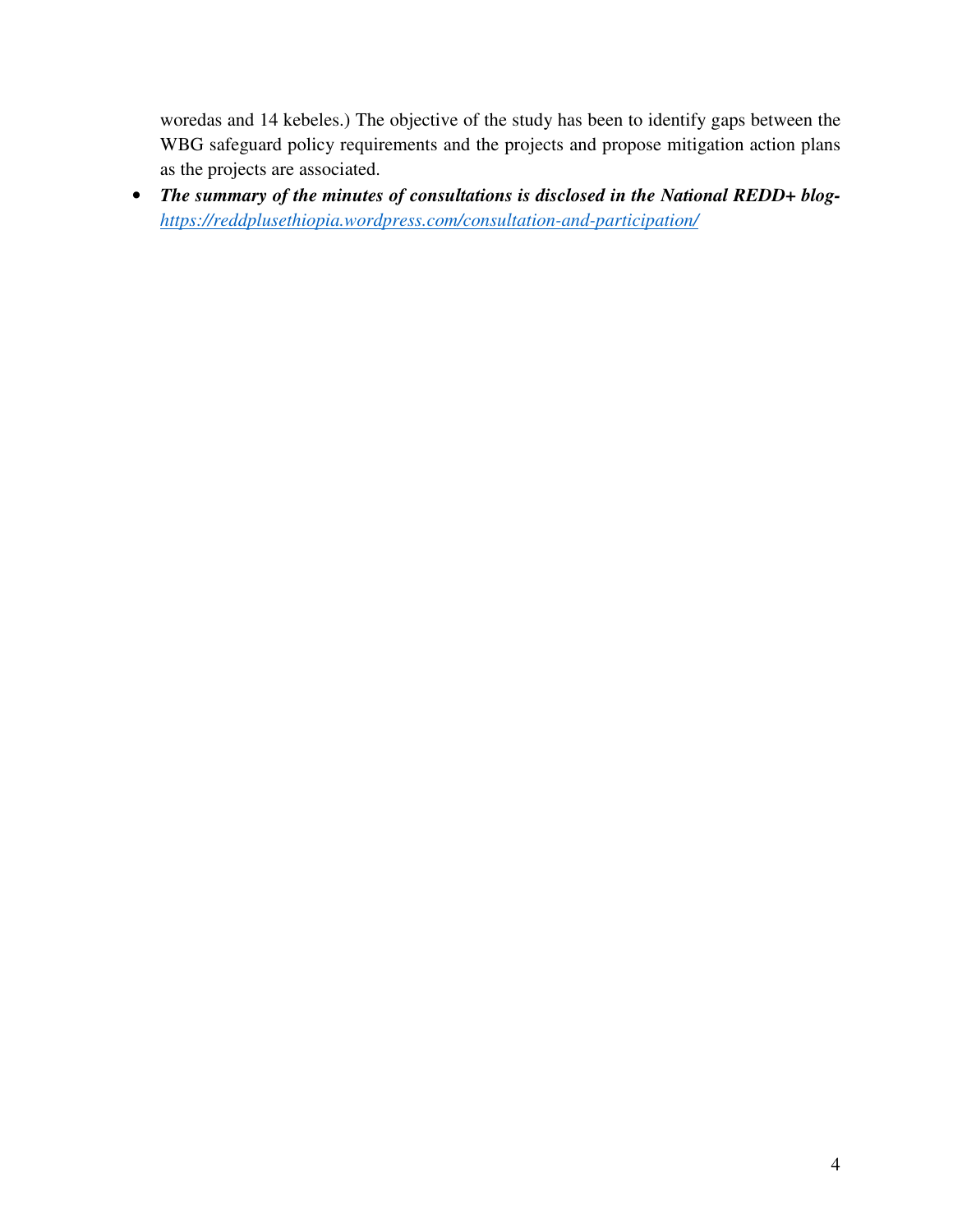woredas and 14 kebeles.) The objective of the study has been to identify gaps between the WBG safeguard policy requirements and the projects and propose mitigation action plans as the projects are associated.

• *The summary of the minutes of consultations is disclosed in the National REDD+ bloghttps://reddplusethiopia.wordpress.com/consultation-and-participation/*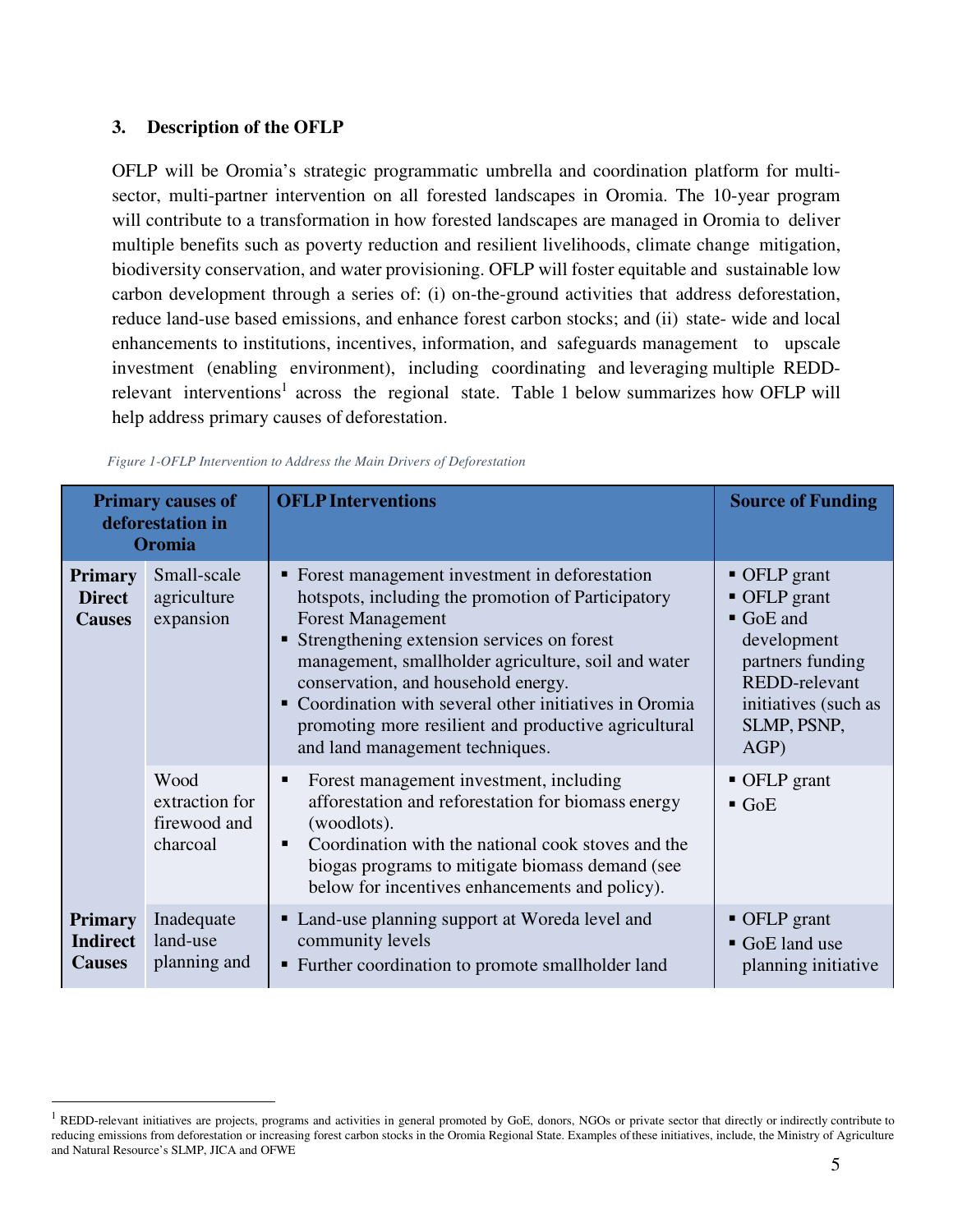#### **3. Description of the OFLP**

<u>.</u>

OFLP will be Oromia's strategic programmatic umbrella and coordination platform for multisector, multi-partner intervention on all forested landscapes in Oromia. The 10-year program will contribute to a transformation in how forested landscapes are managed in Oromia to deliver multiple benefits such as poverty reduction and resilient livelihoods, climate change mitigation, biodiversity conservation, and water provisioning. OFLP will foster equitable and sustainable low carbon development through a series of: (i) on-the-ground activities that address deforestation, reduce land-use based emissions, and enhance forest carbon stocks; and (ii) state- wide and local enhancements to institutions, incentives, information, and safeguards management to upscale investment (enabling environment), including coordinating and leveraging multiple REDDrelevant interventions<sup>1</sup> across the regional state. Table 1 below summarizes how OFLP will help address primary causes of deforestation.

| <b>Primary causes of</b><br>deforestation in<br>Oromia |                                                    | <b>OFLP</b> Interventions                                                                                                                                                                                                                                                                                                                                                                                                             | <b>Source of Funding</b>                                                                                                                                |
|--------------------------------------------------------|----------------------------------------------------|---------------------------------------------------------------------------------------------------------------------------------------------------------------------------------------------------------------------------------------------------------------------------------------------------------------------------------------------------------------------------------------------------------------------------------------|---------------------------------------------------------------------------------------------------------------------------------------------------------|
| <b>Primary</b><br><b>Direct</b><br><b>Causes</b>       | Small-scale<br>agriculture<br>expansion            | • Forest management investment in deforestation<br>hotspots, including the promotion of Participatory<br><b>Forest Management</b><br>■ Strengthening extension services on forest<br>management, smallholder agriculture, soil and water<br>conservation, and household energy.<br>• Coordination with several other initiatives in Oromia<br>promoting more resilient and productive agricultural<br>and land management techniques. | $\blacksquare$ OFLP grant<br>• OFLP grant<br>GoE and<br>development<br>partners funding<br>REDD-relevant<br>initiatives (such as<br>SLMP, PSNP,<br>AGP) |
|                                                        | Wood<br>extraction for<br>firewood and<br>charcoal | Forest management investment, including<br>п<br>afforestation and reforestation for biomass energy<br>(woodlots).<br>Coordination with the national cook stoves and the<br>٠<br>biogas programs to mitigate biomass demand (see<br>below for incentives enhancements and policy).                                                                                                                                                     | • OFLP grant<br>$\blacksquare$ GoE                                                                                                                      |
| <b>Primary</b><br><b>Indirect</b><br><b>Causes</b>     | Inadequate<br>land-use<br>planning and             | • Land-use planning support at Woreda level and<br>community levels<br>• Further coordination to promote smallholder land                                                                                                                                                                                                                                                                                                             | $\blacksquare$ OFLP grant<br>GoE land use<br>planning initiative                                                                                        |

#### *Figure 1-OFLP Intervention to Address the Main Drivers of Deforestation*

<sup>&</sup>lt;sup>1</sup> REDD-relevant initiatives are projects, programs and activities in general promoted by GoE, donors, NGOs or private sector that directly or indirectly contribute to reducing emissions from deforestation or increasing forest carbon stocks in the Oromia Regional State. Examples of these initiatives, include, the Ministry of Agriculture and Natural Resource's SLMP, JICA and OFWE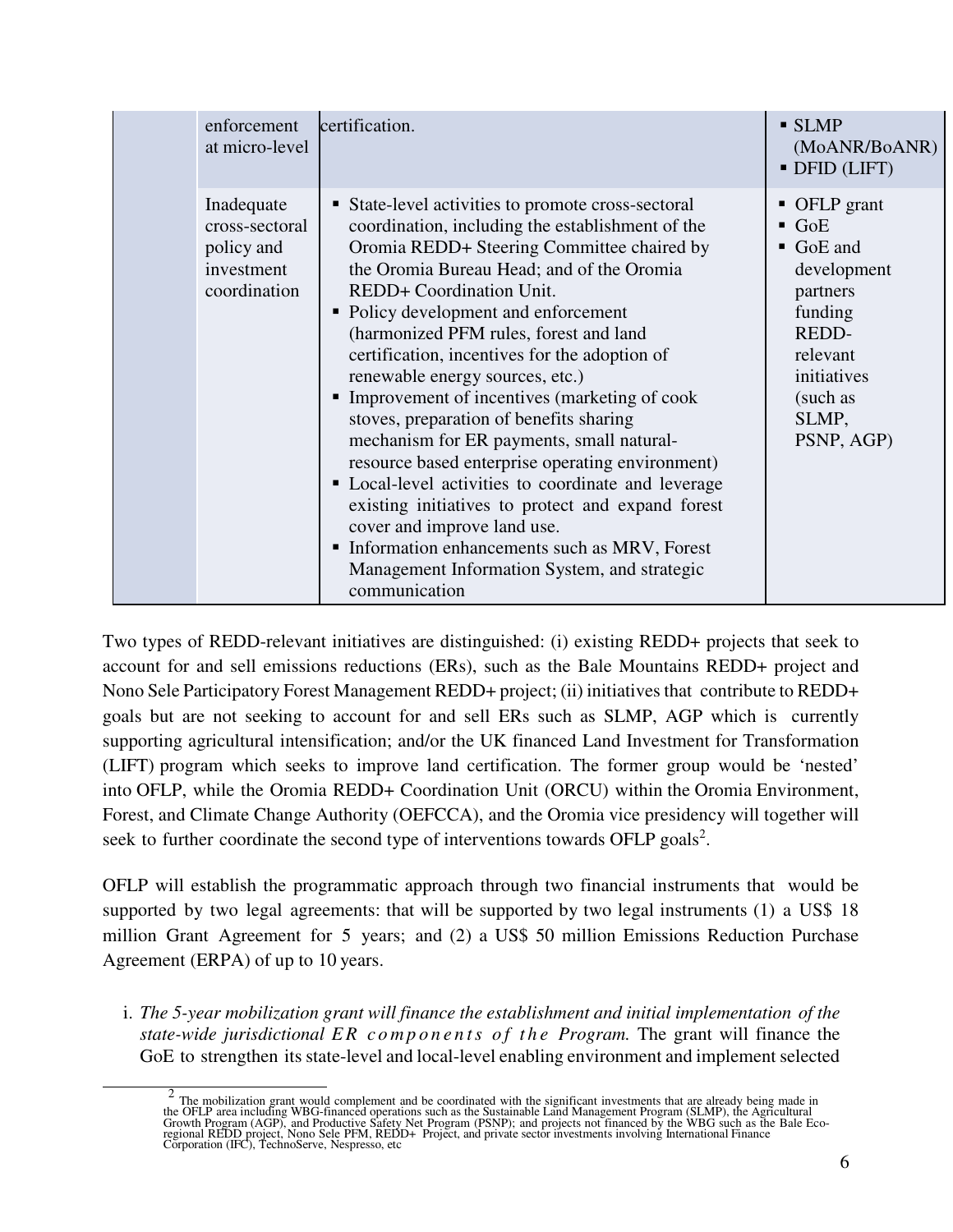| enforcement<br>at micro-level                                            | certification.                                                                                                                                                                                                                                                                                                                                                                                                                                                                                                                                                                                                                                                                                                                                                                                                                                                           | $\blacksquare$ SLMP<br>(MoANR/BoANR)<br>· DFID (LIFT)                                                                                                                     |
|--------------------------------------------------------------------------|--------------------------------------------------------------------------------------------------------------------------------------------------------------------------------------------------------------------------------------------------------------------------------------------------------------------------------------------------------------------------------------------------------------------------------------------------------------------------------------------------------------------------------------------------------------------------------------------------------------------------------------------------------------------------------------------------------------------------------------------------------------------------------------------------------------------------------------------------------------------------|---------------------------------------------------------------------------------------------------------------------------------------------------------------------------|
| Inadequate<br>cross-sectoral<br>policy and<br>investment<br>coordination | State-level activities to promote cross-sectoral<br>п<br>coordination, including the establishment of the<br>Oromia REDD+ Steering Committee chaired by<br>the Oromia Bureau Head; and of the Oromia<br>REDD+ Coordination Unit.<br>• Policy development and enforcement<br>(harmonized PFM rules, forest and land<br>certification, incentives for the adoption of<br>renewable energy sources, etc.)<br>Improvement of incentives (marketing of cook<br>п<br>stoves, preparation of benefits sharing<br>mechanism for ER payments, small natural-<br>resource based enterprise operating environment)<br>• Local-level activities to coordinate and leverage<br>existing initiatives to protect and expand forest<br>cover and improve land use.<br>Information enhancements such as MRV, Forest<br>٠<br>Management Information System, and strategic<br>communication | • OFLP grant<br>$\blacksquare$ GoE<br>$\blacksquare$ GoE and<br>development<br>partners<br>funding<br>REDD-<br>relevant<br>initiatives<br>(such as<br>SLMP,<br>PSNP, AGP) |

Two types of REDD-relevant initiatives are distinguished: (i) existing REDD+ projects that seek to account for and sell emissions reductions (ERs), such as the Bale Mountains REDD+ project and Nono Sele Participatory Forest Management REDD+ project; (ii) initiatives that contribute to REDD+ goals but are not seeking to account for and sell ERs such as SLMP, AGP which is currently supporting agricultural intensification; and/or the UK financed Land Investment for Transformation (LIFT) program which seeks to improve land certification. The former group would be 'nested' into OFLP, while the Oromia REDD+ Coordination Unit (ORCU) within the Oromia Environment, Forest, and Climate Change Authority (OEFCCA), and the Oromia vice presidency will together will seek to further coordinate the second type of interventions towards OFLP goals<sup>2</sup>.

OFLP will establish the programmatic approach through two financial instruments that would be supported by two legal agreements: that will be supported by two legal instruments (1) a US\$ 18 million Grant Agreement for 5 years; and (2) a US\$ 50 million Emissions Reduction Purchase Agreement (ERPA) of up to 10 years.

i. *The 5-year mobilization grant will finance the establishment and initial implementation of the state-wide jurisdictional ER components of the Program.* The grant will finance the GoE to strengthen its state-level and local-level enabling environment and implement selected

 $\frac{1}{2}$  $\frac{2}{\pi}$  The mobilization grant would complement and be coordinated with the significant investments that are already being made in the OFLP area including WBG-financed operations such as the Sustainable Land Management Program (SLMP), the Agricultural<br>Growth Program (AGP), and Productive Safety Net Program (PSNP); and projects not financed by the WBG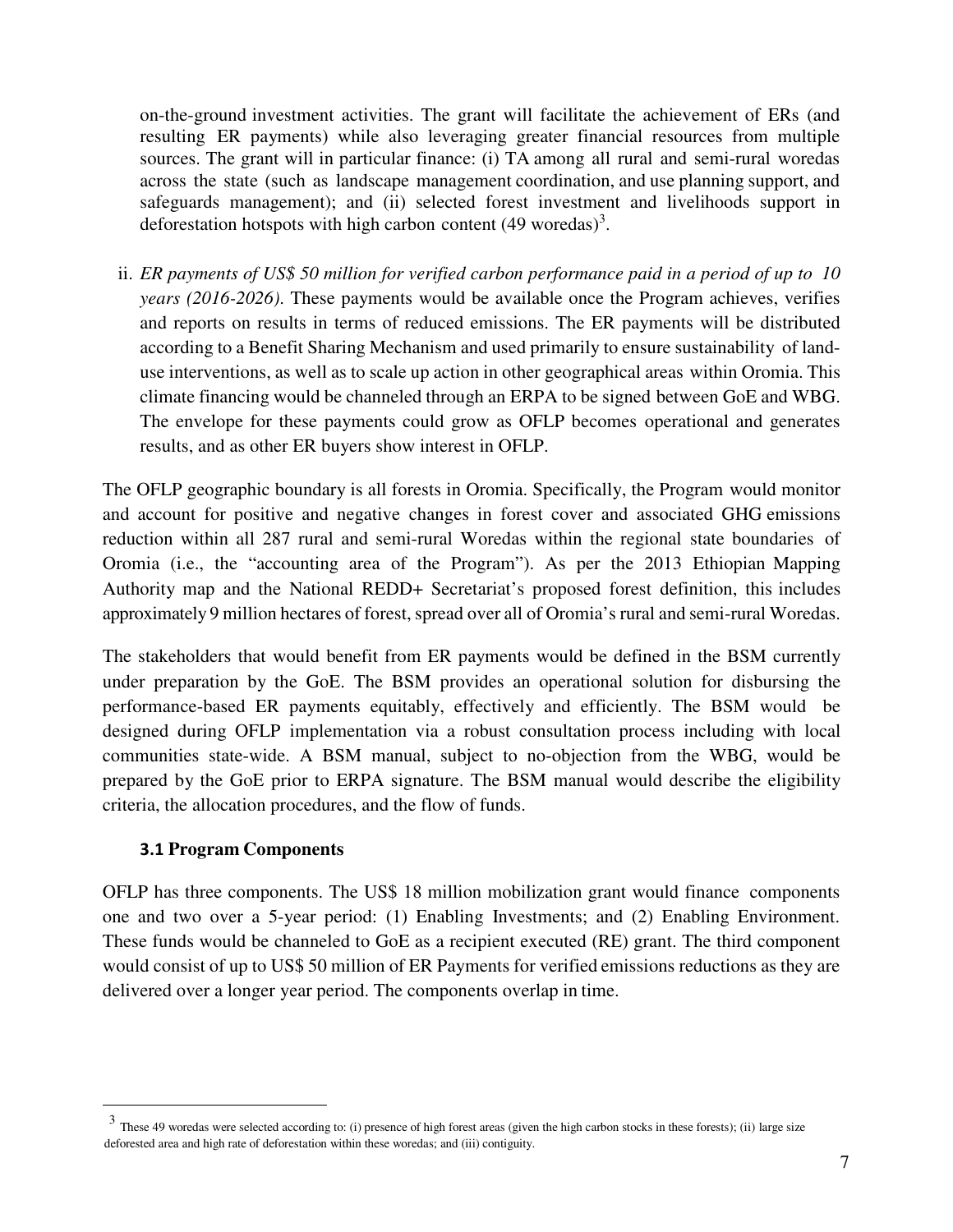on-the-ground investment activities. The grant will facilitate the achievement of ERs (and resulting ER payments) while also leveraging greater financial resources from multiple sources. The grant will in particular finance: (i) TA among all rural and semi-rural woredas across the state (such as landscape management coordination, and use planning support, and safeguards management); and (ii) selected forest investment and livelihoods support in deforestation hotspots with high carbon content  $(49 \text{ words})^3$ .

ii. *ER payments of US\$ 50 million for verified carbon performance paid in a period of up to 10 years (2016-2026)*. These payments would be available once the Program achieves, verifies and reports on results in terms of reduced emissions. The ER payments will be distributed according to a Benefit Sharing Mechanism and used primarily to ensure sustainability of landuse interventions, as well as to scale up action in other geographical areas within Oromia. This climate financing would be channeled through an ERPA to be signed between GoE and WBG. The envelope for these payments could grow as OFLP becomes operational and generates results, and as other ER buyers show interest in OFLP.

The OFLP geographic boundary is all forests in Oromia. Specifically, the Program would monitor and account for positive and negative changes in forest cover and associated GHG emissions reduction within all 287 rural and semi-rural Woredas within the regional state boundaries of Oromia (i.e., the "accounting area of the Program"). As per the 2013 Ethiopian Mapping Authority map and the National REDD+ Secretariat's proposed forest definition, this includes approximately 9 million hectares of forest, spread over all of Oromia's rural and semi-rural Woredas.

The stakeholders that would benefit from ER payments would be defined in the BSM currently under preparation by the GoE. The BSM provides an operational solution for disbursing the performance-based ER payments equitably, effectively and efficiently. The BSM would be designed during OFLP implementation via a robust consultation process including with local communities state-wide. A BSM manual, subject to no-objection from the WBG, would be prepared by the GoE prior to ERPA signature. The BSM manual would describe the eligibility criteria, the allocation procedures, and the flow of funds.

### **3.1 Program Components**

-

OFLP has three components. The US\$ 18 million mobilization grant would finance components one and two over a 5-year period: (1) Enabling Investments; and (2) Enabling Environment. These funds would be channeled to GoE as a recipient executed (RE) grant. The third component would consist of up to US\$ 50 million of ER Payments for verified emissions reductions as they are delivered over a longer year period. The components overlap in time.

 $3$  These 49 woredas were selected according to: (i) presence of high forest areas (given the high carbon stocks in these forests); (ii) large size deforested area and high rate of deforestation within these woredas; and (iii) contiguity.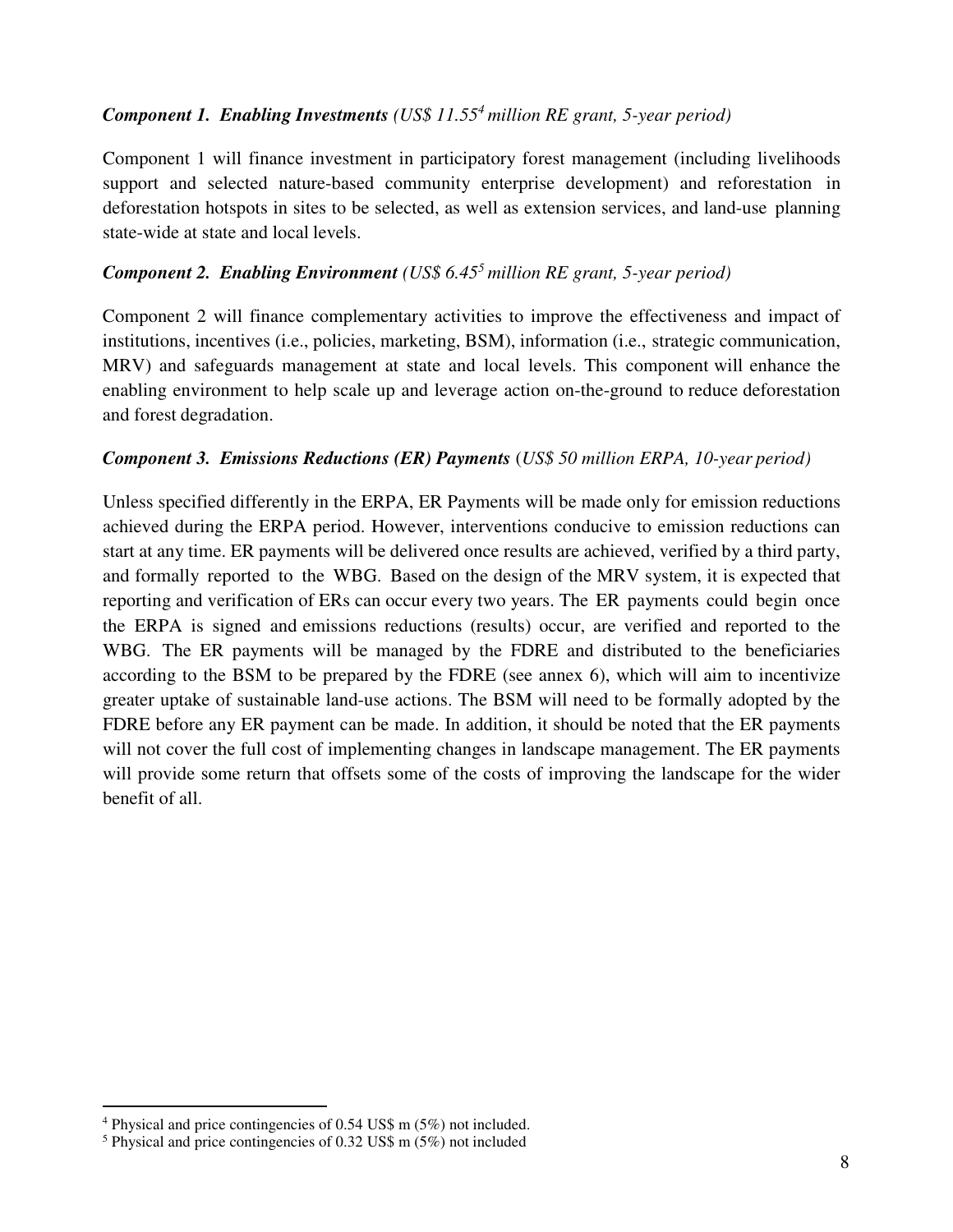## *Component 1. Enabling Investments (US\$ 11.55<sup>4</sup> million RE grant, 5-year period)*

Component 1 will finance investment in participatory forest management (including livelihoods support and selected nature-based community enterprise development) and reforestation in deforestation hotspots in sites to be selected, as well as extension services, and land-use planning state-wide at state and local levels.

## *Component 2. Enabling Environment (US\$ 6.45<sup>5</sup> million RE grant, 5-year period)*

Component 2 will finance complementary activities to improve the effectiveness and impact of institutions, incentives (i.e., policies, marketing, BSM), information (i.e., strategic communication, MRV) and safeguards management at state and local levels. This component will enhance the enabling environment to help scale up and leverage action on-the-ground to reduce deforestation and forest degradation.

### *Component 3. Emissions Reductions (ER) Payments* (*US\$ 50 million ERPA, 10-year period)*

Unless specified differently in the ERPA, ER Payments will be made only for emission reductions achieved during the ERPA period. However, interventions conducive to emission reductions can start at any time. ER payments will be delivered once results are achieved, verified by a third party, and formally reported to the WBG. Based on the design of the MRV system, it is expected that reporting and verification of ERs can occur every two years. The ER payments could begin once the ERPA is signed and emissions reductions (results) occur, are verified and reported to the WBG. The ER payments will be managed by the FDRE and distributed to the beneficiaries according to the BSM to be prepared by the FDRE (see annex 6), which will aim to incentivize greater uptake of sustainable land-use actions. The BSM will need to be formally adopted by the FDRE before any ER payment can be made. In addition, it should be noted that the ER payments will not cover the full cost of implementing changes in landscape management. The ER payments will provide some return that offsets some of the costs of improving the landscape for the wider benefit of all.

-

<sup>4</sup> Physical and price contingencies of 0.54 US\$ m (5%) not included.

<sup>5</sup> Physical and price contingencies of 0.32 US\$ m (5%) not included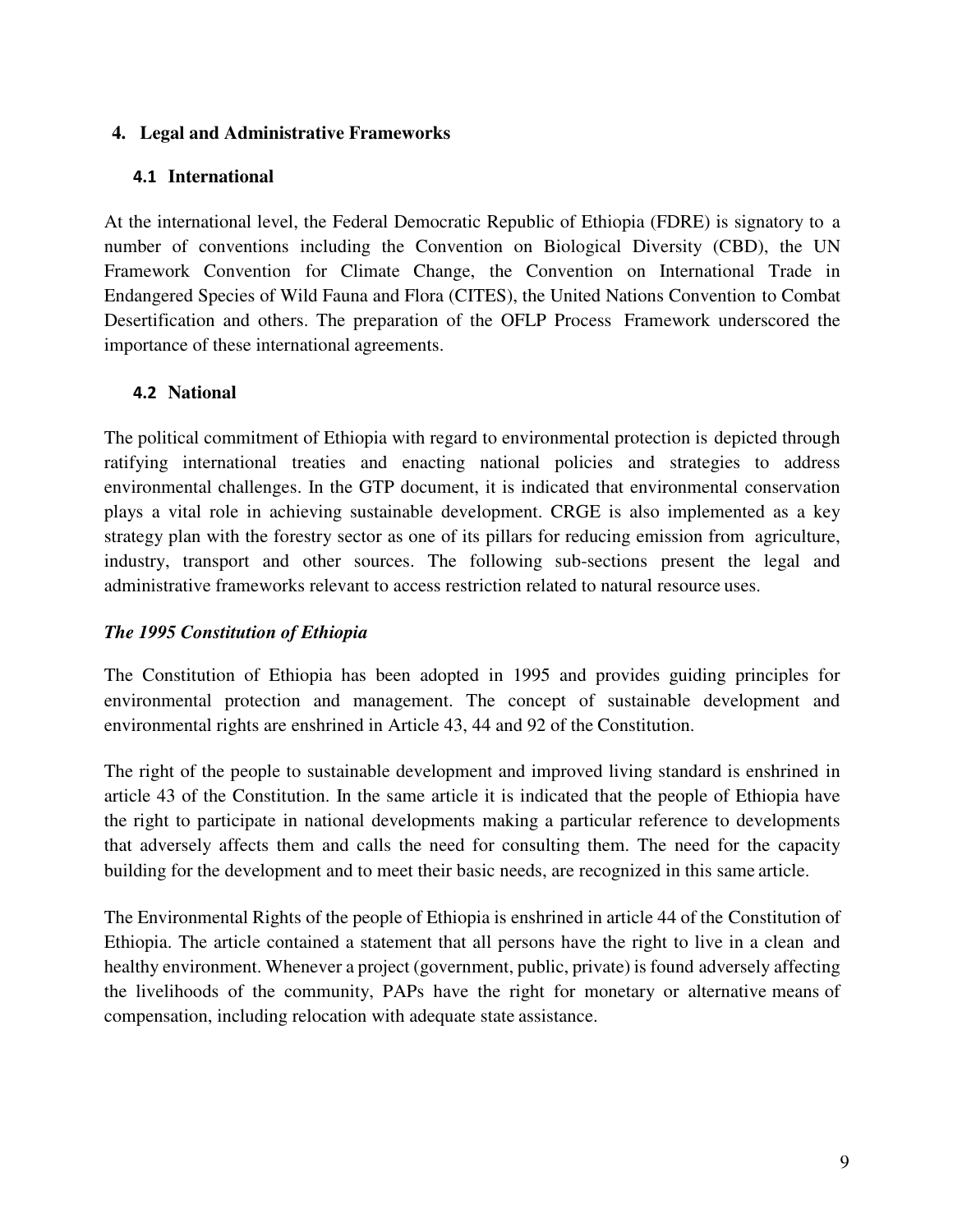#### **4. Legal and Administrative Frameworks**

#### **4.1 International**

At the international level, the Federal Democratic Republic of Ethiopia (FDRE) is signatory to a number of conventions including the Convention on Biological Diversity (CBD), the UN Framework Convention for Climate Change, the Convention on International Trade in Endangered Species of Wild Fauna and Flora (CITES), the United Nations Convention to Combat Desertification and others. The preparation of the OFLP Process Framework underscored the importance of these international agreements.

### **4.2 National**

The political commitment of Ethiopia with regard to environmental protection is depicted through ratifying international treaties and enacting national policies and strategies to address environmental challenges. In the GTP document, it is indicated that environmental conservation plays a vital role in achieving sustainable development. CRGE is also implemented as a key strategy plan with the forestry sector as one of its pillars for reducing emission from agriculture, industry, transport and other sources. The following sub-sections present the legal and administrative frameworks relevant to access restriction related to natural resource uses.

### *The 1995 Constitution of Ethiopia*

The Constitution of Ethiopia has been adopted in 1995 and provides guiding principles for environmental protection and management. The concept of sustainable development and environmental rights are enshrined in Article 43, 44 and 92 of the Constitution.

The right of the people to sustainable development and improved living standard is enshrined in article 43 of the Constitution. In the same article it is indicated that the people of Ethiopia have the right to participate in national developments making a particular reference to developments that adversely affects them and calls the need for consulting them. The need for the capacity building for the development and to meet their basic needs, are recognized in this same article.

The Environmental Rights of the people of Ethiopia is enshrined in article 44 of the Constitution of Ethiopia. The article contained a statement that all persons have the right to live in a clean and healthy environment. Whenever a project (government, public, private) is found adversely affecting the livelihoods of the community, PAPs have the right for monetary or alternative means of compensation, including relocation with adequate state assistance.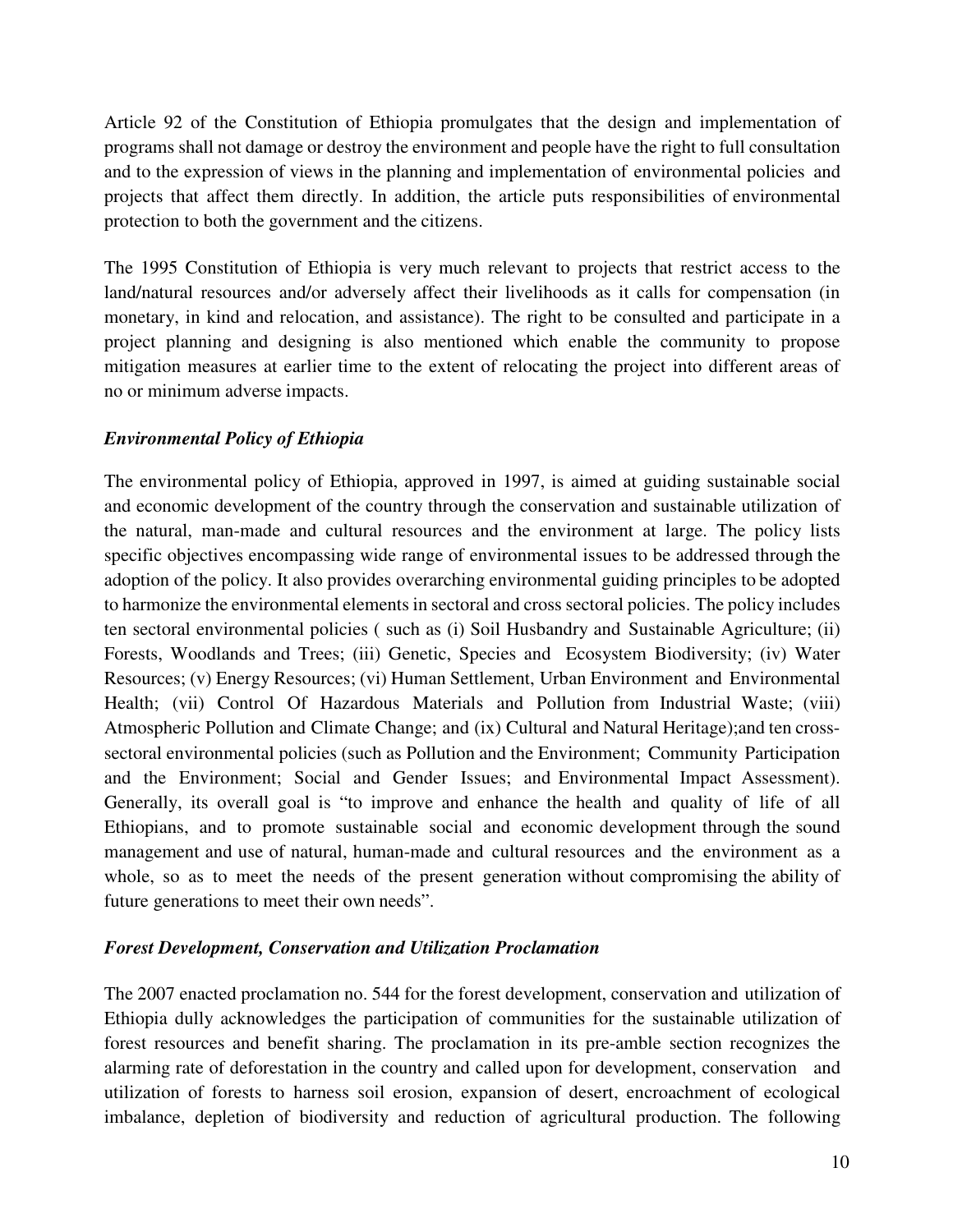Article 92 of the Constitution of Ethiopia promulgates that the design and implementation of programs shall not damage or destroy the environment and people have the right to full consultation and to the expression of views in the planning and implementation of environmental policies and projects that affect them directly. In addition, the article puts responsibilities of environmental protection to both the government and the citizens.

The 1995 Constitution of Ethiopia is very much relevant to projects that restrict access to the land/natural resources and/or adversely affect their livelihoods as it calls for compensation (in monetary, in kind and relocation, and assistance). The right to be consulted and participate in a project planning and designing is also mentioned which enable the community to propose mitigation measures at earlier time to the extent of relocating the project into different areas of no or minimum adverse impacts.

### *Environmental Policy of Ethiopia*

The environmental policy of Ethiopia, approved in 1997, is aimed at guiding sustainable social and economic development of the country through the conservation and sustainable utilization of the natural, man-made and cultural resources and the environment at large. The policy lists specific objectives encompassing wide range of environmental issues to be addressed through the adoption of the policy. It also provides overarching environmental guiding principles to be adopted to harmonize the environmental elements in sectoral and cross sectoral policies. The policy includes ten sectoral environmental policies ( such as (i) Soil Husbandry and Sustainable Agriculture; (ii) Forests, Woodlands and Trees; (iii) Genetic, Species and Ecosystem Biodiversity; (iv) Water Resources; (v) Energy Resources; (vi) Human Settlement, Urban Environment and Environmental Health; (vii) Control Of Hazardous Materials and Pollution from Industrial Waste; (viii) Atmospheric Pollution and Climate Change; and (ix) Cultural and Natural Heritage);and ten crosssectoral environmental policies (such as Pollution and the Environment; Community Participation and the Environment; Social and Gender Issues; and Environmental Impact Assessment). Generally, its overall goal is "to improve and enhance the health and quality of life of all Ethiopians, and to promote sustainable social and economic development through the sound management and use of natural, human-made and cultural resources and the environment as a whole, so as to meet the needs of the present generation without compromising the ability of future generations to meet their own needs".

### *Forest Development, Conservation and Utilization Proclamation*

The 2007 enacted proclamation no. 544 for the forest development, conservation and utilization of Ethiopia dully acknowledges the participation of communities for the sustainable utilization of forest resources and benefit sharing. The proclamation in its pre-amble section recognizes the alarming rate of deforestation in the country and called upon for development, conservation and utilization of forests to harness soil erosion, expansion of desert, encroachment of ecological imbalance, depletion of biodiversity and reduction of agricultural production. The following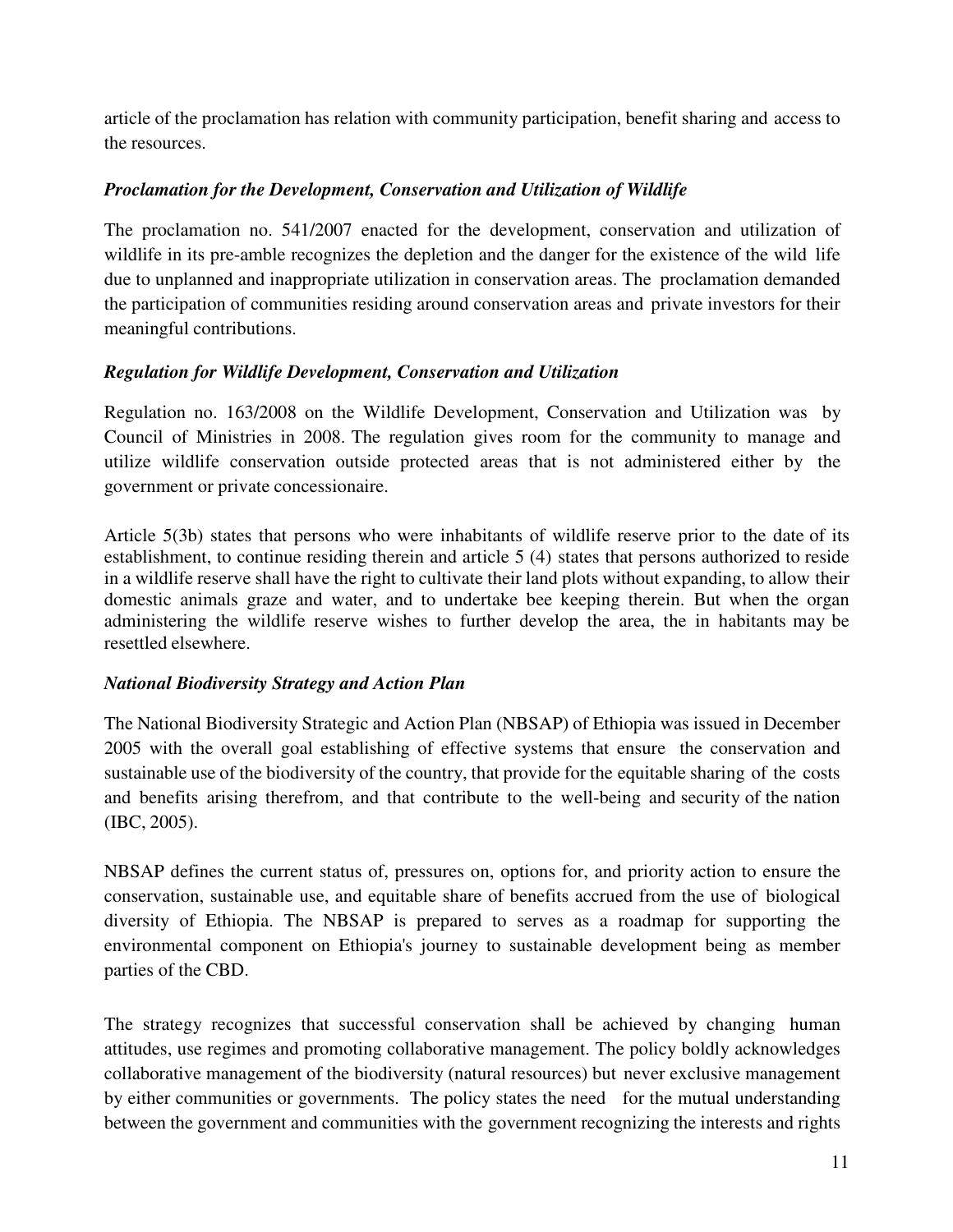article of the proclamation has relation with community participation, benefit sharing and access to the resources.

## *Proclamation for the Development, Conservation and Utilization of Wildlife*

The proclamation no. 541/2007 enacted for the development, conservation and utilization of wildlife in its pre-amble recognizes the depletion and the danger for the existence of the wild life due to unplanned and inappropriate utilization in conservation areas. The proclamation demanded the participation of communities residing around conservation areas and private investors for their meaningful contributions.

### *Regulation for Wildlife Development, Conservation and Utilization*

Regulation no. 163/2008 on the Wildlife Development, Conservation and Utilization was by Council of Ministries in 2008. The regulation gives room for the community to manage and utilize wildlife conservation outside protected areas that is not administered either by the government or private concessionaire.

Article 5(3b) states that persons who were inhabitants of wildlife reserve prior to the date of its establishment, to continue residing therein and article 5 (4) states that persons authorized to reside in a wildlife reserve shall have the right to cultivate their land plots without expanding, to allow their domestic animals graze and water, and to undertake bee keeping therein. But when the organ administering the wildlife reserve wishes to further develop the area, the in habitants may be resettled elsewhere.

### *National Biodiversity Strategy and Action Plan*

The National Biodiversity Strategic and Action Plan (NBSAP) of Ethiopia was issued in December 2005 with the overall goal establishing of effective systems that ensure the conservation and sustainable use of the biodiversity of the country, that provide for the equitable sharing of the costs and benefits arising therefrom, and that contribute to the well-being and security of the nation (IBC, 2005).

NBSAP defines the current status of, pressures on, options for, and priority action to ensure the conservation, sustainable use, and equitable share of benefits accrued from the use of biological diversity of Ethiopia. The NBSAP is prepared to serves as a roadmap for supporting the environmental component on Ethiopia's journey to sustainable development being as member parties of the CBD.

The strategy recognizes that successful conservation shall be achieved by changing human attitudes, use regimes and promoting collaborative management. The policy boldly acknowledges collaborative management of the biodiversity (natural resources) but never exclusive management by either communities or governments. The policy states the need for the mutual understanding between the government and communities with the government recognizing the interests and rights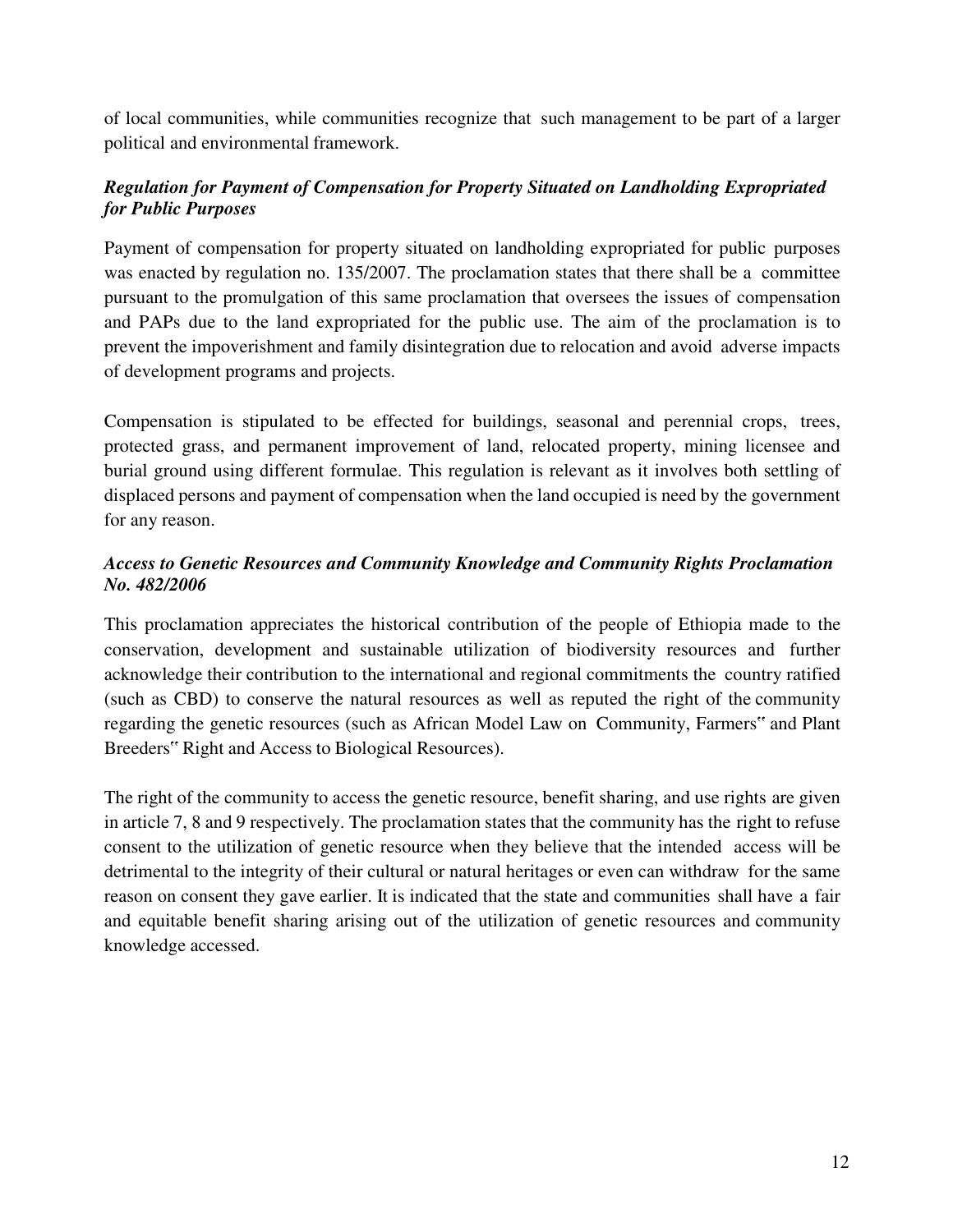of local communities, while communities recognize that such management to be part of a larger political and environmental framework.

## *Regulation for Payment of Compensation for Property Situated on Landholding Expropriated for Public Purposes*

Payment of compensation for property situated on landholding expropriated for public purposes was enacted by regulation no. 135/2007. The proclamation states that there shall be a committee pursuant to the promulgation of this same proclamation that oversees the issues of compensation and PAPs due to the land expropriated for the public use. The aim of the proclamation is to prevent the impoverishment and family disintegration due to relocation and avoid adverse impacts of development programs and projects.

Compensation is stipulated to be effected for buildings, seasonal and perennial crops, trees, protected grass, and permanent improvement of land, relocated property, mining licensee and burial ground using different formulae. This regulation is relevant as it involves both settling of displaced persons and payment of compensation when the land occupied is need by the government for any reason.

## *Access to Genetic Resources and Community Knowledge and Community Rights Proclamation No. 482/2006*

This proclamation appreciates the historical contribution of the people of Ethiopia made to the conservation, development and sustainable utilization of biodiversity resources and further acknowledge their contribution to the international and regional commitments the country ratified (such as CBD) to conserve the natural resources as well as reputed the right of the community regarding the genetic resources (such as African Model Law on Community, Farmers" and Plant Breeders" Right and Access to Biological Resources).

The right of the community to access the genetic resource, benefit sharing, and use rights are given in article 7, 8 and 9 respectively. The proclamation states that the community has the right to refuse consent to the utilization of genetic resource when they believe that the intended access will be detrimental to the integrity of their cultural or natural heritages or even can withdraw for the same reason on consent they gave earlier. It is indicated that the state and communities shall have a fair and equitable benefit sharing arising out of the utilization of genetic resources and community knowledge accessed.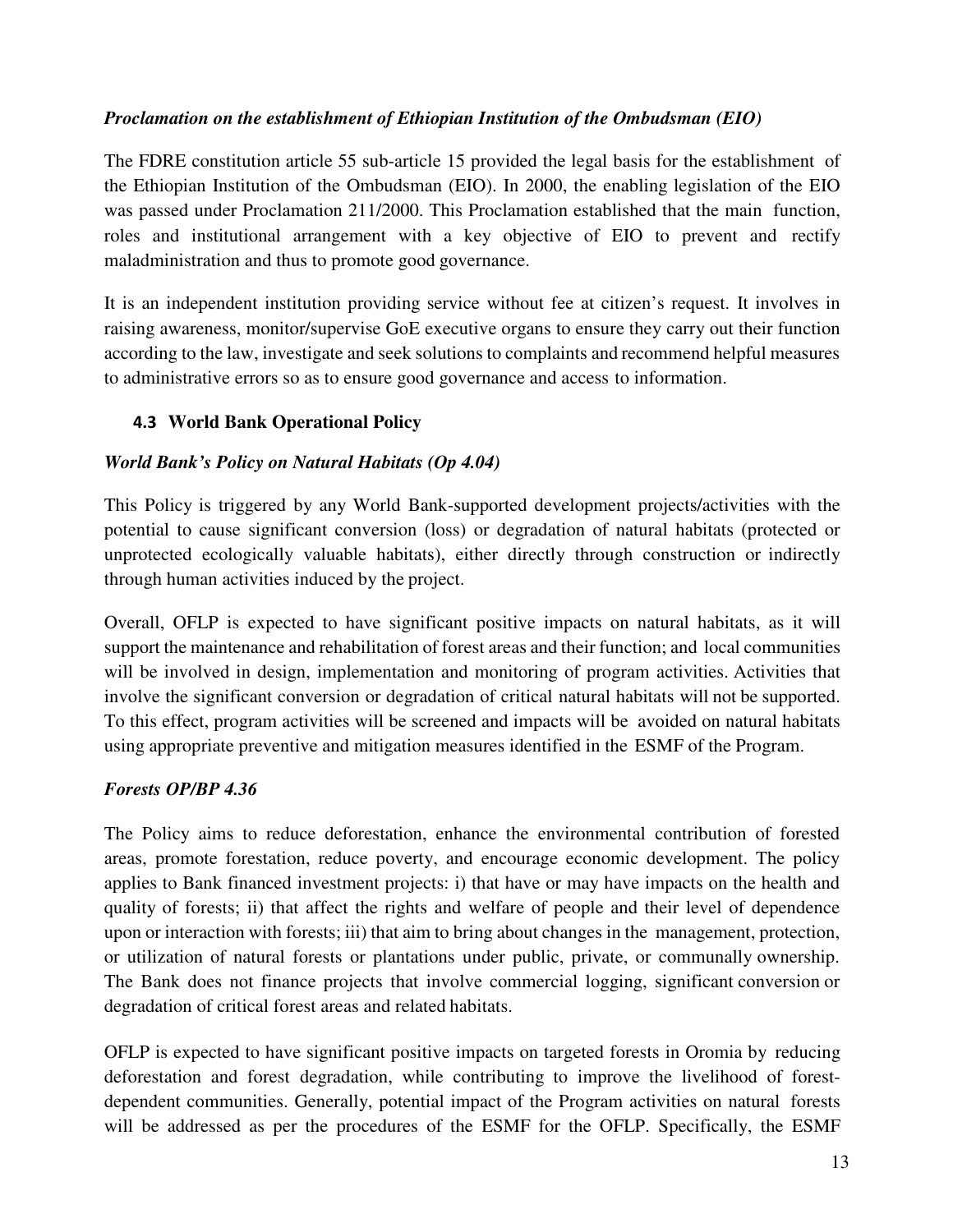## *Proclamation on the establishment of Ethiopian Institution of the Ombudsman (EIO)*

The FDRE constitution article 55 sub-article 15 provided the legal basis for the establishment of the Ethiopian Institution of the Ombudsman (EIO). In 2000, the enabling legislation of the EIO was passed under Proclamation 211/2000. This Proclamation established that the main function, roles and institutional arrangement with a key objective of EIO to prevent and rectify maladministration and thus to promote good governance.

It is an independent institution providing service without fee at citizen's request. It involves in raising awareness, monitor/supervise GoE executive organs to ensure they carry out their function according to the law, investigate and seek solutions to complaints and recommend helpful measures to administrative errors so as to ensure good governance and access to information.

## **4.3 World Bank Operational Policy**

## *World Bank's Policy on Natural Habitats (Op 4.04)*

This Policy is triggered by any World Bank-supported development projects/activities with the potential to cause significant conversion (loss) or degradation of natural habitats (protected or unprotected ecologically valuable habitats), either directly through construction or indirectly through human activities induced by the project.

Overall, OFLP is expected to have significant positive impacts on natural habitats, as it will support the maintenance and rehabilitation of forest areas and their function; and local communities will be involved in design, implementation and monitoring of program activities. Activities that involve the significant conversion or degradation of critical natural habitats will not be supported. To this effect, program activities will be screened and impacts will be avoided on natural habitats using appropriate preventive and mitigation measures identified in the ESMF of the Program.

### *Forests OP/BP 4.36*

The Policy aims to reduce deforestation, enhance the environmental contribution of forested areas, promote forestation, reduce poverty, and encourage economic development. The policy applies to Bank financed investment projects: i) that have or may have impacts on the health and quality of forests; ii) that affect the rights and welfare of people and their level of dependence upon or interaction with forests; iii) that aim to bring about changes in the management, protection, or utilization of natural forests or plantations under public, private, or communally ownership. The Bank does not finance projects that involve commercial logging, significant conversion or degradation of critical forest areas and related habitats.

OFLP is expected to have significant positive impacts on targeted forests in Oromia by reducing deforestation and forest degradation, while contributing to improve the livelihood of forestdependent communities. Generally, potential impact of the Program activities on natural forests will be addressed as per the procedures of the ESMF for the OFLP. Specifically, the ESMF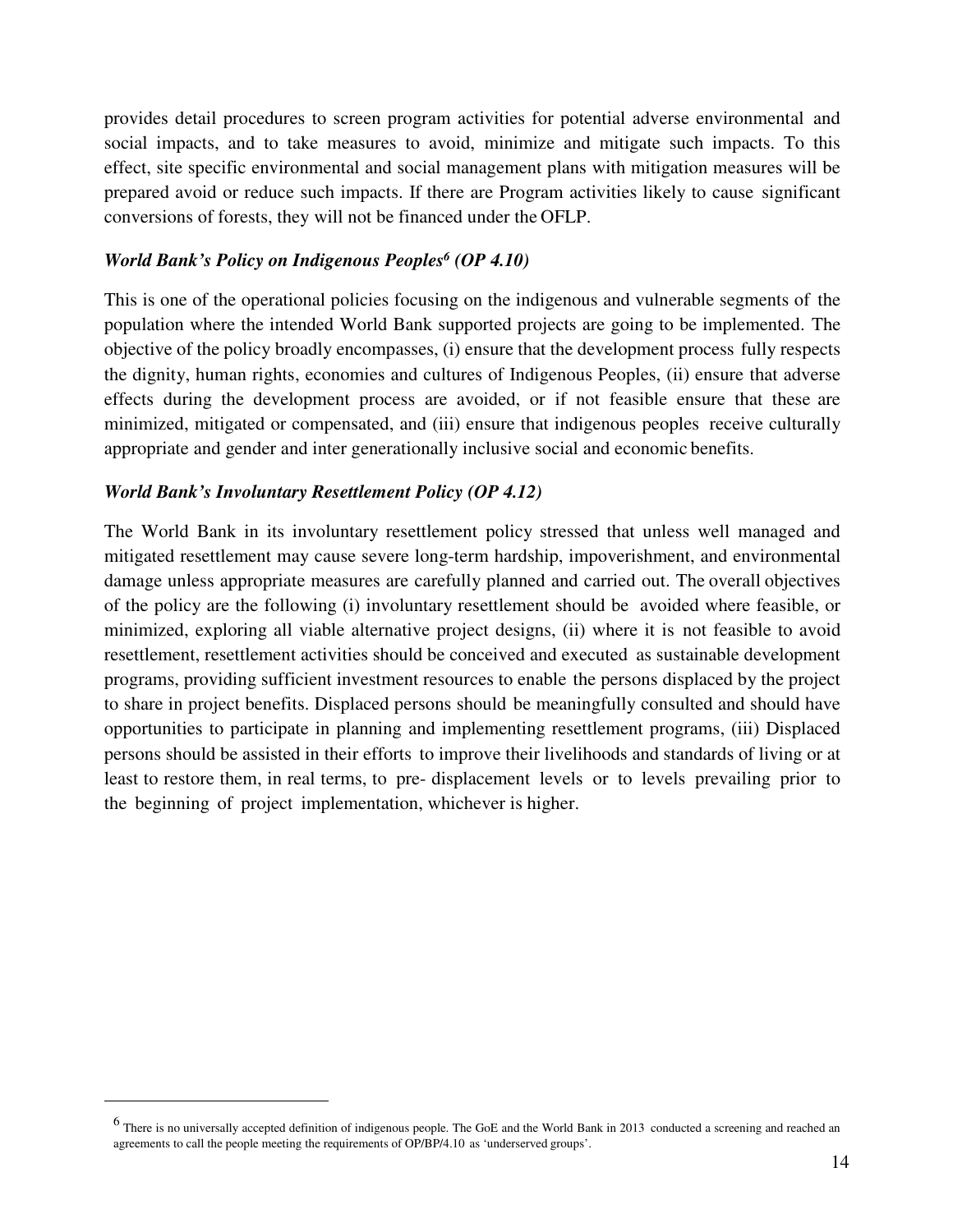provides detail procedures to screen program activities for potential adverse environmental and social impacts, and to take measures to avoid, minimize and mitigate such impacts. To this effect, site specific environmental and social management plans with mitigation measures will be prepared avoid or reduce such impacts. If there are Program activities likely to cause significant conversions of forests, they will not be financed under the OFLP.

#### *World Bank's Policy on Indigenous Peoples<sup>6</sup> (OP 4.10)*

This is one of the operational policies focusing on the indigenous and vulnerable segments of the population where the intended World Bank supported projects are going to be implemented. The objective of the policy broadly encompasses, (i) ensure that the development process fully respects the dignity, human rights, economies and cultures of Indigenous Peoples, (ii) ensure that adverse effects during the development process are avoided, or if not feasible ensure that these are minimized, mitigated or compensated, and (iii) ensure that indigenous peoples receive culturally appropriate and gender and inter generationally inclusive social and economic benefits.

#### *World Bank's Involuntary Resettlement Policy (OP 4.12)*

 $\overline{a}$ 

The World Bank in its involuntary resettlement policy stressed that unless well managed and mitigated resettlement may cause severe long-term hardship, impoverishment, and environmental damage unless appropriate measures are carefully planned and carried out. The overall objectives of the policy are the following (i) involuntary resettlement should be avoided where feasible, or minimized, exploring all viable alternative project designs, (ii) where it is not feasible to avoid resettlement, resettlement activities should be conceived and executed as sustainable development programs, providing sufficient investment resources to enable the persons displaced by the project to share in project benefits. Displaced persons should be meaningfully consulted and should have opportunities to participate in planning and implementing resettlement programs, (iii) Displaced persons should be assisted in their efforts to improve their livelihoods and standards of living or at least to restore them, in real terms, to pre- displacement levels or to levels prevailing prior to the beginning of project implementation, whichever is higher.

<sup>&</sup>lt;sup>6</sup> There is no universally accepted definition of indigenous people. The GoE and the World Bank in 2013 conducted a screening and reached an agreements to call the people meeting the requirements of OP/BP/4.10 as 'underserved groups'.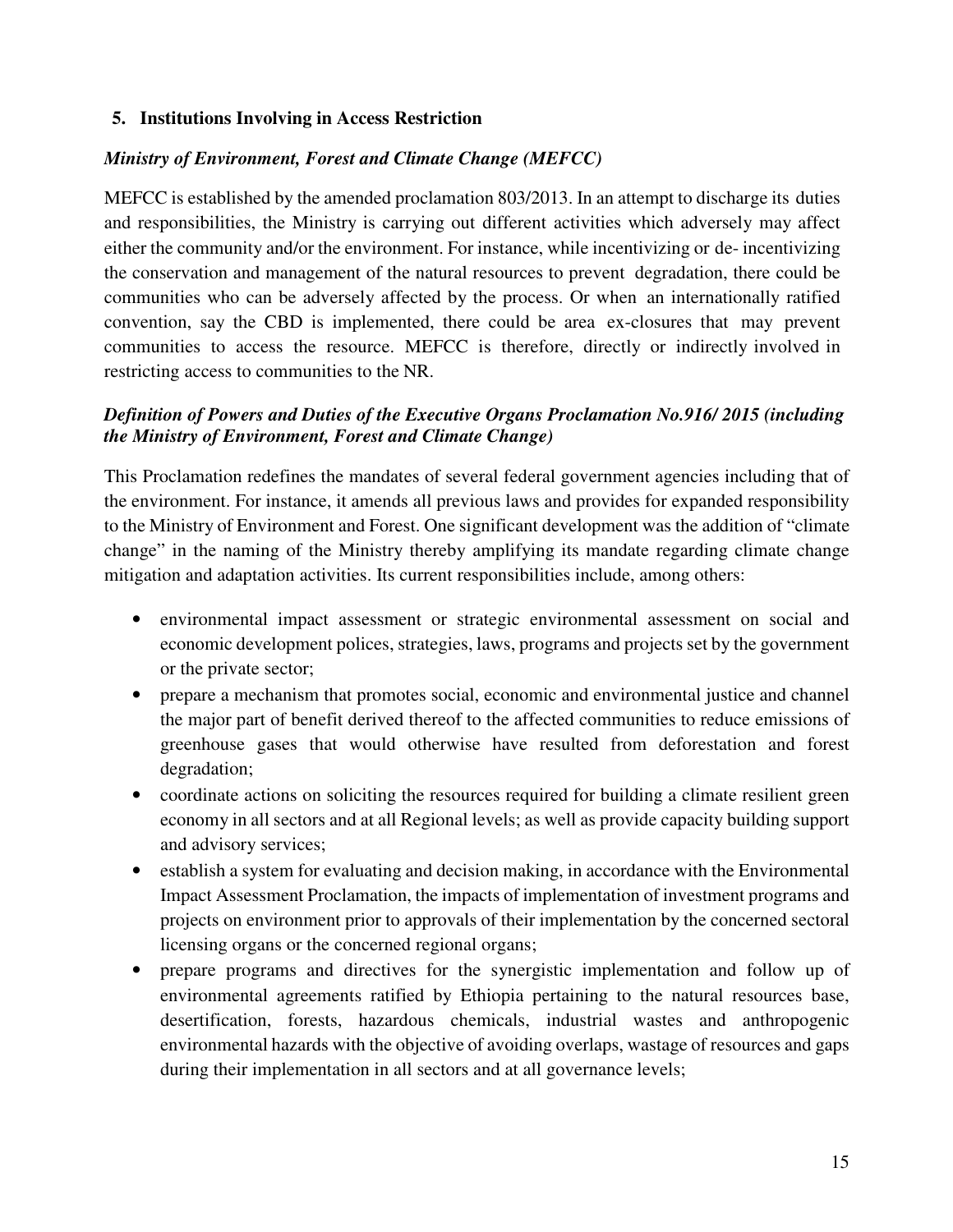#### **5. Institutions Involving in Access Restriction**

#### *Ministry of Environment, Forest and Climate Change (MEFCC)*

MEFCC is established by the amended proclamation 803/2013. In an attempt to discharge its duties and responsibilities, the Ministry is carrying out different activities which adversely may affect either the community and/or the environment. For instance, while incentivizing or de- incentivizing the conservation and management of the natural resources to prevent degradation, there could be communities who can be adversely affected by the process. Or when an internationally ratified convention, say the CBD is implemented, there could be area ex-closures that may prevent communities to access the resource. MEFCC is therefore, directly or indirectly involved in restricting access to communities to the NR.

## *Definition of Powers and Duties of the Executive Organs Proclamation No.916/ 2015 (including the Ministry of Environment, Forest and Climate Change)*

This Proclamation redefines the mandates of several federal government agencies including that of the environment. For instance, it amends all previous laws and provides for expanded responsibility to the Ministry of Environment and Forest. One significant development was the addition of "climate change" in the naming of the Ministry thereby amplifying its mandate regarding climate change mitigation and adaptation activities. Its current responsibilities include, among others:

- environmental impact assessment or strategic environmental assessment on social and economic development polices, strategies, laws, programs and projects set by the government or the private sector;
- prepare a mechanism that promotes social, economic and environmental justice and channel the major part of benefit derived thereof to the affected communities to reduce emissions of greenhouse gases that would otherwise have resulted from deforestation and forest degradation;
- coordinate actions on soliciting the resources required for building a climate resilient green economy in all sectors and at all Regional levels; as well as provide capacity building support and advisory services;
- establish a system for evaluating and decision making, in accordance with the Environmental Impact Assessment Proclamation, the impacts of implementation of investment programs and projects on environment prior to approvals of their implementation by the concerned sectoral licensing organs or the concerned regional organs;
- prepare programs and directives for the synergistic implementation and follow up of environmental agreements ratified by Ethiopia pertaining to the natural resources base, desertification, forests, hazardous chemicals, industrial wastes and anthropogenic environmental hazards with the objective of avoiding overlaps, wastage of resources and gaps during their implementation in all sectors and at all governance levels;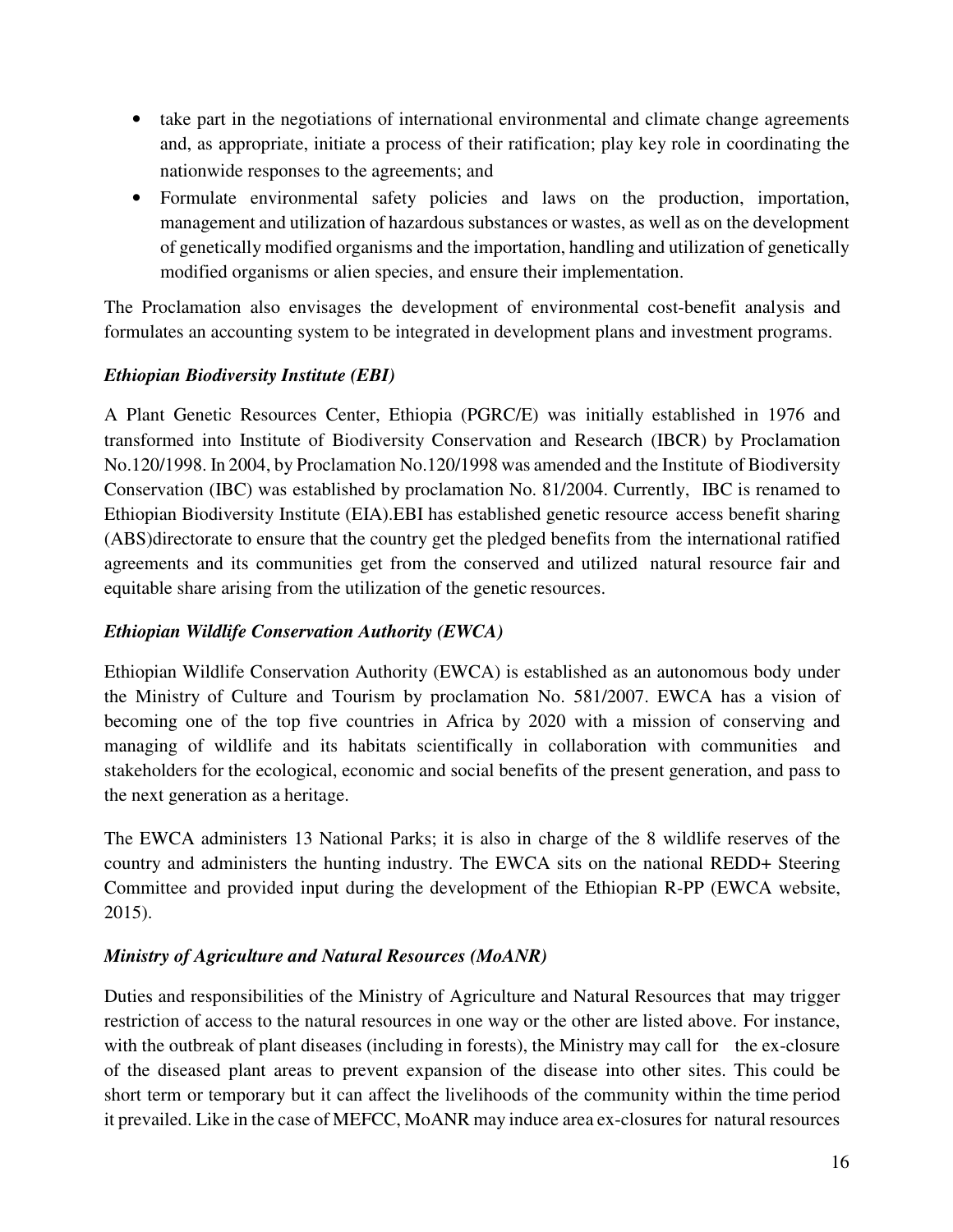- take part in the negotiations of international environmental and climate change agreements and, as appropriate, initiate a process of their ratification; play key role in coordinating the nationwide responses to the agreements; and
- Formulate environmental safety policies and laws on the production, importation, management and utilization of hazardous substances or wastes, as well as on the development of genetically modified organisms and the importation, handling and utilization of genetically modified organisms or alien species, and ensure their implementation.

The Proclamation also envisages the development of environmental cost-benefit analysis and formulates an accounting system to be integrated in development plans and investment programs.

### *Ethiopian Biodiversity Institute (EBI)*

A Plant Genetic Resources Center, Ethiopia (PGRC/E) was initially established in 1976 and transformed into Institute of Biodiversity Conservation and Research (IBCR) by Proclamation No.120/1998. In 2004, by Proclamation No.120/1998 was amended and the Institute of Biodiversity Conservation (IBC) was established by proclamation No. 81/2004. Currently, IBC is renamed to Ethiopian Biodiversity Institute (EIA).EBI has established genetic resource access benefit sharing (ABS)directorate to ensure that the country get the pledged benefits from the international ratified agreements and its communities get from the conserved and utilized natural resource fair and equitable share arising from the utilization of the genetic resources.

### *Ethiopian Wildlife Conservation Authority (EWCA)*

Ethiopian Wildlife Conservation Authority (EWCA) is established as an autonomous body under the Ministry of Culture and Tourism by proclamation No. 581/2007. EWCA has a vision of becoming one of the top five countries in Africa by 2020 with a mission of conserving and managing of wildlife and its habitats scientifically in collaboration with communities and stakeholders for the ecological, economic and social benefits of the present generation, and pass to the next generation as a heritage.

The EWCA administers 13 National Parks; it is also in charge of the 8 wildlife reserves of the country and administers the hunting industry. The EWCA sits on the national REDD+ Steering Committee and provided input during the development of the Ethiopian R-PP (EWCA website, 2015).

## *Ministry of Agriculture and Natural Resources (MoANR)*

Duties and responsibilities of the Ministry of Agriculture and Natural Resources that may trigger restriction of access to the natural resources in one way or the other are listed above. For instance, with the outbreak of plant diseases (including in forests), the Ministry may call for the ex-closure of the diseased plant areas to prevent expansion of the disease into other sites. This could be short term or temporary but it can affect the livelihoods of the community within the time period it prevailed. Like in the case of MEFCC, MoANR may induce area ex-closures for natural resources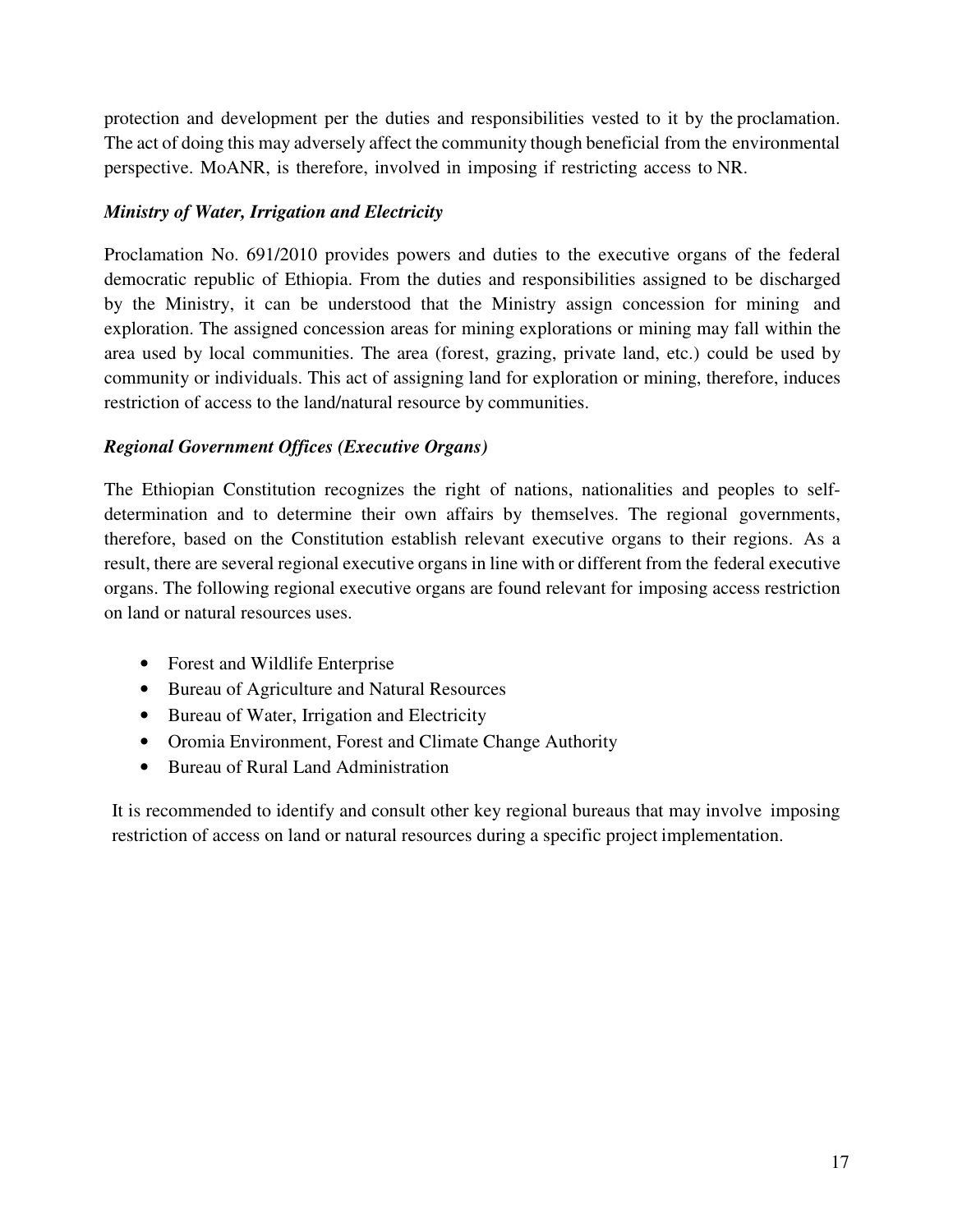protection and development per the duties and responsibilities vested to it by the proclamation. The act of doing this may adversely affect the community though beneficial from the environmental perspective. MoANR, is therefore, involved in imposing if restricting access to NR.

## *Ministry of Water, Irrigation and Electricity*

Proclamation No. 691/2010 provides powers and duties to the executive organs of the federal democratic republic of Ethiopia. From the duties and responsibilities assigned to be discharged by the Ministry, it can be understood that the Ministry assign concession for mining and exploration. The assigned concession areas for mining explorations or mining may fall within the area used by local communities. The area (forest, grazing, private land, etc.) could be used by community or individuals. This act of assigning land for exploration or mining, therefore, induces restriction of access to the land/natural resource by communities.

### *Regional Government Offices (Executive Organs)*

The Ethiopian Constitution recognizes the right of nations, nationalities and peoples to selfdetermination and to determine their own affairs by themselves. The regional governments, therefore, based on the Constitution establish relevant executive organs to their regions. As a result, there are several regional executive organs in line with or different from the federal executive organs. The following regional executive organs are found relevant for imposing access restriction on land or natural resources uses.

- Forest and Wildlife Enterprise
- Bureau of Agriculture and Natural Resources
- Bureau of Water, Irrigation and Electricity
- Oromia Environment, Forest and Climate Change Authority
- Bureau of Rural Land Administration

It is recommended to identify and consult other key regional bureaus that may involve imposing restriction of access on land or natural resources during a specific project implementation.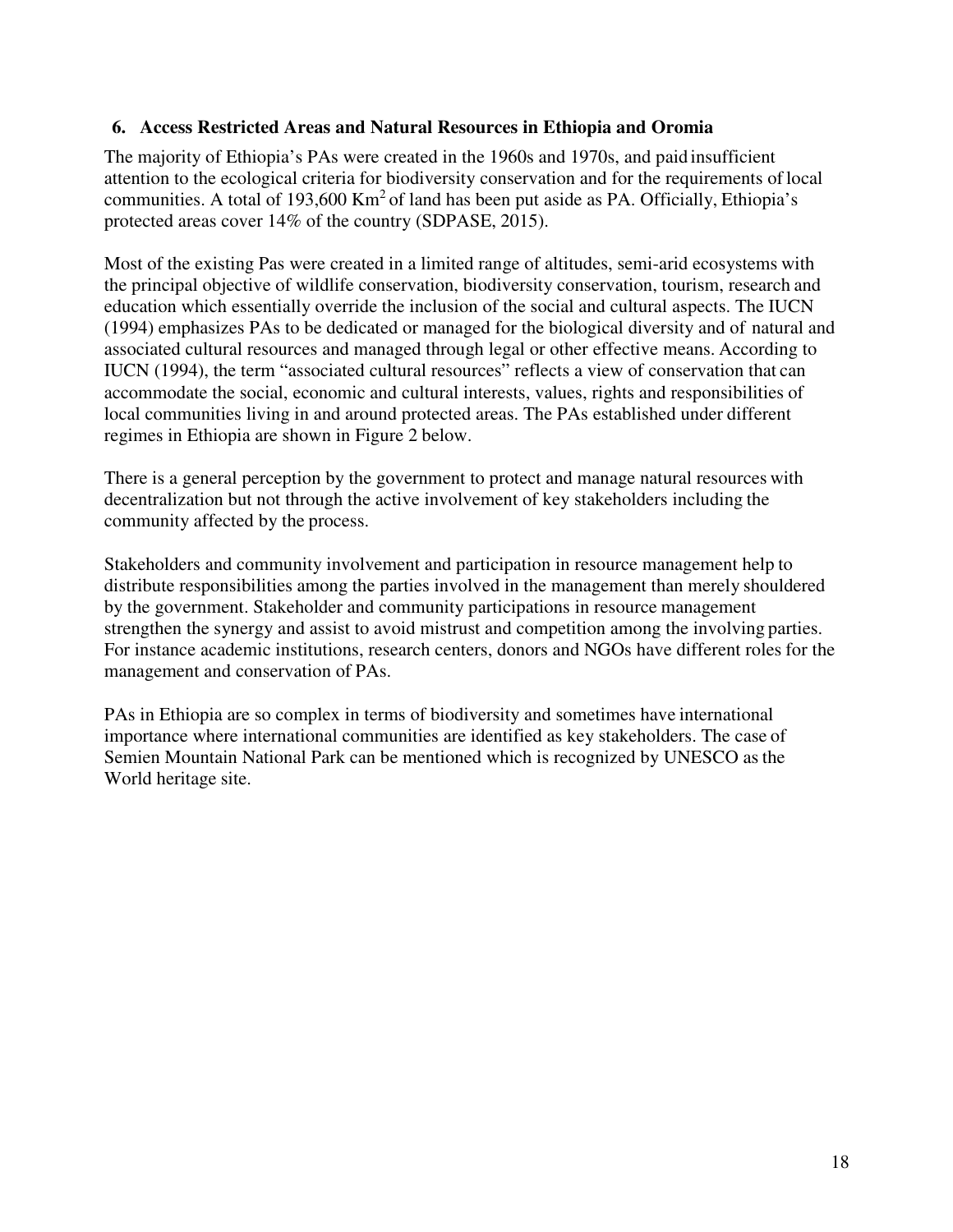#### **6. Access Restricted Areas and Natural Resources in Ethiopia and Oromia**

The majority of Ethiopia's PAs were created in the 1960s and 1970s, and paid insufficient attention to the ecological criteria for biodiversity conservation and for the requirements of local communities. A total of 193,600  $\text{Km}^2$  of land has been put aside as PA. Officially, Ethiopia's protected areas cover 14% of the country (SDPASE, 2015).

Most of the existing Pas were created in a limited range of altitudes, semi-arid ecosystems with the principal objective of wildlife conservation, biodiversity conservation, tourism, research and education which essentially override the inclusion of the social and cultural aspects. The IUCN (1994) emphasizes PAs to be dedicated or managed for the biological diversity and of natural and associated cultural resources and managed through legal or other effective means. According to IUCN (1994), the term "associated cultural resources" reflects a view of conservation that can accommodate the social, economic and cultural interests, values, rights and responsibilities of local communities living in and around protected areas. The PAs established under different regimes in Ethiopia are shown in Figure 2 below.

There is a general perception by the government to protect and manage natural resources with decentralization but not through the active involvement of key stakeholders including the community affected by the process.

Stakeholders and community involvement and participation in resource management help to distribute responsibilities among the parties involved in the management than merely shouldered by the government. Stakeholder and community participations in resource management strengthen the synergy and assist to avoid mistrust and competition among the involving parties. For instance academic institutions, research centers, donors and NGOs have different roles for the management and conservation of PAs.

PAs in Ethiopia are so complex in terms of biodiversity and sometimes have international importance where international communities are identified as key stakeholders. The case of Semien Mountain National Park can be mentioned which is recognized by UNESCO as the World heritage site.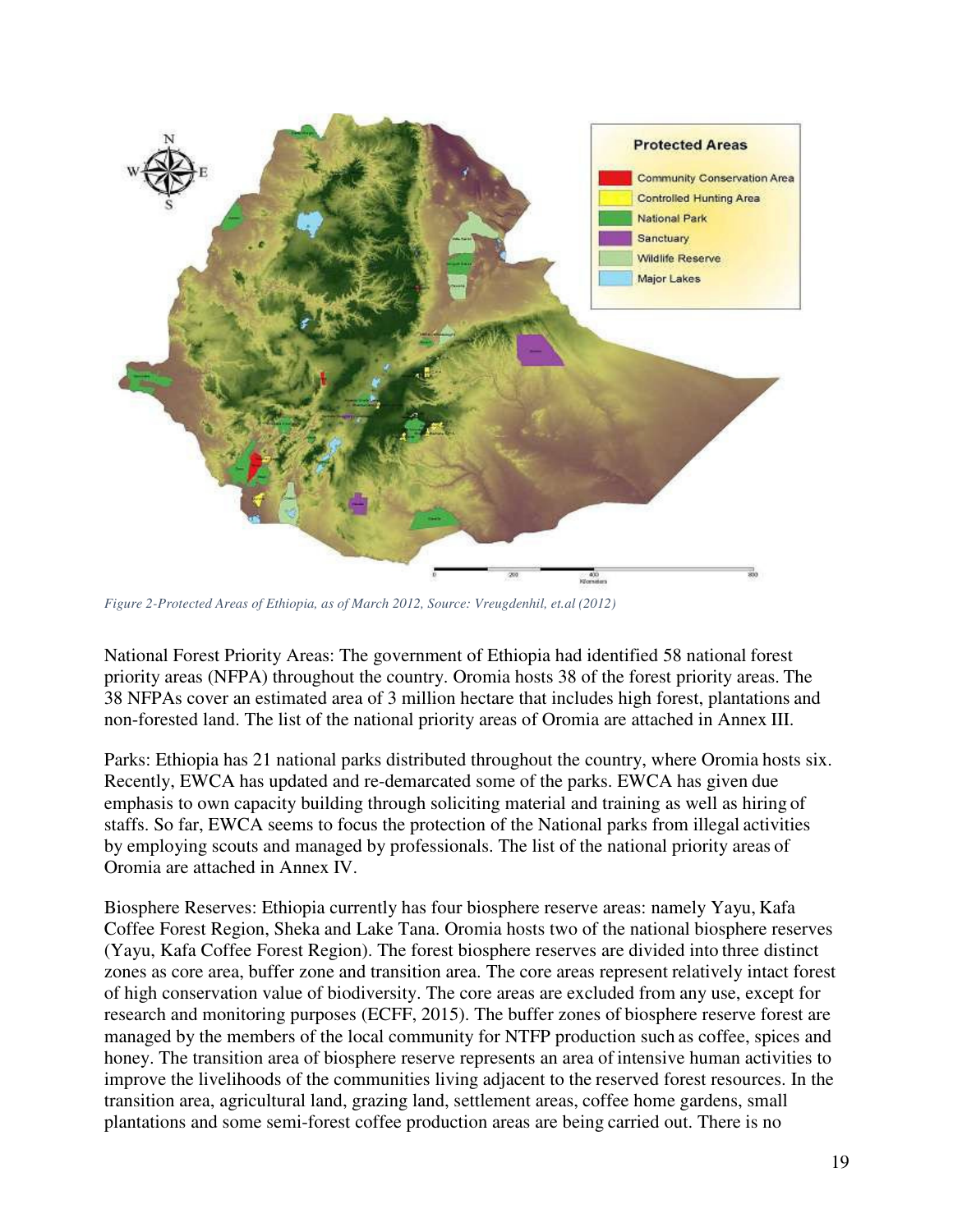

*Figure 2-Protected Areas of Ethiopia, as of March 2012, Source: Vreugdenhil, et.al (2012)* 

National Forest Priority Areas: The government of Ethiopia had identified 58 national forest priority areas (NFPA) throughout the country. Oromia hosts 38 of the forest priority areas. The 38 NFPAs cover an estimated area of 3 million hectare that includes high forest, plantations and non-forested land. The list of the national priority areas of Oromia are attached in Annex III.

Parks: Ethiopia has 21 national parks distributed throughout the country, where Oromia hosts six. Recently, EWCA has updated and re-demarcated some of the parks. EWCA has given due emphasis to own capacity building through soliciting material and training as well as hiring of staffs. So far, EWCA seems to focus the protection of the National parks from illegal activities by employing scouts and managed by professionals. The list of the national priority areas of Oromia are attached in Annex IV.

Biosphere Reserves: Ethiopia currently has four biosphere reserve areas: namely Yayu, Kafa Coffee Forest Region, Sheka and Lake Tana. Oromia hosts two of the national biosphere reserves (Yayu, Kafa Coffee Forest Region). The forest biosphere reserves are divided into three distinct zones as core area, buffer zone and transition area. The core areas represent relatively intact forest of high conservation value of biodiversity. The core areas are excluded from any use, except for research and monitoring purposes (ECFF, 2015). The buffer zones of biosphere reserve forest are managed by the members of the local community for NTFP production such as coffee, spices and honey. The transition area of biosphere reserve represents an area of intensive human activities to improve the livelihoods of the communities living adjacent to the reserved forest resources. In the transition area, agricultural land, grazing land, settlement areas, coffee home gardens, small plantations and some semi-forest coffee production areas are being carried out. There is no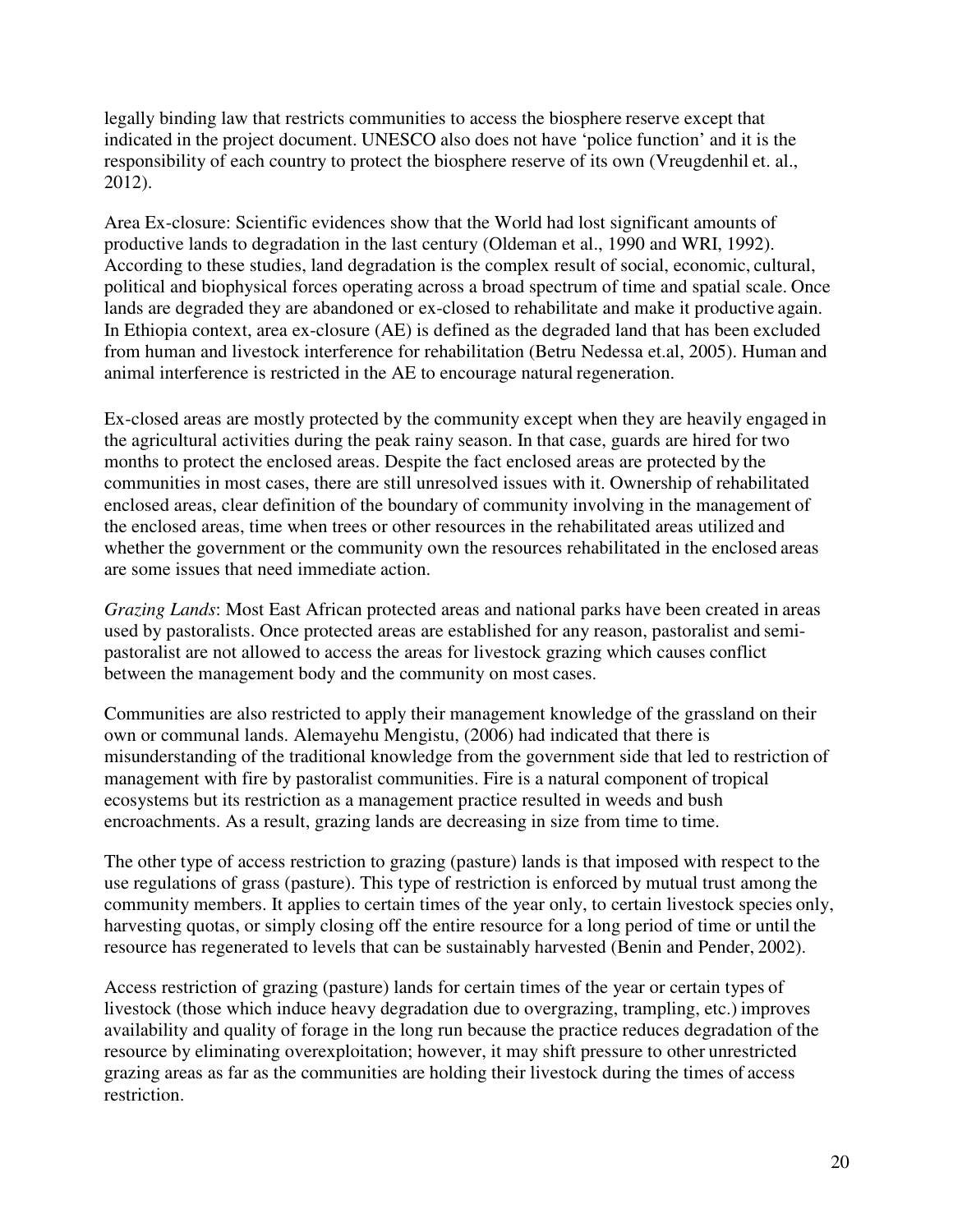legally binding law that restricts communities to access the biosphere reserve except that indicated in the project document. UNESCO also does not have 'police function' and it is the responsibility of each country to protect the biosphere reserve of its own (Vreugdenhil et. al., 2012).

Area Ex-closure: Scientific evidences show that the World had lost significant amounts of productive lands to degradation in the last century (Oldeman et al., 1990 and WRI, 1992). According to these studies, land degradation is the complex result of social, economic, cultural, political and biophysical forces operating across a broad spectrum of time and spatial scale. Once lands are degraded they are abandoned or ex-closed to rehabilitate and make it productive again. In Ethiopia context, area ex-closure (AE) is defined as the degraded land that has been excluded from human and livestock interference for rehabilitation (Betru Nedessa et.al, 2005). Human and animal interference is restricted in the AE to encourage natural regeneration.

Ex-closed areas are mostly protected by the community except when they are heavily engaged in the agricultural activities during the peak rainy season. In that case, guards are hired for two months to protect the enclosed areas. Despite the fact enclosed areas are protected by the communities in most cases, there are still unresolved issues with it. Ownership of rehabilitated enclosed areas, clear definition of the boundary of community involving in the management of the enclosed areas, time when trees or other resources in the rehabilitated areas utilized and whether the government or the community own the resources rehabilitated in the enclosed areas are some issues that need immediate action.

*Grazing Lands*: Most East African protected areas and national parks have been created in areas used by pastoralists. Once protected areas are established for any reason, pastoralist and semipastoralist are not allowed to access the areas for livestock grazing which causes conflict between the management body and the community on most cases.

Communities are also restricted to apply their management knowledge of the grassland on their own or communal lands. Alemayehu Mengistu, (2006) had indicated that there is misunderstanding of the traditional knowledge from the government side that led to restriction of management with fire by pastoralist communities. Fire is a natural component of tropical ecosystems but its restriction as a management practice resulted in weeds and bush encroachments. As a result, grazing lands are decreasing in size from time to time.

The other type of access restriction to grazing (pasture) lands is that imposed with respect to the use regulations of grass (pasture). This type of restriction is enforced by mutual trust among the community members. It applies to certain times of the year only, to certain livestock species only, harvesting quotas, or simply closing off the entire resource for a long period of time or until the resource has regenerated to levels that can be sustainably harvested (Benin and Pender, 2002).

Access restriction of grazing (pasture) lands for certain times of the year or certain types of livestock (those which induce heavy degradation due to overgrazing, trampling, etc.) improves availability and quality of forage in the long run because the practice reduces degradation of the resource by eliminating overexploitation; however, it may shift pressure to other unrestricted grazing areas as far as the communities are holding their livestock during the times of access restriction.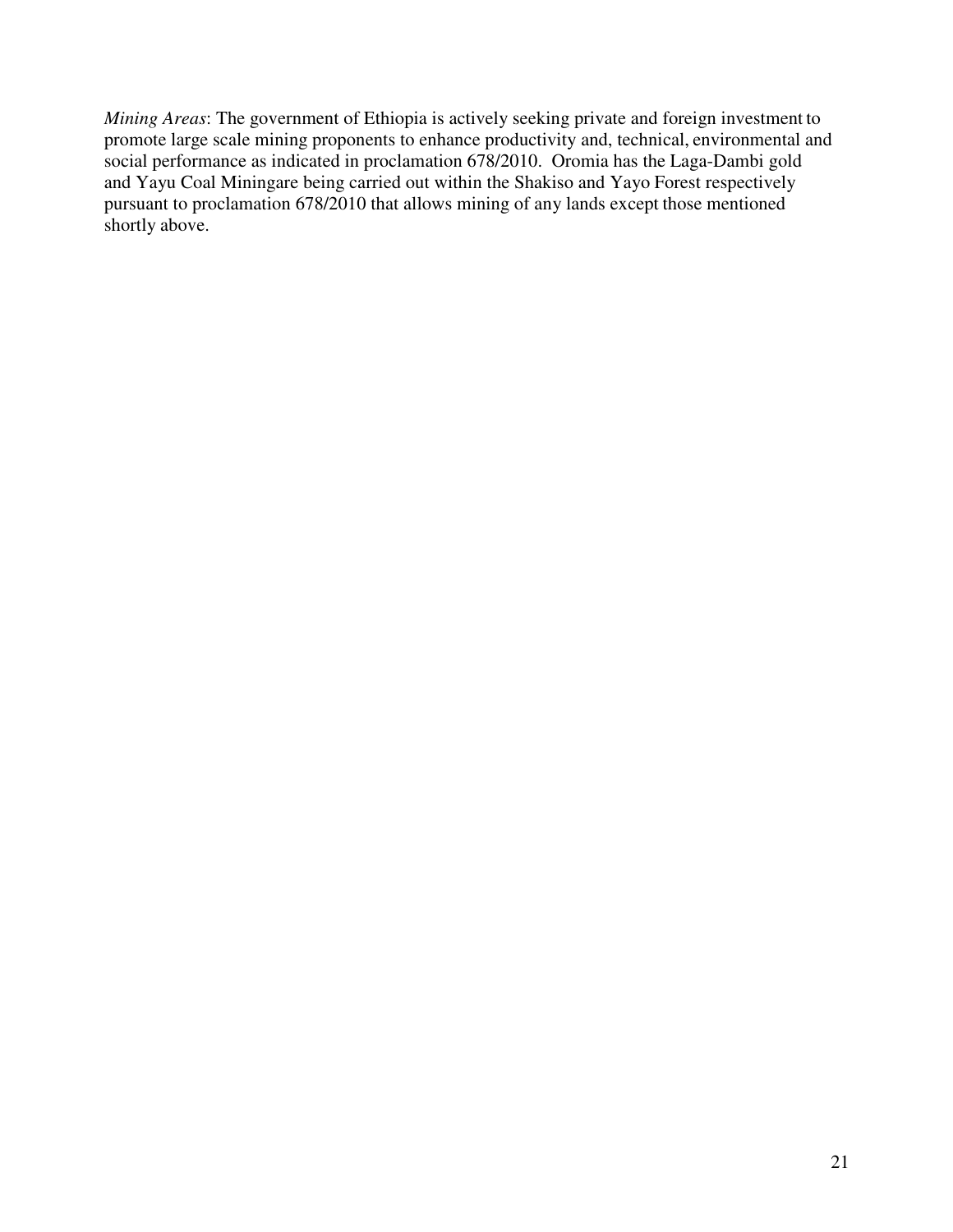*Mining Areas*: The government of Ethiopia is actively seeking private and foreign investment to promote large scale mining proponents to enhance productivity and, technical, environmental and social performance as indicated in proclamation 678/2010. Oromia has the Laga-Dambi gold and Yayu Coal Miningare being carried out within the Shakiso and Yayo Forest respectively pursuant to proclamation 678/2010 that allows mining of any lands except those mentioned shortly above.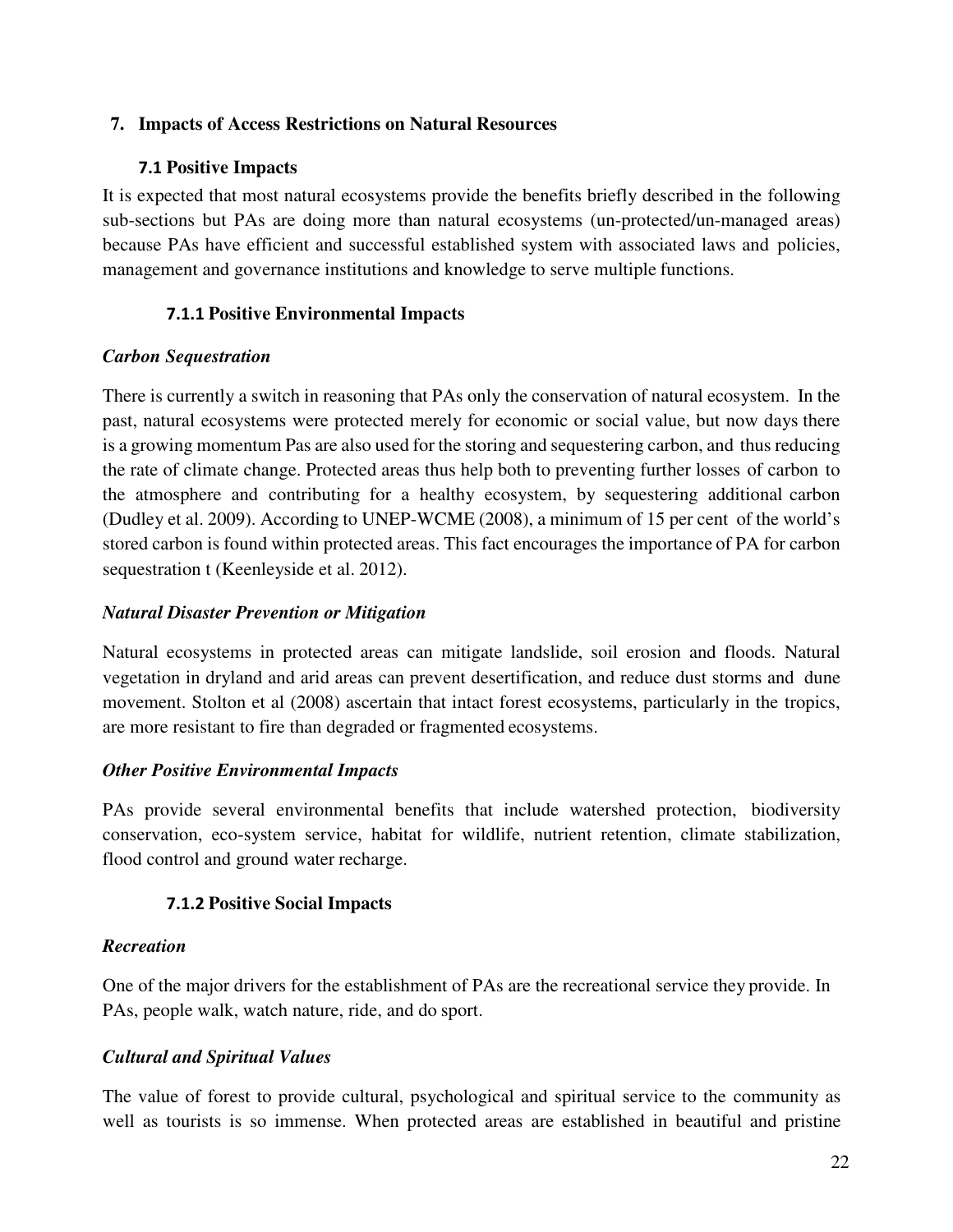#### **7. Impacts of Access Restrictions on Natural Resources**

#### **7.1 Positive Impacts**

It is expected that most natural ecosystems provide the benefits briefly described in the following sub-sections but PAs are doing more than natural ecosystems (un-protected/un-managed areas) because PAs have efficient and successful established system with associated laws and policies, management and governance institutions and knowledge to serve multiple functions.

### **7.1.1 Positive Environmental Impacts**

#### *Carbon Sequestration*

There is currently a switch in reasoning that PAs only the conservation of natural ecosystem. In the past, natural ecosystems were protected merely for economic or social value, but now days there is a growing momentum Pas are also used for the storing and sequestering carbon, and thus reducing the rate of climate change. Protected areas thus help both to preventing further losses of carbon to the atmosphere and contributing for a healthy ecosystem, by sequestering additional carbon (Dudley et al. 2009). According to UNEP-WCME (2008), a minimum of 15 per cent of the world's stored carbon is found within protected areas. This fact encourages the importance of PA for carbon sequestration t (Keenleyside et al. 2012).

### *Natural Disaster Prevention or Mitigation*

Natural ecosystems in protected areas can mitigate landslide, soil erosion and floods. Natural vegetation in dryland and arid areas can prevent desertification, and reduce dust storms and dune movement. Stolton et al (2008) ascertain that intact forest ecosystems, particularly in the tropics, are more resistant to fire than degraded or fragmented ecosystems.

### *Other Positive Environmental Impacts*

PAs provide several environmental benefits that include watershed protection, biodiversity conservation, eco-system service, habitat for wildlife, nutrient retention, climate stabilization, flood control and ground water recharge.

### **7.1.2 Positive Social Impacts**

#### *Recreation*

One of the major drivers for the establishment of PAs are the recreational service they provide. In PAs, people walk, watch nature, ride, and do sport.

### *Cultural and Spiritual Values*

The value of forest to provide cultural, psychological and spiritual service to the community as well as tourists is so immense. When protected areas are established in beautiful and pristine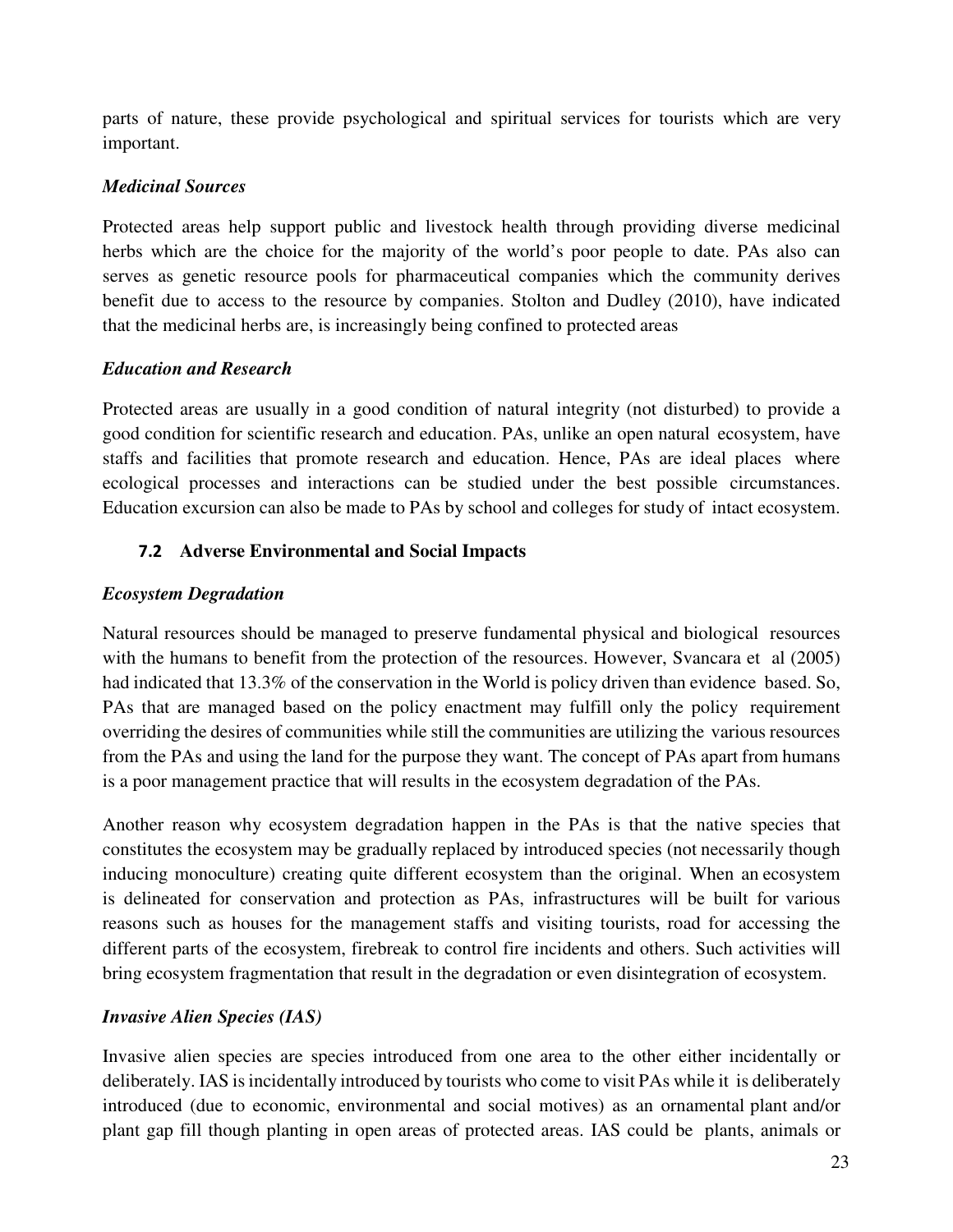parts of nature, these provide psychological and spiritual services for tourists which are very important.

## *Medicinal Sources*

Protected areas help support public and livestock health through providing diverse medicinal herbs which are the choice for the majority of the world's poor people to date. PAs also can serves as genetic resource pools for pharmaceutical companies which the community derives benefit due to access to the resource by companies. Stolton and Dudley (2010), have indicated that the medicinal herbs are, is increasingly being confined to protected areas

## *Education and Research*

Protected areas are usually in a good condition of natural integrity (not disturbed) to provide a good condition for scientific research and education. PAs, unlike an open natural ecosystem, have staffs and facilities that promote research and education. Hence, PAs are ideal places where ecological processes and interactions can be studied under the best possible circumstances. Education excursion can also be made to PAs by school and colleges for study of intact ecosystem.

## **7.2 Adverse Environmental and Social Impacts**

## *Ecosystem Degradation*

Natural resources should be managed to preserve fundamental physical and biological resources with the humans to benefit from the protection of the resources. However, Svancara et al (2005) had indicated that 13.3% of the conservation in the World is policy driven than evidence based. So, PAs that are managed based on the policy enactment may fulfill only the policy requirement overriding the desires of communities while still the communities are utilizing the various resources from the PAs and using the land for the purpose they want. The concept of PAs apart from humans is a poor management practice that will results in the ecosystem degradation of the PAs.

Another reason why ecosystem degradation happen in the PAs is that the native species that constitutes the ecosystem may be gradually replaced by introduced species (not necessarily though inducing monoculture) creating quite different ecosystem than the original. When an ecosystem is delineated for conservation and protection as PAs, infrastructures will be built for various reasons such as houses for the management staffs and visiting tourists, road for accessing the different parts of the ecosystem, firebreak to control fire incidents and others. Such activities will bring ecosystem fragmentation that result in the degradation or even disintegration of ecosystem.

## *Invasive Alien Species (IAS)*

Invasive alien species are species introduced from one area to the other either incidentally or deliberately. IAS is incidentally introduced by tourists who come to visit PAs while it is deliberately introduced (due to economic, environmental and social motives) as an ornamental plant and/or plant gap fill though planting in open areas of protected areas. IAS could be plants, animals or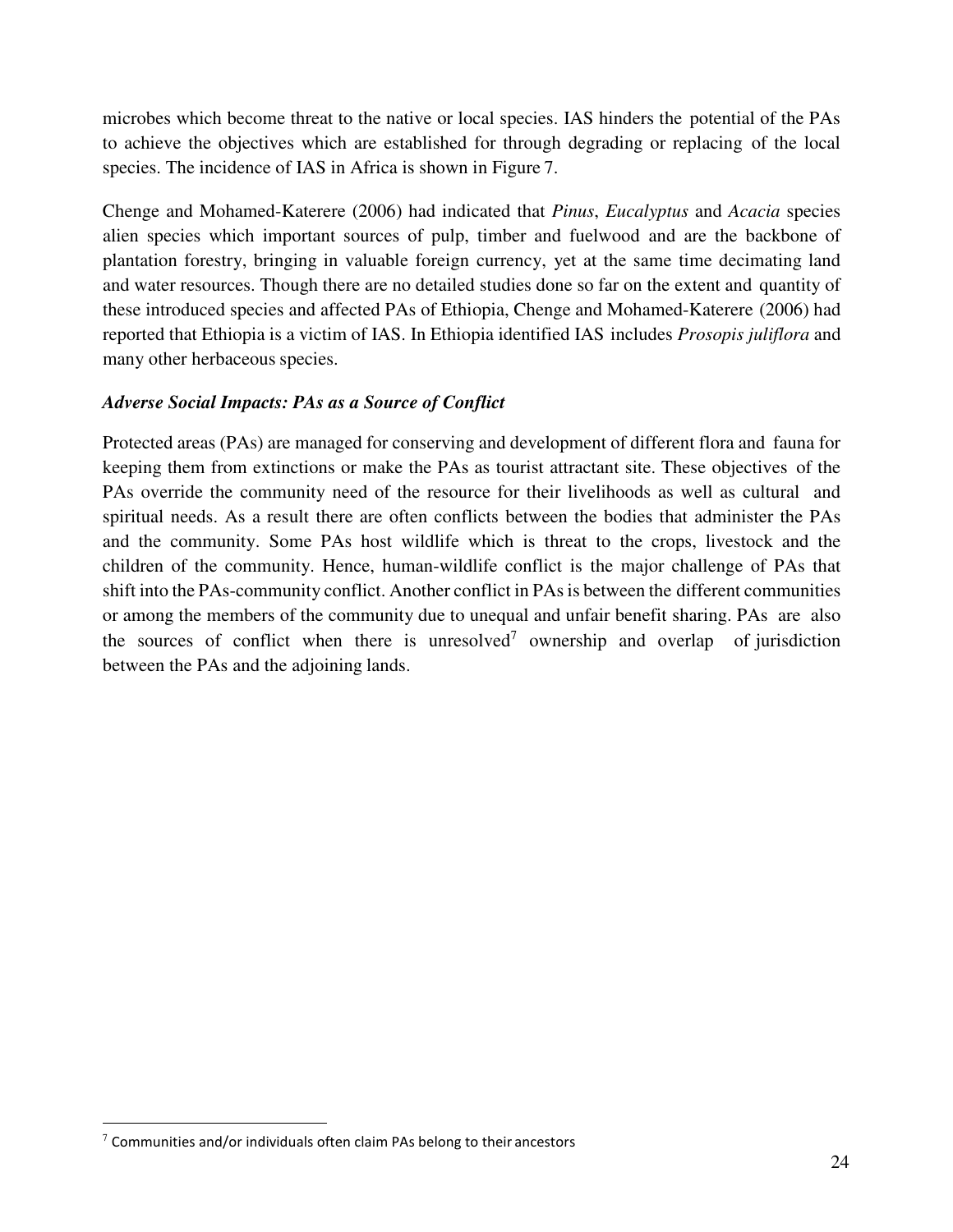microbes which become threat to the native or local species. IAS hinders the potential of the PAs to achieve the objectives which are established for through degrading or replacing of the local species. The incidence of IAS in Africa is shown in Figure 7.

Chenge and Mohamed-Katerere (2006) had indicated that *Pinus*, *Eucalyptus* and *Acacia* species alien species which important sources of pulp, timber and fuelwood and are the backbone of plantation forestry, bringing in valuable foreign currency, yet at the same time decimating land and water resources. Though there are no detailed studies done so far on the extent and quantity of these introduced species and affected PAs of Ethiopia, Chenge and Mohamed-Katerere (2006) had reported that Ethiopia is a victim of IAS. In Ethiopia identified IAS includes *Prosopis juliflora* and many other herbaceous species.

## *Adverse Social Impacts: PAs as a Source of Conflict*

Protected areas (PAs) are managed for conserving and development of different flora and fauna for keeping them from extinctions or make the PAs as tourist attractant site. These objectives of the PAs override the community need of the resource for their livelihoods as well as cultural and spiritual needs. As a result there are often conflicts between the bodies that administer the PAs and the community. Some PAs host wildlife which is threat to the crops, livestock and the children of the community. Hence, human-wildlife conflict is the major challenge of PAs that shift into the PAs-community conflict. Another conflict in PAs is between the different communities or among the members of the community due to unequal and unfair benefit sharing. PAs are also the sources of conflict when there is unresolved<sup>7</sup> ownership and overlap of jurisdiction between the PAs and the adjoining lands.

-

 $7$  Communities and/or individuals often claim PAs belong to their ancestors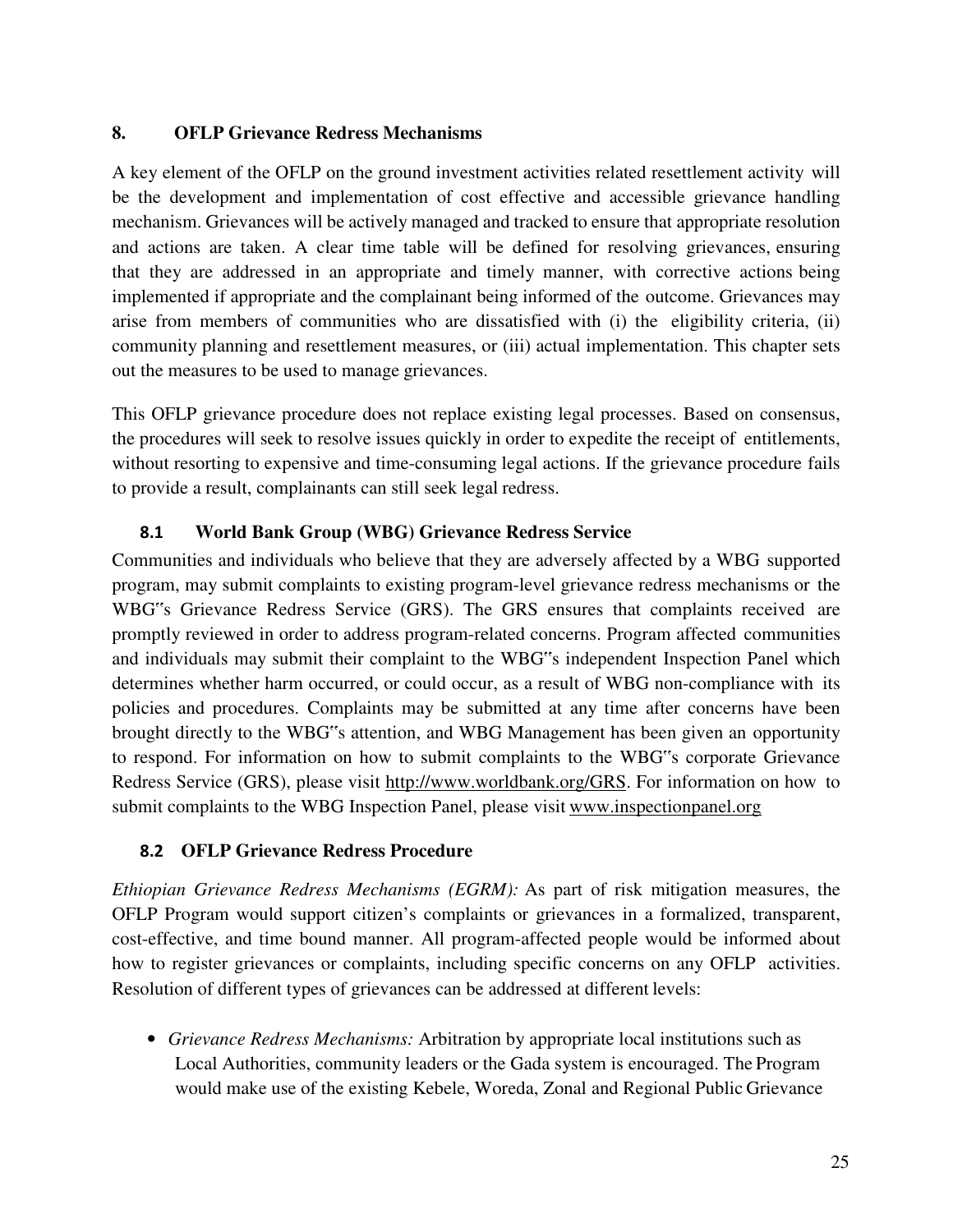#### **8. OFLP Grievance Redress Mechanisms**

A key element of the OFLP on the ground investment activities related resettlement activity will be the development and implementation of cost effective and accessible grievance handling mechanism. Grievances will be actively managed and tracked to ensure that appropriate resolution and actions are taken. A clear time table will be defined for resolving grievances, ensuring that they are addressed in an appropriate and timely manner, with corrective actions being implemented if appropriate and the complainant being informed of the outcome. Grievances may arise from members of communities who are dissatisfied with (i) the eligibility criteria, (ii) community planning and resettlement measures, or (iii) actual implementation. This chapter sets out the measures to be used to manage grievances.

This OFLP grievance procedure does not replace existing legal processes. Based on consensus, the procedures will seek to resolve issues quickly in order to expedite the receipt of entitlements, without resorting to expensive and time-consuming legal actions. If the grievance procedure fails to provide a result, complainants can still seek legal redress.

### **8.1 World Bank Group (WBG) Grievance Redress Service**

Communities and individuals who believe that they are adversely affected by a WBG supported program, may submit complaints to existing program-level grievance redress mechanisms or the WBG"s Grievance Redress Service (GRS). The GRS ensures that complaints received are promptly reviewed in order to address program-related concerns. Program affected communities and individuals may submit their complaint to the WBG"s independent Inspection Panel which determines whether harm occurred, or could occur, as a result of WBG non-compliance with its policies and procedures. Complaints may be submitted at any time after concerns have been brought directly to the WBG"s attention, and WBG Management has been given an opportunity to respond. For information on how to submit complaints to the WBG"s corporate Grievance Redress Service (GRS), please visit http://www.worldbank.org/GRS. For information on how to submit complaints to the WBG Inspection Panel, please visit www.inspectionpanel.org

### **8.2 OFLP Grievance Redress Procedure**

*Ethiopian Grievance Redress Mechanisms (EGRM):* As part of risk mitigation measures, the OFLP Program would support citizen's complaints or grievances in a formalized, transparent, cost-effective, and time bound manner. All program-affected people would be informed about how to register grievances or complaints, including specific concerns on any OFLP activities. Resolution of different types of grievances can be addressed at different levels:

• *Grievance Redress Mechanisms:* Arbitration by appropriate local institutions such as Local Authorities, community leaders or the Gada system is encouraged. The Program would make use of the existing Kebele, Woreda, Zonal and Regional Public Grievance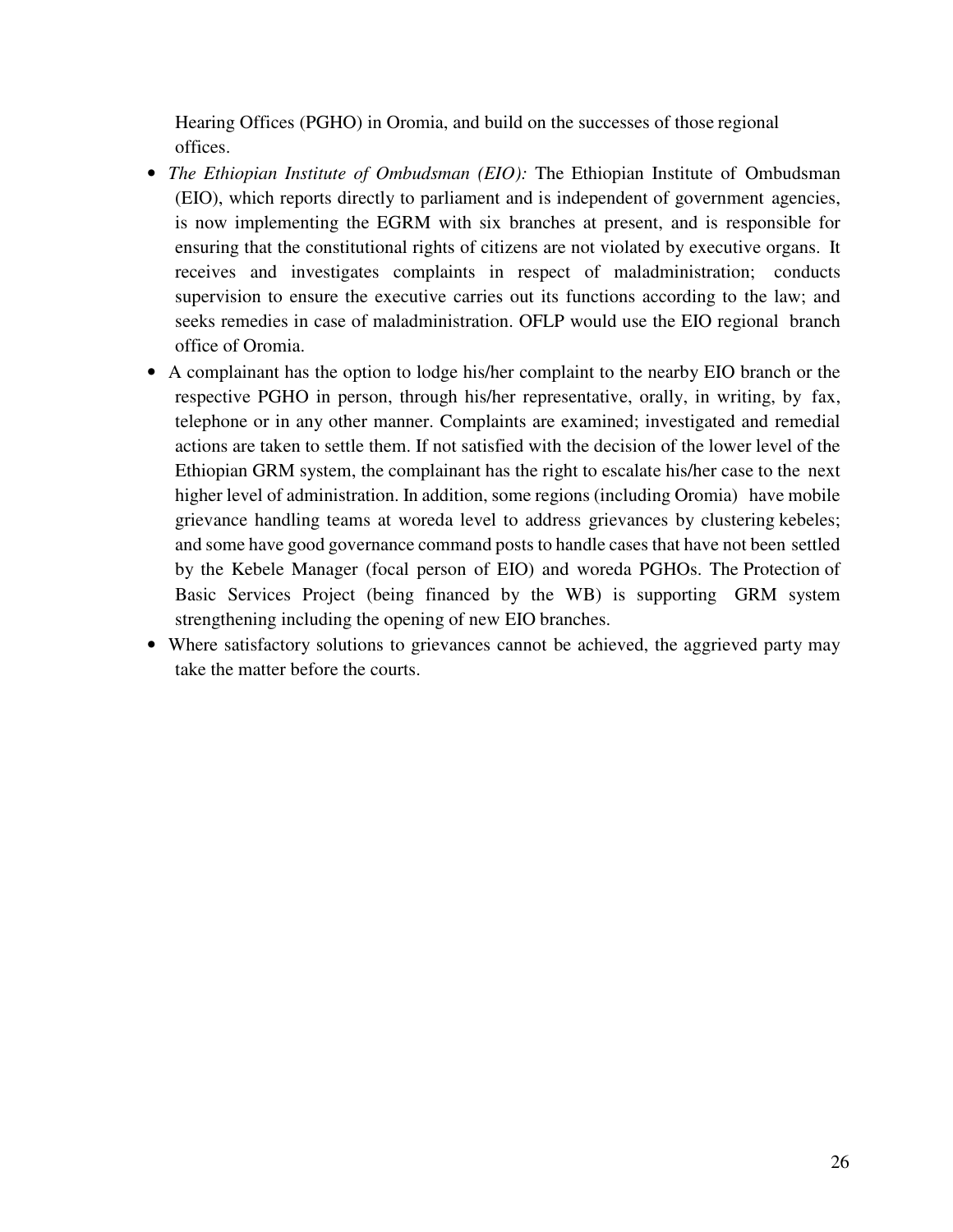Hearing Offices (PGHO) in Oromia, and build on the successes of those regional offices.

- *The Ethiopian Institute of Ombudsman (EIO):* The Ethiopian Institute of Ombudsman (EIO), which reports directly to parliament and is independent of government agencies, is now implementing the EGRM with six branches at present, and is responsible for ensuring that the constitutional rights of citizens are not violated by executive organs. It receives and investigates complaints in respect of maladministration; conducts supervision to ensure the executive carries out its functions according to the law; and seeks remedies in case of maladministration. OFLP would use the EIO regional branch office of Oromia.
- A complainant has the option to lodge his/her complaint to the nearby EIO branch or the respective PGHO in person, through his/her representative, orally, in writing, by fax, telephone or in any other manner. Complaints are examined; investigated and remedial actions are taken to settle them. If not satisfied with the decision of the lower level of the Ethiopian GRM system, the complainant has the right to escalate his/her case to the next higher level of administration. In addition, some regions (including Oromia) have mobile grievance handling teams at woreda level to address grievances by clustering kebeles; and some have good governance command posts to handle cases that have not been settled by the Kebele Manager (focal person of EIO) and woreda PGHOs. The Protection of Basic Services Project (being financed by the WB) is supporting GRM system strengthening including the opening of new EIO branches.
- Where satisfactory solutions to grievances cannot be achieved, the aggrieved party may take the matter before the courts.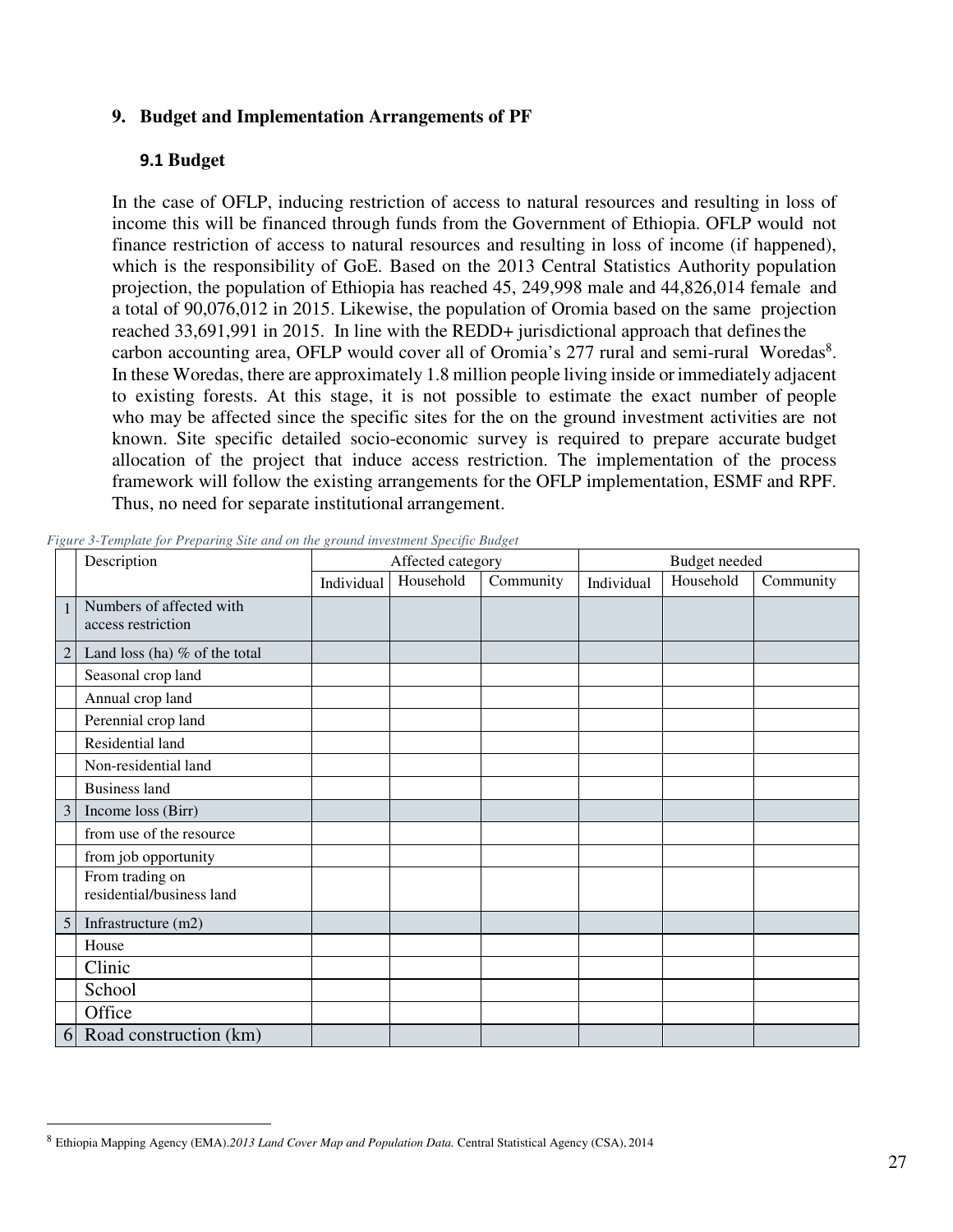#### **9. Budget and Implementation Arrangements of PF**

#### **9.1 Budget**

In the case of OFLP, inducing restriction of access to natural resources and resulting in loss of income this will be financed through funds from the Government of Ethiopia. OFLP would not finance restriction of access to natural resources and resulting in loss of income (if happened), which is the responsibility of GoE. Based on the 2013 Central Statistics Authority population projection, the population of Ethiopia has reached 45, 249,998 male and 44,826,014 female and a total of 90,076,012 in 2015. Likewise, the population of Oromia based on the same projection reached 33,691,991 in 2015. In line with the REDD+ jurisdictional approach that defines the carbon accounting area, OFLP would cover all of Oromia's 277 rural and semi-rural Woredas<sup>8</sup>. In these Woredas, there are approximately 1.8 million people living inside or immediately adjacent to existing forests. At this stage, it is not possible to estimate the exact number of people who may be affected since the specific sites for the on the ground investment activities are not known. Site specific detailed socio-economic survey is required to prepare accurate budget allocation of the project that induce access restriction. The implementation of the process framework will follow the existing arrangements for the OFLP implementation, ESMF and RPF. Thus, no need for separate institutional arrangement.

|                | Description                                    |            | Affected category |           |            | Budget needed |           |
|----------------|------------------------------------------------|------------|-------------------|-----------|------------|---------------|-----------|
|                |                                                | Individual | Household         | Community | Individual | Household     | Community |
| $\mathbf{1}$   | Numbers of affected with<br>access restriction |            |                   |           |            |               |           |
| $\overline{2}$ | Land loss (ha) $%$ of the total                |            |                   |           |            |               |           |
|                | Seasonal crop land                             |            |                   |           |            |               |           |
|                | Annual crop land                               |            |                   |           |            |               |           |
|                | Perennial crop land                            |            |                   |           |            |               |           |
|                | Residential land                               |            |                   |           |            |               |           |
|                | Non-residential land                           |            |                   |           |            |               |           |
|                | <b>Business land</b>                           |            |                   |           |            |               |           |
| 3              | Income loss (Birr)                             |            |                   |           |            |               |           |
|                | from use of the resource                       |            |                   |           |            |               |           |
|                | from job opportunity                           |            |                   |           |            |               |           |
|                | From trading on<br>residential/business land   |            |                   |           |            |               |           |
| 5              | Infrastructure (m2)                            |            |                   |           |            |               |           |
|                | House                                          |            |                   |           |            |               |           |
|                | Clinic                                         |            |                   |           |            |               |           |
|                | School                                         |            |                   |           |            |               |           |
|                | Office                                         |            |                   |           |            |               |           |
| 6              | Road construction (km)                         |            |                   |           |            |               |           |

*Figure 3-Template for Preparing Site and on the ground investment Specific Budget* 

-

<sup>8</sup> Ethiopia Mapping Agency (EMA).*2013 Land Cover Map and Population Data.* Central Statistical Agency (CSA), 2014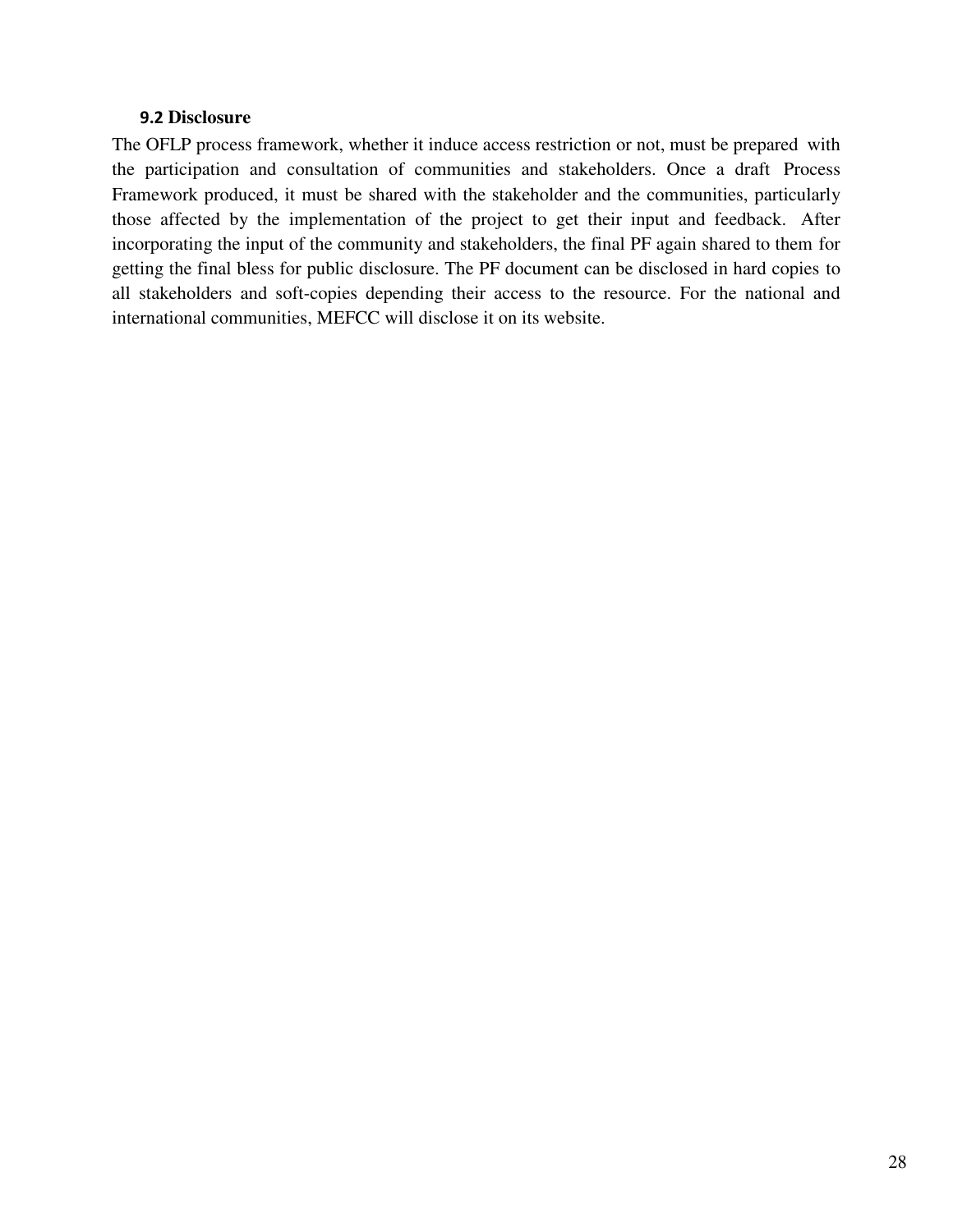#### **9.2 Disclosure**

The OFLP process framework, whether it induce access restriction or not, must be prepared with the participation and consultation of communities and stakeholders. Once a draft Process Framework produced, it must be shared with the stakeholder and the communities, particularly those affected by the implementation of the project to get their input and feedback. After incorporating the input of the community and stakeholders, the final PF again shared to them for getting the final bless for public disclosure. The PF document can be disclosed in hard copies to all stakeholders and soft-copies depending their access to the resource. For the national and international communities, MEFCC will disclose it on its website.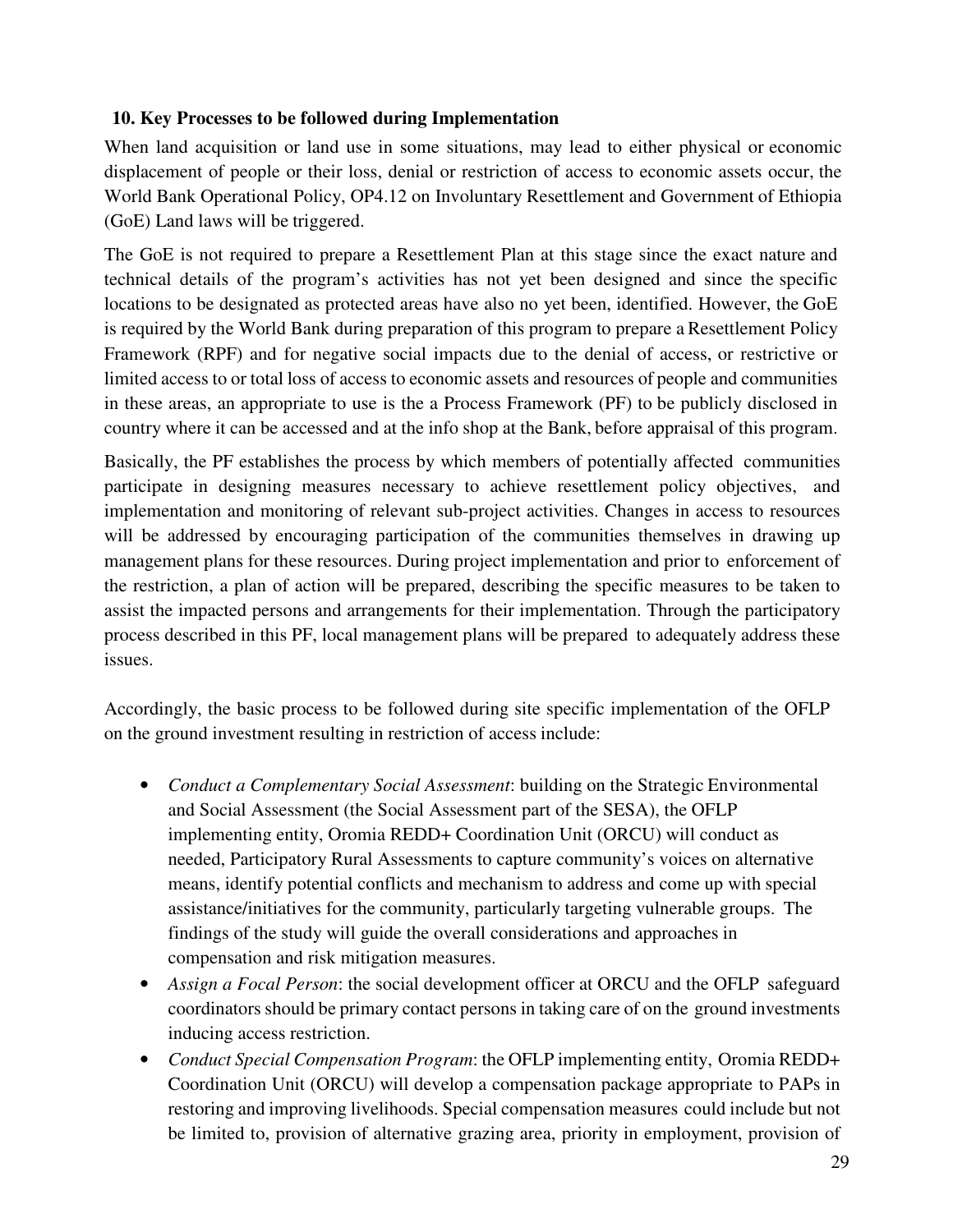## **10. Key Processes to be followed during Implementation**

When land acquisition or land use in some situations, may lead to either physical or economic displacement of people or their loss, denial or restriction of access to economic assets occur, the World Bank Operational Policy, OP4.12 on Involuntary Resettlement and Government of Ethiopia (GoE) Land laws will be triggered.

The GoE is not required to prepare a Resettlement Plan at this stage since the exact nature and technical details of the program's activities has not yet been designed and since the specific locations to be designated as protected areas have also no yet been, identified. However, the GoE is required by the World Bank during preparation of this program to prepare a Resettlement Policy Framework (RPF) and for negative social impacts due to the denial of access, or restrictive or limited access to or total loss of access to economic assets and resources of people and communities in these areas, an appropriate to use is the a Process Framework (PF) to be publicly disclosed in country where it can be accessed and at the info shop at the Bank, before appraisal of this program.

Basically, the PF establishes the process by which members of potentially affected communities participate in designing measures necessary to achieve resettlement policy objectives, and implementation and monitoring of relevant sub-project activities. Changes in access to resources will be addressed by encouraging participation of the communities themselves in drawing up management plans for these resources. During project implementation and prior to enforcement of the restriction, a plan of action will be prepared, describing the specific measures to be taken to assist the impacted persons and arrangements for their implementation. Through the participatory process described in this PF, local management plans will be prepared to adequately address these issues.

Accordingly, the basic process to be followed during site specific implementation of the OFLP on the ground investment resulting in restriction of access include:

- *Conduct a Complementary Social Assessment*: building on the Strategic Environmental and Social Assessment (the Social Assessment part of the SESA), the OFLP implementing entity, Oromia REDD+ Coordination Unit (ORCU) will conduct as needed, Participatory Rural Assessments to capture community's voices on alternative means, identify potential conflicts and mechanism to address and come up with special assistance/initiatives for the community, particularly targeting vulnerable groups. The findings of the study will guide the overall considerations and approaches in compensation and risk mitigation measures.
- *Assign a Focal Person*: the social development officer at ORCU and the OFLP safeguard coordinators should be primary contact persons in taking care of on the ground investments inducing access restriction.
- *Conduct Special Compensation Program*: the OFLP implementing entity, Oromia REDD+ Coordination Unit (ORCU) will develop a compensation package appropriate to PAPs in restoring and improving livelihoods. Special compensation measures could include but not be limited to, provision of alternative grazing area, priority in employment, provision of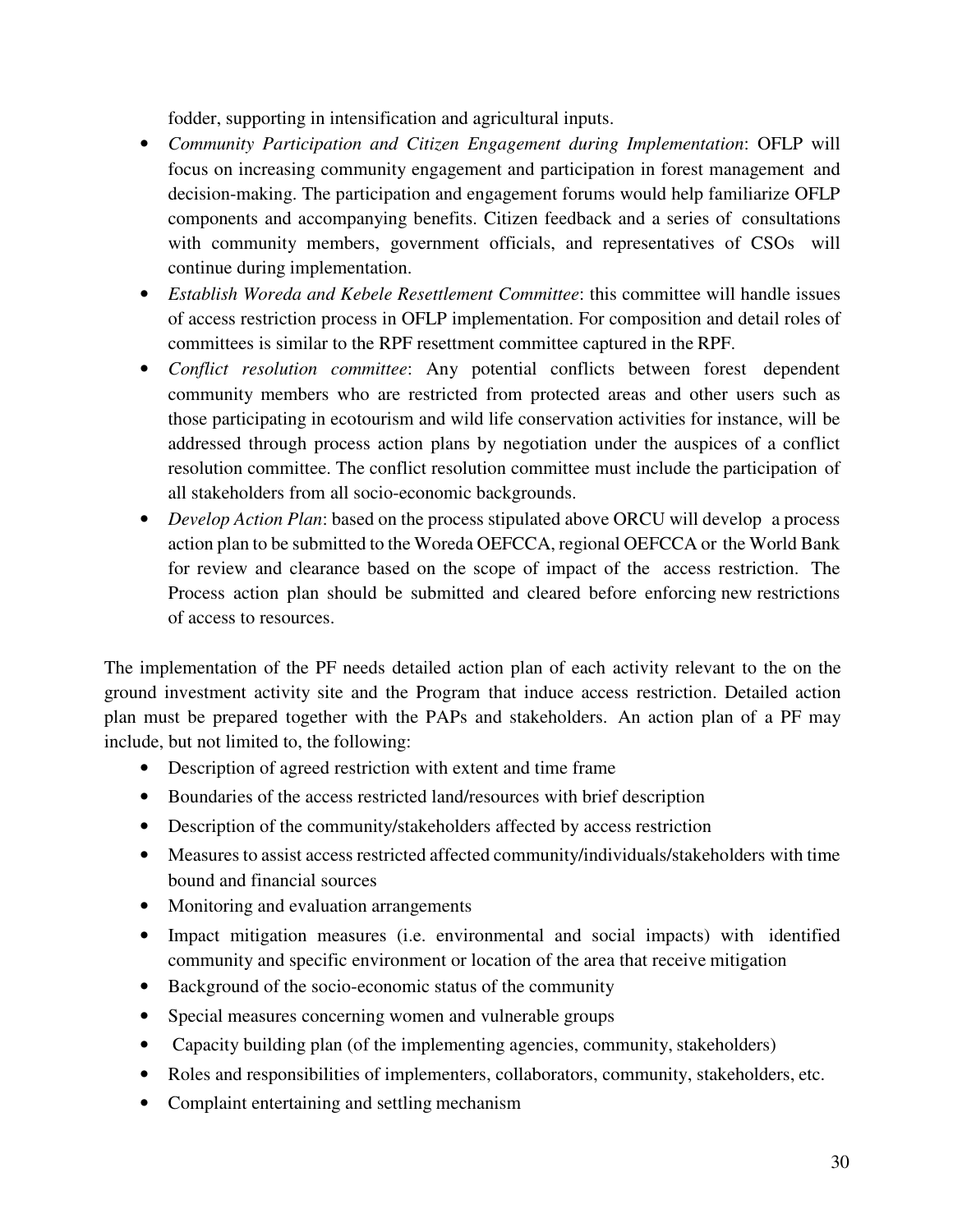fodder, supporting in intensification and agricultural inputs.

- *Community Participation and Citizen Engagement during Implementation*: OFLP will focus on increasing community engagement and participation in forest management and decision-making. The participation and engagement forums would help familiarize OFLP components and accompanying benefits. Citizen feedback and a series of consultations with community members, government officials, and representatives of CSOs will continue during implementation.
- *Establish Woreda and Kebele Resettlement Committee*: this committee will handle issues of access restriction process in OFLP implementation. For composition and detail roles of committees is similar to the RPF resettment committee captured in the RPF.
- *Conflict resolution committee*: Any potential conflicts between forest dependent community members who are restricted from protected areas and other users such as those participating in ecotourism and wild life conservation activities for instance, will be addressed through process action plans by negotiation under the auspices of a conflict resolution committee. The conflict resolution committee must include the participation of all stakeholders from all socio-economic backgrounds.
- *Develop Action Plan*: based on the process stipulated above ORCU will develop a process action plan to be submitted to the Woreda OEFCCA, regional OEFCCA or the World Bank for review and clearance based on the scope of impact of the access restriction. The Process action plan should be submitted and cleared before enforcing new restrictions of access to resources.

The implementation of the PF needs detailed action plan of each activity relevant to the on the ground investment activity site and the Program that induce access restriction. Detailed action plan must be prepared together with the PAPs and stakeholders. An action plan of a PF may include, but not limited to, the following:

- Description of agreed restriction with extent and time frame
- Boundaries of the access restricted land/resources with brief description
- Description of the community/stakeholders affected by access restriction
- Measures to assist access restricted affected community/individuals/stakeholders with time bound and financial sources
- Monitoring and evaluation arrangements
- Impact mitigation measures (i.e. environmental and social impacts) with identified community and specific environment or location of the area that receive mitigation
- Background of the socio-economic status of the community
- Special measures concerning women and vulnerable groups
- Capacity building plan (of the implementing agencies, community, stakeholders)
- Roles and responsibilities of implementers, collaborators, community, stakeholders, etc.
- Complaint entertaining and settling mechanism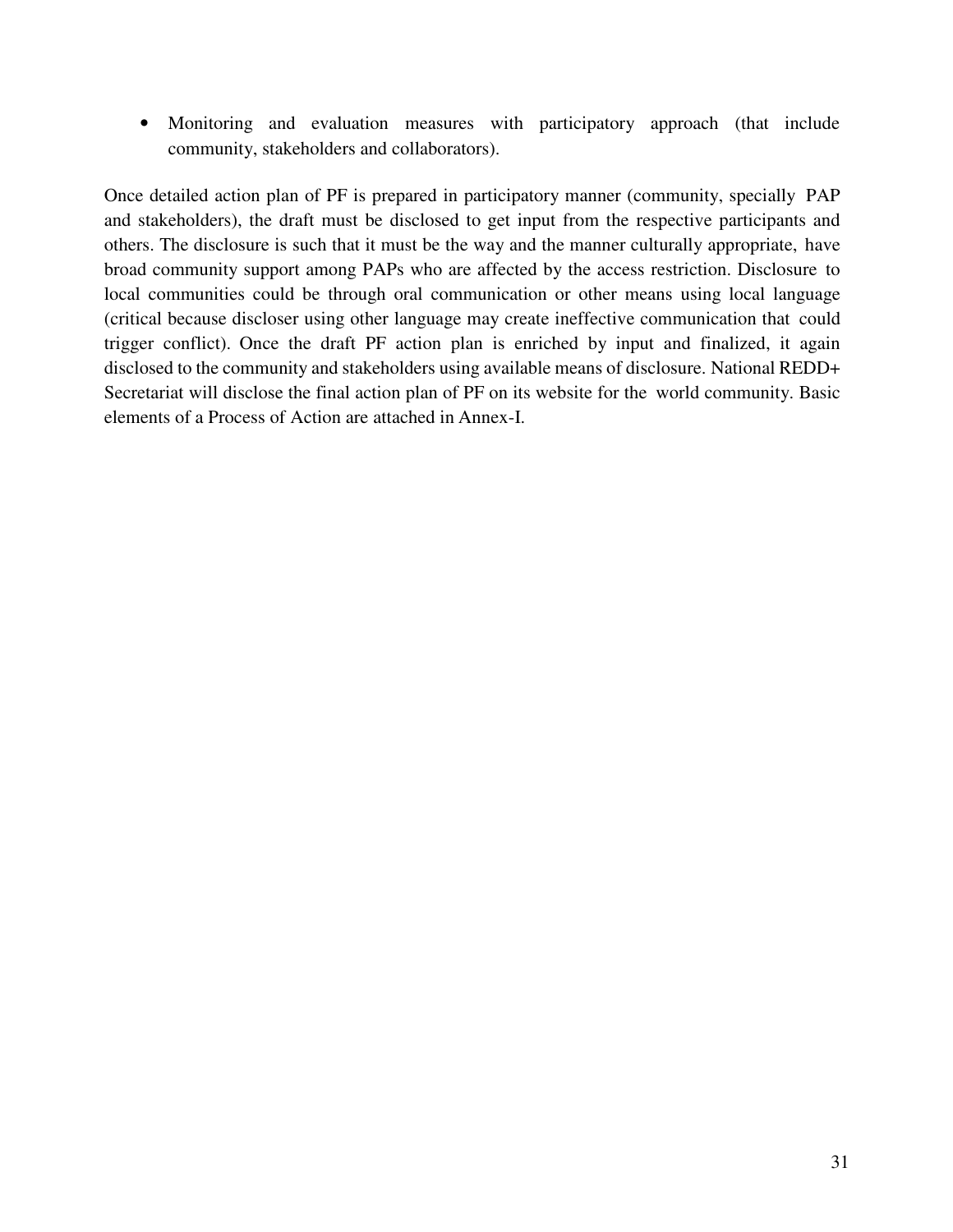• Monitoring and evaluation measures with participatory approach (that include community, stakeholders and collaborators).

Once detailed action plan of PF is prepared in participatory manner (community, specially PAP and stakeholders), the draft must be disclosed to get input from the respective participants and others. The disclosure is such that it must be the way and the manner culturally appropriate, have broad community support among PAPs who are affected by the access restriction. Disclosure to local communities could be through oral communication or other means using local language (critical because discloser using other language may create ineffective communication that could trigger conflict). Once the draft PF action plan is enriched by input and finalized, it again disclosed to the community and stakeholders using available means of disclosure. National REDD+ Secretariat will disclose the final action plan of PF on its website for the world community. Basic elements of a Process of Action are attached in Annex-I.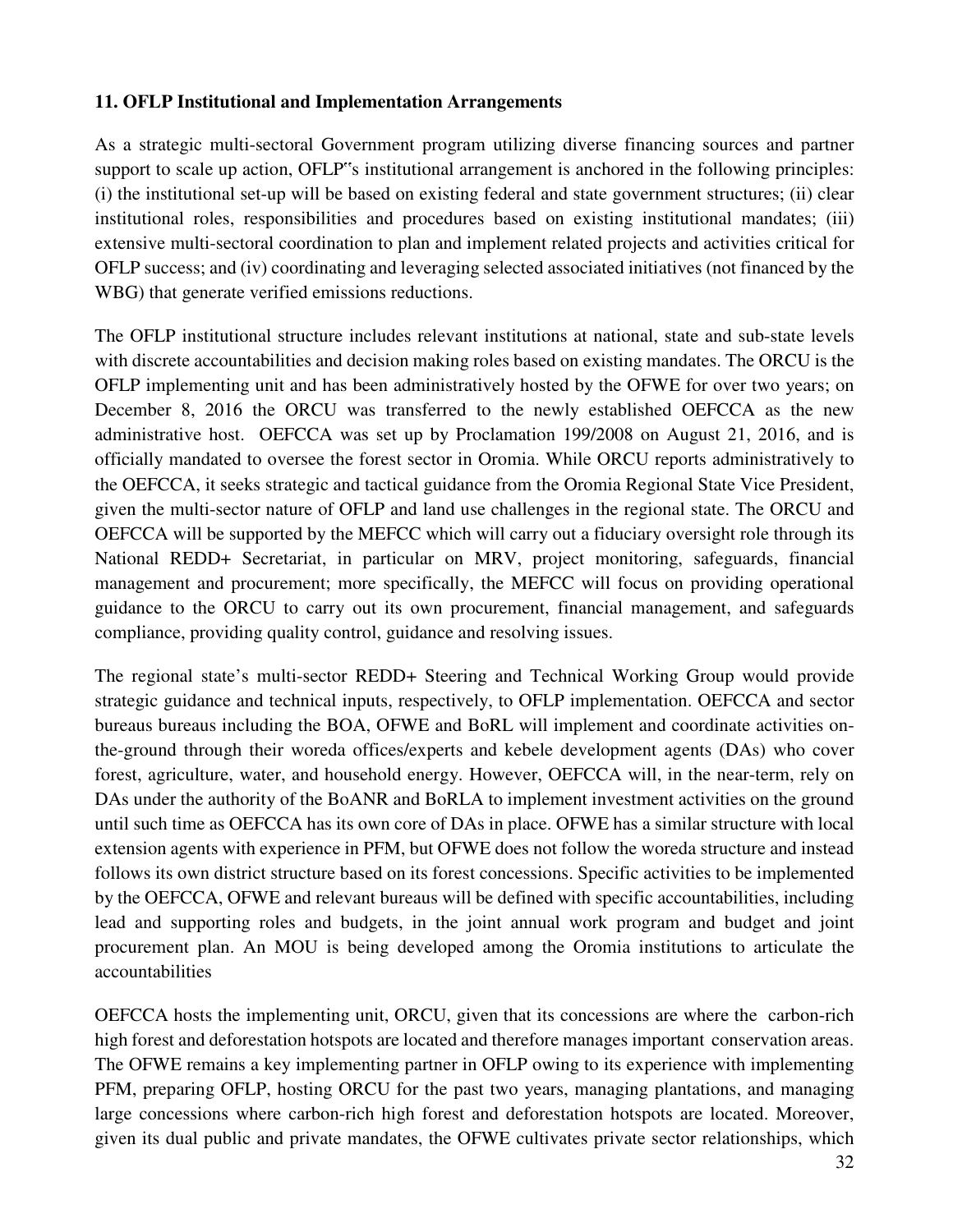## **11. OFLP Institutional and Implementation Arrangements**

As a strategic multi-sectoral Government program utilizing diverse financing sources and partner support to scale up action, OFLP"s institutional arrangement is anchored in the following principles: (i) the institutional set-up will be based on existing federal and state government structures; (ii) clear institutional roles, responsibilities and procedures based on existing institutional mandates; (iii) extensive multi-sectoral coordination to plan and implement related projects and activities critical for OFLP success; and (iv) coordinating and leveraging selected associated initiatives (not financed by the WBG) that generate verified emissions reductions.

The OFLP institutional structure includes relevant institutions at national, state and sub-state levels with discrete accountabilities and decision making roles based on existing mandates. The ORCU is the OFLP implementing unit and has been administratively hosted by the OFWE for over two years; on December 8, 2016 the ORCU was transferred to the newly established OEFCCA as the new administrative host. OEFCCA was set up by Proclamation 199/2008 on August 21, 2016, and is officially mandated to oversee the forest sector in Oromia. While ORCU reports administratively to the OEFCCA, it seeks strategic and tactical guidance from the Oromia Regional State Vice President, given the multi-sector nature of OFLP and land use challenges in the regional state. The ORCU and OEFCCA will be supported by the MEFCC which will carry out a fiduciary oversight role through its National REDD+ Secretariat, in particular on MRV, project monitoring, safeguards, financial management and procurement; more specifically, the MEFCC will focus on providing operational guidance to the ORCU to carry out its own procurement, financial management, and safeguards compliance, providing quality control, guidance and resolving issues.

The regional state's multi-sector REDD+ Steering and Technical Working Group would provide strategic guidance and technical inputs, respectively, to OFLP implementation. OEFCCA and sector bureaus bureaus including the BOA, OFWE and BoRL will implement and coordinate activities onthe-ground through their woreda offices/experts and kebele development agents (DAs) who cover forest, agriculture, water, and household energy. However, OEFCCA will, in the near-term, rely on DAs under the authority of the BoANR and BoRLA to implement investment activities on the ground until such time as OEFCCA has its own core of DAs in place. OFWE has a similar structure with local extension agents with experience in PFM, but OFWE does not follow the woreda structure and instead follows its own district structure based on its forest concessions. Specific activities to be implemented by the OEFCCA, OFWE and relevant bureaus will be defined with specific accountabilities, including lead and supporting roles and budgets, in the joint annual work program and budget and joint procurement plan. An MOU is being developed among the Oromia institutions to articulate the accountabilities

OEFCCA hosts the implementing unit, ORCU, given that its concessions are where the carbon-rich high forest and deforestation hotspots are located and therefore manages important conservation areas. The OFWE remains a key implementing partner in OFLP owing to its experience with implementing PFM, preparing OFLP, hosting ORCU for the past two years, managing plantations, and managing large concessions where carbon-rich high forest and deforestation hotspots are located. Moreover, given its dual public and private mandates, the OFWE cultivates private sector relationships, which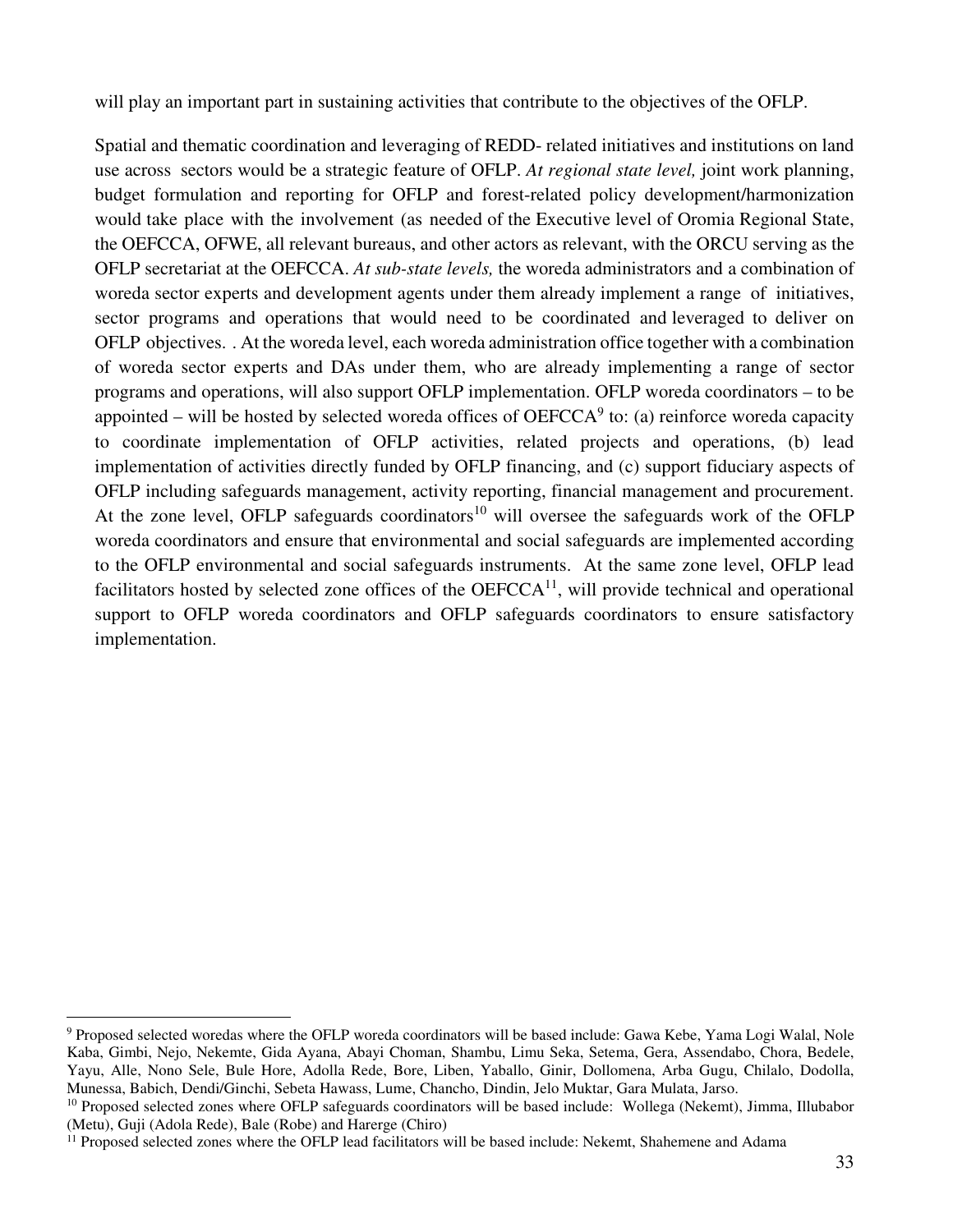will play an important part in sustaining activities that contribute to the objectives of the OFLP.

Spatial and thematic coordination and leveraging of REDD- related initiatives and institutions on land use across sectors would be a strategic feature of OFLP. *At regional state level,* joint work planning, budget formulation and reporting for OFLP and forest-related policy development/harmonization would take place with the involvement (as needed of the Executive level of Oromia Regional State, the OEFCCA, OFWE, all relevant bureaus, and other actors as relevant, with the ORCU serving as the OFLP secretariat at the OEFCCA. *At sub-state levels,* the woreda administrators and a combination of woreda sector experts and development agents under them already implement a range of initiatives, sector programs and operations that would need to be coordinated and leveraged to deliver on OFLP objectives. . At the woreda level, each woreda administration office together with a combination of woreda sector experts and DAs under them, who are already implementing a range of sector programs and operations, will also support OFLP implementation. OFLP woreda coordinators – to be appointed – will be hosted by selected woreda offices of  $OEFCCA<sup>9</sup>$  to: (a) reinforce woreda capacity to coordinate implementation of OFLP activities, related projects and operations, (b) lead implementation of activities directly funded by OFLP financing, and (c) support fiduciary aspects of OFLP including safeguards management, activity reporting, financial management and procurement. At the zone level, OFLP safeguards coordinators<sup>10</sup> will oversee the safeguards work of the OFLP woreda coordinators and ensure that environmental and social safeguards are implemented according to the OFLP environmental and social safeguards instruments. At the same zone level, OFLP lead facilitators hosted by selected zone offices of the  $OEFCCA^{11}$ , will provide technical and operational support to OFLP woreda coordinators and OFLP safeguards coordinators to ensure satisfactory implementation.

 $\overline{a}$ 

<sup>&</sup>lt;sup>9</sup> Proposed selected woredas where the OFLP woreda coordinators will be based include: Gawa Kebe, Yama Logi Walal, Nole Kaba, Gimbi, Nejo, Nekemte, Gida Ayana, Abayi Choman, Shambu, Limu Seka, Setema, Gera, Assendabo, Chora, Bedele, Yayu, Alle, Nono Sele, Bule Hore, Adolla Rede, Bore, Liben, Yaballo, Ginir, Dollomena, Arba Gugu, Chilalo, Dodolla, Munessa, Babich, Dendi/Ginchi, Sebeta Hawass, Lume, Chancho, Dindin, Jelo Muktar, Gara Mulata, Jarso.

<sup>&</sup>lt;sup>10</sup> Proposed selected zones where OFLP safeguards coordinators will be based include: Wollega (Nekemt), Jimma, Illubabor (Metu), Guji (Adola Rede), Bale (Robe) and Harerge (Chiro)

<sup>&</sup>lt;sup>11</sup> Proposed selected zones where the OFLP lead facilitators will be based include: Nekemt, Shahemene and Adama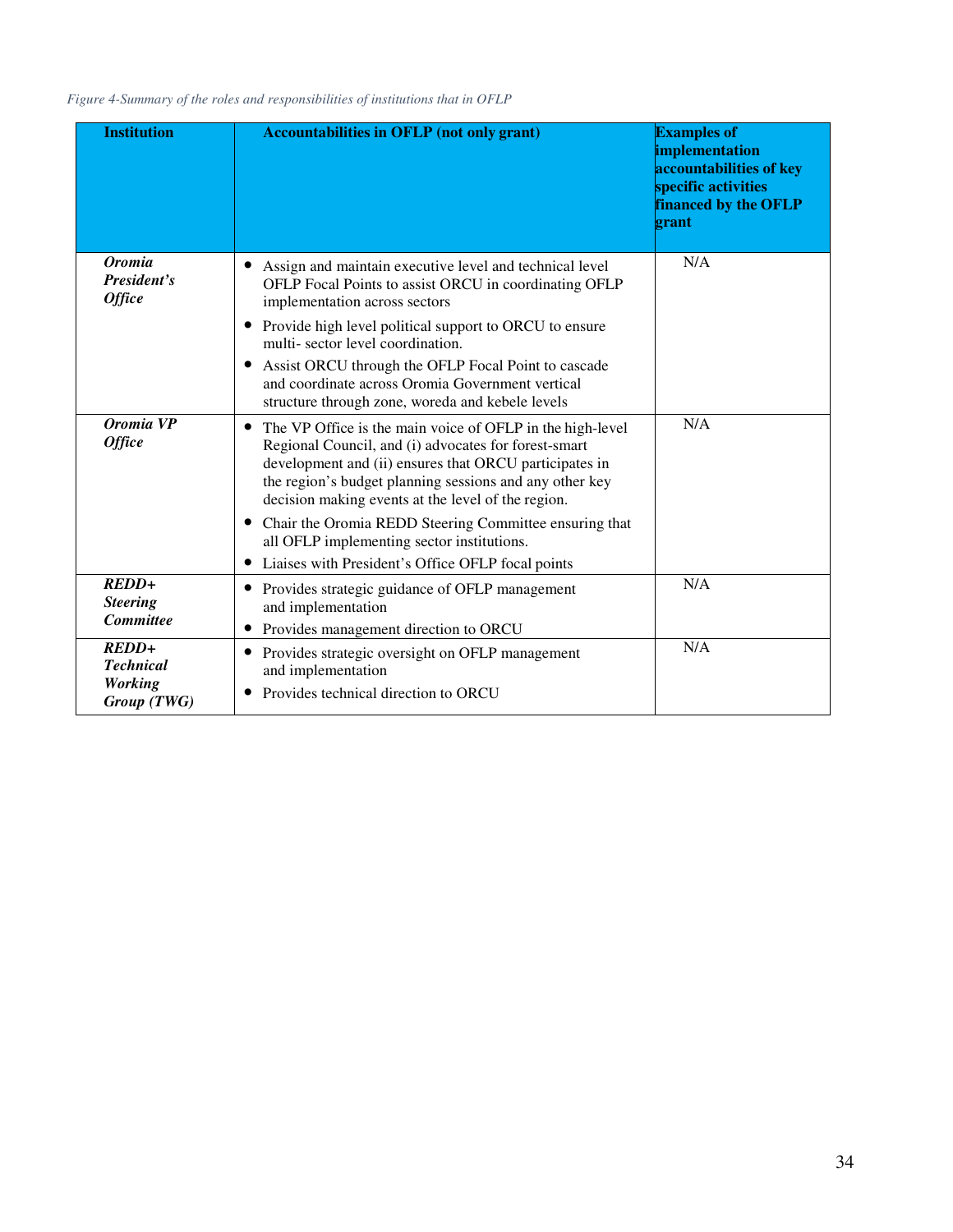*Figure 4-Summary of the roles and responsibilities of institutions that in OFLP*

| <b>Institution</b>                                           | <b>Accountabilities in OFLP (not only grant)</b>                                                                                                                                                                                                                                                          | <b>Examples of</b><br>implementation<br>accountabilities of key<br>specific activities<br>financed by the OFLP<br>grant |
|--------------------------------------------------------------|-----------------------------------------------------------------------------------------------------------------------------------------------------------------------------------------------------------------------------------------------------------------------------------------------------------|-------------------------------------------------------------------------------------------------------------------------|
| <b>Oromia</b><br>President's<br><b>Office</b>                | Assign and maintain executive level and technical level<br>OFLP Focal Points to assist ORCU in coordinating OFLP<br>implementation across sectors                                                                                                                                                         | N/A                                                                                                                     |
|                                                              | Provide high level political support to ORCU to ensure<br>$\bullet$<br>multi-sector level coordination.                                                                                                                                                                                                   |                                                                                                                         |
|                                                              | Assist ORCU through the OFLP Focal Point to cascade<br>and coordinate across Oromia Government vertical<br>structure through zone, woreda and kebele levels                                                                                                                                               |                                                                                                                         |
| Oromia VP<br><b>Office</b>                                   | The VP Office is the main voice of OFLP in the high-level<br>$\bullet$<br>Regional Council, and (i) advocates for forest-smart<br>development and (ii) ensures that ORCU participates in<br>the region's budget planning sessions and any other key<br>decision making events at the level of the region. | N/A                                                                                                                     |
|                                                              | Chair the Oromia REDD Steering Committee ensuring that<br>$\bullet$<br>all OFLP implementing sector institutions.<br>Liaises with President's Office OFLP focal points                                                                                                                                    |                                                                                                                         |
| $REDD+$<br><b>Steering</b><br><b>Committee</b>               | Provides strategic guidance of OFLP management<br>$\bullet$<br>and implementation<br>Provides management direction to ORCU                                                                                                                                                                                | N/A                                                                                                                     |
| $REDD+$<br><b>Technical</b><br><b>Working</b><br>Group (TWG) | Provides strategic oversight on OFLP management<br>and implementation<br>Provides technical direction to ORCU                                                                                                                                                                                             | N/A                                                                                                                     |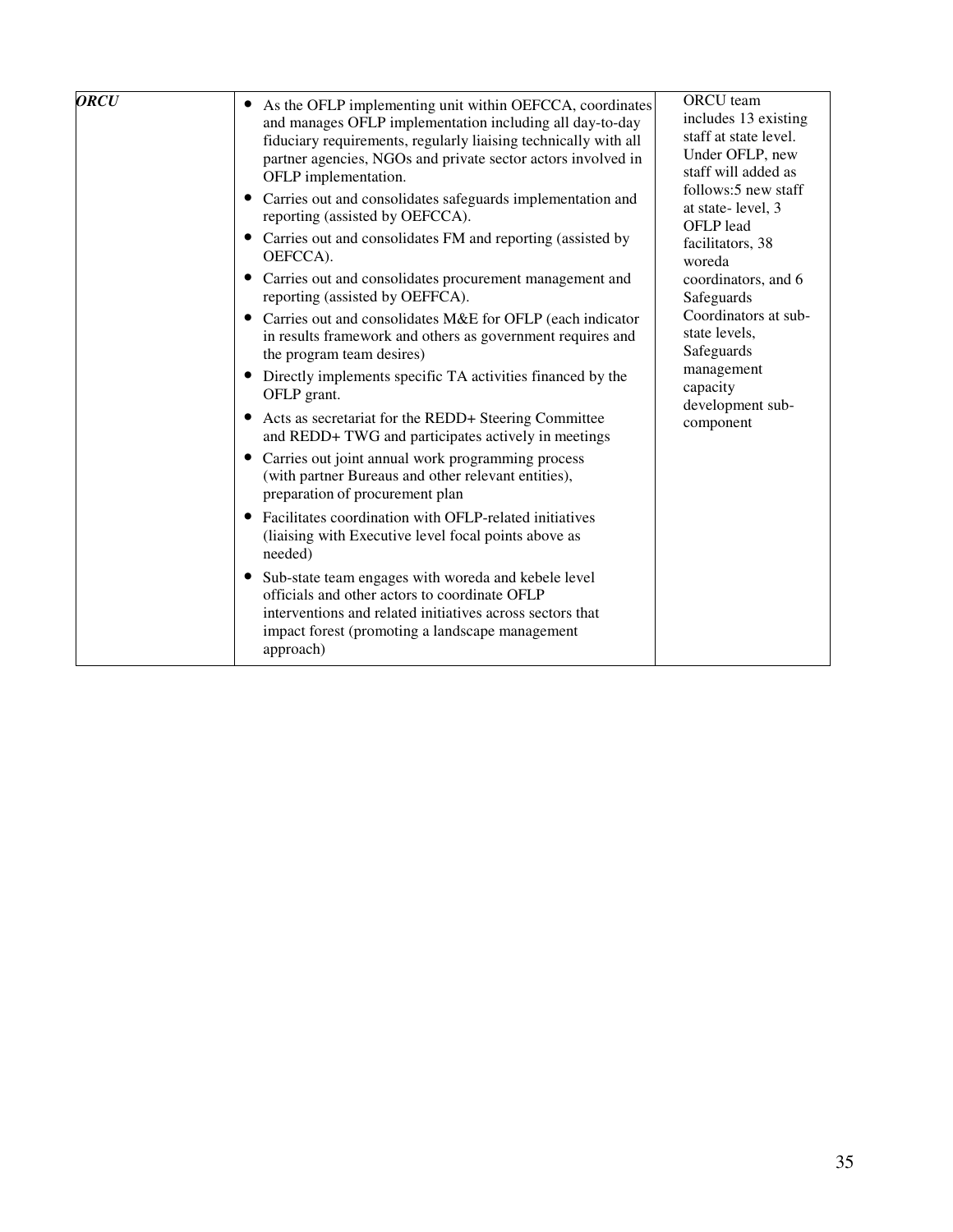| <b>ORCU</b><br>As the OFLP implementing unit within OEFCCA, coordinates<br>and manages OFLP implementation including all day-to-day<br>fiduciary requirements, regularly liaising technically with all<br>partner agencies, NGOs and private sector actors involved in<br>OFLP implementation.<br>Carries out and consolidates safeguards implementation and<br>$\bullet$<br>reporting (assisted by OEFCCA).<br>Carries out and consolidates FM and reporting (assisted by<br>OEFCCA).<br>Carries out and consolidates procurement management and<br>$\bullet$<br>reporting (assisted by OEFFCA).<br>Carries out and consolidates M&E for OFLP (each indicator<br>in results framework and others as government requires and<br>the program team desires)<br>Directly implements specific TA activities financed by the<br>OFLP grant.<br>Acts as secretariat for the REDD+ Steering Committee<br>$\bullet$<br>and REDD+ TWG and participates actively in meetings<br>Carries out joint annual work programming process<br>(with partner Bureaus and other relevant entities),<br>preparation of procurement plan<br>Facilitates coordination with OFLP-related initiatives<br>(liaising with Executive level focal points above as<br>needed)<br>Sub-state team engages with woreda and kebele level<br>$\bullet$<br>officials and other actors to coordinate OFLP<br>interventions and related initiatives across sectors that<br>impact forest (promoting a landscape management<br>approach) | ORCU team<br>includes 13 existing<br>staff at state level.<br>Under OFLP, new<br>staff will added as<br>follows:5 new staff<br>at state-level, 3<br>OFLP lead<br>facilitators, 38<br>woreda<br>coordinators, and 6<br>Safeguards<br>Coordinators at sub-<br>state levels,<br>Safeguards<br>management<br>capacity<br>development sub-<br>component |
|--------------------------------------------------------------------------------------------------------------------------------------------------------------------------------------------------------------------------------------------------------------------------------------------------------------------------------------------------------------------------------------------------------------------------------------------------------------------------------------------------------------------------------------------------------------------------------------------------------------------------------------------------------------------------------------------------------------------------------------------------------------------------------------------------------------------------------------------------------------------------------------------------------------------------------------------------------------------------------------------------------------------------------------------------------------------------------------------------------------------------------------------------------------------------------------------------------------------------------------------------------------------------------------------------------------------------------------------------------------------------------------------------------------------------------------------------------------------------------------------------|----------------------------------------------------------------------------------------------------------------------------------------------------------------------------------------------------------------------------------------------------------------------------------------------------------------------------------------------------|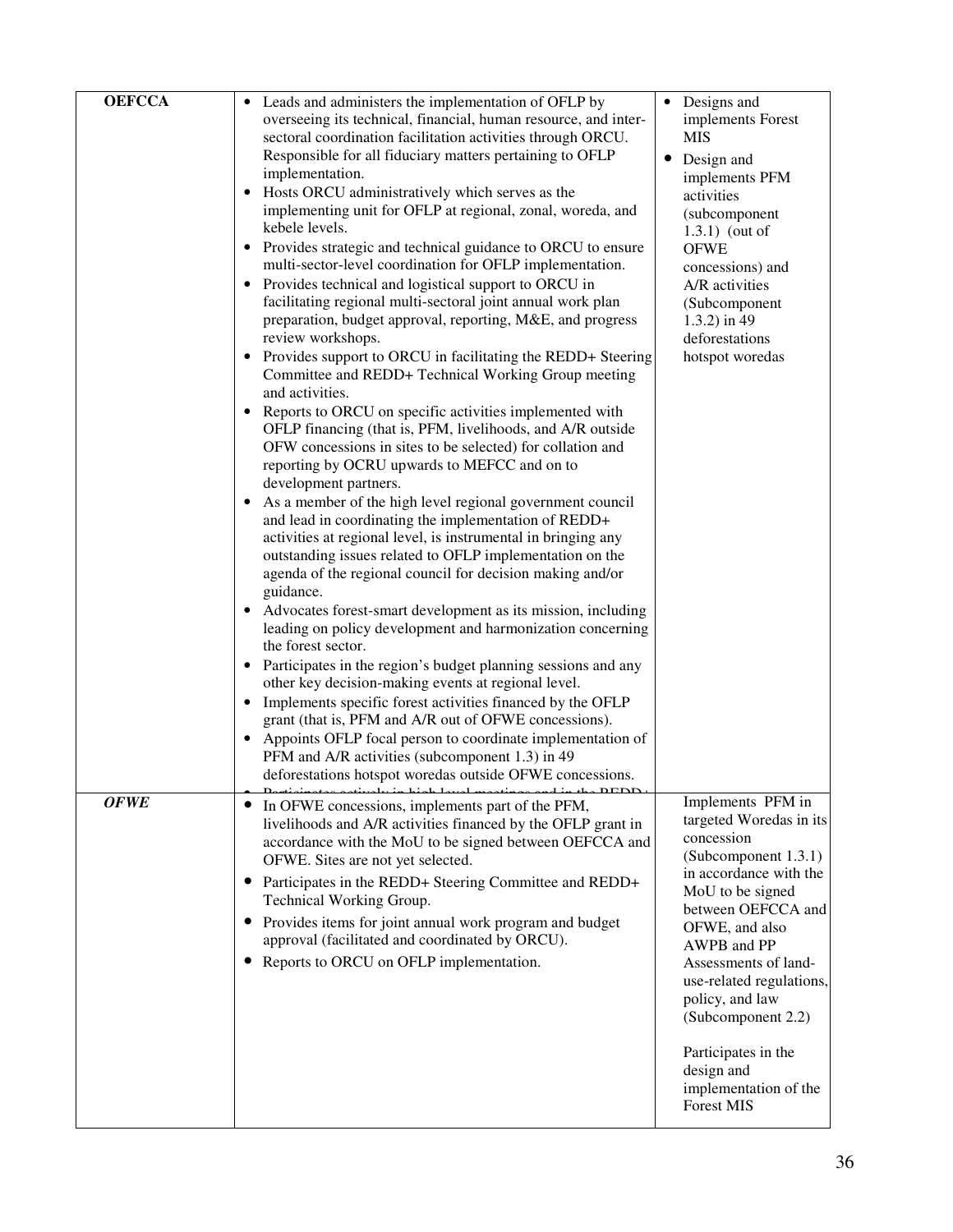| <b>OEFCCA</b> | • Leads and administers the implementation of OFLP by                                                                          | • Designs and                                  |
|---------------|--------------------------------------------------------------------------------------------------------------------------------|------------------------------------------------|
|               | overseeing its technical, financial, human resource, and inter-<br>sectoral coordination facilitation activities through ORCU. | implements Forest<br>MIS                       |
|               | Responsible for all fiduciary matters pertaining to OFLP                                                                       | Design and<br>$\bullet$                        |
|               | implementation.                                                                                                                | implements PFM                                 |
|               | Hosts ORCU administratively which serves as the<br>implementing unit for OFLP at regional, zonal, woreda, and                  | activities                                     |
|               | kebele levels.                                                                                                                 | (subcomponent<br>$1.3.1)$ (out of              |
|               | Provides strategic and technical guidance to ORCU to ensure                                                                    | <b>OFWE</b>                                    |
|               | multi-sector-level coordination for OFLP implementation.<br>Provides technical and logistical support to ORCU in               | concessions) and                               |
|               | facilitating regional multi-sectoral joint annual work plan                                                                    | A/R activities<br>(Subcomponent                |
|               | preparation, budget approval, reporting, M&E, and progress                                                                     | $1.3.2$ ) in 49                                |
|               | review workshops.<br>• Provides support to ORCU in facilitating the REDD+ Steering                                             | deforestations<br>hotspot woredas              |
|               | Committee and REDD+ Technical Working Group meeting<br>and activities.                                                         |                                                |
|               | Reports to ORCU on specific activities implemented with<br>$\bullet$                                                           |                                                |
|               | OFLP financing (that is, PFM, livelihoods, and A/R outside<br>OFW concessions in sites to be selected) for collation and       |                                                |
|               | reporting by OCRU upwards to MEFCC and on to<br>development partners.                                                          |                                                |
|               | As a member of the high level regional government council                                                                      |                                                |
|               | and lead in coordinating the implementation of REDD+<br>activities at regional level, is instrumental in bringing any          |                                                |
|               | outstanding issues related to OFLP implementation on the                                                                       |                                                |
|               | agenda of the regional council for decision making and/or                                                                      |                                                |
|               | guidance.<br>Advocates forest-smart development as its mission, including                                                      |                                                |
|               | leading on policy development and harmonization concerning<br>the forest sector.                                               |                                                |
|               | • Participates in the region's budget planning sessions and any                                                                |                                                |
|               | other key decision-making events at regional level.<br>• Implements specific forest activities financed by the OFLP            |                                                |
|               | grant (that is, PFM and A/R out of OFWE concessions).                                                                          |                                                |
|               | Appoints OFLP focal person to coordinate implementation of                                                                     |                                                |
|               | PFM and A/R activities (subcomponent 1.3) in 49<br>deforestations hotspot woredas outside OFWE concessions.                    |                                                |
| <b>OFWE</b>   |                                                                                                                                | Implements PFM in                              |
|               | • In OFWE concessions, implements part of the PFM,<br>livelihoods and A/R activities financed by the OFLP grant in             | targeted Woredas in its                        |
|               | accordance with the MoU to be signed between OEFCCA and                                                                        | concession                                     |
|               | OFWE. Sites are not yet selected.                                                                                              | (Subcomponent 1.3.1)<br>in accordance with the |
|               | • Participates in the REDD+ Steering Committee and REDD+<br>Technical Working Group.                                           | MoU to be signed                               |
|               | Provides items for joint annual work program and budget                                                                        | between OEFCCA and                             |
|               | approval (facilitated and coordinated by ORCU).                                                                                | OFWE, and also<br>AWPB and PP                  |
|               | Reports to ORCU on OFLP implementation.                                                                                        | Assessments of land-                           |
|               |                                                                                                                                | use-related regulations,<br>policy, and law    |
|               |                                                                                                                                | (Subcomponent 2.2)                             |
|               |                                                                                                                                |                                                |
|               |                                                                                                                                | Participates in the<br>design and              |
|               |                                                                                                                                | implementation of the                          |
|               |                                                                                                                                | <b>Forest MIS</b>                              |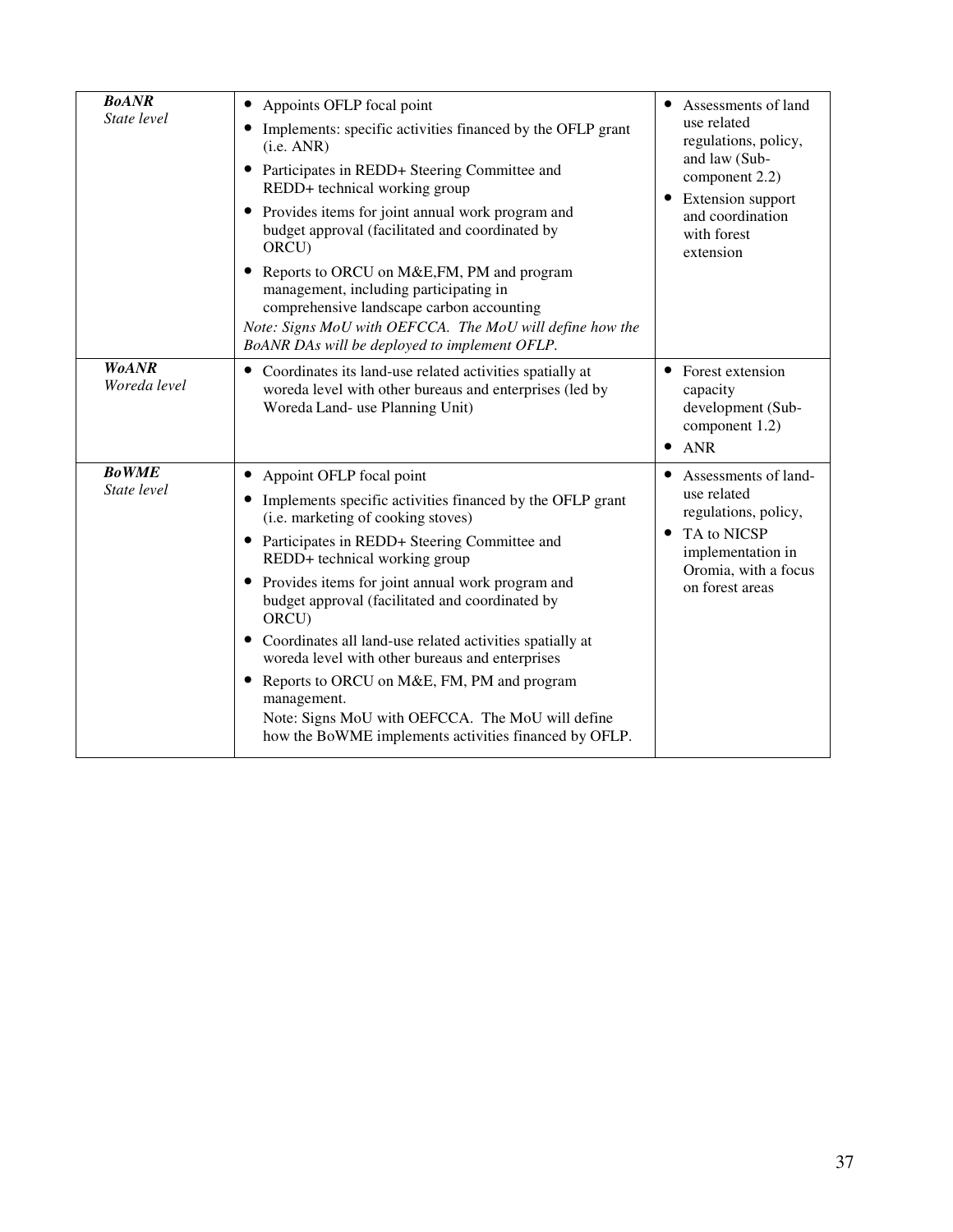| <b>BoANR</b><br>State level  | Appoints OFLP focal point<br>$\bullet$<br>Implements: specific activities financed by the OFLP grant<br>(i.e. ANR)<br>Participates in REDD+ Steering Committee and<br>REDD+ technical working group<br>• Provides items for joint annual work program and<br>budget approval (facilitated and coordinated by<br>ORCU)<br>Reports to ORCU on M&E, FM, PM and program<br>management, including participating in<br>comprehensive landscape carbon accounting<br>Note: Signs MoU with OEFCCA. The MoU will define how the<br>BoANR DAs will be deployed to implement OFLP.                                                         | Assessments of land<br>$\bullet$<br>use related<br>regulations, policy,<br>and law (Sub-<br>component 2.2)<br>Extension support<br>and coordination<br>with forest<br>extension |
|------------------------------|---------------------------------------------------------------------------------------------------------------------------------------------------------------------------------------------------------------------------------------------------------------------------------------------------------------------------------------------------------------------------------------------------------------------------------------------------------------------------------------------------------------------------------------------------------------------------------------------------------------------------------|---------------------------------------------------------------------------------------------------------------------------------------------------------------------------------|
| <b>WoANR</b><br>Woreda level | • Coordinates its land-use related activities spatially at<br>woreda level with other bureaus and enterprises (led by<br>Woreda Land- use Planning Unit)                                                                                                                                                                                                                                                                                                                                                                                                                                                                        | • Forest extension<br>capacity<br>development (Sub-<br>component 1.2)<br><b>ANR</b><br>$\bullet$                                                                                |
| <b>BoWME</b><br>State level  | • Appoint OFLP focal point<br>• Implements specific activities financed by the OFLP grant<br>(i.e. marketing of cooking stoves)<br>• Participates in REDD+ Steering Committee and<br>REDD+ technical working group<br>• Provides items for joint annual work program and<br>budget approval (facilitated and coordinated by<br>ORCU)<br>• Coordinates all land-use related activities spatially at<br>woreda level with other bureaus and enterprises<br>Reports to ORCU on M&E, FM, PM and program<br>management.<br>Note: Signs MoU with OEFCCA. The MoU will define<br>how the BoWME implements activities financed by OFLP. | Assessments of land-<br>$\bullet$<br>use related<br>regulations, policy,<br>TA to NICSP<br>$\bullet$<br>implementation in<br>Oromia, with a focus<br>on forest areas            |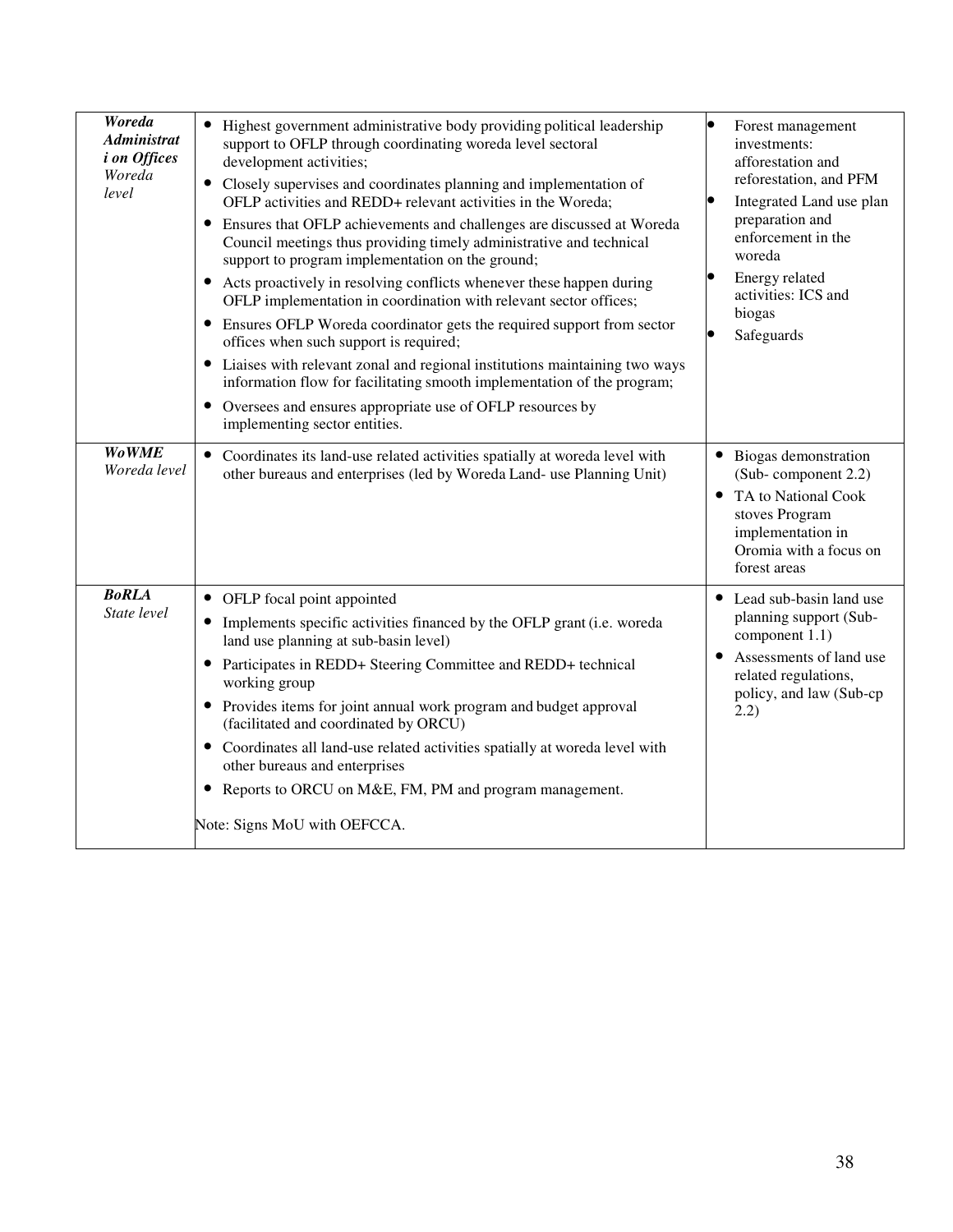| Woreda<br><b>Administrat</b><br><i>i</i> on Offices<br>Woreda<br>level | • Highest government administrative body providing political leadership<br>support to OFLP through coordinating woreda level sectoral<br>development activities;<br>• Closely supervises and coordinates planning and implementation of<br>OFLP activities and REDD+ relevant activities in the Woreda;<br>• Ensures that OFLP achievements and challenges are discussed at Woreda<br>Council meetings thus providing timely administrative and technical<br>support to program implementation on the ground;<br>• Acts proactively in resolving conflicts whenever these happen during<br>OFLP implementation in coordination with relevant sector offices;<br>• Ensures OFLP Woreda coordinator gets the required support from sector<br>offices when such support is required;<br>• Liaises with relevant zonal and regional institutions maintaining two ways<br>information flow for facilitating smooth implementation of the program;<br>• Oversees and ensures appropriate use of OFLP resources by<br>implementing sector entities. | $\bullet$<br>Forest management<br>investments:<br>afforestation and<br>reforestation, and PFM<br>Integrated Land use plan<br>preparation and<br>enforcement in the<br>woreda<br>Energy related<br>activities: ICS and<br>biogas<br>Safeguards |
|------------------------------------------------------------------------|----------------------------------------------------------------------------------------------------------------------------------------------------------------------------------------------------------------------------------------------------------------------------------------------------------------------------------------------------------------------------------------------------------------------------------------------------------------------------------------------------------------------------------------------------------------------------------------------------------------------------------------------------------------------------------------------------------------------------------------------------------------------------------------------------------------------------------------------------------------------------------------------------------------------------------------------------------------------------------------------------------------------------------------------|-----------------------------------------------------------------------------------------------------------------------------------------------------------------------------------------------------------------------------------------------|
| <b>Wo WME</b><br>Woreda level                                          | • Coordinates its land-use related activities spatially at woreda level with<br>other bureaus and enterprises (led by Woreda Land- use Planning Unit)                                                                                                                                                                                                                                                                                                                                                                                                                                                                                                                                                                                                                                                                                                                                                                                                                                                                                        | • Biogas demonstration<br>(Sub-component 2.2)<br>TA to National Cook<br>stoves Program<br>implementation in<br>Oromia with a focus on<br>forest areas                                                                                         |
| <b>BoRLA</b><br>State level                                            | • OFLP focal point appointed<br>• Implements specific activities financed by the OFLP grant (i.e. woreda<br>land use planning at sub-basin level)<br>• Participates in REDD+ Steering Committee and REDD+ technical<br>working group<br>• Provides items for joint annual work program and budget approval<br>(facilitated and coordinated by ORCU)<br>• Coordinates all land-use related activities spatially at woreda level with<br>other bureaus and enterprises<br>• Reports to ORCU on M&E, FM, PM and program management.<br>Note: Signs MoU with OEFCCA.                                                                                                                                                                                                                                                                                                                                                                                                                                                                             | • Lead sub-basin land use<br>planning support (Sub-<br>component 1.1)<br>Assessments of land use<br>related regulations,<br>policy, and law (Sub-cp<br>2.2)                                                                                   |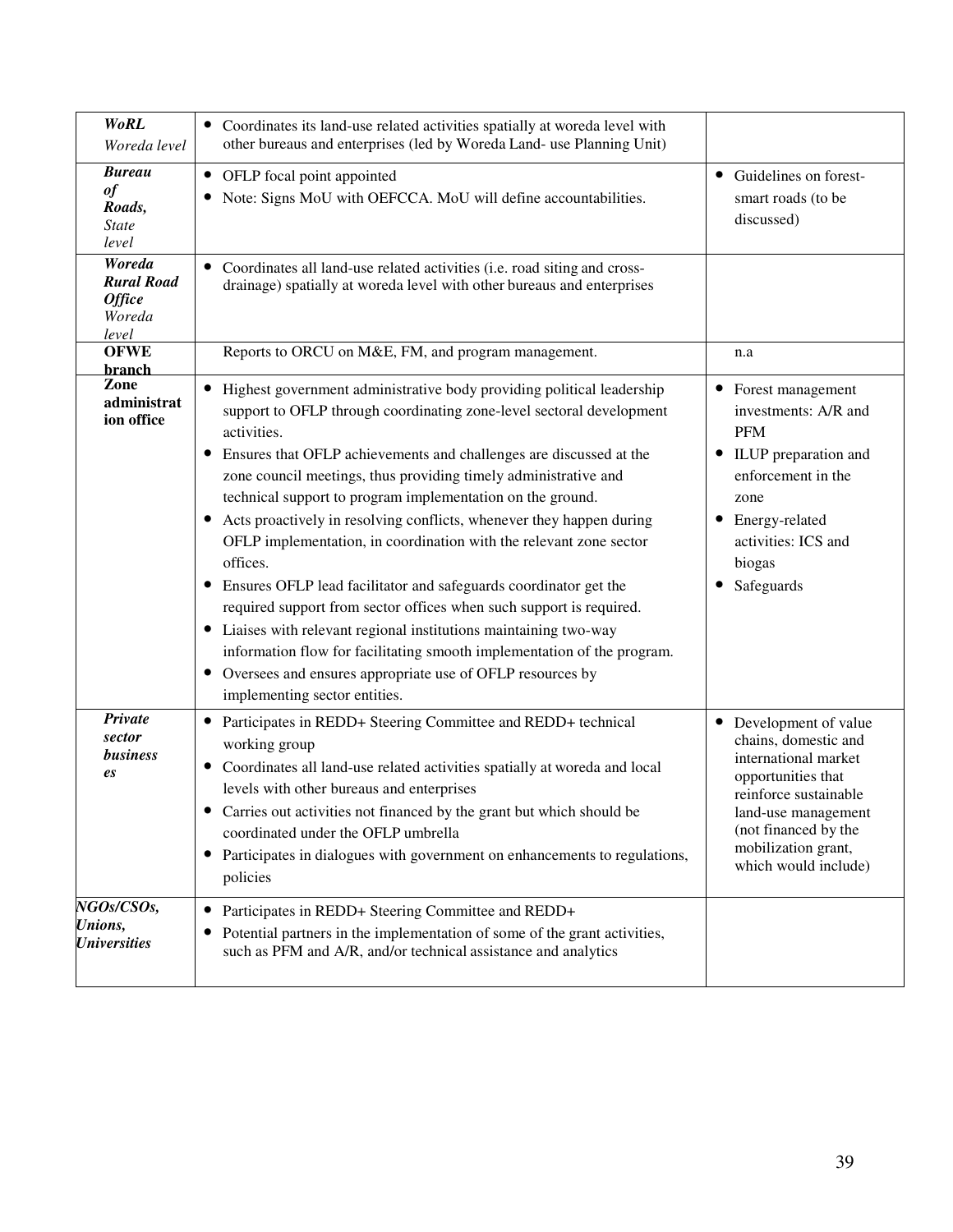| <b>WoRL</b><br>Woreda level                                     | • Coordinates its land-use related activities spatially at woreda level with<br>other bureaus and enterprises (led by Woreda Land- use Planning Unit)                                                                                                                                                                                                                                                                                                                                                                                                                                                                                                                                                                                                                                                                                                                                                                            |                                                                                                                                                                                                                     |
|-----------------------------------------------------------------|----------------------------------------------------------------------------------------------------------------------------------------------------------------------------------------------------------------------------------------------------------------------------------------------------------------------------------------------------------------------------------------------------------------------------------------------------------------------------------------------------------------------------------------------------------------------------------------------------------------------------------------------------------------------------------------------------------------------------------------------------------------------------------------------------------------------------------------------------------------------------------------------------------------------------------|---------------------------------------------------------------------------------------------------------------------------------------------------------------------------------------------------------------------|
| <b>Bureau</b><br>of<br>Roads,<br><i>State</i><br>level          | • OFLP focal point appointed<br>Note: Signs MoU with OEFCCA. MoU will define accountabilities.                                                                                                                                                                                                                                                                                                                                                                                                                                                                                                                                                                                                                                                                                                                                                                                                                                   | • Guidelines on forest-<br>smart roads (to be<br>discussed)                                                                                                                                                         |
| Woreda<br><b>Rural Road</b><br><b>Office</b><br>Woreda<br>level | • Coordinates all land-use related activities (i.e. road siting and cross-<br>drainage) spatially at woreda level with other bureaus and enterprises                                                                                                                                                                                                                                                                                                                                                                                                                                                                                                                                                                                                                                                                                                                                                                             |                                                                                                                                                                                                                     |
| <b>OFWE</b><br>branch                                           | Reports to ORCU on M&E, FM, and program management.                                                                                                                                                                                                                                                                                                                                                                                                                                                                                                                                                                                                                                                                                                                                                                                                                                                                              | n.a                                                                                                                                                                                                                 |
| Zone<br>administrat<br>ion office                               | • Highest government administrative body providing political leadership<br>support to OFLP through coordinating zone-level sectoral development<br>activities.<br>• Ensures that OFLP achievements and challenges are discussed at the<br>zone council meetings, thus providing timely administrative and<br>technical support to program implementation on the ground.<br>• Acts proactively in resolving conflicts, whenever they happen during<br>OFLP implementation, in coordination with the relevant zone sector<br>offices.<br>• Ensures OFLP lead facilitator and safeguards coordinator get the<br>required support from sector offices when such support is required.<br>• Liaises with relevant regional institutions maintaining two-way<br>information flow for facilitating smooth implementation of the program.<br>• Oversees and ensures appropriate use of OFLP resources by<br>implementing sector entities. | • Forest management<br>investments: A/R and<br><b>PFM</b><br>• ILUP preparation and<br>enforcement in the<br>zone<br>Energy-related<br>$\bullet$<br>activities: ICS and<br>biogas<br>Safeguards                     |
| Private<br>sector<br>business<br>es                             | • Participates in REDD+ Steering Committee and REDD+ technical<br>working group<br>Coordinates all land-use related activities spatially at woreda and local<br>$\bullet$<br>levels with other bureaus and enterprises<br>Carries out activities not financed by the grant but which should be<br>coordinated under the OFLP umbrella<br>• Participates in dialogues with government on enhancements to regulations,<br>policies                                                                                                                                                                                                                                                                                                                                                                                                                                                                                                 | • Development of value<br>chains, domestic and<br>international market<br>opportunities that<br>reinforce sustainable<br>land-use management<br>(not financed by the<br>mobilization grant,<br>which would include) |
| NGOs/CSOs,<br>Unions,<br><b>Universities</b>                    | Participates in REDD+ Steering Committee and REDD+<br>$\bullet$<br>Potential partners in the implementation of some of the grant activities,<br>such as PFM and A/R, and/or technical assistance and analytics                                                                                                                                                                                                                                                                                                                                                                                                                                                                                                                                                                                                                                                                                                                   |                                                                                                                                                                                                                     |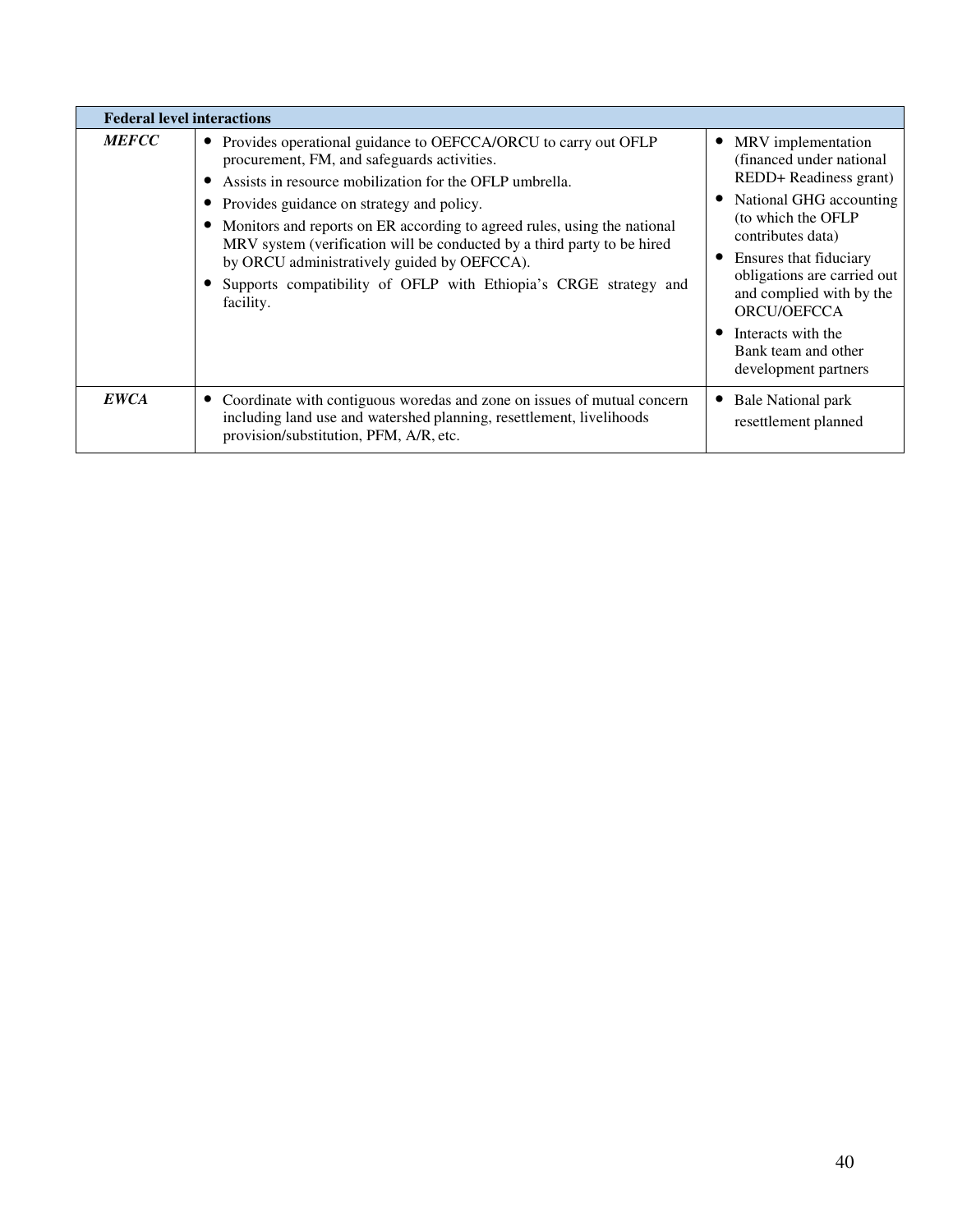| <b>Federal level interactions</b> |                                                                                                                                                                                                                                                                                                                                                                                                                                                                                                                |                                                                                                                                                                                                                                                                                                                          |  |  |  |  |  |  |  |
|-----------------------------------|----------------------------------------------------------------------------------------------------------------------------------------------------------------------------------------------------------------------------------------------------------------------------------------------------------------------------------------------------------------------------------------------------------------------------------------------------------------------------------------------------------------|--------------------------------------------------------------------------------------------------------------------------------------------------------------------------------------------------------------------------------------------------------------------------------------------------------------------------|--|--|--|--|--|--|--|
| <b>MEFCC</b>                      | Provides operational guidance to OEFCCA/ORCU to carry out OFLP<br>procurement, FM, and safeguards activities.<br>Assists in resource mobilization for the OFLP umbrella.<br>• Provides guidance on strategy and policy.<br>Monitors and reports on ER according to agreed rules, using the national<br>MRV system (verification will be conducted by a third party to be hired<br>by ORCU administratively guided by OEFCCA).<br>Supports compatibility of OFLP with Ethiopia's CRGE strategy and<br>facility. | MRV implementation<br>(financed under national)<br>REDD+ Readiness grant)<br>National GHG accounting<br>(to which the OFLP<br>contributes data)<br>Ensures that fiduciary<br>obligations are carried out<br>and complied with by the<br>ORCU/OEFCCA<br>Interacts with the<br>Bank team and other<br>development partners |  |  |  |  |  |  |  |
| <b>EWCA</b>                       | Coordinate with contiguous woredas and zone on issues of mutual concern<br>including land use and watershed planning, resettlement, livelihoods<br>provision/substitution, PFM, A/R, etc.                                                                                                                                                                                                                                                                                                                      | Bale National park<br>resettlement planned                                                                                                                                                                                                                                                                               |  |  |  |  |  |  |  |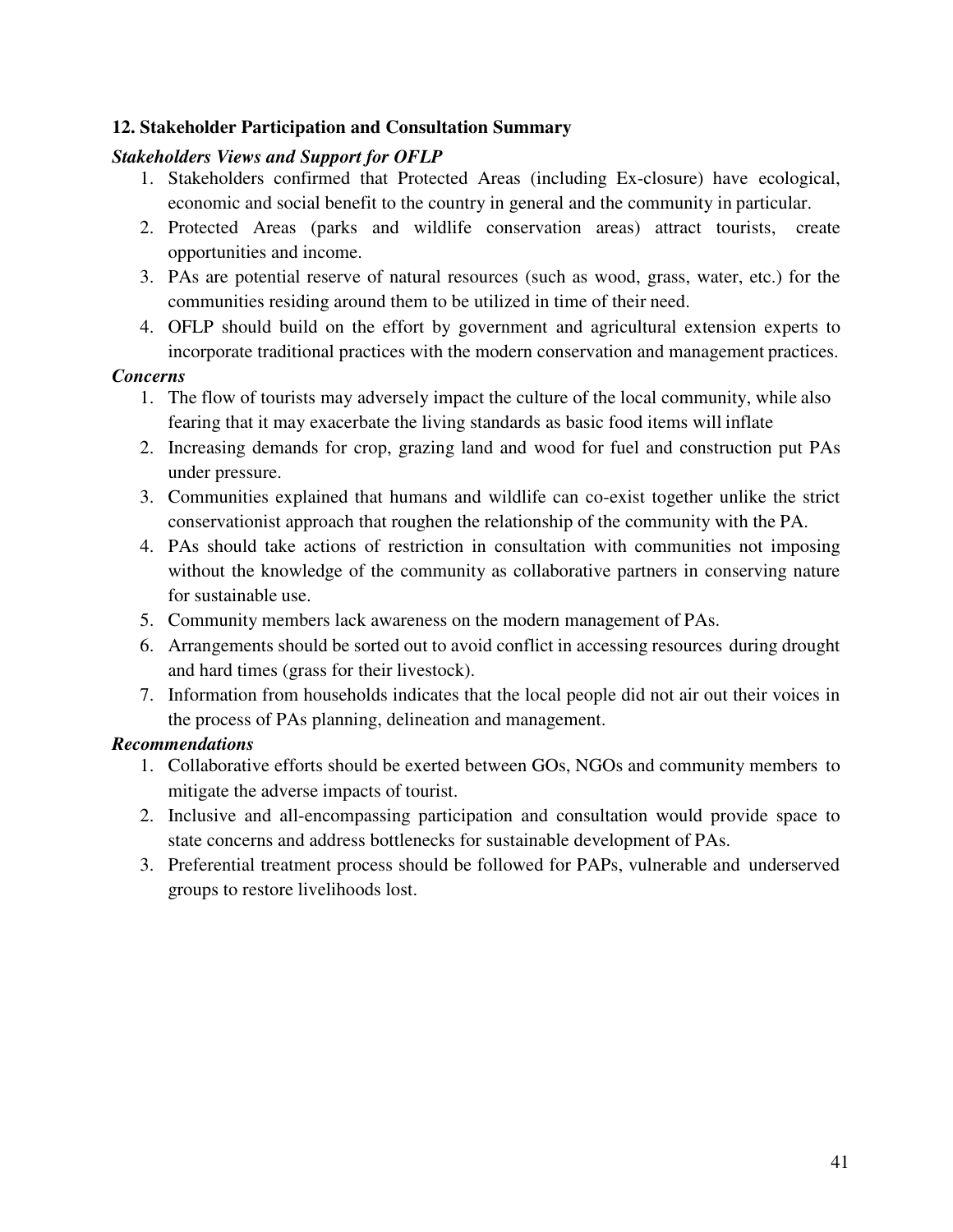## **12. Stakeholder Participation and Consultation Summary**

## *Stakeholders Views and Support for OFLP*

- 1. Stakeholders confirmed that Protected Areas (including Ex-closure) have ecological, economic and social benefit to the country in general and the community in particular.
- 2. Protected Areas (parks and wildlife conservation areas) attract tourists, create opportunities and income.
- 3. PAs are potential reserve of natural resources (such as wood, grass, water, etc.) for the communities residing around them to be utilized in time of their need.
- 4. OFLP should build on the effort by government and agricultural extension experts to incorporate traditional practices with the modern conservation and management practices.

### *Concerns*

- 1. The flow of tourists may adversely impact the culture of the local community, while also fearing that it may exacerbate the living standards as basic food items will inflate
- 2. Increasing demands for crop, grazing land and wood for fuel and construction put PAs under pressure.
- 3. Communities explained that humans and wildlife can co-exist together unlike the strict conservationist approach that roughen the relationship of the community with the PA.
- 4. PAs should take actions of restriction in consultation with communities not imposing without the knowledge of the community as collaborative partners in conserving nature for sustainable use.
- 5. Community members lack awareness on the modern management of PAs.
- 6. Arrangements should be sorted out to avoid conflict in accessing resources during drought and hard times (grass for their livestock).
- 7. Information from households indicates that the local people did not air out their voices in the process of PAs planning, delineation and management.

### *Recommendations*

- 1. Collaborative efforts should be exerted between GOs, NGOs and community members to mitigate the adverse impacts of tourist.
- 2. Inclusive and all-encompassing participation and consultation would provide space to state concerns and address bottlenecks for sustainable development of PAs.
- 3. Preferential treatment process should be followed for PAPs, vulnerable and underserved groups to restore livelihoods lost.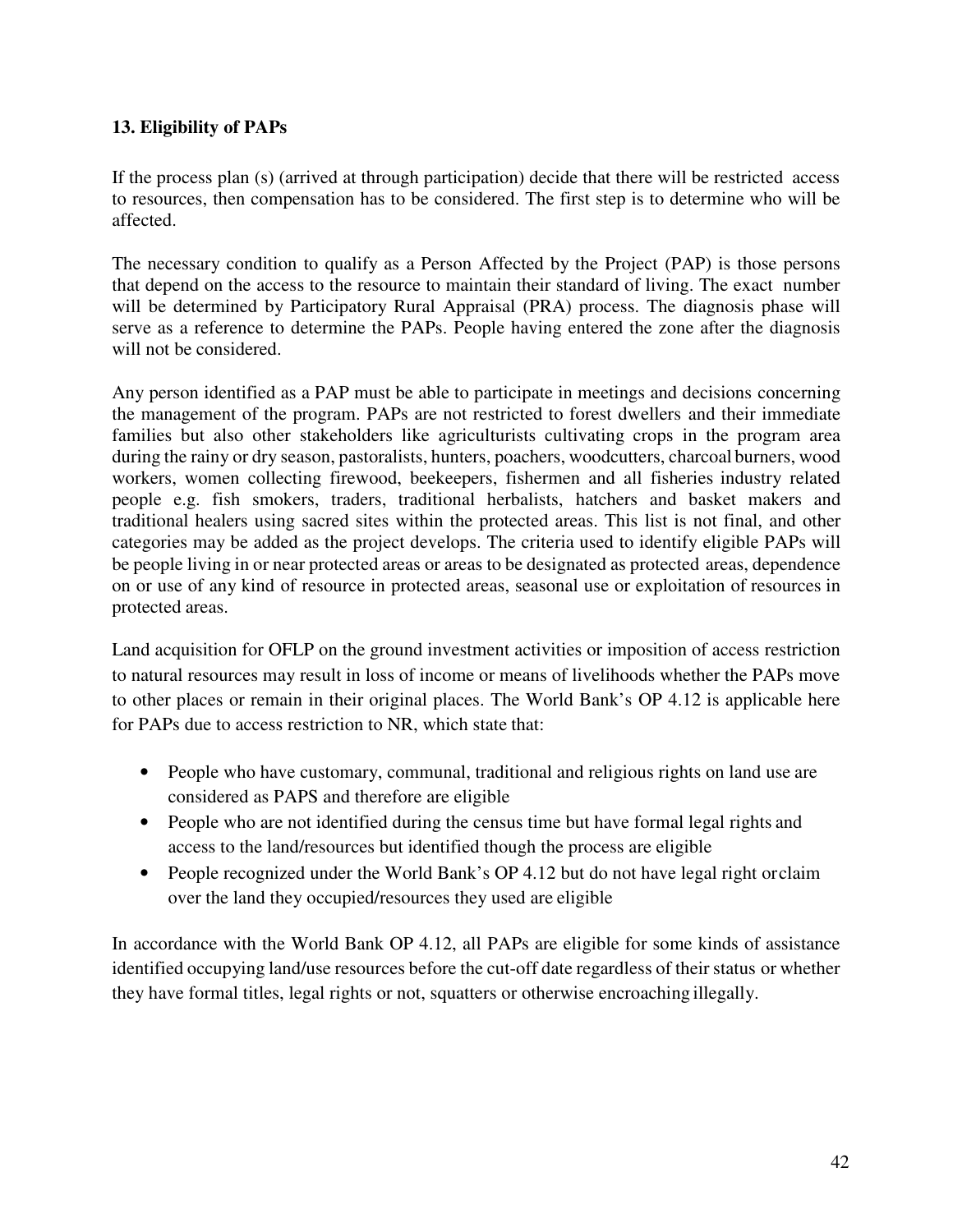## **13. Eligibility of PAPs**

If the process plan (s) (arrived at through participation) decide that there will be restricted access to resources, then compensation has to be considered. The first step is to determine who will be affected.

The necessary condition to qualify as a Person Affected by the Project (PAP) is those persons that depend on the access to the resource to maintain their standard of living. The exact number will be determined by Participatory Rural Appraisal (PRA) process. The diagnosis phase will serve as a reference to determine the PAPs. People having entered the zone after the diagnosis will not be considered.

Any person identified as a PAP must be able to participate in meetings and decisions concerning the management of the program. PAPs are not restricted to forest dwellers and their immediate families but also other stakeholders like agriculturists cultivating crops in the program area during the rainy or dry season, pastoralists, hunters, poachers, woodcutters, charcoal burners, wood workers, women collecting firewood, beekeepers, fishermen and all fisheries industry related people e.g. fish smokers, traders, traditional herbalists, hatchers and basket makers and traditional healers using sacred sites within the protected areas. This list is not final, and other categories may be added as the project develops. The criteria used to identify eligible PAPs will be people living in or near protected areas or areas to be designated as protected areas, dependence on or use of any kind of resource in protected areas, seasonal use or exploitation of resources in protected areas.

Land acquisition for OFLP on the ground investment activities or imposition of access restriction to natural resources may result in loss of income or means of livelihoods whether the PAPs move to other places or remain in their original places. The World Bank's OP 4.12 is applicable here for PAPs due to access restriction to NR, which state that:

- People who have customary, communal, traditional and religious rights on land use are considered as PAPS and therefore are eligible
- People who are not identified during the census time but have formal legal rights and access to the land/resources but identified though the process are eligible
- People recognized under the World Bank's OP 4.12 but do not have legal right or claim over the land they occupied/resources they used are eligible

In accordance with the World Bank OP 4.12, all PAPs are eligible for some kinds of assistance identified occupying land/use resources before the cut-off date regardless of their status or whether they have formal titles, legal rights or not, squatters or otherwise encroaching illegally.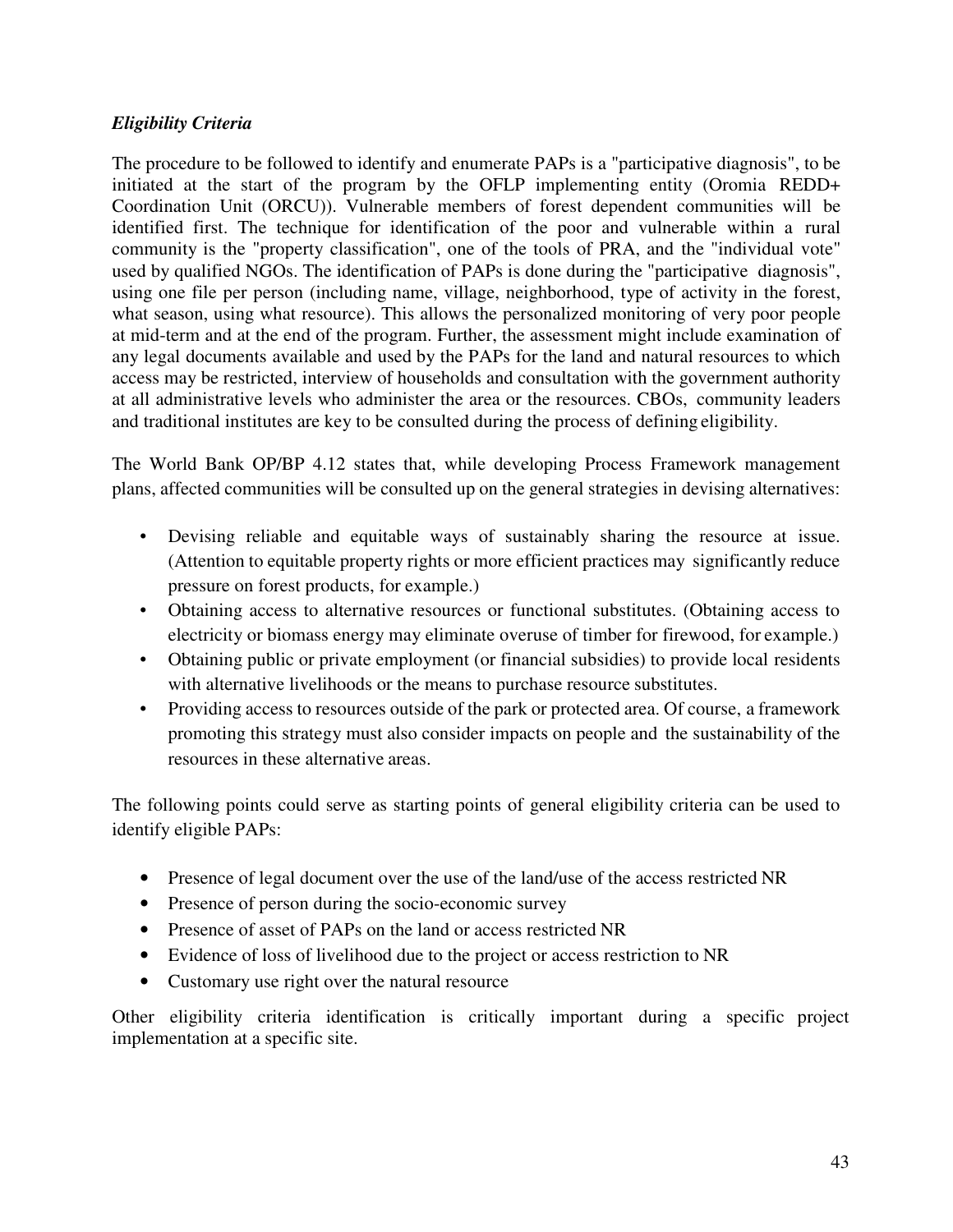## *Eligibility Criteria*

The procedure to be followed to identify and enumerate PAPs is a "participative diagnosis", to be initiated at the start of the program by the OFLP implementing entity (Oromia REDD+ Coordination Unit (ORCU)). Vulnerable members of forest dependent communities will be identified first. The technique for identification of the poor and vulnerable within a rural community is the "property classification", one of the tools of PRA, and the "individual vote" used by qualified NGOs. The identification of PAPs is done during the "participative diagnosis", using one file per person (including name, village, neighborhood, type of activity in the forest, what season, using what resource). This allows the personalized monitoring of very poor people at mid-term and at the end of the program. Further, the assessment might include examination of any legal documents available and used by the PAPs for the land and natural resources to which access may be restricted, interview of households and consultation with the government authority at all administrative levels who administer the area or the resources. CBOs, community leaders and traditional institutes are key to be consulted during the process of defining eligibility.

The World Bank OP/BP 4.12 states that, while developing Process Framework management plans, affected communities will be consulted up on the general strategies in devising alternatives:

- Devising reliable and equitable ways of sustainably sharing the resource at issue. (Attention to equitable property rights or more efficient practices may significantly reduce pressure on forest products, for example.)
- Obtaining access to alternative resources or functional substitutes. (Obtaining access to electricity or biomass energy may eliminate overuse of timber for firewood, for example.)
- Obtaining public or private employment (or financial subsidies) to provide local residents with alternative livelihoods or the means to purchase resource substitutes.
- Providing access to resources outside of the park or protected area. Of course, a framework promoting this strategy must also consider impacts on people and the sustainability of the resources in these alternative areas.

The following points could serve as starting points of general eligibility criteria can be used to identify eligible PAPs:

- Presence of legal document over the use of the land/use of the access restricted NR
- Presence of person during the socio-economic survey
- Presence of asset of PAPs on the land or access restricted NR
- Evidence of loss of livelihood due to the project or access restriction to NR
- Customary use right over the natural resource

Other eligibility criteria identification is critically important during a specific project implementation at a specific site.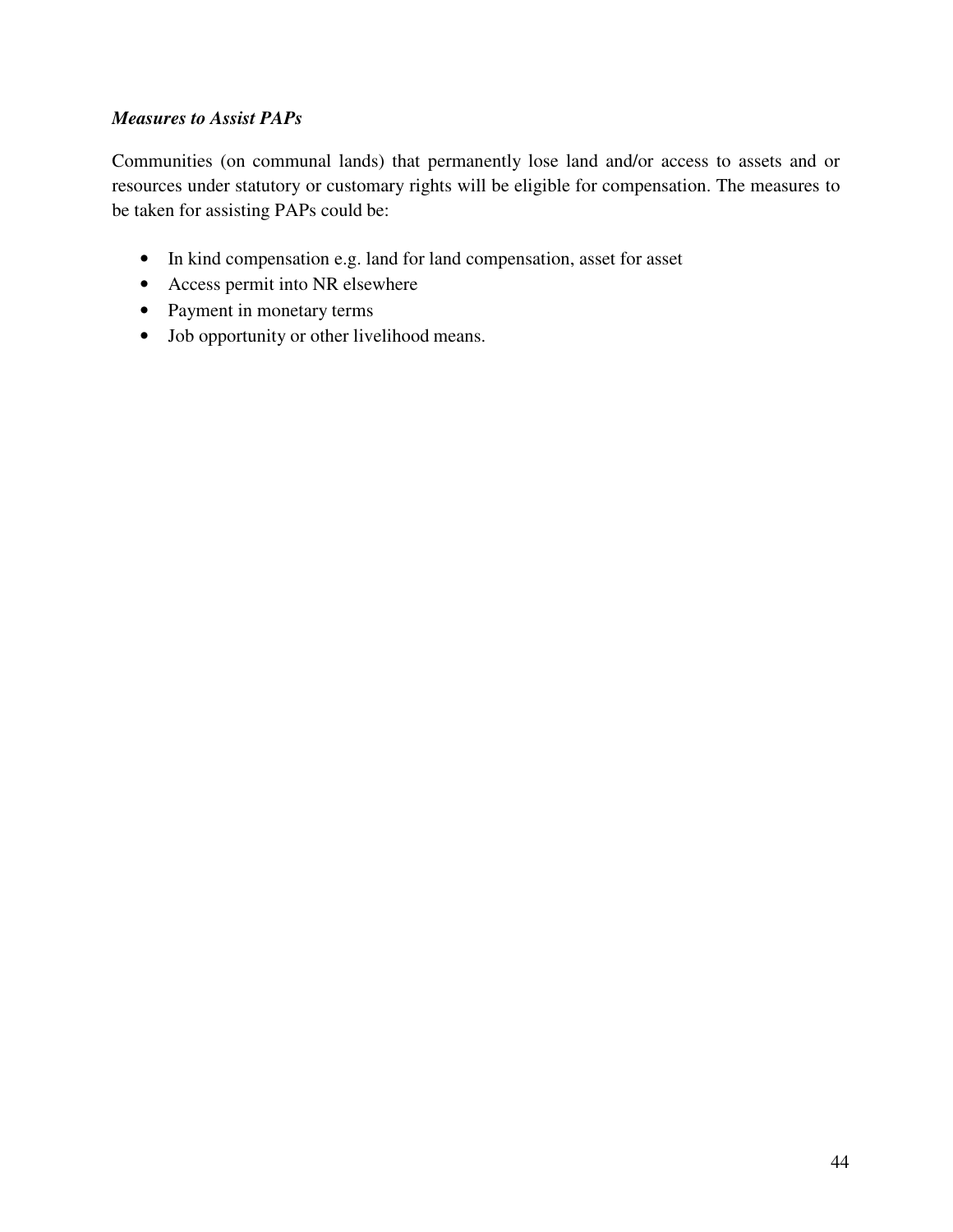## *Measures to Assist PAPs*

Communities (on communal lands) that permanently lose land and/or access to assets and or resources under statutory or customary rights will be eligible for compensation. The measures to be taken for assisting PAPs could be:

- In kind compensation e.g. land for land compensation, asset for asset
- Access permit into NR elsewhere
- Payment in monetary terms
- Job opportunity or other livelihood means.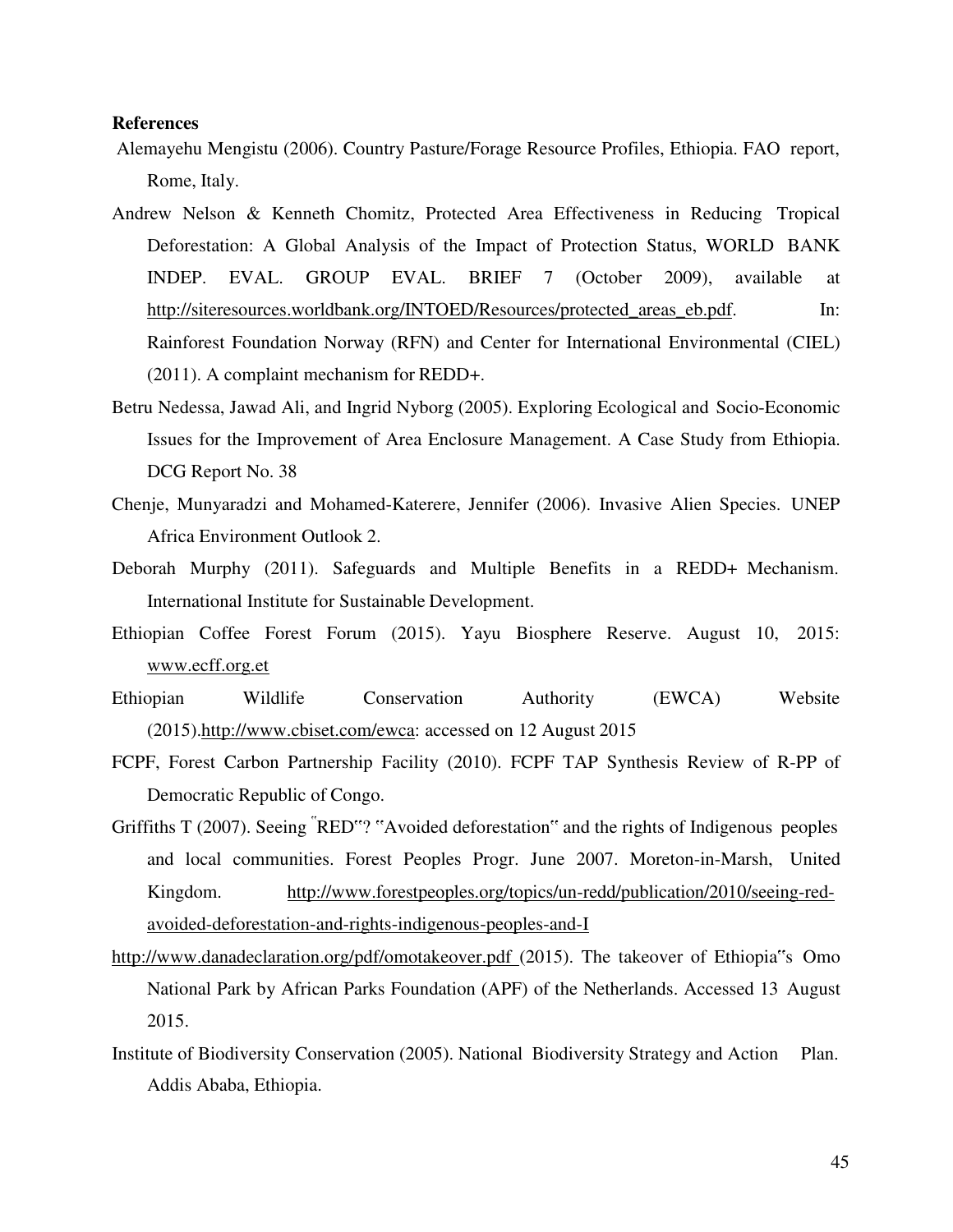#### **References**

- Alemayehu Mengistu (2006). Country Pasture/Forage Resource Profiles, Ethiopia. FAO report, Rome, Italy.
- Andrew Nelson & Kenneth Chomitz, Protected Area Effectiveness in Reducing Tropical Deforestation: A Global Analysis of the Impact of Protection Status, WORLD BANK INDEP. EVAL. GROUP EVAL. BRIEF 7 (October 2009), available at http://siteresources.worldbank.org/INTOED/Resources/protected areas eb.pdf. In: Rainforest Foundation Norway (RFN) and Center for International Environmental (CIEL) (2011). A complaint mechanism for REDD+.
- Betru Nedessa, Jawad Ali, and Ingrid Nyborg (2005). Exploring Ecological and Socio-Economic Issues for the Improvement of Area Enclosure Management. A Case Study from Ethiopia. DCG Report No. 38
- Chenje, Munyaradzi and Mohamed-Katerere, Jennifer (2006). Invasive Alien Species. UNEP Africa Environment Outlook 2.
- Deborah Murphy (2011). Safeguards and Multiple Benefits in a REDD+ Mechanism. International Institute for Sustainable Development.
- Ethiopian Coffee Forest Forum (2015). Yayu Biosphere Reserve. August 10, 2015: www.ecff.org.et
- Ethiopian Wildlife Conservation Authority (EWCA) Website (2015).http://www.cbiset.com/ewca: accessed on 12 August 2015
- FCPF, Forest Carbon Partnership Facility (2010). FCPF TAP Synthesis Review of R-PP of Democratic Republic of Congo.
- Griffiths T (2007). Seeing "RED"? "Avoided deforestation" and the rights of Indigenous peoples and local communities. Forest Peoples Progr. June 2007. Moreton-in-Marsh, United Kingdom. http://www.forestpeoples.org/topics/un-redd/publication/2010/seeing-redavoided-deforestation-and-rights-indigenous-peoples-and-I
- http://www.danadeclaration.org/pdf/omotakeover.pdf (2015). The takeover of Ethiopia"s Omo National Park by African Parks Foundation (APF) of the Netherlands. Accessed 13 August 2015.
- Institute of Biodiversity Conservation (2005). National Biodiversity Strategy and Action Plan. Addis Ababa, Ethiopia.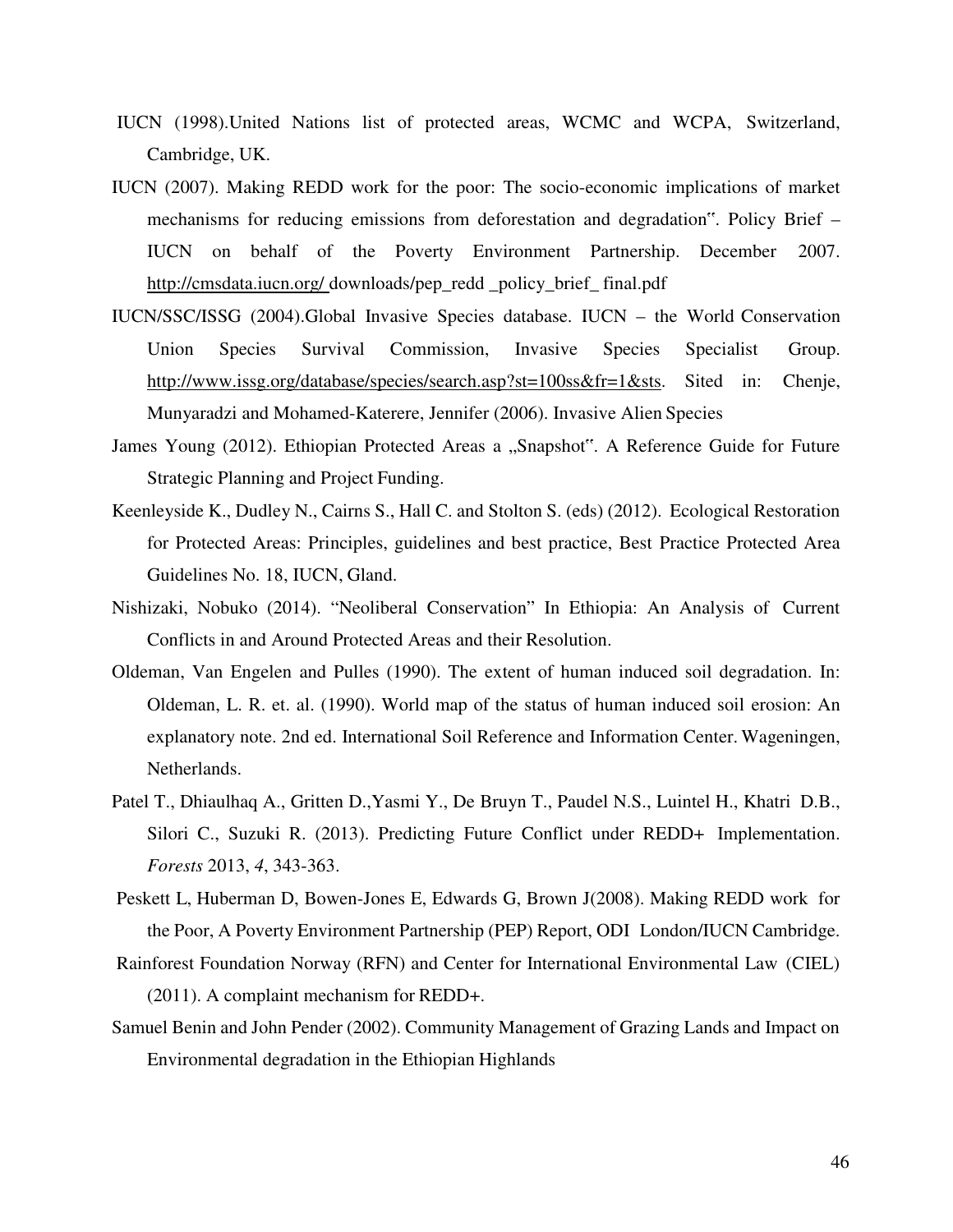- IUCN (1998).United Nations list of protected areas, WCMC and WCPA, Switzerland, Cambridge, UK.
- IUCN (2007). Making REDD work for the poor: The socio-economic implications of market mechanisms for reducing emissions from deforestation and degradation". Policy Brief – IUCN on behalf of the Poverty Environment Partnership. December 2007. http://cmsdata.iucn.org/ downloads/pep\_redd \_policy\_brief\_ final.pdf
- IUCN/SSC/ISSG (2004).Global Invasive Species database. IUCN the World Conservation Union Species Survival Commission, Invasive Species Specialist Group. http://www.issg.org/database/species/search.asp?st=100ss&fr=1&sts. Sited in: Chenje, Munyaradzi and Mohamed-Katerere, Jennifer (2006). Invasive Alien Species
- James Young (2012). Ethiopian Protected Areas a "Snapshot". A Reference Guide for Future Strategic Planning and Project Funding.
- Keenleyside K., Dudley N., Cairns S., Hall C. and Stolton S. (eds) (2012). Ecological Restoration for Protected Areas: Principles, guidelines and best practice, Best Practice Protected Area Guidelines No. 18, IUCN, Gland.
- Nishizaki, Nobuko (2014). "Neoliberal Conservation" In Ethiopia: An Analysis of Current Conflicts in and Around Protected Areas and their Resolution.
- Oldeman, Van Engelen and Pulles (1990). The extent of human induced soil degradation. In: Oldeman, L. R. et. al. (1990). World map of the status of human induced soil erosion: An explanatory note. 2nd ed. International Soil Reference and Information Center. Wageningen, Netherlands.
- Patel T., Dhiaulhaq A., Gritten D.,Yasmi Y., De Bruyn T., Paudel N.S., Luintel H., Khatri D.B., Silori C., Suzuki R. (2013). Predicting Future Conflict under REDD+ Implementation. *Forests* 2013, *4*, 343-363.
- Peskett L, Huberman D, Bowen-Jones E, Edwards G, Brown J(2008). Making REDD work for the Poor, A Poverty Environment Partnership (PEP) Report, ODI London/IUCN Cambridge.
- Rainforest Foundation Norway (RFN) and Center for International Environmental Law (CIEL) (2011). A complaint mechanism for REDD+.
- Samuel Benin and John Pender (2002). Community Management of Grazing Lands and Impact on Environmental degradation in the Ethiopian Highlands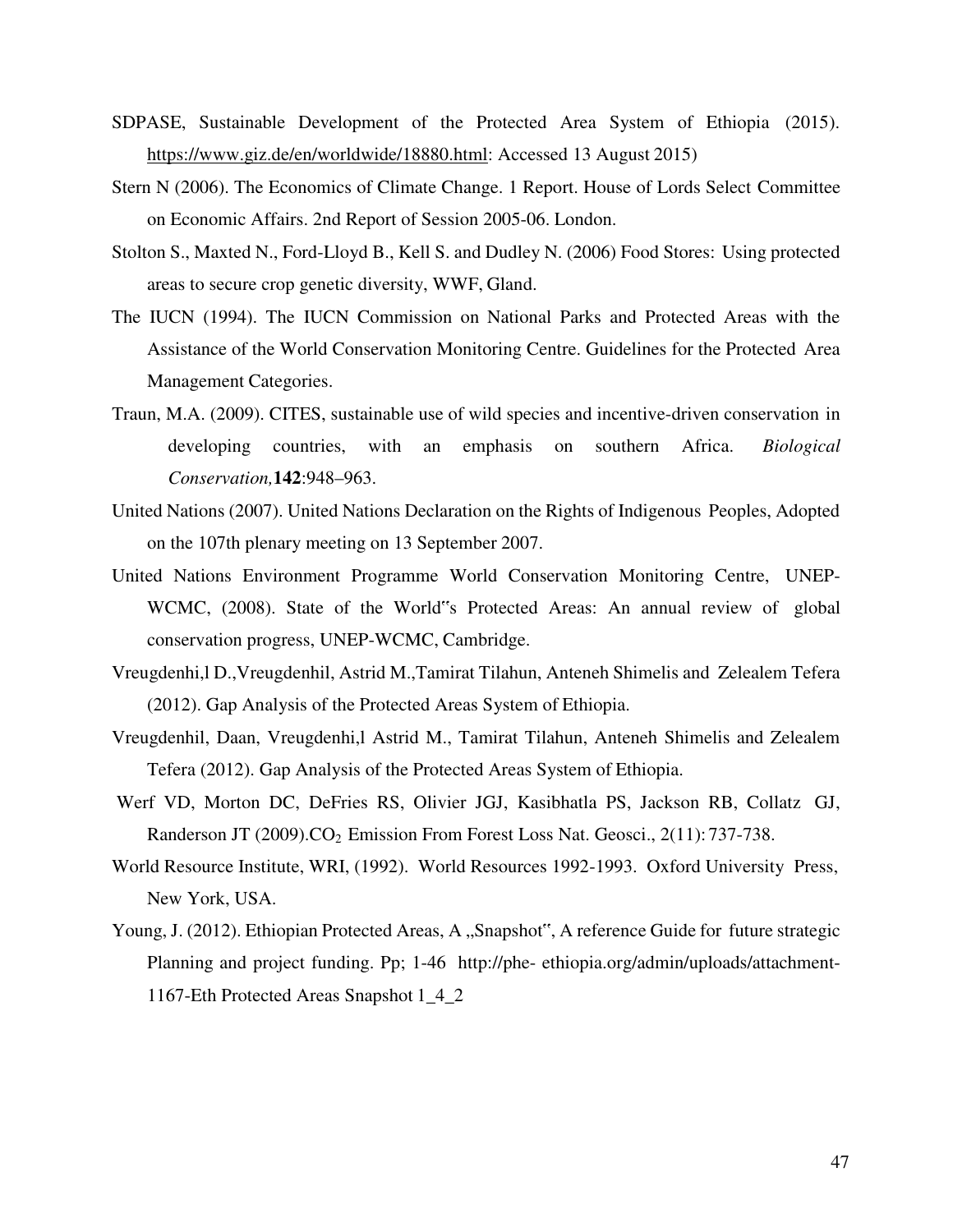- SDPASE, Sustainable Development of the Protected Area System of Ethiopia (2015). https://www.giz.de/en/worldwide/18880.html: Accessed 13 August 2015)
- Stern N (2006). The Economics of Climate Change. 1 Report. House of Lords Select Committee on Economic Affairs. 2nd Report of Session 2005-06. London.
- Stolton S., Maxted N., Ford-Lloyd B., Kell S. and Dudley N. (2006) Food Stores: Using protected areas to secure crop genetic diversity, WWF, Gland.
- The IUCN (1994). The IUCN Commission on National Parks and Protected Areas with the Assistance of the World Conservation Monitoring Centre. Guidelines for the Protected Area Management Categories.
- Traun, M.A. (2009). CITES, sustainable use of wild species and incentive-driven conservation in developing countries, with an emphasis on southern Africa. *Biological Conservation,***142**:948–963.
- United Nations (2007). United Nations Declaration on the Rights of Indigenous Peoples, Adopted on the 107th plenary meeting on 13 September 2007.
- United Nations Environment Programme World Conservation Monitoring Centre, UNEP-WCMC, (2008). State of the World"s Protected Areas: An annual review of global conservation progress, UNEP-WCMC, Cambridge.
- Vreugdenhi,l D.,Vreugdenhil, Astrid M.,Tamirat Tilahun, Anteneh Shimelis and Zelealem Tefera (2012). Gap Analysis of the Protected Areas System of Ethiopia.
- Vreugdenhil, Daan, Vreugdenhi,l Astrid M., Tamirat Tilahun, Anteneh Shimelis and Zelealem Tefera (2012). Gap Analysis of the Protected Areas System of Ethiopia.
- Werf VD, Morton DC, DeFries RS, Olivier JGJ, Kasibhatla PS, Jackson RB, Collatz GJ, Randerson JT (2009). $CO<sub>2</sub>$  Emission From Forest Loss Nat. Geosci., 2(11): 737-738.
- World Resource Institute, WRI, (1992). World Resources 1992-1993. Oxford University Press, New York, USA.
- Young, J. (2012). Ethiopian Protected Areas, A "Snapshot", A reference Guide for future strategic Planning and project funding. Pp; 1-46 http://phe- ethiopia.org/admin/uploads/attachment-1167-Eth Protected Areas Snapshot 1\_4\_2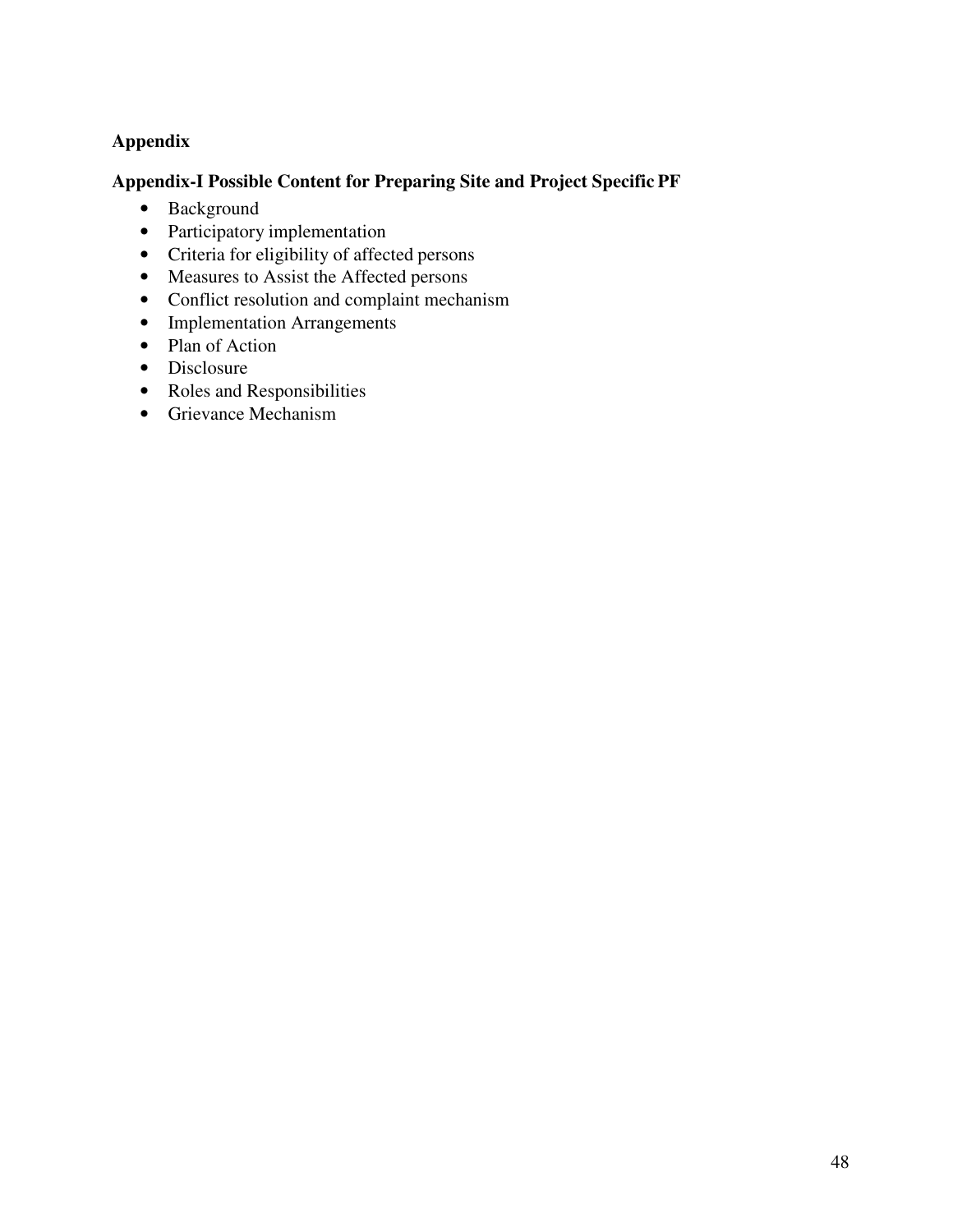## **Appendix**

## **Appendix-I Possible Content for Preparing Site and Project Specific PF**

- Background
- Participatory implementation
- Criteria for eligibility of affected persons
- Measures to Assist the Affected persons
- Conflict resolution and complaint mechanism
- Implementation Arrangements
- Plan of Action
- Disclosure
- Roles and Responsibilities
- Grievance Mechanism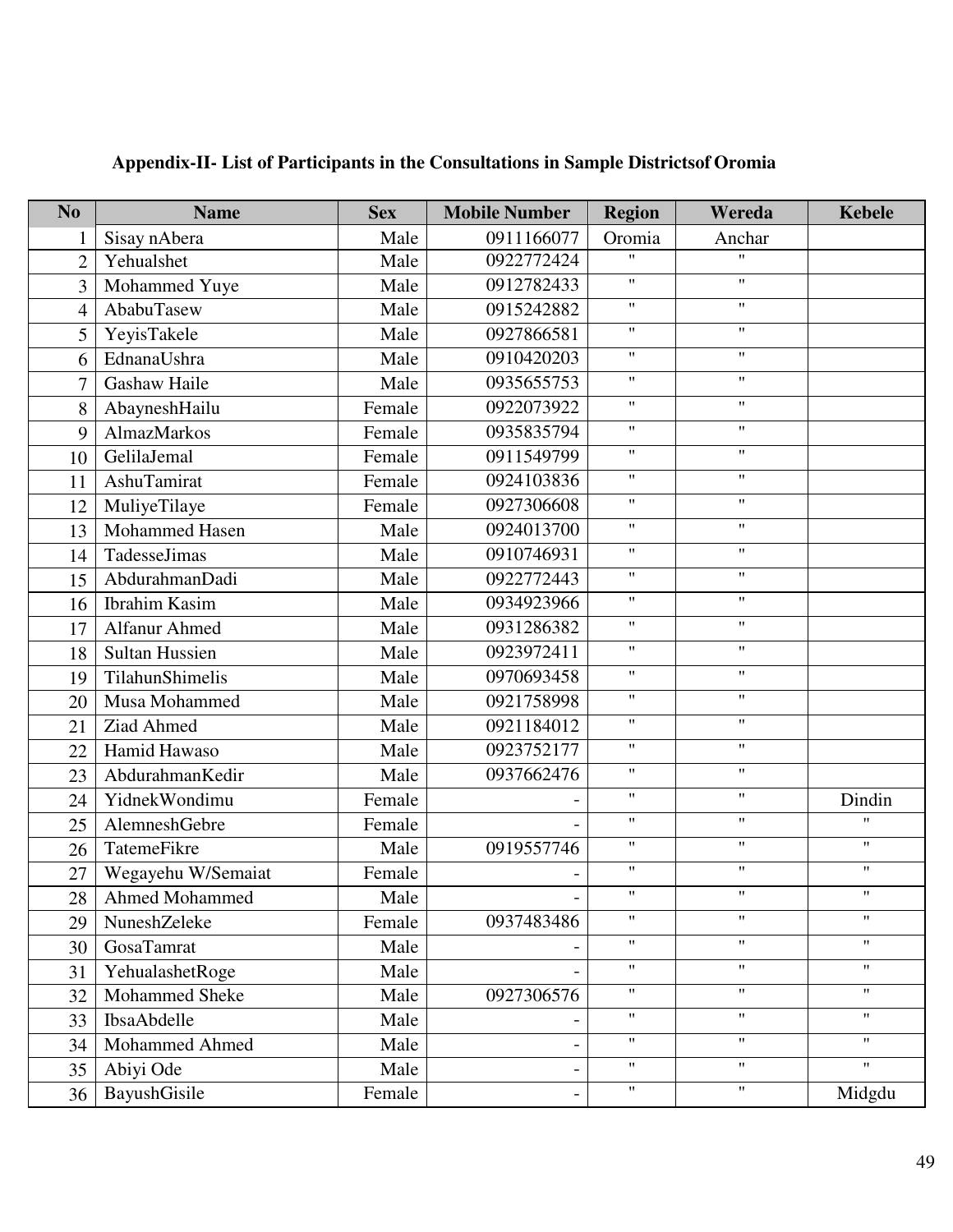| N <sub>o</sub>           | <b>Name</b>           | <b>Sex</b> | <b>Mobile Number</b> | <b>Region</b>             | Wereda                    | <b>Kebele</b>             |
|--------------------------|-----------------------|------------|----------------------|---------------------------|---------------------------|---------------------------|
| 1                        | Sisay nAbera          | Male       | 0911166077           | Oromia                    | Anchar                    |                           |
| $\overline{2}$           | Yehualshet            | Male       | 0922772424           | $\boldsymbol{\mathsf{H}}$ | $\mathbf{H}$              |                           |
| 3                        | Mohammed Yuye         | Male       | 0912782433           | $\mathbf{H}$              | $\mathbf{H}$              |                           |
| $\overline{\mathcal{A}}$ | AbabuTasew            | Male       | 0915242882           | $\mathbf{H}$              | $\mathbf{H}$              |                           |
| 5                        | YeyisTakele           | Male       | 0927866581           | $\pmb{\mathsf{H}}$        | $\pmb{\mathsf{H}}$        |                           |
| 6                        | EdnanaUshra           | Male       | 0910420203           | $\pmb{\mathsf{H}}$        | $\mathbf{H}$              |                           |
| $\overline{7}$           | Gashaw Haile          | Male       | 0935655753           | $\pmb{\mathsf{H}}$        | $\mathbf{H}$              |                           |
| 8                        | AbayneshHailu         | Female     | 0922073922           | $\pmb{\mathsf{H}}$        | $\mathbf{H}$              |                           |
| 9                        | AlmazMarkos           | Female     | 0935835794           | $\pmb{\mathsf{H}}$        | $\pmb{\mathsf{H}}$        |                           |
| 10                       | GelilaJemal           | Female     | 0911549799           | $\pmb{\mathsf{H}}$        | $\mathbf{H}$              |                           |
| 11                       | AshuTamirat           | Female     | 0924103836           | $\pmb{\mathsf{H}}$        | $\mathbf{H}$              |                           |
| 12                       | MuliyeTilaye          | Female     | 0927306608           | $\pmb{\mathsf{H}}$        | $\mathbf{H}$              |                           |
| 13                       | Mohammed Hasen        | Male       | 0924013700           | $\pmb{\mathsf{H}}$        | $\pmb{\mathsf{H}}$        |                           |
| 14                       | TadesseJimas          | Male       | 0910746931           | $\pmb{\mathsf{H}}$        | $\mathbf{H}$              |                           |
| 15                       | AbdurahmanDadi        | Male       | 0922772443           | $\pmb{\mathsf{H}}$        | $\mathbf{H}$              |                           |
| 16                       | <b>Ibrahim Kasim</b>  | Male       | 0934923966           | $\mathbf{H}$              | $\pmb{\mathsf{H}}$        |                           |
| 17                       | Alfanur Ahmed         | Male       | 0931286382           | $\pmb{\mathsf{H}}$        | $\pmb{\mathsf{H}}$        |                           |
| 18                       | <b>Sultan Hussien</b> | Male       | 0923972411           | $\pmb{\mathsf{H}}$        | $\mathbf{H}$              |                           |
| 19                       | TilahunShimelis       | Male       | 0970693458           | $\pmb{\mathsf{H}}$        | $\pmb{\mathsf{H}}$        |                           |
| 20                       | Musa Mohammed         | Male       | 0921758998           | $\pmb{\mathsf{H}}$        | $\mathbf{H}$              |                           |
| 21                       | Ziad Ahmed            | Male       | 0921184012           | $\pmb{\mathsf{H}}$        | $\mathbf{H}$              |                           |
| 22                       | Hamid Hawaso          | Male       | 0923752177           | $\pmb{\mathsf{H}}$        | $\boldsymbol{\mathsf{H}}$ |                           |
| 23                       | AbdurahmanKedir       | Male       | 0937662476           | $\pmb{\mathsf{H}}$        | $\mathbf{H}$              |                           |
| 24                       | YidnekWondimu         | Female     |                      | $\pmb{\mathsf{H}}$        | $\mathbf{H}$              | Dindin                    |
| 25                       | AlemneshGebre         | Female     |                      | $\pmb{\mathsf{H}}$        | $\mathbf{H}$              | $^{\prime\prime}$         |
| 26                       | TatemeFikre           | Male       | 0919557746           | $\pmb{\mathsf{H}}$        | $\pmb{\mathsf{H}}$        | $\pmb{\mathsf{H}}$        |
| 27                       | Wegayehu W/Semaiat    | Female     |                      | $\pmb{\mathsf{H}}$        | $\pmb{\mathsf{H}}$        | $\pmb{\mathsf{H}}$        |
|                          | 28   Ahmed Mohammed   | Male       |                      | $\pmb{\mathsf{H}}$        | $\pmb{\mathsf{H}}$        | $\boldsymbol{\mathsf{H}}$ |
| 29                       | NuneshZeleke          | Female     | 0937483486           | $\pmb{\mathsf{H}}$        | $^{\prime\prime}$         | $\pmb{\mathsf{H}}$        |
| 30                       | GosaTamrat            | Male       |                      | $\pmb{\mathsf{H}}$        | $\mathbf{H}$              | $\mathbf{H}$              |
| 31                       | YehualashetRoge       | Male       |                      | $\pmb{\mathsf{H}}$        | $^{\prime\prime}$         | $\mathbf{H}$              |
| 32                       | Mohammed Sheke        | Male       | 0927306576           | $\pmb{\mathsf{H}}$        | $\mathbf{H}$              | $\pmb{\mathsf{H}}$        |
| 33                       | IbsaAbdelle           | Male       |                      | $\pmb{\mathsf{H}}$        | $\boldsymbol{\mathsf{H}}$ | $\pmb{\mathsf{H}}$        |
| 34                       | Mohammed Ahmed        | Male       |                      | $\pmb{\mathsf{H}}$        | $\mathbf{H}$              | $\pmb{\mathsf{H}}$        |
| 35                       | Abiyi Ode             | Male       |                      | $\pmb{\mathsf{H}}$        | $\mathbf{H}$              | $\pmb{\mathsf{H}}$        |
| 36                       | BayushGisile          | Female     |                      | $\pmb{\mathsf{H}}$        | $\boldsymbol{\mathsf{H}}$ | Midgdu                    |

# **Appendix-II- List of Participants in the Consultations in Sample Districtsof Oromia**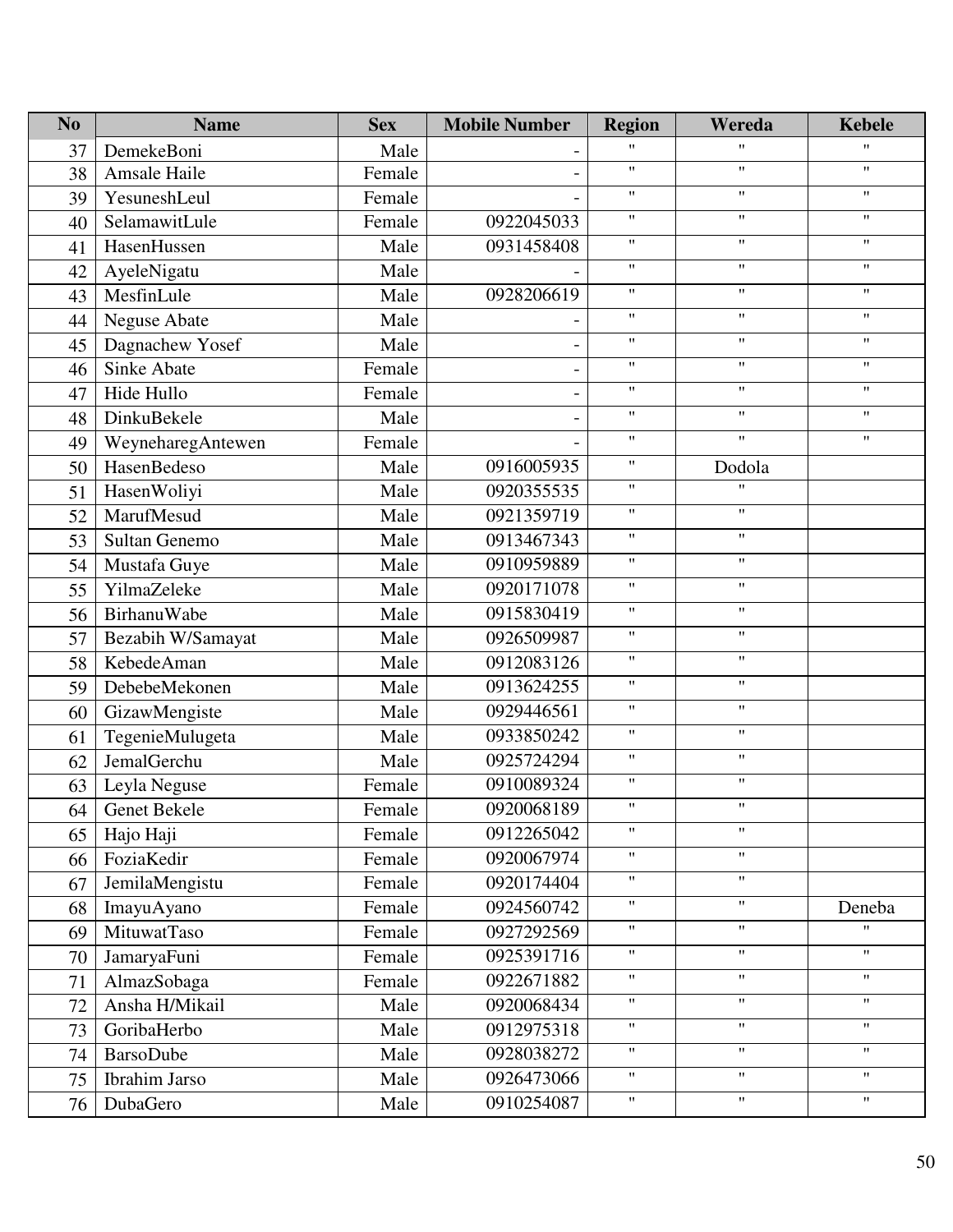| N <sub>o</sub> | <b>Name</b>       | <b>Sex</b> | <b>Mobile Number</b> | <b>Region</b>      | Wereda                    | <b>Kebele</b>             |
|----------------|-------------------|------------|----------------------|--------------------|---------------------------|---------------------------|
| 37             | DemekeBoni        | Male       |                      | $\pmb{\mathsf{H}}$ | $\pmb{\mathsf{H}}$        | $^{\prime\prime}$         |
| 38             | Amsale Haile      | Female     |                      | $\pmb{\mathsf{H}}$ | $\pmb{\mathsf{H}}$        | $\pmb{\mathsf{H}}$        |
| 39             | YesuneshLeul      | Female     |                      | $\pmb{\mathsf{H}}$ | $\pmb{\mathsf{H}}$        | $\mathbf{H}$              |
| 40             | SelamawitLule     | Female     | 0922045033           | $\pmb{\mathsf{H}}$ | $\mathbf{H}$              | $\pmb{\mathsf{H}}$        |
| 41             | HasenHussen       | Male       | 0931458408           | $\pmb{\mathsf{H}}$ | $\pmb{\mathsf{H}}$        | $\pmb{\mathsf{H}}$        |
| 42             | AyeleNigatu       | Male       |                      | $\pmb{\mathsf{H}}$ | $\pmb{\mathsf{H}}$        | $\mathbf{H}$              |
| 43             | MesfinLule        | Male       | 0928206619           | $\pmb{\mathsf{H}}$ | $\pmb{\mathsf{H}}$        | $\pmb{\mathsf{H}}$        |
| 44             | Neguse Abate      | Male       |                      | $\pmb{\mathsf{H}}$ | $\pmb{\mathsf{H}}$        | $\pmb{\mathsf{H}}$        |
| 45             | Dagnachew Yosef   | Male       |                      | $\pmb{\mathsf{H}}$ | $\pmb{\mathsf{H}}$        | $\pmb{\mathsf{H}}$        |
| 46             | Sinke Abate       | Female     |                      | $\pmb{\mathsf{H}}$ | $\pmb{\mathsf{H}}$        | $\pmb{\mathsf{H}}$        |
| 47             | Hide Hullo        | Female     |                      | $\pmb{\mathsf{H}}$ | $\pmb{\mathsf{H}}$        | $\pmb{\mathsf{H}}$        |
| 48             | DinkuBekele       | Male       |                      | $\pmb{\mathsf{H}}$ | $\mathbf{H}$              | $\mathbf{H}$              |
| 49             | WeyneharegAntewen | Female     |                      | $\pmb{\mathsf{H}}$ | $\pmb{\mathsf{H}}$        | $\pmb{\mathsf{H}}$        |
| 50             | HasenBedeso       | Male       | 0916005935           | $\pmb{\mathsf{H}}$ | Dodola                    |                           |
| 51             | HasenWoliyi       | Male       | 0920355535           | $\pmb{\mathsf{H}}$ | 11                        |                           |
| 52             | MarufMesud        | Male       | 0921359719           | $\pmb{\mathsf{H}}$ | $^{\prime\prime}$         |                           |
| 53             | Sultan Genemo     | Male       | 0913467343           | $\pmb{\mathsf{H}}$ | $\mathbf{H}$              |                           |
| 54             | Mustafa Guye      | Male       | 0910959889           | $\pmb{\mathsf{H}}$ | $\pmb{\mathsf{H}}$        |                           |
| 55             | YilmaZeleke       | Male       | 0920171078           | $\pmb{\mathsf{H}}$ | $\pmb{\mathsf{H}}$        |                           |
| 56             | BirhanuWabe       | Male       | 0915830419           | $\pmb{\mathsf{H}}$ | $\mathbf{H}$              |                           |
| 57             | Bezabih W/Samayat | Male       | 0926509987           | $\pmb{\mathsf{H}}$ | $\mathbf{H}$              |                           |
| 58             | KebedeAman        | Male       | 0912083126           | $\pmb{\mathsf{H}}$ | $\pmb{\mathsf{H}}$        |                           |
| 59             | DebebeMekonen     | Male       | 0913624255           | $\pmb{\mathsf{H}}$ | $\pmb{\mathsf{H}}$        |                           |
| 60             | GizawMengiste     | Male       | 0929446561           | $\pmb{\mathsf{H}}$ | $\mathbf{H}$              |                           |
| 61             | TegenieMulugeta   | Male       | 0933850242           | $\pmb{\mathsf{H}}$ | $\mathbf{H}$              |                           |
| 62             | JemalGerchu       | Male       | 0925724294           | $\pmb{\mathsf{H}}$ | $\pmb{\mathsf{H}}$        |                           |
| 63             | Leyla Neguse      | Female     | 0910089324           | $\pmb{\mathsf{H}}$ | $\pmb{\mathsf{H}}$        |                           |
| 64             | Genet Bekele      | Female     | 0920068189           | $\pmb{\mathsf{H}}$ | $\boldsymbol{\mathsf{H}}$ |                           |
| 65             | Hajo Haji         | Female     | 0912265042           | $\pmb{\mathsf{H}}$ | $^{\prime\prime}$         |                           |
| 66             | FoziaKedir        | Female     | 0920067974           | $\pmb{\mathsf{H}}$ | $\mathbf{H}$              |                           |
| 67             | JemilaMengistu    | Female     | 0920174404           | $\pmb{\mathsf{H}}$ | $^{\prime\prime}$         |                           |
| 68             | ImayuAyano        | Female     | 0924560742           | $\pmb{\mathsf{H}}$ | $\mathbf{H}$              | Deneba                    |
| 69             | MituwatTaso       | Female     | 0927292569           | $\pmb{\mathsf{H}}$ | $\mathbf{H}$              | $^{\prime\prime}$         |
| 70             | JamaryaFuni       | Female     | 0925391716           | $\pmb{\mathsf{H}}$ | $^{\prime\prime}$         | $\mathbf{H}$              |
| 71             | AlmazSobaga       | Female     | 0922671882           | $\pmb{\mathsf{H}}$ | $^{\prime\prime}$         | $\pmb{\mathsf{H}}$        |
| 72             | Ansha H/Mikail    | Male       | 0920068434           | $\pmb{\mathsf{H}}$ | $\mathbf{H}$              | $\boldsymbol{\mathsf{H}}$ |
| 73             | GoribaHerbo       | Male       | 0912975318           | $\pmb{\mathsf{H}}$ | $\mathbf{H}$              | $\pmb{\mathsf{H}}$        |
| 74             | <b>BarsoDube</b>  | Male       | 0928038272           | $\pmb{\mathsf{H}}$ | $\mathbf{H}$              | $\boldsymbol{\mathsf{H}}$ |
| 75             | Ibrahim Jarso     | Male       | 0926473066           | $\pmb{\mathsf{H}}$ | $\mathbf{H}$              | $\boldsymbol{\mathsf{H}}$ |
| 76             | DubaGero          | Male       | 0910254087           | $\pmb{\mathsf{H}}$ | Ħ                         | $\pmb{\mathsf{H}}$        |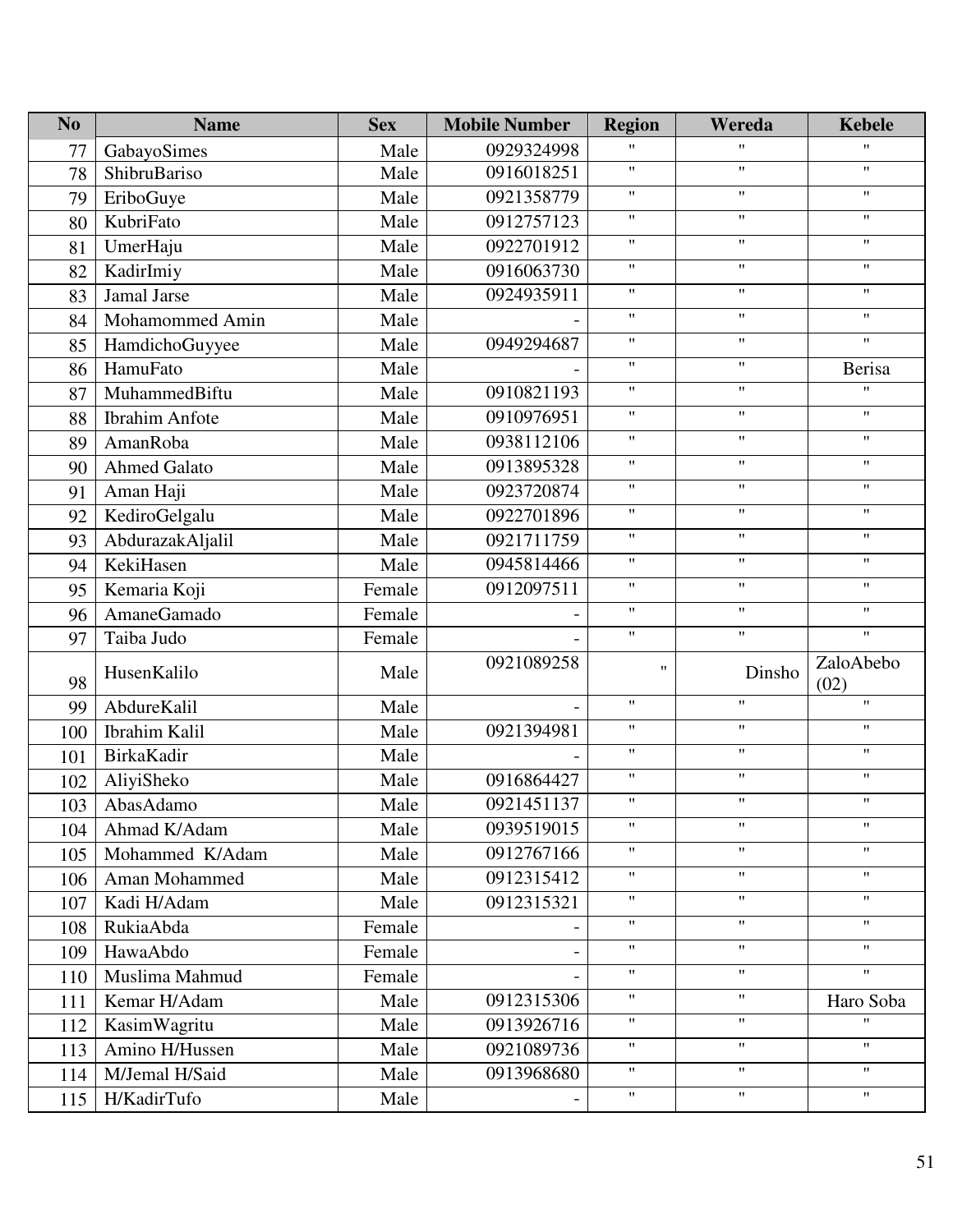| N <sub>o</sub> | <b>Name</b>           | <b>Sex</b> | <b>Mobile Number</b> | <b>Region</b>             | Wereda                    | <b>Kebele</b>             |
|----------------|-----------------------|------------|----------------------|---------------------------|---------------------------|---------------------------|
| 77             | GabayoSimes           | Male       | 0929324998           | $\boldsymbol{\mathsf{H}}$ | $\mathbf{H}$              | $\mathbf{H}$              |
| 78             | ShibruBariso          | Male       | 0916018251           | $\pmb{\mathsf{H}}$        | $\pmb{\mathsf{H}}$        | $\pmb{\mathsf{H}}$        |
| 79             | EriboGuye             | Male       | 0921358779           | $\pmb{\mathsf{H}}$        | $\pmb{\mathsf{H}}$        | $\mathbf{H}$              |
| 80             | KubriFato             | Male       | 0912757123           | $\pmb{\mathsf{H}}$        | $\pmb{\mathsf{H}}$        | $\pmb{\mathsf{H}}$        |
| 81             | UmerHaju              | Male       | 0922701912           | $\pmb{\mathsf{H}}$        | $\mathbf{H}$              | $\pmb{\mathsf{H}}$        |
| 82             | KadirImiy             | Male       | 0916063730           | $\pmb{\mathsf{H}}$        | $\mathbf{H}$              | $\pmb{\mathsf{H}}$        |
| 83             | Jamal Jarse           | Male       | 0924935911           | $\pmb{\mathsf{H}}$        | $\mathbf{H}$              | $\pmb{\mathsf{H}}$        |
| 84             | Mohamommed Amin       | Male       |                      | $\pmb{\mathsf{H}}$        | $\mathbf{H}$              | $\pmb{\mathsf{H}}$        |
| 85             | HamdichoGuyyee        | Male       | 0949294687           | $\pmb{\mathsf{H}}$        | $\mathbf{H}$              | $\boldsymbol{\mathsf{H}}$ |
| 86             | HamuFato              | Male       |                      | $\pmb{\mathsf{H}}$        | $\mathbf{H}$              | <b>Berisa</b>             |
| 87             | MuhammedBiftu         | Male       | 0910821193           | $\pmb{\mathsf{H}}$        | $\mathbf{H}$              | $\mathbf{H}$              |
| 88             | <b>Ibrahim Anfote</b> | Male       | 0910976951           | $\pmb{\mathsf{H}}$        | $\pmb{\mathsf{H}}$        | $\pmb{\mathsf{H}}$        |
| 89             | AmanRoba              | Male       | 0938112106           | $\pmb{\mathsf{H}}$        | $^{\prime\prime}$         | $\mathbf{H}$              |
| 90             | Ahmed Galato          | Male       | 0913895328           | $\pmb{\mathsf{H}}$        | $\boldsymbol{\mathsf{H}}$ | $\pmb{\mathsf{H}}$        |
| 91             | Aman Haji             | Male       | 0923720874           | $\pmb{\mathsf{H}}$        | $\pmb{\mathsf{H}}$        | $\pmb{\mathsf{H}}$        |
| 92             | KediroGelgalu         | Male       | 0922701896           | $\pmb{\mathsf{H}}$        | $\pmb{\mathsf{H}}$        | $\mathbf{H}$              |
| 93             | AbdurazakAljalil      | Male       | 0921711759           | $\pmb{\mathsf{H}}$        | $\mathbf{H}$              | $\boldsymbol{\mathsf{H}}$ |
| 94             | KekiHasen             | Male       | 0945814466           | $\pmb{\mathsf{H}}$        | $\mathbf{H}$              | $\pmb{\mathsf{H}}$        |
| 95             | Kemaria Koji          | Female     | 0912097511           | $\pmb{\mathsf{H}}$        | $\boldsymbol{\mathsf{H}}$ | $\mathbf{H}$              |
| 96             | AmaneGamado           | Female     |                      | $\pmb{\mathsf{H}}$        | $\mathbf{H}$              | $\pmb{\mathsf{H}}$        |
| 97             | Taiba Judo            | Female     |                      | $\pmb{\mathsf{H}}$        | $\boldsymbol{\mathsf{H}}$ | $\boldsymbol{\mathsf{H}}$ |
| 98             | HusenKalilo           | Male       | 0921089258           | Ħ                         | Dinsho                    | ZaloAbebo<br>(02)         |
| 99             | AbdureKalil           | Male       |                      | $\pmb{\mathsf{H}}$        | $\mathbf{H}$              | $\boldsymbol{\mathsf{H}}$ |
| 100            | Ibrahim Kalil         | Male       | 0921394981           | $\pmb{\mathsf{H}}$        | $\mathbf{H}$              | $\pmb{\mathsf{H}}$        |
| 101            | BirkaKadir            | Male       |                      | $\pmb{\mathsf{H}}$        | $\mathbf{H}$              | $\boldsymbol{\mathsf{H}}$ |
| 102            | AliyiSheko            | Male       | 0916864427           | $\pmb{\mathsf{H}}$        | $\pmb{\mathsf{H}}$        | $\pmb{\mathsf{H}}$        |
| 103            | AbasAdamo             | Male       | 0921451137           | $\pmb{\mathsf{H}}$        | $\mathbf{H}$              | $\pmb{\mathsf{H}}$        |
| 104            | Ahmad K/Adam          | Male       | 0939519015           | $\pmb{\mathsf{H}}$        | Ħ                         | $\mathbf{H}$              |
| 105            | Mohammed K/Adam       | Male       | 0912767166           | $\pmb{\mathsf{H}}$        | Ħ                         | $\pmb{\mathsf{H}}$        |
| 106            | Aman Mohammed         | Male       | 0912315412           | $\pmb{\mathsf{H}}$        | $\mathbf{H}$              | $\mathbf{H}$              |
| 107            | Kadi H/Adam           | Male       | 0912315321           | $\pmb{\mathsf{H}}$        | $\mathbf{H}$              | $\mathbf{H}$              |
| 108            | RukiaAbda             | Female     |                      | $\pmb{\mathsf{H}}$        | Ħ                         | $^{\prime\prime}$         |
| 109            | HawaAbdo              | Female     |                      | $\pmb{\mathsf{H}}$        | $\pmb{\mathsf{H}}$        | $\boldsymbol{\mathsf{H}}$ |
| 110            | Muslima Mahmud        | Female     |                      | $\pmb{\mathsf{H}}$        | $^{\prime\prime}$         | $\mathbf{H}$              |
| 111            | Kemar H/Adam          | Male       | 0912315306           | $\pmb{\mathsf{H}}$        | $^{\prime\prime}$         | Haro Soba                 |
| 112            | KasimWagritu          | Male       | 0913926716           | $\pmb{\mathsf{H}}$        | Ħ                         | $\mathbf{H}$              |
| 113            | Amino H/Hussen        | Male       | 0921089736           | $\pmb{\mathsf{H}}$        | $\mathbf{H}$              | $^{\prime\prime}$         |
| 114            | M/Jemal H/Said        | Male       | 0913968680           | $\pmb{\mathsf{H}}$        | $\mathbf{H}$              | $\mathbf{H}$              |
| 115            | H/KadirTufo           | Male       |                      | $\pmb{\mathsf{H}}$        | $\boldsymbol{\mathsf{H}}$ | $\pmb{\mathsf{H}}$        |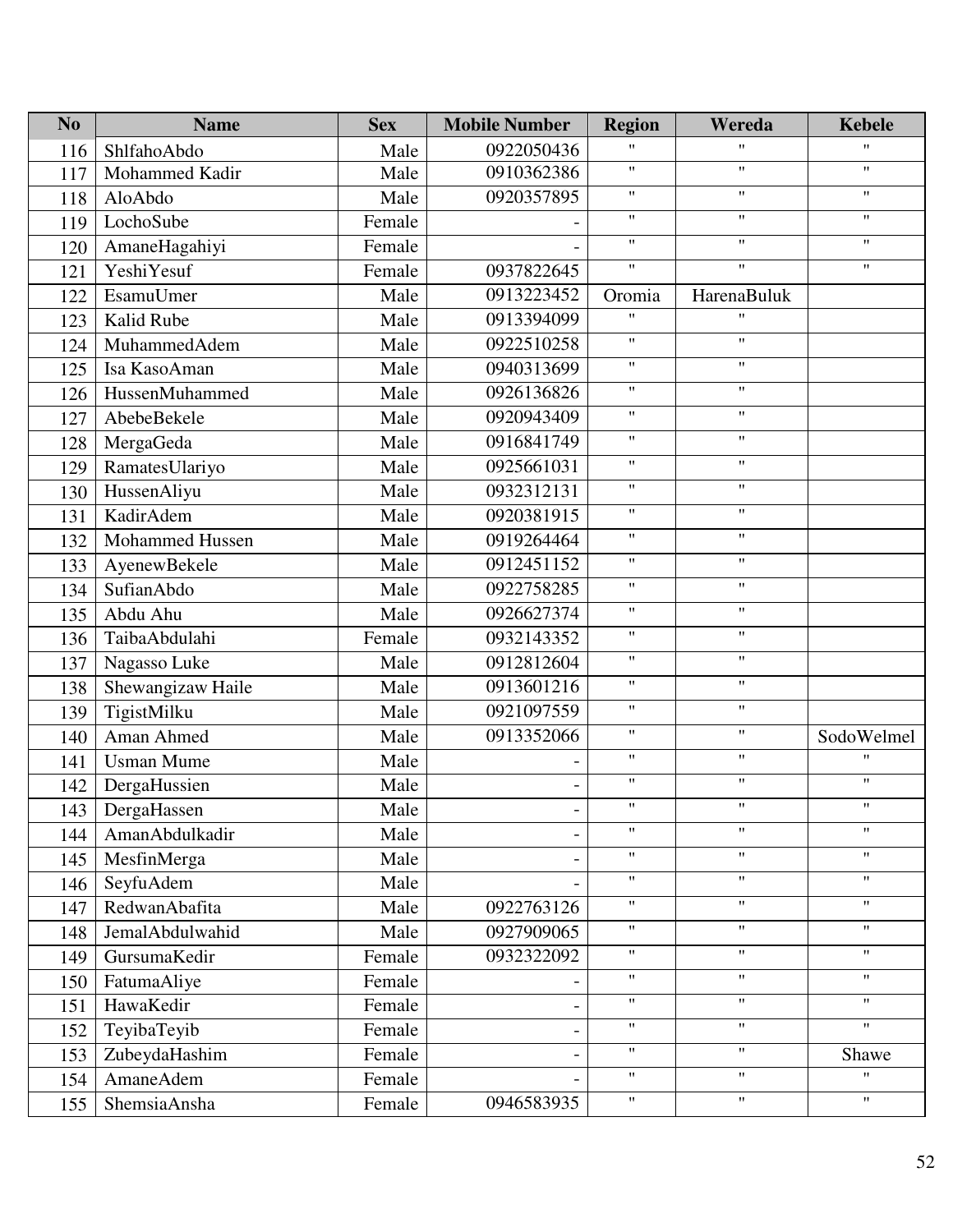| N <sub>o</sub> | <b>Name</b>       | <b>Sex</b> | <b>Mobile Number</b> | <b>Region</b>             | Wereda                    | <b>Kebele</b>             |
|----------------|-------------------|------------|----------------------|---------------------------|---------------------------|---------------------------|
| 116            | ShlfahoAbdo       | Male       | 0922050436           | $\mathbf{H}$              | 11                        | $^{\prime\prime}$         |
| 117            | Mohammed Kadir    | Male       | 0910362386           | $\pmb{\mathsf{H}}$        | $\pmb{\mathsf{H}}$        | $\pmb{\mathsf{H}}$        |
| 118            | AloAbdo           | Male       | 0920357895           | $^{\prime\prime}$         | $\pmb{\mathsf{H}}$        | $\boldsymbol{\mathsf{H}}$ |
| 119            | LochoSube         | Female     |                      | $\pmb{\mathsf{H}}$        | $\pmb{\mathsf{H}}$        | $\pmb{\mathsf{H}}$        |
| 120            | AmaneHagahiyi     | Female     |                      | $\pmb{\mathsf{H}}$        | $\mathbf{H}$              | $^{\prime\prime}$         |
| 121            | YeshiYesuf        | Female     | 0937822645           | $\pmb{\mathsf{H}}$        | $\boldsymbol{\mathsf{H}}$ | $\pmb{\mathsf{H}}$        |
| 122            | EsamuUmer         | Male       | 0913223452           | Oromia                    | HarenaBuluk               |                           |
| 123            | Kalid Rube        | Male       | 0913394099           | $^{\prime\prime}$         | $\mathbf{H}$              |                           |
| 124            | MuhammedAdem      | Male       | 0922510258           | $\pmb{\mathsf{H}}$        | $\pmb{\mathsf{H}}$        |                           |
| 125            | Isa KasoAman      | Male       | 0940313699           | $\pmb{\mathsf{H}}$        | $\pmb{\mathsf{H}}$        |                           |
| 126            | HussenMuhammed    | Male       | 0926136826           | $\pmb{\mathsf{H}}$        | $\pmb{\mathsf{H}}$        |                           |
| 127            | AbebeBekele       | Male       | 0920943409           | $\pmb{\mathsf{H}}$        | $\pmb{\mathsf{H}}$        |                           |
| 128            | MergaGeda         | Male       | 0916841749           | $\pmb{\mathsf{H}}$        | $\mathbf{H}$              |                           |
| 129            | RamatesUlariyo    | Male       | 0925661031           | $\pmb{\mathsf{H}}$        | $\pmb{\mathsf{H}}$        |                           |
| 130            | HussenAliyu       | Male       | 0932312131           | $\pmb{\mathsf{H}}$        | $\pmb{\mathsf{H}}$        |                           |
| 131            | KadirAdem         | Male       | 0920381915           | $^{\prime\prime}$         | $\mathbf{H}$              |                           |
| 132            | Mohammed Hussen   | Male       | 0919264464           | $\pmb{\mathsf{H}}$        | $\pmb{\mathsf{H}}$        |                           |
| 133            | AyenewBekele      | Male       | 0912451152           | $\pmb{\mathsf{H}}$        | $\pmb{\mathsf{H}}$        |                           |
| 134            | SufianAbdo        | Male       | 0922758285           | $^{\prime\prime}$         | $\pmb{\mathsf{H}}$        |                           |
| 135            | Abdu Ahu          | Male       | 0926627374           | $\pmb{\mathsf{H}}$        | $\pmb{\mathsf{H}}$        |                           |
| 136            | TaibaAbdulahi     | Female     | 0932143352           | $\pmb{\mathsf{H}}$        | $\pmb{\mathsf{H}}$        |                           |
| 137            | Nagasso Luke      | Male       | 0912812604           | $\pmb{\mathsf{H}}$        | $\pmb{\mathsf{H}}$        |                           |
| 138            | Shewangizaw Haile | Male       | 0913601216           | $\pmb{\mathsf{H}}$        | $\pmb{\mathsf{H}}$        |                           |
| 139            | TigistMilku       | Male       | 0921097559           | $\pmb{\mathsf{H}}$        | $\pmb{\mathsf{H}}$        |                           |
| 140            | Aman Ahmed        | Male       | 0913352066           | $\pmb{\mathsf{H}}$        | $\boldsymbol{\mathsf{H}}$ | SodoWelmel                |
| 141            | <b>Usman Mume</b> | Male       |                      | $\pmb{\mathsf{H}}$        | $\pmb{\mathsf{H}}$        | $^{\prime}$               |
| 142            | DergaHussien      | Male       |                      | $\pmb{\mathsf{H}}$        | $\pmb{\mathsf{H}}$        | $\pmb{\mathsf{H}}$        |
| 143            | DergaHassen       | Male       |                      | $\pmb{\mathsf{H}}$        | $\pmb{\mathsf{H}}$        | $\pmb{\mathsf{H}}$        |
| 144            | AmanAbdulkadir    | Male       |                      | $\pmb{\mathsf{H}}$        | $\pmb{\mathsf{H}}$        | $\mathbf{H}$              |
| 145            | MesfinMerga       | Male       |                      | $\pmb{\mathsf{H}}$        | $^{\prime\prime}$         | $\mathbf{H}$              |
| 146            | SeyfuAdem         | Male       |                      | $\pmb{\mathsf{H}}$        | Ħ                         | $\pmb{\mathsf{H}}$        |
| 147            | RedwanAbafita     | Male       | 0922763126           | $\pmb{\mathsf{H}}$        | $\pmb{\mathsf{H}}$        | $\mathbf{H}$              |
| 148            | JemalAbdulwahid   | Male       | 0927909065           | $\pmb{\mathsf{H}}$        | $\boldsymbol{\mathsf{H}}$ | $\mathbf{H}$              |
| 149            | GursumaKedir      | Female     | 0932322092           | $\pmb{\mathsf{H}}$        | $\pmb{\mathsf{H}}$        | $^{\prime\prime}$         |
| 150            | FatumaAliye       | Female     |                      | $\pmb{\mathsf{H}}$        | Ħ                         | $^{\prime\prime}$         |
| 151            | HawaKedir         | Female     |                      | $\boldsymbol{\mathsf{H}}$ | $\mathbf{H}$              | $\mathbf{H}$              |
| 152            | TeyibaTeyib       | Female     |                      | $\pmb{\mathsf{H}}$        | $\pmb{\mathsf{H}}$        | $\mathbf{H}$              |
| 153            | ZubeydaHashim     | Female     |                      | $\pmb{\mathsf{H}}$        | $\mathbf{H}$              | Shawe                     |
| 154            | AmaneAdem         | Female     |                      | $\pmb{\mathsf{H}}$        | $\pmb{\mathsf{H}}$        | $\mathbf{H}$              |
| 155            | ShemsiaAnsha      | Female     | 0946583935           | $\pmb{\mathsf{H}}$        | $\pmb{\mathsf{H}}$        | $\mathbf{H}$              |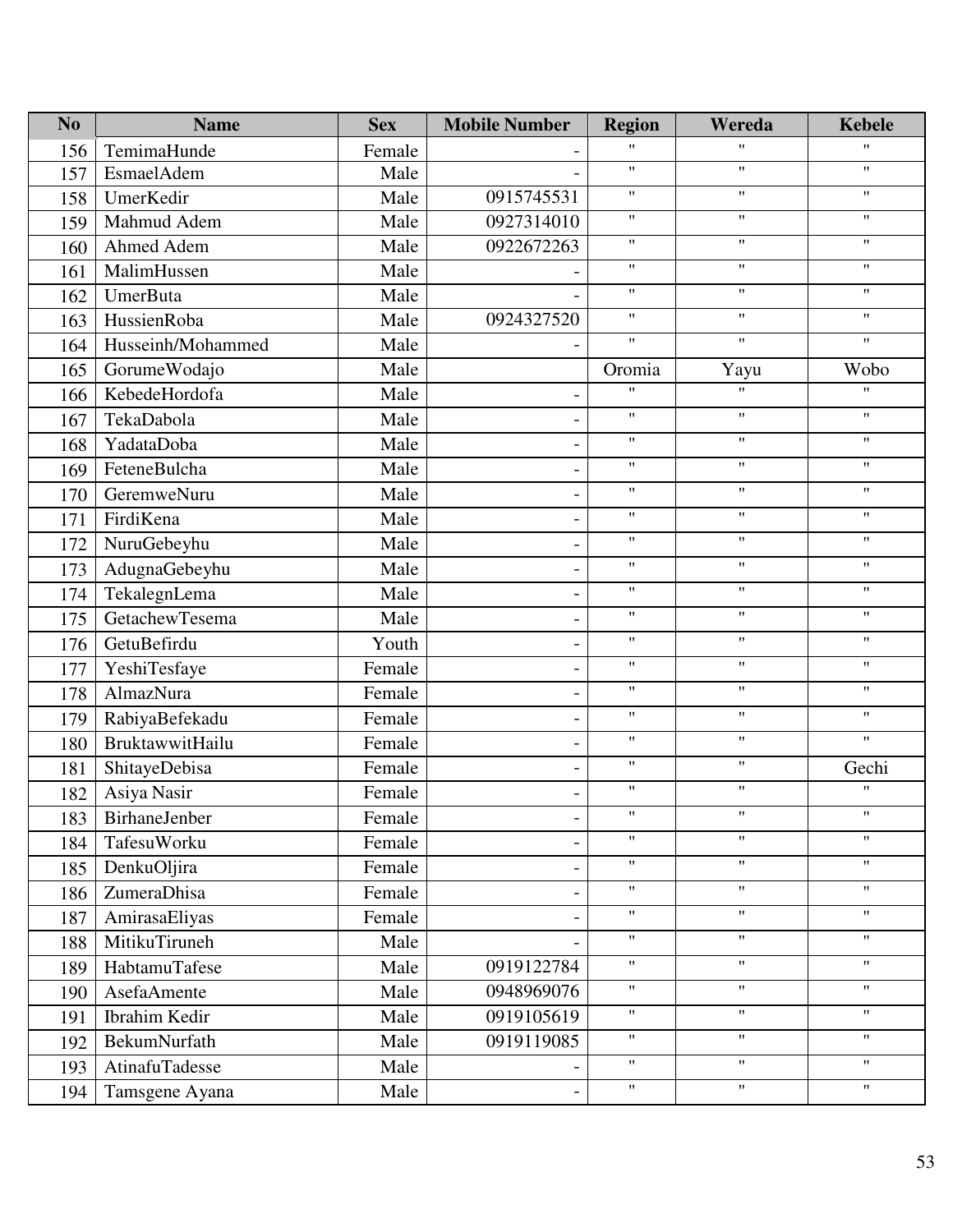| N <sub>o</sub> | <b>Name</b>            | <b>Sex</b> | <b>Mobile Number</b>     | <b>Region</b>      | Wereda                    | <b>Kebele</b>             |
|----------------|------------------------|------------|--------------------------|--------------------|---------------------------|---------------------------|
| 156            | TemimaHunde            | Female     |                          | 11                 | 11                        | $^{\prime\prime}$         |
| 157            | EsmaelAdem             | Male       |                          | 11                 | $\pmb{\mathsf{H}}$        | $\pmb{\mathsf{H}}$        |
| 158            | UmerKedir              | Male       | 0915745531               | 11                 | $\mathbf{H}$              | $\mathbf{H}$              |
| 159            | Mahmud Adem            | Male       | 0927314010               | 11                 | $\pmb{\mathsf{H}}$        | $\pmb{\mathsf{H}}$        |
| 160            | Ahmed Adem             | Male       | 0922672263               | 11                 | $^{\prime\prime}$         | $\pmb{\mathsf{H}}$        |
| 161            | MalimHussen            | Male       |                          | 11                 | $\boldsymbol{\mathsf{H}}$ | $\mathbf{H}$              |
| 162            | <b>UmerButa</b>        | Male       |                          | 11                 | $\pmb{\mathsf{H}}$        | $\pmb{\mathsf{H}}$        |
| 163            | HussienRoba            | Male       | 0924327520               | 11                 | $\pmb{\mathsf{H}}$        | $\mathbf{H}$              |
| 164            | Husseinh/Mohammed      | Male       |                          | 11                 | $\pmb{\mathsf{H}}$        | $\pmb{\mathsf{H}}$        |
| 165            | GorumeWodajo           | Male       |                          | Oromia             | Yayu                      | Wobo                      |
| 166            | KebedeHordofa          | Male       | $\overline{a}$           | $\mathbf{H}$       | $\mathbf{H}$              | $^{\prime\prime}$         |
| 167            | TekaDabola             | Male       |                          | 11                 | $\boldsymbol{\mathsf{H}}$ | $\mathbf{H}$              |
| 168            | YadataDoba             | Male       |                          | 11                 | $\pmb{\mathsf{H}}$        | $\pmb{\mathsf{H}}$        |
| 169            | FeteneBulcha           | Male       | $\overline{a}$           | 11                 | $\pmb{\mathsf{H}}$        | $\mathbf{H}$              |
| 170            | GeremweNuru            | Male       |                          | 11                 | $\pmb{\mathsf{H}}$        | $\mathbf{H}$              |
| 171            | FirdiKena              | Male       |                          | 11                 | $\pmb{\mathsf{H}}$        | $\pmb{\mathsf{H}}$        |
| 172            | NuruGebeyhu            | Male       | $\overline{\phantom{0}}$ | $\pmb{\mathsf{H}}$ | $\pmb{\mathsf{H}}$        | $\mathbf{H}$              |
| 173            | AdugnaGebeyhu          | Male       | $\overline{a}$           | 11                 | $\pmb{\mathsf{H}}$        | $\mathbf{H}$              |
| 174            | TekalegnLema           | Male       |                          | 11                 | $\pmb{\mathsf{H}}$        | $\pmb{\mathsf{H}}$        |
| 175            | GetachewTesema         | Male       | $\overline{a}$           | 11                 | $\pmb{\mathsf{H}}$        | $\pmb{\mathsf{H}}$        |
| 176            | GetuBefirdu            | Youth      |                          | 11                 | $\pmb{\mathsf{H}}$        | $\mathbf{H}$              |
| 177            | YeshiTesfaye           | Female     |                          | 11                 | $\pmb{\mathsf{H}}$        | $\pmb{\mathsf{H}}$        |
| 178            | AlmazNura              | Female     | ۰                        | $^{\prime\prime}$  | $\pmb{\mathsf{H}}$        | $\mathbf{H}$              |
| 179            | RabiyaBefekadu         | Female     | -                        | 11                 | $\pmb{\mathsf{H}}$        | $\mathbf{H}$              |
| 180            | <b>BruktawwitHailu</b> | Female     |                          | 11                 | $\pmb{\mathsf{H}}$        | $\mathbf{H}$              |
| 181            | ShitayeDebisa          | Female     | $\overline{\phantom{0}}$ | $\pmb{\mathsf{H}}$ | $\mathbf{H}$              | Gechi                     |
| 182            | Asiya Nasir            | Female     | $\overline{\phantom{0}}$ | 11                 | $\pmb{\mathsf{H}}$        | $^{\prime\prime}$         |
| 183            | BirhaneJenber          | Female     |                          | 11                 | $\pmb{\mathsf{H}}$        | $\pmb{\mathsf{H}}$        |
| 184            | TafesuWorku            | Female     |                          | $\mathbf{H}$       | $\pmb{\mathsf{H}}$        | $\mathbf{H}$              |
| 185            | DenkuOljira            | Female     |                          | 11                 | $\boldsymbol{\mathsf{H}}$ | $\mathbf{H}$              |
| 186            | ZumeraDhisa            | Female     |                          | $\pmb{\mathsf{H}}$ | $\mathbf{H}$              | $\boldsymbol{\mathsf{H}}$ |
| 187            | AmirasaEliyas          | Female     |                          | 11                 | $\pmb{\mathsf{H}}$        | $\mathbf{H}$              |
| 188            | MitikuTiruneh          | Male       |                          | 11                 | $\pmb{\mathsf{H}}$        | $\mathbf{H}$              |
| 189            | HabtamuTafese          | Male       | 0919122784               | 11                 | $\pmb{\mathsf{H}}$        | $\boldsymbol{\mathsf{H}}$ |
| 190            | AsefaAmente            | Male       | 0948969076               | 11                 | $\mathbf{H}$              | $\mathbf{H}$              |
| 191            | Ibrahim Kedir          | Male       | 0919105619               | 11                 | $\boldsymbol{\mathsf{H}}$ | $\mathbf{H}$              |
| 192            | BekumNurfath           | Male       | 0919119085               | 11                 | $\pmb{\mathsf{H}}$        | $\boldsymbol{\mathsf{H}}$ |
| 193            | AtinafuTadesse         | Male       |                          | 11                 | $\pmb{\mathsf{H}}$        | $\mathbf{H}$              |
| 194            | Tamsgene Ayana         | Male       |                          | 11                 | $\pmb{\mathsf{H}}$        | $\pmb{\mathsf{H}}$        |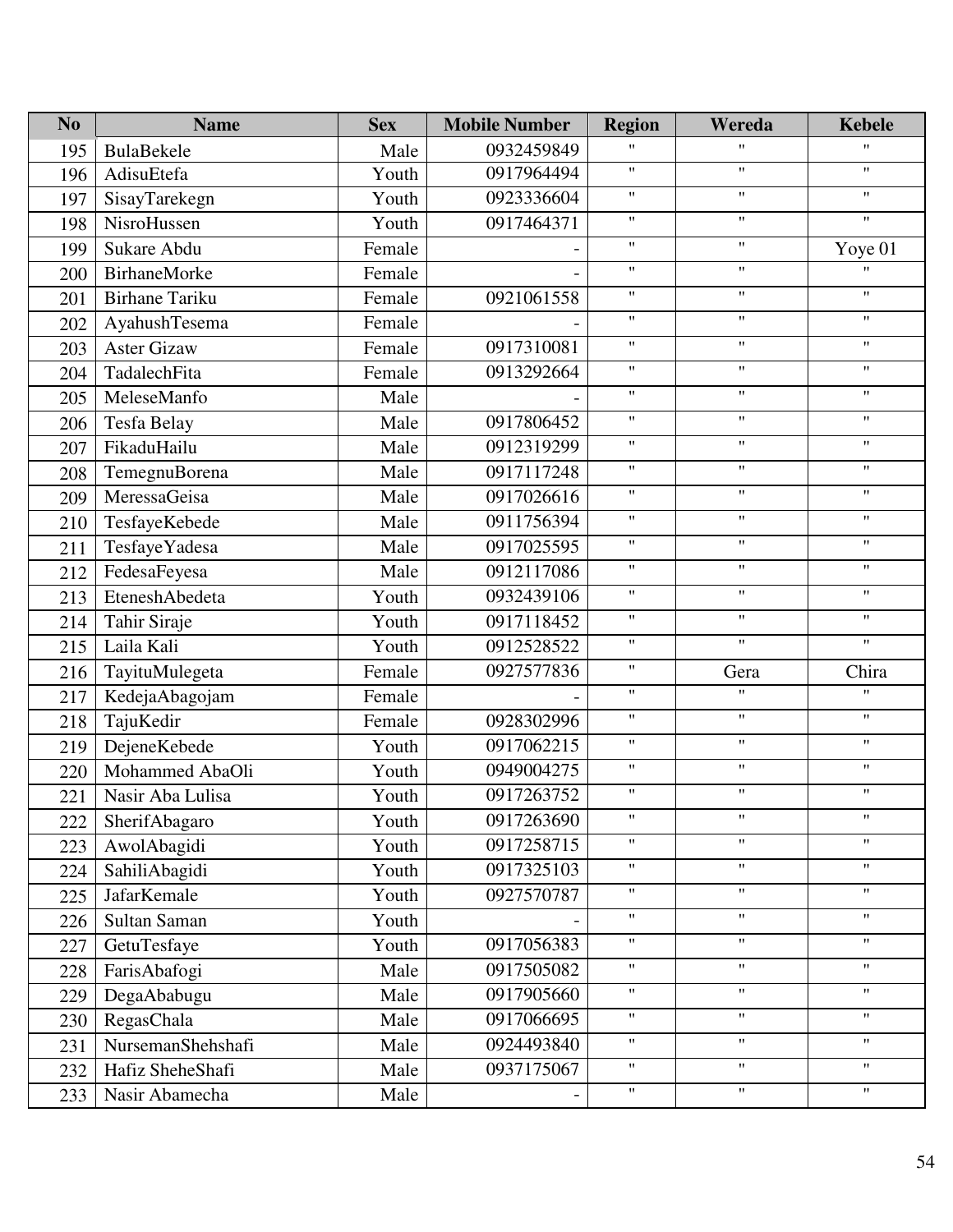| N <sub>o</sub> | <b>Name</b>           | <b>Sex</b> | <b>Mobile Number</b> | <b>Region</b>      | Wereda                    | <b>Kebele</b>      |
|----------------|-----------------------|------------|----------------------|--------------------|---------------------------|--------------------|
| 195            | BulaBekele            | Male       | 0932459849           | 11                 | $\pmb{\mathsf{H}}$        | $\pmb{\mathsf{H}}$ |
| 196            | AdisuEtefa            | Youth      | 0917964494           | 11                 | $\pmb{\mathsf{H}}$        | $\pmb{\mathsf{H}}$ |
| 197            | SisayTarekegn         | Youth      | 0923336604           | 11                 | $\pmb{\mathsf{H}}$        | $^{\prime\prime}$  |
| 198            | NisroHussen           | Youth      | 0917464371           | 11                 | $\boldsymbol{\mathsf{H}}$ | $\mathbf{H}$       |
| 199            | Sukare Abdu           | Female     |                      | 11                 | $\pmb{\mathsf{H}}$        | Yoye 01            |
| 200            | <b>BirhaneMorke</b>   | Female     |                      | 11                 | $\pmb{\mathsf{H}}$        | $^{\prime}$        |
| 201            | <b>Birhane Tariku</b> | Female     | 0921061558           | 11                 | $\pmb{\mathsf{H}}$        | $\pmb{\mathsf{H}}$ |
| 202            | AyahushTesema         | Female     |                      | 11                 | $\pmb{\mathsf{H}}$        | $\pmb{\mathsf{H}}$ |
| 203            | <b>Aster Gizaw</b>    | Female     | 0917310081           | $\mathbf{H}$       | $\pmb{\mathsf{H}}$        | $^{\prime\prime}$  |
| 204            | TadalechFita          | Female     | 0913292664           | 11                 | $\pmb{\mathsf{H}}$        | $\pmb{\mathsf{H}}$ |
| 205            | MeleseManfo           | Male       |                      | 11                 | $\pmb{\mathsf{H}}$        | $\pmb{\mathsf{H}}$ |
| 206            | Tesfa Belay           | Male       | 0917806452           | $\mathbf{H}$       | $\pmb{\mathsf{H}}$        | $^{\prime\prime}$  |
| 207            | FikaduHailu           | Male       | 0912319299           | 11                 | $\boldsymbol{\mathsf{H}}$ | $\pmb{\mathsf{H}}$ |
| 208            | TemegnuBorena         | Male       | 0917117248           | 11                 | $\pmb{\mathsf{H}}$        | $\pmb{\mathsf{H}}$ |
| 209            | MeressaGeisa          | Male       | 0917026616           | 11                 | $\pmb{\mathsf{H}}$        | $\pmb{\mathsf{H}}$ |
| 210            | TesfayeKebede         | Male       | 0911756394           | 11                 | $\pmb{\mathsf{H}}$        | $\pmb{\mathsf{H}}$ |
| 211            | TesfayeYadesa         | Male       | 0917025595           | 11                 | $\boldsymbol{\mathsf{H}}$ | $\pmb{\mathsf{H}}$ |
| 212            | FedesaFeyesa          | Male       | 0912117086           | 11                 | $\pmb{\mathsf{H}}$        | $^{\prime\prime}$  |
| 213            | EteneshAbedeta        | Youth      | 0932439106           | 11                 | $\pmb{\mathsf{H}}$        | $\pmb{\mathsf{H}}$ |
| 214            | Tahir Siraje          | Youth      | 0917118452           | 11                 | $\boldsymbol{\mathsf{H}}$ | $\pmb{\mathsf{H}}$ |
| 215            | Laila Kali            | Youth      | 0912528522           | 11                 | $\mathbf{H}$              | $^{\prime\prime}$  |
| 216            | TayituMulegeta        | Female     | 0927577836           | 11                 | Gera                      | Chira              |
| 217            | KedejaAbagojam        | Female     |                      | 11                 | $\pmb{\mathsf{H}}$        | $\pmb{\mathsf{H}}$ |
| 218            | TajuKedir             | Female     | 0928302996           | 11                 | $\boldsymbol{\mathsf{H}}$ | $\pmb{\mathsf{H}}$ |
| 219            | DejeneKebede          | Youth      | 0917062215           | 11                 | $\pmb{\mathsf{H}}$        | $\pmb{\mathsf{H}}$ |
| 220            | Mohammed AbaOli       | Youth      | 0949004275           | 11                 | $\pmb{\mathsf{H}}$        | $\pmb{\mathsf{H}}$ |
| 221            | Nasir Aba Lulisa      | Youth      | 0917263752           | 11                 | $\pmb{\mathsf{H}}$        | $\pmb{\mathsf{H}}$ |
| 222            | SherifAbagaro         | Youth      | 0917263690           | 11                 | $\pmb{\mathsf{H}}$        | $\pmb{\mathsf{H}}$ |
| 223            | AwolAbagidi           | Youth      | 0917258715           | 11                 | $\pmb{\mathsf{H}}$        | $\pmb{\mathsf{H}}$ |
| 224            | SahiliAbagidi         | Youth      | 0917325103           | 11                 | $\mathbf{H}$              | $\pmb{\mathsf{H}}$ |
| 225            | JafarKemale           | Youth      | 0927570787           | 11                 | $\pmb{\mathsf{H}}$        | $\pmb{\mathsf{H}}$ |
| 226            | Sultan Saman          | Youth      |                      | 11                 | $\pmb{\mathsf{H}}$        | $\pmb{\mathsf{H}}$ |
| 227            | GetuTesfaye           | Youth      | 0917056383           | 11                 | $\mathbf{H}$              | $\pmb{\mathsf{H}}$ |
| 228            | FarisAbafogi          | Male       | 0917505082           | 11                 | $\pmb{\mathsf{H}}$        | $\pmb{\mathsf{H}}$ |
| 229            | DegaAbabugu           | Male       | 0917905660           | 11                 | $\pmb{\mathsf{H}}$        | $\pmb{\mathsf{H}}$ |
| 230            | RegasChala            | Male       | 0917066695           | 11                 | $\pmb{\mathsf{H}}$        | $\pmb{\mathsf{H}}$ |
| 231            | NursemanShehshafi     | Male       | 0924493840           | 11                 | $\pmb{\mathsf{H}}$        | $^{\prime\prime}$  |
| 232            | Hafiz SheheShafi      | Male       | 0937175067           | 11                 | $\pmb{\mathsf{H}}$        | $\pmb{\mathsf{H}}$ |
| 233            | Nasir Abamecha        | Male       |                      | $\pmb{\mathsf{H}}$ | $\pmb{\mathsf{H}}$        | $\pmb{\mathsf{H}}$ |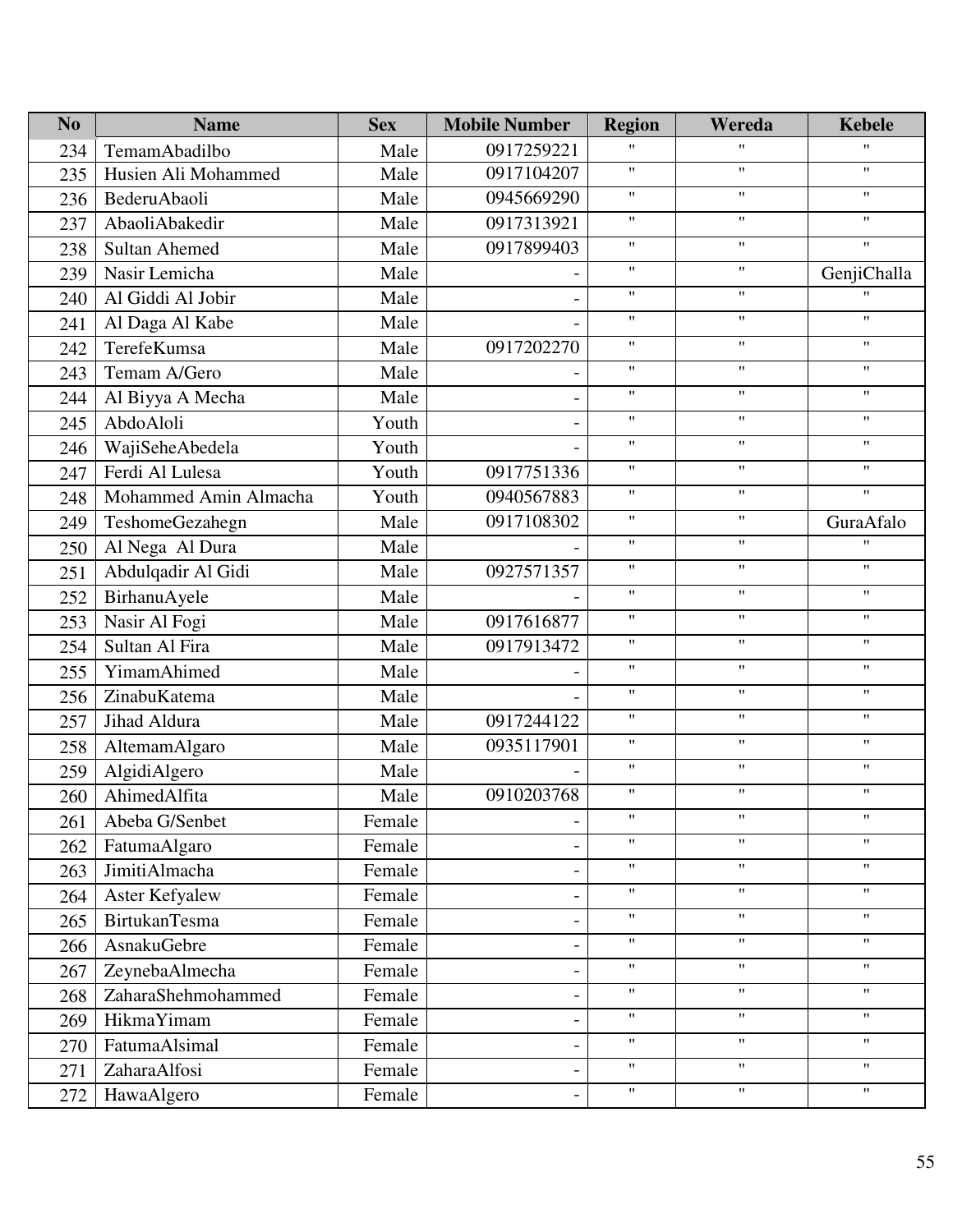| N <sub>o</sub> | <b>Name</b>           | <b>Sex</b> | <b>Mobile Number</b> | <b>Region</b>      | Wereda                    | <b>Kebele</b>      |
|----------------|-----------------------|------------|----------------------|--------------------|---------------------------|--------------------|
| 234            | TemamAbadilbo         | Male       | 0917259221           | $\pmb{\mathsf{H}}$ | $^{\prime\prime}$         | $^{\prime\prime}$  |
| 235            | Husien Ali Mohammed   | Male       | 0917104207           | $\pmb{\mathsf{H}}$ | $\pmb{\mathsf{H}}$        | $\pmb{\mathsf{H}}$ |
| 236            | BederuAbaoli          | Male       | 0945669290           | $\pmb{\mathsf{H}}$ | $\pmb{\mathsf{H}}$        | $\mathbf{H}$       |
| 237            | AbaoliAbakedir        | Male       | 0917313921           | $\mathbf{H}$       | $\mathbf{H}$              | $\pmb{\mathsf{H}}$ |
| 238            | <b>Sultan Ahemed</b>  | Male       | 0917899403           | $\pmb{\mathsf{H}}$ | $\pmb{\mathsf{H}}$        | $\pmb{\mathsf{H}}$ |
| 239            | Nasir Lemicha         | Male       |                      | $\pmb{\mathsf{H}}$ | $\mathbf{H}$              | GenjiChalla        |
| 240            | Al Giddi Al Jobir     | Male       |                      | $\pmb{\mathsf{H}}$ | $\mathbf{H}$              | $^{\prime\prime}$  |
| 241            | Al Daga Al Kabe       | Male       |                      | $\pmb{\mathsf{H}}$ | $\pmb{\mathsf{H}}$        | $\mathbf{H}$       |
| 242            | TerefeKumsa           | Male       | 0917202270           | $\pmb{\mathsf{H}}$ | $\mathbf{H}$              | $\mathbf{H}$       |
| 243            | Temam A/Gero          | Male       |                      | $\pmb{\mathsf{H}}$ | $\boldsymbol{\mathsf{H}}$ | $\pmb{\mathsf{H}}$ |
| 244            | Al Biyya A Mecha      | Male       |                      | $\pmb{\mathsf{H}}$ | $\pmb{\mathsf{H}}$        | $\pmb{\mathsf{H}}$ |
| 245            | AbdoAloli             | Youth      |                      | $\pmb{\mathsf{H}}$ | $\pmb{\mathsf{H}}$        | $\mathbf{H}$       |
| 246            | WajiSeheAbedela       | Youth      |                      | $\mathbf{H}$       | $\mathbf{H}$              | $\pmb{\mathsf{H}}$ |
| 247            | Ferdi Al Lulesa       | Youth      | 0917751336           | $\pmb{\mathsf{H}}$ | $\boldsymbol{\mathsf{H}}$ | $\pmb{\mathsf{H}}$ |
| 248            | Mohammed Amin Almacha | Youth      | 0940567883           | $\mathbf{H}$       | $\mathbf{H}$              | $\mathbf{H}$       |
| 249            | TeshomeGezahegn       | Male       | 0917108302           | $\mathbf{H}$       | $\mathbf{H}$              | GuraAfalo          |
| 250            | Al Nega Al Dura       | Male       |                      | $\mathbf{H}$       | $\mathbf{H}$              | $^{\prime\prime}$  |
| 251            | Abdulqadir Al Gidi    | Male       | 0927571357           | $\pmb{\mathsf{H}}$ | $\pmb{\mathsf{H}}$        | $\mathbf{H}$       |
| 252            | BirhanuAyele          | Male       |                      | $\mathbf{H}$       | $\mathbf{H}$              | $\pmb{\mathsf{H}}$ |
| 253            | Nasir Al Fogi         | Male       | 0917616877           | $\pmb{\mathsf{H}}$ | $\boldsymbol{\mathsf{H}}$ | $\pmb{\mathsf{H}}$ |
| 254            | Sultan Al Fira        | Male       | 0917913472           | $\pmb{\mathsf{H}}$ | $\pmb{\mathsf{H}}$        | $\mathbf{H}$       |
| 255            | YimamAhimed           | Male       |                      | $\mathbf{H}$       | $\mathbf{H}$              | $\pmb{\mathsf{H}}$ |
| 256            | ZinabuKatema          | Male       |                      | $\mathbf{H}$       | $\mathbf{H}$              | $\pmb{\mathsf{H}}$ |
| 257            | Jihad Aldura          | Male       | 0917244122           | $\pmb{\mathsf{H}}$ | $\mathbf{H}$              | $\mathbf{H}$       |
| 258            | AltemamAlgaro         | Male       | 0935117901           | $\mathbf{H}$       | $\mathbf{H}$              | $\pmb{\mathsf{H}}$ |
| 259            | AlgidiAlgero          | Male       |                      | $\pmb{\mathsf{H}}$ | $\mathbf{H}$              | $\pmb{\mathsf{H}}$ |
| 260            | AhimedAlfita          | Male       | 0910203768           | $\pmb{\mathsf{H}}$ | $\pmb{\mathsf{H}}$        | $\pmb{\mathsf{H}}$ |
| 261            | Abeba G/Senbet        | Female     | -                    | $\pmb{\mathsf{H}}$ | $\pmb{\mathsf{H}}$        | $\pmb{\mathsf{H}}$ |
| 262            | FatumaAlgaro          | Female     |                      | $\pmb{\mathsf{H}}$ | $\mathbf{H}$              | $\pmb{\mathsf{H}}$ |
| 263            | JimitiAlmacha         | Female     |                      | $\pmb{\mathsf{H}}$ | $\mathbf{H}$              | $\mathbf{H}$       |
| 264            | Aster Kefyalew        | Female     |                      | $\pmb{\mathsf{H}}$ | Ħ                         | $\mathbf{H}$       |
| 265            | <b>BirtukanTesma</b>  | Female     |                      | $\pmb{\mathsf{H}}$ | $\boldsymbol{\mathsf{H}}$ | $\mathbf{H}$       |
| 266            | AsnakuGebre           | Female     |                      | $\pmb{\mathsf{H}}$ | $\mathbf{H}$              | $\mathbf{H}$       |
| 267            | ZeynebaAlmecha        | Female     |                      | $\pmb{\mathsf{H}}$ | $\pmb{\mathsf{H}}$        | $\mathbf{H}$       |
| 268            | ZaharaShehmohammed    | Female     |                      | $\pmb{\mathsf{H}}$ | $\boldsymbol{\mathsf{H}}$ | $\mathbf{H}$       |
| 269            | HikmaYimam            | Female     |                      | $\pmb{\mathsf{H}}$ | $\mathbf{H}$              | $\mathbf{H}$       |
| 270            | FatumaAlsimal         | Female     |                      | $\pmb{\mathsf{H}}$ | Ħ                         | $\mathbf{H}$       |
| 271            | ZaharaAlfosi          | Female     |                      | $\pmb{\mathsf{H}}$ | $\mathbf{H}$              | $\mathbf{H}$       |
| 272            | HawaAlgero            | Female     |                      | $\pmb{\mathsf{H}}$ | $\boldsymbol{\mathsf{H}}$ | $\pmb{\mathsf{H}}$ |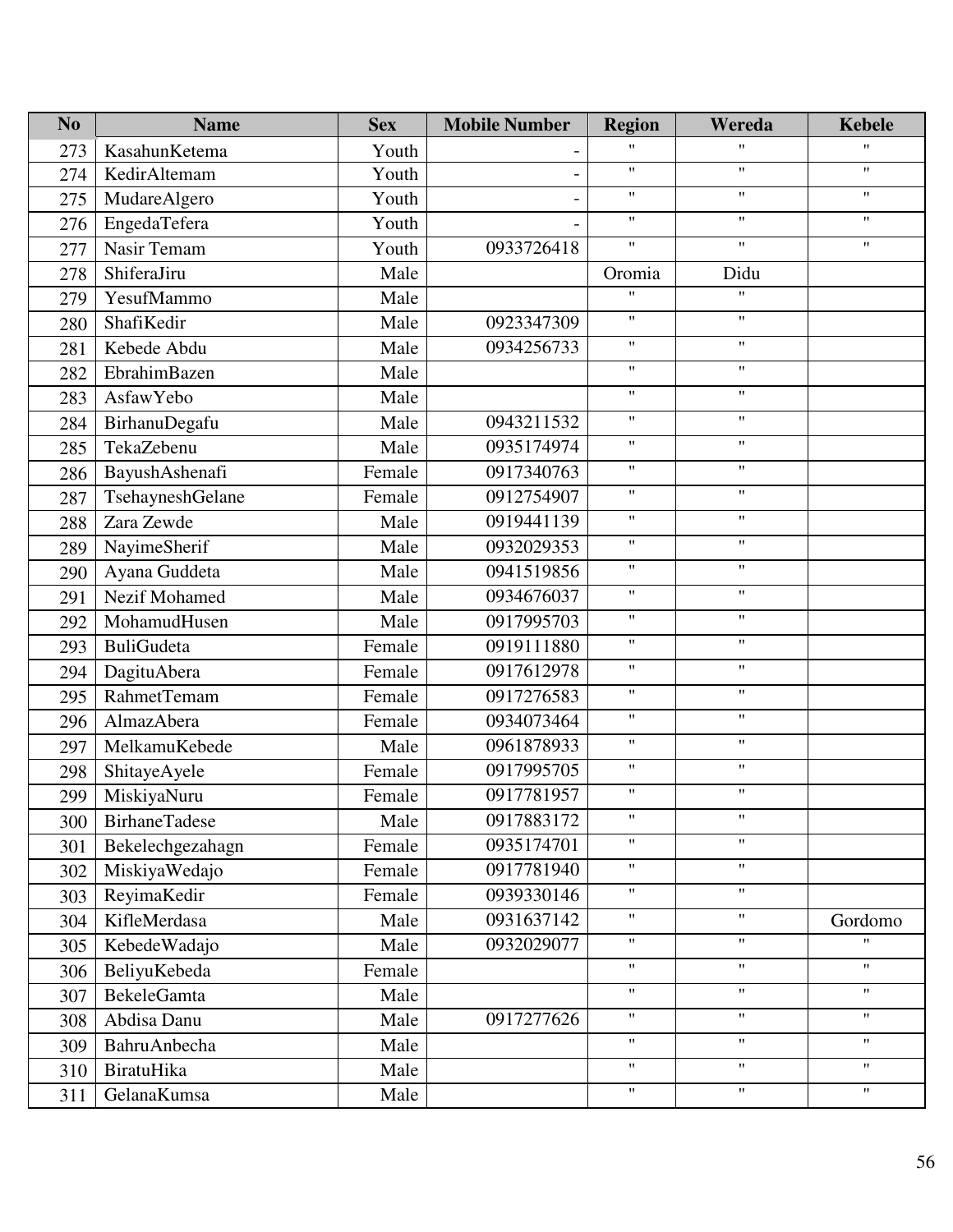| N <sub>o</sub> | <b>Name</b>          | <b>Sex</b> | <b>Mobile Number</b> | <b>Region</b>      | Wereda                    | <b>Kebele</b>      |
|----------------|----------------------|------------|----------------------|--------------------|---------------------------|--------------------|
| 273            | KasahunKetema        | Youth      |                      | $\pmb{\mathsf{H}}$ | $\mathbf{H}$              | $\mathbf{H}$       |
| 274            | KedirAltemam         | Youth      |                      | $\pmb{\mathsf{H}}$ | $\boldsymbol{\mathsf{H}}$ | $\pmb{\mathsf{H}}$ |
| 275            | MudareAlgero         | Youth      |                      | $\pmb{\mathsf{H}}$ | $^{\prime\prime}$         | $\mathbf{H}$       |
| 276            | EngedaTefera         | Youth      |                      | $\mathbf{H}$       | $\mathbf{H}$              | $\pmb{\mathsf{H}}$ |
| 277            | Nasir Temam          | Youth      | 0933726418           | $\mathbf{H}$       | $\boldsymbol{\mathsf{H}}$ | $\pmb{\mathsf{H}}$ |
| 278            | ShiferaJiru          | Male       |                      | Oromia             | Didu                      |                    |
| 279            | YesufMammo           | Male       |                      | $\pmb{\mathsf{H}}$ | $^{\prime\prime}$         |                    |
| 280            | ShafiKedir           | Male       | 0923347309           | $\pmb{\mathsf{H}}$ | $\mathbf{H}$              |                    |
| 281            | Kebede Abdu          | Male       | 0934256733           | $\pmb{\mathsf{H}}$ | $\pmb{\mathsf{H}}$        |                    |
| 282            | EbrahimBazen         | Male       |                      | $\pmb{\mathsf{H}}$ | $\mathbf{H}$              |                    |
| 283            | AsfawYebo            | Male       |                      | $\pmb{\mathsf{H}}$ | $\mathbf{H}$              |                    |
| 284            | BirhanuDegafu        | Male       | 0943211532           | $\pmb{\mathsf{H}}$ | $\pmb{\mathsf{H}}$        |                    |
| 285            | TekaZebenu           | Male       | 0935174974           | $\pmb{\mathsf{H}}$ | $\mathbf{H}$              |                    |
| 286            | BayushAshenafi       | Female     | 0917340763           | $\pmb{\mathsf{H}}$ | $\mathbf{H}$              |                    |
| 287            | TsehayneshGelane     | Female     | 0912754907           | $\pmb{\mathsf{H}}$ | $\pmb{\mathsf{H}}$        |                    |
| 288            | Zara Zewde           | Male       | 0919441139           | $\pmb{\mathsf{H}}$ | $\mathbf{H}$              |                    |
| 289            | NayimeSherif         | Male       | 0932029353           | $\pmb{\mathsf{H}}$ | $\mathbf{H}$              |                    |
| 290            | Ayana Guddeta        | Male       | 0941519856           | $\pmb{\mathsf{H}}$ | $\pmb{\mathsf{H}}$        |                    |
| 291            | Nezif Mohamed        | Male       | 0934676037           | $\pmb{\mathsf{H}}$ | $\mathbf{H}$              |                    |
| 292            | MohamudHusen         | Male       | 0917995703           | $\pmb{\mathsf{H}}$ | $\mathbf{H}$              |                    |
| 293            | <b>BuliGudeta</b>    | Female     | 0919111880           | $\pmb{\mathsf{H}}$ | $\pmb{\mathsf{H}}$        |                    |
| 294            | DagituAbera          | Female     | 0917612978           | $\pmb{\mathsf{H}}$ | $\mathbf{H}$              |                    |
| 295            | RahmetTemam          | Female     | 0917276583           | $\pmb{\mathsf{H}}$ | $\mathbf{H}$              |                    |
| 296            | AlmazAbera           | Female     | 0934073464           | $\pmb{\mathsf{H}}$ | $\pmb{\mathsf{H}}$        |                    |
| 297            | MelkamuKebede        | Male       | 0961878933           | $\pmb{\mathsf{H}}$ | $\mathbf{H}$              |                    |
| 298            | ShitayeAyele         | Female     | 0917995705           | $\pmb{\mathsf{H}}$ | $\pmb{\mathsf{H}}$        |                    |
| 299            | MiskiyaNuru          | Female     | 0917781957           | $\pmb{\mathsf{H}}$ | $\mathbf{H}$              |                    |
| 300            | <b>BirhaneTadese</b> | Male       | 0917883172           | $\pmb{\mathsf{H}}$ | $\pmb{\mathsf{H}}$        |                    |
| 301            | Bekelechgezahagn     | Female     | 0935174701           | $\pmb{\mathsf{H}}$ | $\boldsymbol{\mathsf{H}}$ |                    |
| 302            | MiskiyaWedajo        | Female     | 0917781940           | $\pmb{\mathsf{H}}$ | $\mathbf{H}$              |                    |
| 303            | ReyimaKedir          | Female     | 0939330146           | $\pmb{\mathsf{H}}$ | $\mathbf{H}$              |                    |
| 304            | KifleMerdasa         | Male       | 0931637142           | $\pmb{\mathsf{H}}$ | $\boldsymbol{\mathsf{H}}$ | Gordomo            |
| 305            | KebedeWadajo         | Male       | 0932029077           | $\pmb{\mathsf{H}}$ | $\mathbf{H}$              | $\pmb{\mathsf{H}}$ |
| 306            | BeliyuKebeda         | Female     |                      | $\pmb{\mathsf{H}}$ | $\pmb{\mathsf{H}}$        | $\mathbf{H}$       |
| 307            | <b>BekeleGamta</b>   | Male       |                      | $\pmb{\mathsf{H}}$ | $\mathbf{H}$              | $\pmb{\mathsf{H}}$ |
| 308            | Abdisa Danu          | Male       | 0917277626           | $\pmb{\mathsf{H}}$ | $\mathbf{H}$              | $\mathbf{H}$       |
| 309            | BahruAnbecha         | Male       |                      | $\pmb{\mathsf{H}}$ | $\pmb{\mathsf{H}}$        | $\pmb{\mathsf{H}}$ |
| 310            | BiratuHika           | Male       |                      | $\pmb{\mathsf{H}}$ | $\mathbf{H}$              | $\mathbf{H}$       |
| 311            | GelanaKumsa          | Male       |                      | $\pmb{\mathsf{H}}$ | $\pmb{\mathsf{H}}$        | $\mathbf{H}$       |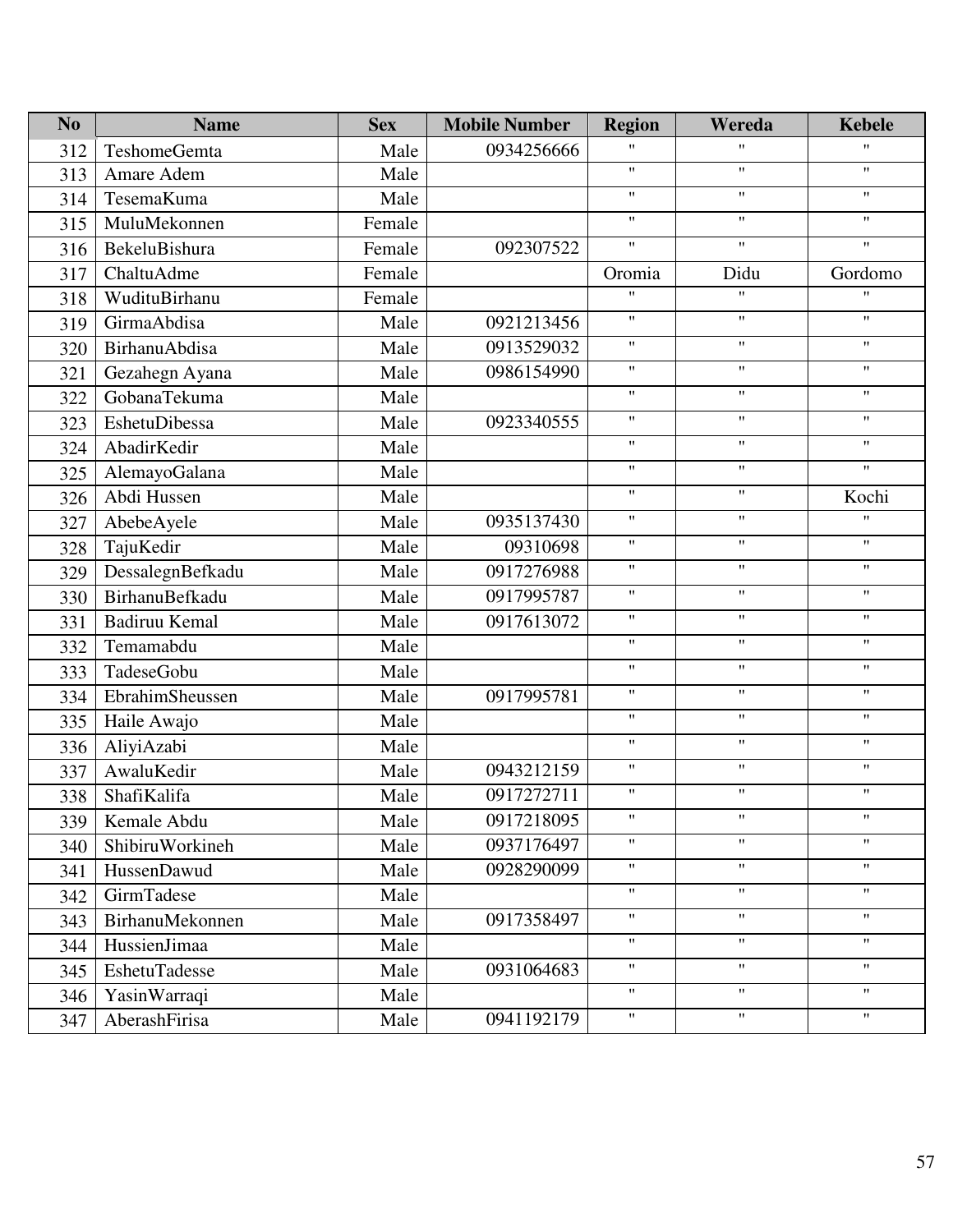| N <sub>o</sub> | <b>Name</b>      | <b>Sex</b> | <b>Mobile Number</b> | <b>Region</b>             | Wereda                    | <b>Kebele</b>             |
|----------------|------------------|------------|----------------------|---------------------------|---------------------------|---------------------------|
| 312            | TeshomeGemta     | Male       | 0934256666           | $\mathbf{H}$              | $\mathbf{H}$              | $\mathbf{H}$              |
| 313            | Amare Adem       | Male       |                      | $\pmb{\mathsf{H}}$        | $\boldsymbol{\mathsf{H}}$ | $\mathbf{H}$              |
| 314            | TesemaKuma       | Male       |                      | 11                        | $\mathbf{H}$              | $\mathbf{H}$              |
| 315            | MuluMekonnen     | Female     |                      | $\pmb{\mathsf{H}}$        | $\pmb{\mathsf{H}}$        | $\pmb{\mathsf{H}}$        |
| 316            | BekeluBishura    | Female     | 092307522            | $\boldsymbol{\mathsf{H}}$ | $\boldsymbol{\mathsf{H}}$ | $\boldsymbol{\mathsf{H}}$ |
| 317            | ChaltuAdme       | Female     |                      | Oromia                    | Didu                      | Gordomo                   |
| 318            | WudituBirhanu    | Female     |                      | 11                        | $\pmb{\mathsf{H}}$        | $\pmb{\mathsf{H}}$        |
| 319            | GirmaAbdisa      | Male       | 0921213456           | $\pmb{\mathsf{H}}$        | $\boldsymbol{\mathsf{H}}$ | $\mathbf{H}$              |
| 320            | BirhanuAbdisa    | Male       | 0913529032           | 11                        | $\mathbf{H}$              | $\mathbf{H}$              |
| 321            | Gezahegn Ayana   | Male       | 0986154990           | 11                        | $\pmb{\mathsf{H}}$        | $\pmb{\mathsf{H}}$        |
| 322            | GobanaTekuma     | Male       |                      | $\pmb{\mathsf{H}}$        | $\boldsymbol{\mathsf{H}}$ | $\boldsymbol{\mathsf{H}}$ |
| 323            | EshetuDibessa    | Male       | 0923340555           | $^{\prime\prime}$         | $\mathbf{H}$              | $\pmb{\mathsf{H}}$        |
| 324            | AbadirKedir      | Male       |                      | 11                        | $\boldsymbol{\mathsf{H}}$ | $\pmb{\mathsf{H}}$        |
| 325            | AlemayoGalana    | Male       |                      | $\boldsymbol{\mathsf{H}}$ | $\boldsymbol{\mathsf{H}}$ | $\mathbf{H}$              |
| 326            | Abdi Hussen      | Male       |                      | $^{\prime\prime}$         | $\mathbf{H}$              | Kochi                     |
| 327            | AbebeAyele       | Male       | 0935137430           | 11                        | $\pmb{\mathsf{H}}$        | $\pmb{\mathsf{H}}$        |
| 328            | TajuKedir        | Male       | 09310698             | $\pmb{\mathsf{H}}$        | $\boldsymbol{\mathsf{H}}$ | $\boldsymbol{\mathsf{H}}$ |
| 329            | DessalegnBefkadu | Male       | 0917276988           | $\pmb{\mathsf{H}}$        | $\pmb{\mathsf{H}}$        | $\pmb{\mathsf{H}}$        |
| 330            | BirhanuBefkadu   | Male       | 0917995787           | $\pmb{\mathsf{H}}$        | $\pmb{\mathsf{H}}$        | $\pmb{\mathsf{H}}$        |
| 331            | Badiruu Kemal    | Male       | 0917613072           | $\pmb{\mathsf{H}}$        | $\boldsymbol{\mathsf{H}}$ | $\mathbf{H}$              |
| 332            | Temamabdu        | Male       |                      | $\pmb{\mathsf{H}}$        | $\mathbf{H}$              | $\pmb{\mathsf{H}}$        |
| 333            | TadeseGobu       | Male       |                      | 11                        | $\pmb{\mathsf{H}}$        | $\pmb{\mathsf{H}}$        |
| 334            | EbrahimSheussen  | Male       | 0917995781           | $\pmb{\mathsf{H}}$        | $\boldsymbol{\mathsf{H}}$ | $\boldsymbol{\mathsf{H}}$ |
| 335            | Haile Awajo      | Male       |                      | $\pmb{\mathsf{H}}$        | $\pmb{\mathsf{H}}$        | $\pmb{\mathsf{H}}$        |
| 336            | AliyiAzabi       | Male       |                      | $\pmb{\mathsf{H}}$        | $\mathbf{H}$              | $\pmb{\mathsf{H}}$        |
| 337            | AwaluKedir       | Male       | 0943212159           | $\pmb{\mathsf{H}}$        | $\boldsymbol{\mathsf{H}}$ | $\pmb{\mathsf{H}}$        |
| 338            | ShafiKalifa      | Male       | 0917272711           | $^{\prime\prime}$         | $\pmb{\mathsf{H}}$        | $\pmb{\mathsf{H}}$        |
| 339            | Kemale Abdu      | Male       | 0917218095           | 11                        | $\pmb{\mathsf{H}}$        | 11                        |
| 340            | ShibiruWorkineh  | Male       | 0937176497           | 11                        | $\pmb{\mathsf{H}}$        | $\pmb{\mathsf{H}}$        |
| 341            | HussenDawud      | Male       | 0928290099           | 11                        | $\mathbf{H}$              | $\pmb{\mathsf{H}}$        |
| 342            | GirmTadese       | Male       |                      | 11                        | $\pmb{\mathsf{H}}$        | $\pmb{\mathsf{H}}$        |
| 343            | BirhanuMekonnen  | Male       | 0917358497           | 11                        | $\pmb{\mathsf{H}}$        | $\pmb{\mathsf{H}}$        |
| 344            | HussienJimaa     | Male       |                      | $\pmb{\mathsf{H}}$        | $\pmb{\mathsf{H}}$        | $\mathbf{H}$              |
| 345            | EshetuTadesse    | Male       | 0931064683           | 11                        | $\boldsymbol{\mathsf{H}}$ | $\mathbf{H}$              |
| 346            | YasinWarraqi     | Male       |                      | $\pmb{\mathsf{H}}$        | $\mathbf{H}$              | $\mathbf{H}$              |
| 347            | AberashFirisa    | Male       | 0941192179           | 11                        | $\mathbf{H}$              | $\mathbf{H}$              |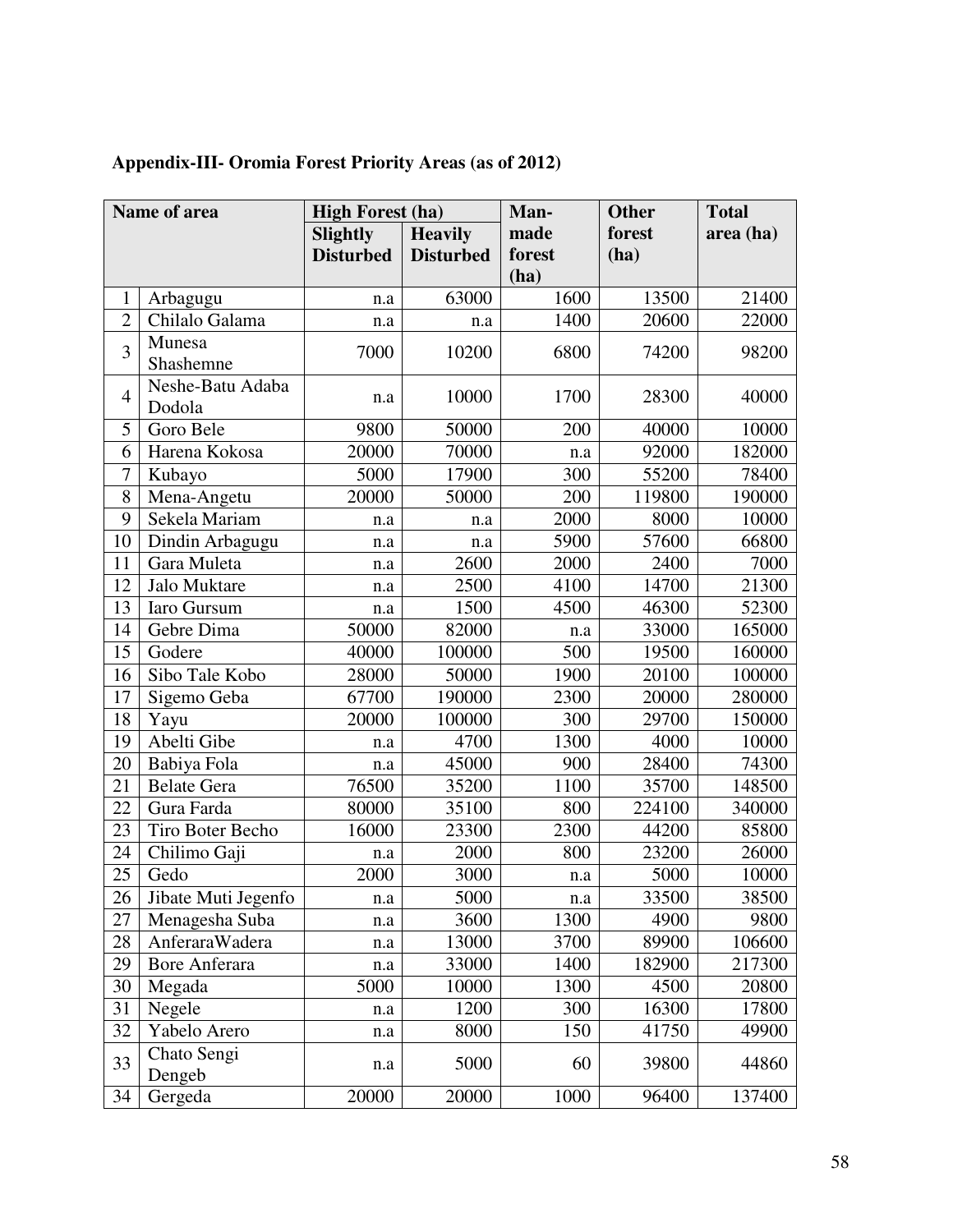| Name of area   |                            | <b>High Forest (ha)</b> |                  | Man-   | <b>Other</b> | <b>Total</b> |
|----------------|----------------------------|-------------------------|------------------|--------|--------------|--------------|
|                |                            | <b>Slightly</b>         | <b>Heavily</b>   | made   | forest       | area (ha)    |
|                |                            | <b>Disturbed</b>        | <b>Disturbed</b> | forest | (ha)         |              |
|                |                            |                         |                  | (ha)   |              |              |
| $\mathbf{1}$   | Arbagugu                   | n.a                     | 63000            | 1600   | 13500        | 21400        |
| $\overline{2}$ | Chilalo Galama             | n.a                     | n.a              | 1400   | 20600        | 22000        |
| 3              | Munesa<br>Shashemne        | 7000                    | 10200            | 6800   | 74200        | 98200        |
| $\overline{4}$ | Neshe-Batu Adaba<br>Dodola | n.a                     | 10000            | 1700   | 28300        | 40000        |
| 5              | Goro Bele                  | 9800                    | 50000            | 200    | 40000        | 10000        |
| 6              | Harena Kokosa              | 20000                   | 70000            | n.a    | 92000        | 182000       |
| $\overline{7}$ | Kubayo                     | 5000                    | 17900            | 300    | 55200        | 78400        |
| 8              | Mena-Angetu                | 20000                   | 50000            | 200    | 119800       | 190000       |
| 9              | Sekela Mariam              | n.a                     | n.a              | 2000   | 8000         | 10000        |
| 10             | Dindin Arbagugu            | n.a                     | n.a              | 5900   | 57600        | 66800        |
| 11             | Gara Muleta                | n.a                     | 2600             | 2000   | 2400         | 7000         |
| 12             | Jalo Muktare               | n.a                     | 2500             | 4100   | 14700        | 21300        |
| 13             | Iaro Gursum                | n.a                     | 1500             | 4500   | 46300        | 52300        |
| 14             | Gebre Dima                 | 50000                   | 82000            | n.a    | 33000        | 165000       |
| 15             | Godere                     | 40000                   | 100000           | 500    | 19500        | 160000       |
| 16             | Sibo Tale Kobo             | 28000                   | 50000            | 1900   | 20100        | 100000       |
| 17             | Sigemo Geba                | 67700                   | 190000           | 2300   | 20000        | 280000       |
| 18             | Yayu                       | 20000                   | 100000           | 300    | 29700        | 150000       |
| 19             | Abelti Gibe                | n.a                     | 4700             | 1300   | 4000         | 10000        |
| 20             | Babiya Fola                | n.a                     | 45000            | 900    | 28400        | 74300        |
| 21             | <b>Belate Gera</b>         | 76500                   | 35200            | 1100   | 35700        | 148500       |
| 22             | Gura Farda                 | 80000                   | 35100            | 800    | 224100       | 340000       |
| 23             | Tiro Boter Becho           | 16000                   | 23300            | 2300   | 44200        | 85800        |
| 24             | Chilimo Gaji               | n.a                     | 2000             | 800    | 23200        | 26000        |
| 25             | Gedo                       | 2000                    | 3000             | n.a    | 5000         | 10000        |
| 26             | Jibate Muti Jegenfo        | n.a                     | 5000             | n.a    | 33500        | 38500        |
| 27             | Menagesha Suba             | n.a                     | 3600             | 1300   | 4900         | 9800         |
| 28             | AnferaraWadera             | n.a                     | 13000            | 3700   | 89900        | 106600       |
| 29             | <b>Bore Anferara</b>       | n.a                     | 33000            | 1400   | 182900       | 217300       |
| 30             | Megada                     | 5000                    | 10000            | 1300   | 4500         | 20800        |
| 31             | Negele                     | n.a                     | 1200             | 300    | 16300        | 17800        |
| 32             | Yabelo Arero               | n.a                     | 8000             | 150    | 41750        | 49900        |
| 33             | Chato Sengi<br>Dengeb      | n.a                     | 5000             | 60     | 39800        | 44860        |
| 34             | Gergeda                    | 20000                   | 20000            | 1000   | 96400        | 137400       |

# **Appendix-III- Oromia Forest Priority Areas (as of 2012)**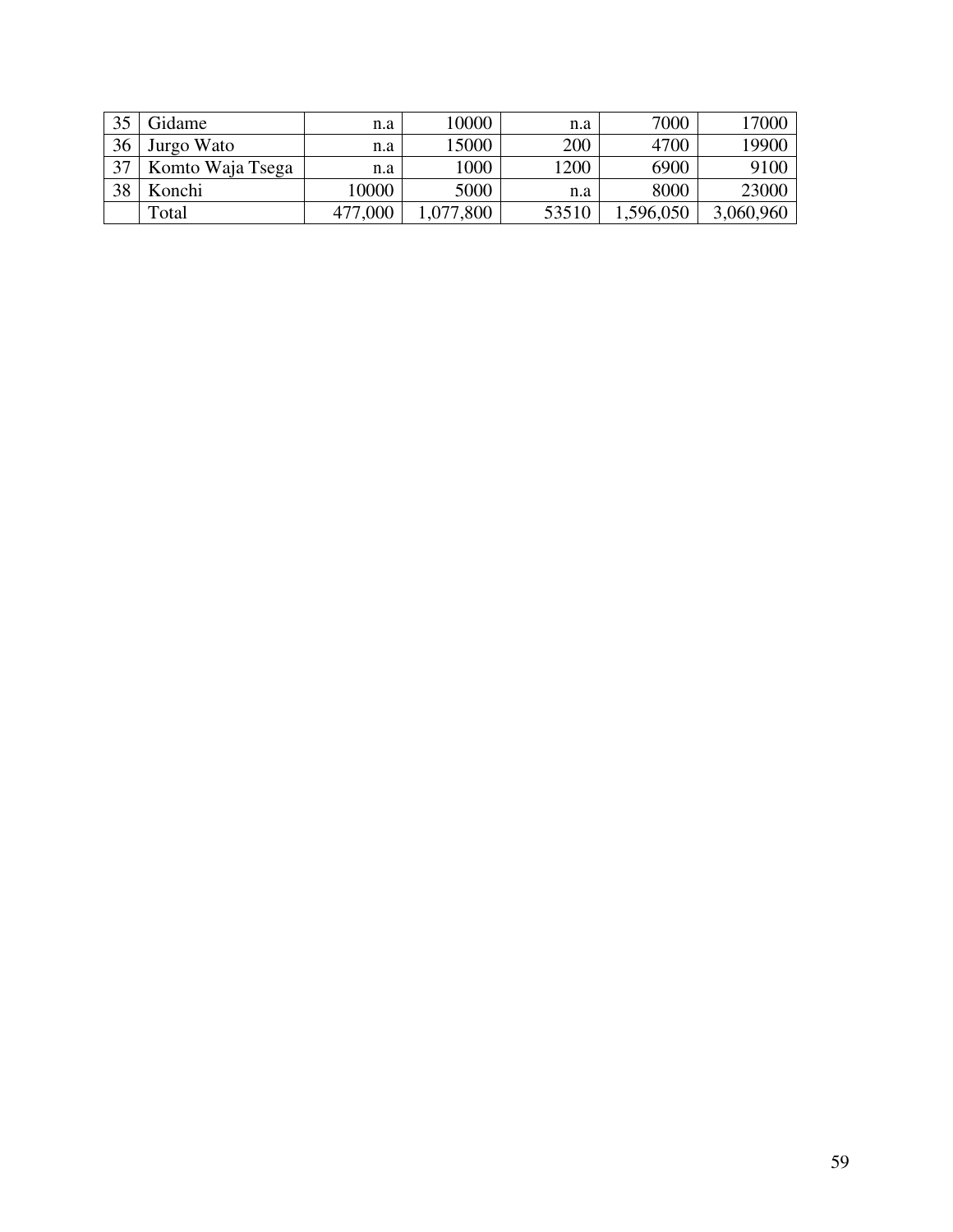| 35 | Gidame           | n.a     | 10000    | n.a   | 7000      | 17000     |
|----|------------------|---------|----------|-------|-----------|-----------|
| 36 | Jurgo Wato       | n.a     | 15000    | 200   | 4700      | 19900     |
| 37 | Komto Waja Tsega | n.a     | 1000     | 1200  | 6900      | 9100      |
| 38 | Konchi           | 10000   | 5000     | n.a   | 8000      | 23000     |
|    | Total            | 477,000 | ,077,800 | 53510 | 1,596,050 | 3,060,960 |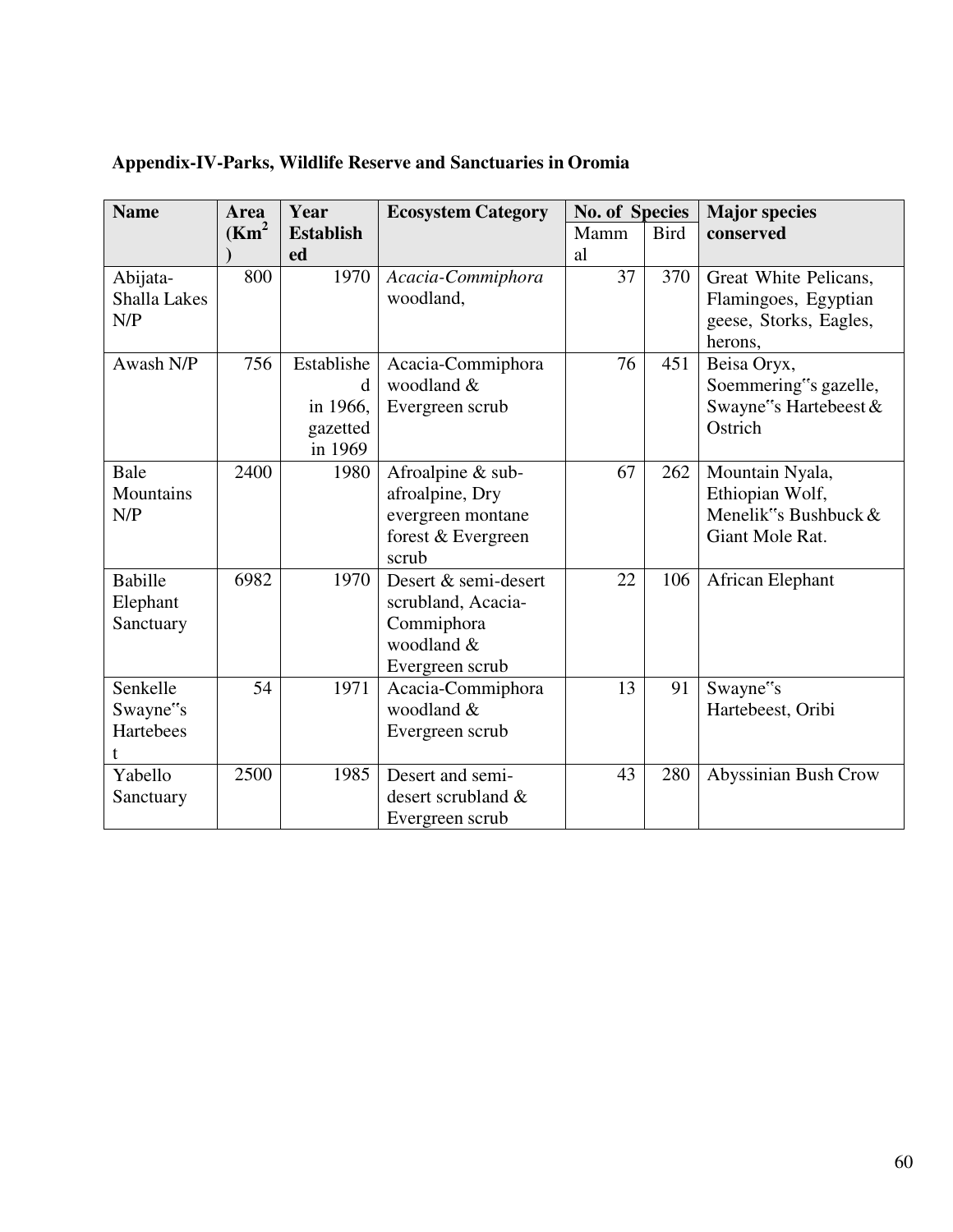| <b>Name</b>                | Year<br><b>Area</b> |                     | <b>Ecosystem Category</b>      | <b>No. of Species</b> |             | <b>Major species</b>                           |  |
|----------------------------|---------------------|---------------------|--------------------------------|-----------------------|-------------|------------------------------------------------|--|
|                            | (Km <sup>2</sup> )  | <b>Establish</b>    |                                | Mamm                  | <b>Bird</b> | conserved                                      |  |
|                            |                     | ed                  |                                | al                    |             |                                                |  |
| Abijata-                   | 800                 | 1970                | Acacia-Commiphora<br>woodland, | 37                    | 370         | Great White Pelicans,                          |  |
| <b>Shalla Lakes</b><br>N/P |                     |                     |                                |                       |             | Flamingoes, Egyptian<br>geese, Storks, Eagles, |  |
|                            |                     |                     |                                |                       |             | herons,                                        |  |
| Awash N/P                  | 756                 | Establishe          | Acacia-Commiphora              | 76                    | 451         | Beisa Oryx,                                    |  |
|                            |                     | d                   | woodland &                     |                       |             | Soemmering"s gazelle,                          |  |
|                            |                     | in 1966,            | Evergreen scrub                |                       |             | Swayne"s Hartebeest &                          |  |
|                            |                     | gazetted<br>in 1969 |                                |                       |             | Ostrich                                        |  |
| Bale                       | 2400                | 1980                | Afroalpine & sub-              | 67                    | 262         | Mountain Nyala,                                |  |
| Mountains                  |                     |                     | afroalpine, Dry                |                       |             | Ethiopian Wolf,                                |  |
| N/P                        |                     |                     | evergreen montane              |                       |             | Menelik"s Bushbuck $&$                         |  |
|                            |                     |                     | forest & Evergreen             |                       |             | Giant Mole Rat.                                |  |
|                            |                     |                     | scrub                          |                       |             |                                                |  |
| <b>Babille</b>             | 6982                | 1970                | Desert & semi-desert           | 22                    | 106         | African Elephant                               |  |
| Elephant                   |                     |                     | scrubland, Acacia-             |                       |             |                                                |  |
| Sanctuary                  |                     |                     | Commiphora<br>woodland &       |                       |             |                                                |  |
|                            |                     |                     | Evergreen scrub                |                       |             |                                                |  |
| Senkelle                   | 54                  | 1971                | Acacia-Commiphora              | 13                    | 91          | Swayne"s                                       |  |
| Swayne"s                   |                     |                     | woodland &                     |                       |             | Hartebeest, Oribi                              |  |
| Hartebees                  |                     |                     | Evergreen scrub                |                       |             |                                                |  |
| t                          |                     |                     |                                |                       |             |                                                |  |
| Yabello                    | 2500                | 1985                | Desert and semi-               | 43                    | 280         | Abyssinian Bush Crow                           |  |
| Sanctuary                  |                     |                     | desert scrubland &             |                       |             |                                                |  |
|                            |                     |                     | Evergreen scrub                |                       |             |                                                |  |

# **Appendix-IV-Parks, Wildlife Reserve and Sanctuaries in Oromia**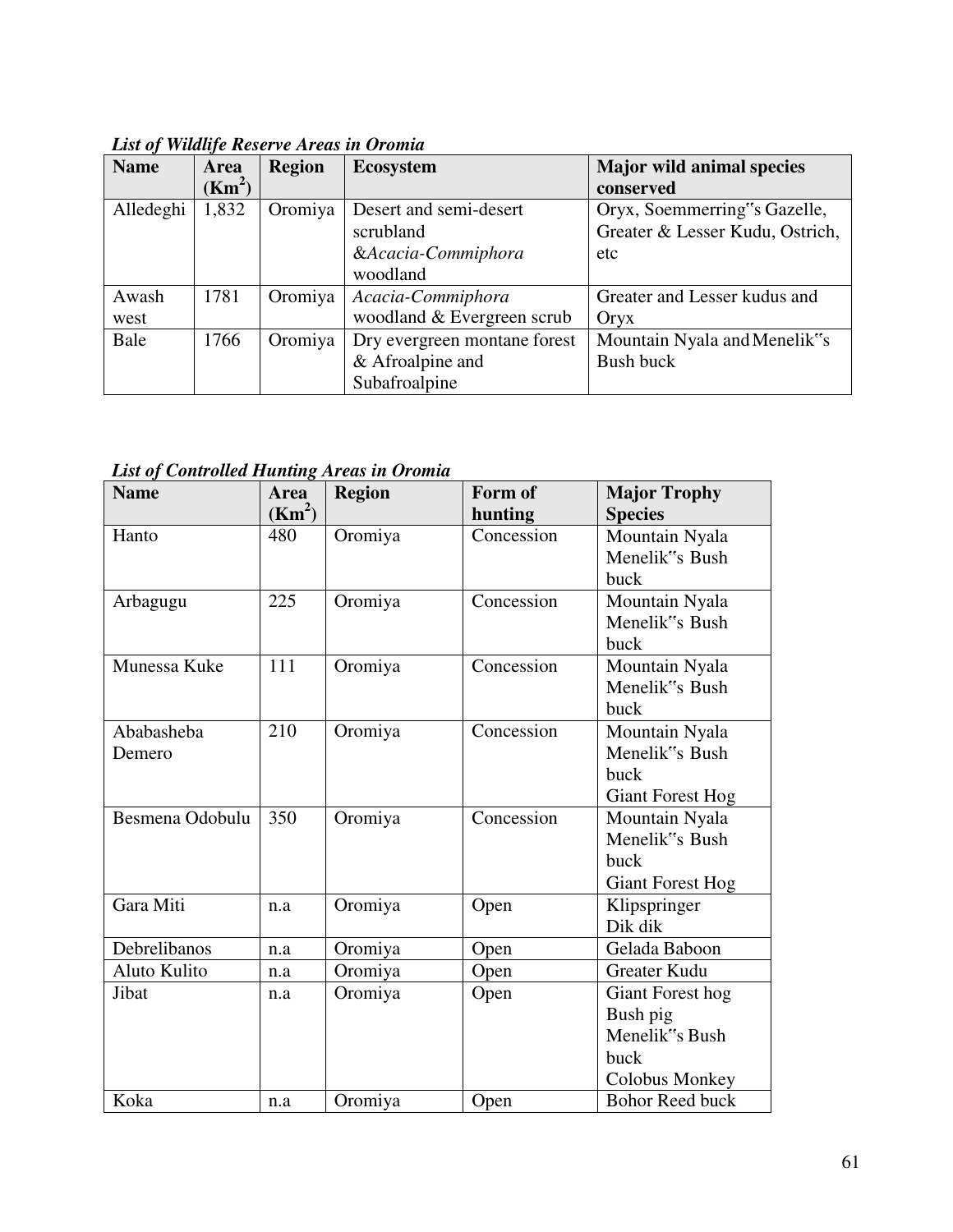| <b>Name</b> | <b>Area</b>        | <b>Region</b> | <b>Ecosystem</b>             | <b>Major wild animal species</b> |
|-------------|--------------------|---------------|------------------------------|----------------------------------|
|             | (Km <sup>2</sup> ) |               |                              | conserved                        |
| Alledeghi   | 1,832              | Oromiya       | Desert and semi-desert       | Oryx, Soemmerring"s Gazelle,     |
|             |                    |               | scrubland                    | Greater & Lesser Kudu, Ostrich,  |
|             |                    |               | &Acacia-Commiphora           | etc                              |
|             |                    |               | woodland                     |                                  |
| Awash       | 1781               | Oromiya       | Acacia-Commiphora            | Greater and Lesser kudus and     |
| west        |                    |               | woodland & Evergreen scrub   | Oryx                             |
| Bale        | 1766               | Oromiya       | Dry evergreen montane forest | Mountain Nyala and Menelik"s     |
|             |                    |               | & Afroalpine and             | Bush buck                        |
|             |                    |               | Subafroalpine                |                                  |

*List of Wildlife Reserve Areas in Oromia*

## *List of Controlled Hunting Areas in Oromia*

| <b>Name</b>     | Area<br>(Km <sup>2</sup> ) | <b>Region</b> | Form of<br>hunting | <b>Major Trophy</b><br><b>Species</b> |
|-----------------|----------------------------|---------------|--------------------|---------------------------------------|
| Hanto           | 480                        | Oromiya       | Concession         | Mountain Nyala                        |
|                 |                            |               |                    | Menelik"s Bush                        |
|                 |                            |               |                    | buck                                  |
| Arbagugu        | 225                        | Oromiya       | Concession         | Mountain Nyala                        |
|                 |                            |               |                    | Menelik"s Bush                        |
|                 |                            |               |                    | buck                                  |
| Munessa Kuke    | 111                        | Oromiya       | Concession         | Mountain Nyala                        |
|                 |                            |               |                    | Menelik"s Bush                        |
|                 |                            |               |                    | buck                                  |
| Ababasheba      | 210                        | Oromiya       | Concession         | Mountain Nyala                        |
| Demero          |                            |               |                    | Menelik"s Bush                        |
|                 |                            |               |                    | buck                                  |
|                 |                            |               |                    | <b>Giant Forest Hog</b>               |
| Besmena Odobulu | 350                        | Oromiya       | Concession         | Mountain Nyala                        |
|                 |                            |               |                    | Menelik"s Bush                        |
|                 |                            |               |                    | buck                                  |
|                 |                            |               |                    | <b>Giant Forest Hog</b>               |
| Gara Miti       | n.a                        | Oromiya       | Open               | Klipspringer                          |
|                 |                            |               |                    | Dik dik                               |
| Debrelibanos    | n.a                        | Oromiya       | Open               | Gelada Baboon                         |
| Aluto Kulito    | n.a                        | Oromiya       | Open               | <b>Greater Kudu</b>                   |
| Jibat           | n.a                        | Oromiya       | Open               | Giant Forest hog                      |
|                 |                            |               |                    | Bush pig                              |
|                 |                            |               |                    | Menelik"s Bush                        |
|                 |                            |               |                    | buck                                  |
|                 |                            |               |                    | Colobus Monkey                        |
| Koka            | n.a                        | Oromiya       | Open               | <b>Bohor Reed buck</b>                |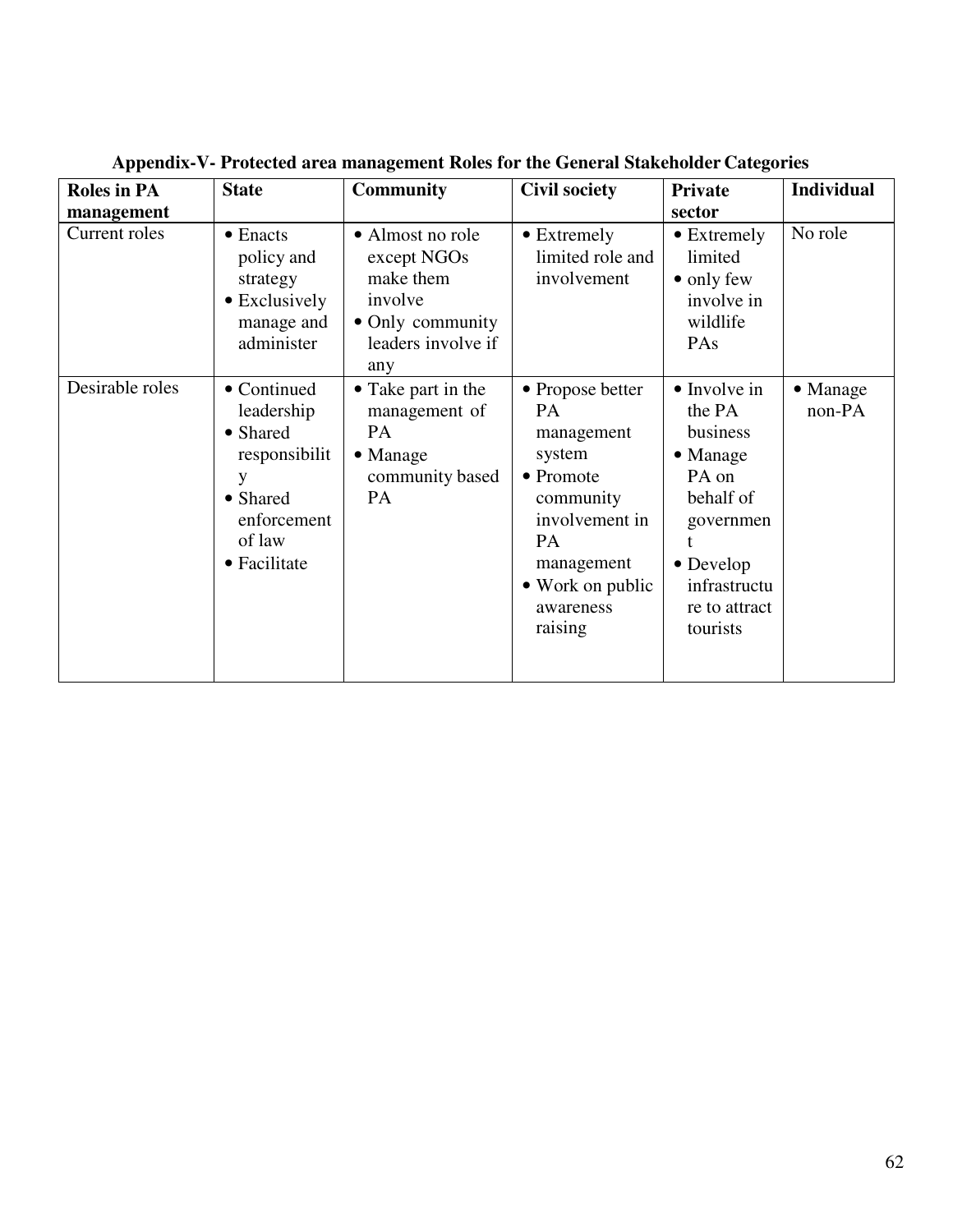| <b>Roles in PA</b><br>management | <b>State</b>                                                                                                     | <b>Community</b>                                                                                         | <b>Civil society</b>                                                                                                                                              | <b>Private</b><br>sector                                                                                                                            | <b>Individual</b>          |
|----------------------------------|------------------------------------------------------------------------------------------------------------------|----------------------------------------------------------------------------------------------------------|-------------------------------------------------------------------------------------------------------------------------------------------------------------------|-----------------------------------------------------------------------------------------------------------------------------------------------------|----------------------------|
| Current roles                    | • Enacts<br>policy and<br>strategy<br>• Exclusively<br>manage and<br>administer                                  | • Almost no role<br>except NGOs<br>make them<br>involve<br>• Only community<br>leaders involve if<br>any | • Extremely<br>limited role and<br>involvement                                                                                                                    | $\bullet$ Extremely<br>limited<br>$\bullet$ only few<br>involve in<br>wildlife<br>PAs                                                               | No role                    |
| Desirable roles                  | • Continued<br>leadership<br>• Shared<br>responsibilit<br>y<br>• Shared<br>enforcement<br>of law<br>• Facilitate | • Take part in the<br>management of<br>PA<br>$\bullet$ Manage<br>community based<br>PA                   | • Propose better<br><b>PA</b><br>management<br>system<br>• Promote<br>community<br>involvement in<br>PA<br>management<br>• Work on public<br>awareness<br>raising | $\bullet$ Involve in<br>the PA<br>business<br>• Manage<br>PA on<br>behalf of<br>governmen<br>• Develop<br>infrastructu<br>re to attract<br>tourists | $\bullet$ Manage<br>non-PA |

**Appendix-V- Protected area management Roles for the General Stakeholder Categories**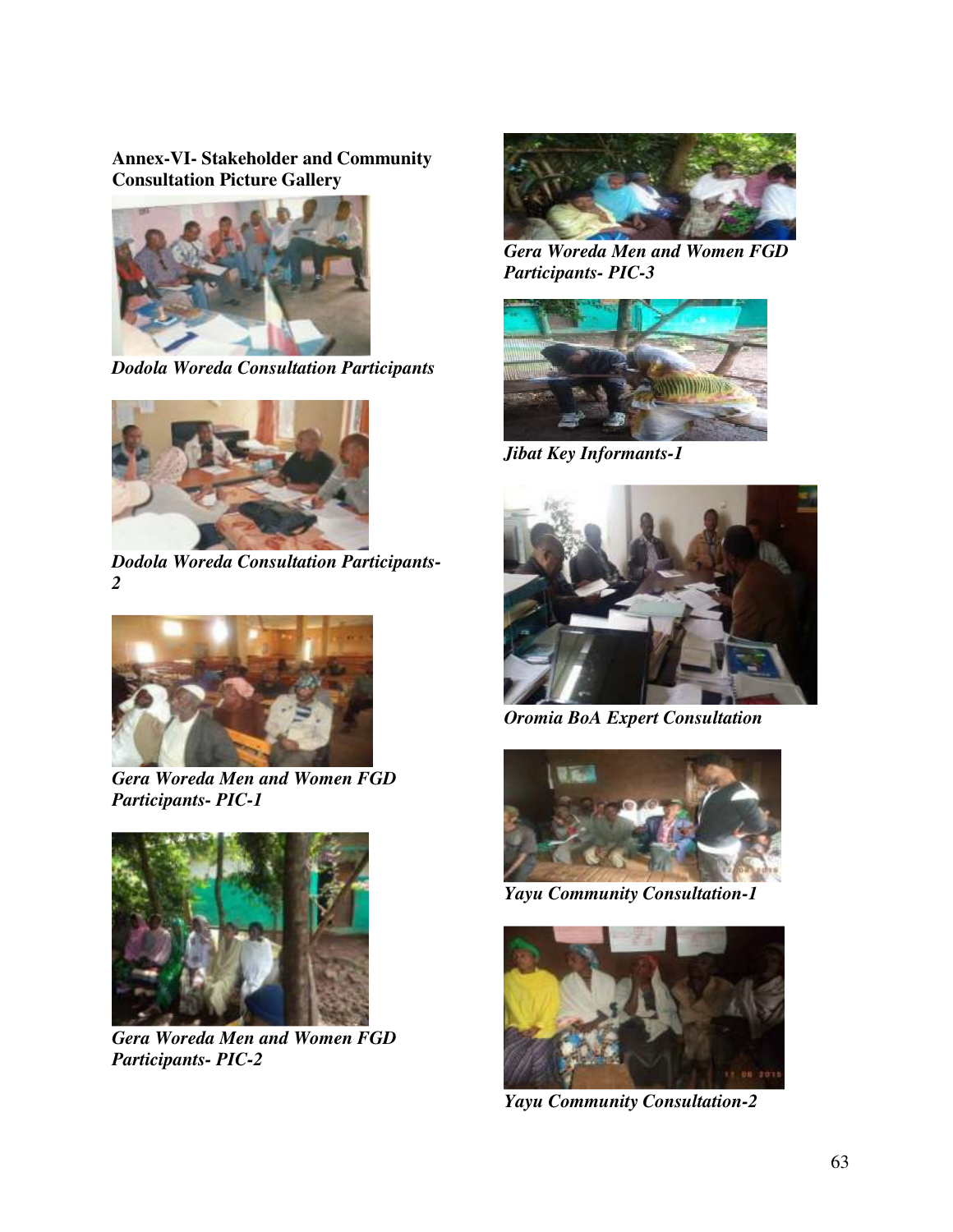#### **Annex-VI- Stakeholder and Community Consultation Picture Gallery**



*Dodola Woreda Consultation Participants*



*Dodola Woreda Consultation Participants-2*



*Gera Woreda Men and Women FGD Participants- PIC-1*



*Gera Woreda Men and Women FGD Participants- PIC-2*



*Gera Woreda Men and Women FGD Participants- PIC-3*



*Jibat Key Informants-1*



*Oromia BoA Expert Consultation*



*Yayu Community Consultation-1*



*Yayu Community Consultation-2*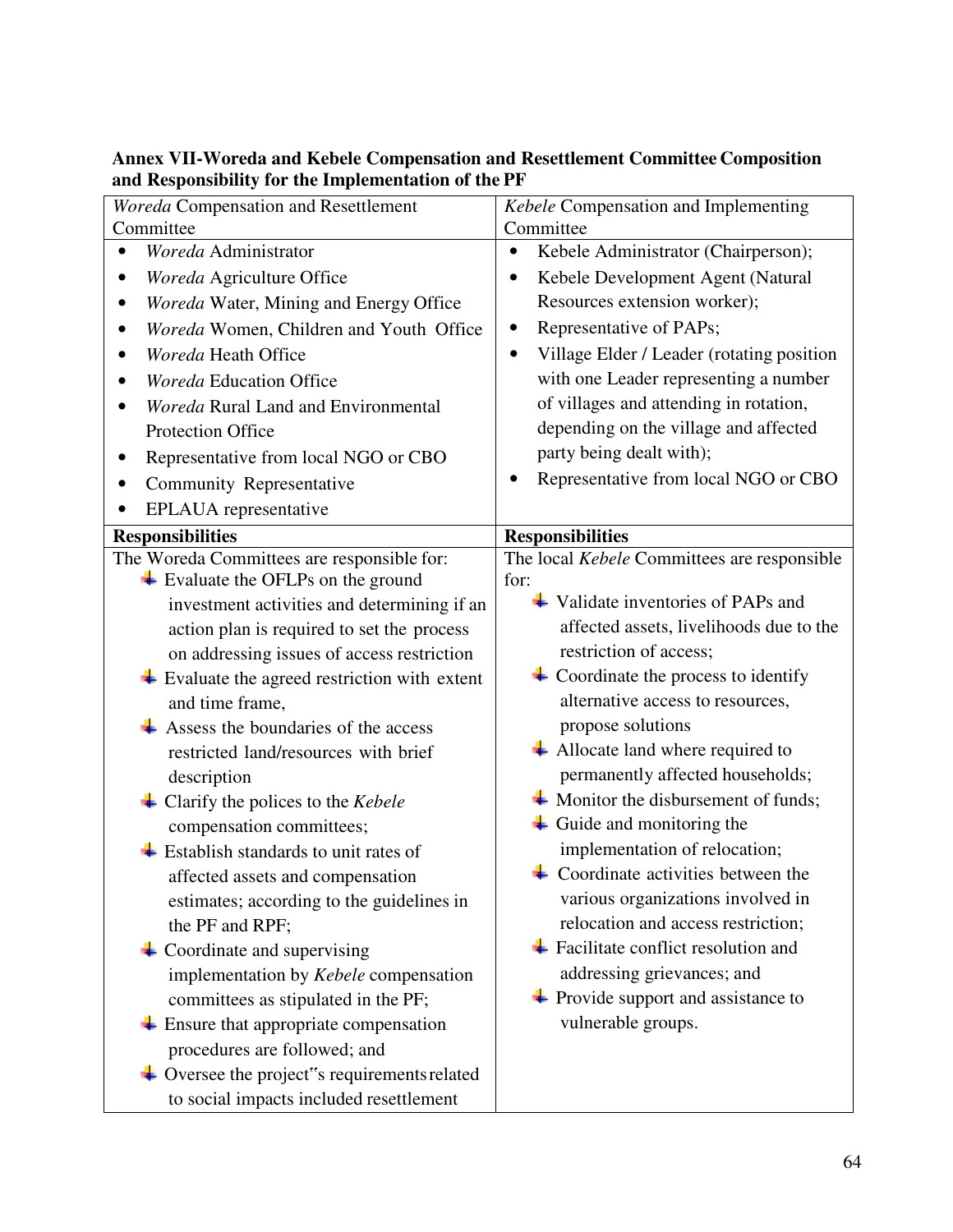| Woreda Compensation and Resettlement                                | Kebele Compensation and Implementing                        |  |  |
|---------------------------------------------------------------------|-------------------------------------------------------------|--|--|
| Committee                                                           | Committee                                                   |  |  |
| Woreda Administrator<br>$\bullet$                                   | Kebele Administrator (Chairperson);<br>$\bullet$            |  |  |
| Woreda Agriculture Office                                           | Kebele Development Agent (Natural                           |  |  |
| Woreda Water, Mining and Energy Office                              | Resources extension worker);                                |  |  |
| Woreda Women, Children and Youth Office<br>$\bullet$                | Representative of PAPs;                                     |  |  |
| Woreda Heath Office                                                 | Village Elder / Leader (rotating position                   |  |  |
| <b>Woreda Education Office</b>                                      | with one Leader representing a number                       |  |  |
| Woreda Rural Land and Environmental                                 | of villages and attending in rotation,                      |  |  |
| <b>Protection Office</b>                                            | depending on the village and affected                       |  |  |
| Representative from local NGO or CBO<br>٠                           | party being dealt with);                                    |  |  |
| Community Representative<br>$\bullet$                               | Representative from local NGO or CBO<br>$\bullet$           |  |  |
| EPLAUA representative                                               |                                                             |  |  |
| <b>Responsibilities</b>                                             | <b>Responsibilities</b>                                     |  |  |
| The Woreda Committees are responsible for:                          | The local Kebele Committees are responsible                 |  |  |
| $\overline{\phantom{a}}$ Evaluate the OFLPs on the ground           | for:                                                        |  |  |
| investment activities and determining if an                         | $\overline{\phantom{a}}$ Validate inventories of PAPs and   |  |  |
| action plan is required to set the process                          | affected assets, livelihoods due to the                     |  |  |
| on addressing issues of access restriction                          | restriction of access;                                      |  |  |
| $\overline{\text{+}}$ Evaluate the agreed restriction with extent   | $\overline{\phantom{a}}$ Coordinate the process to identify |  |  |
| and time frame,                                                     | alternative access to resources,                            |  |  |
| $\overline{\phantom{a}}$ Assess the boundaries of the access        | propose solutions                                           |  |  |
| restricted land/resources with brief                                | $\overline{\phantom{a}}$ Allocate land where required to    |  |  |
| description                                                         | permanently affected households;                            |  |  |
| $\triangleq$ Clarify the polices to the <i>Kebele</i>               | $\overline{\text{+}}$ Monitor the disbursement of funds;    |  |  |
| compensation committees;                                            | $\overline{\phantom{a}}$ Guide and monitoring the           |  |  |
| $\overline{\phantom{a}}$ Establish standards to unit rates of       | implementation of relocation;                               |  |  |
| affected assets and compensation                                    | $\overline{\phantom{a}}$ Coordinate activities between the  |  |  |
| estimates; according to the guidelines in                           | various organizations involved in                           |  |  |
| the PF and RPF;                                                     | relocation and access restriction;                          |  |  |
| $\overline{\phantom{a}}$ Coordinate and supervising                 | $\overline{\phantom{a}}$ Facilitate conflict resolution and |  |  |
| implementation by Kebele compensation                               | addressing grievances; and                                  |  |  |
| committees as stipulated in the PF;                                 | $\overline{\phantom{a}}$ Provide support and assistance to  |  |  |
| $\overline{\phantom{a}}$ Ensure that appropriate compensation       | vulnerable groups.                                          |  |  |
| procedures are followed; and                                        |                                                             |  |  |
| $\overline{\phantom{a}}$ Oversee the project"s requirements related |                                                             |  |  |
| to social impacts included resettlement                             |                                                             |  |  |

## **Annex VII-Woreda and Kebele Compensation and Resettlement Committee Composition and Responsibility for the Implementation of the PF**